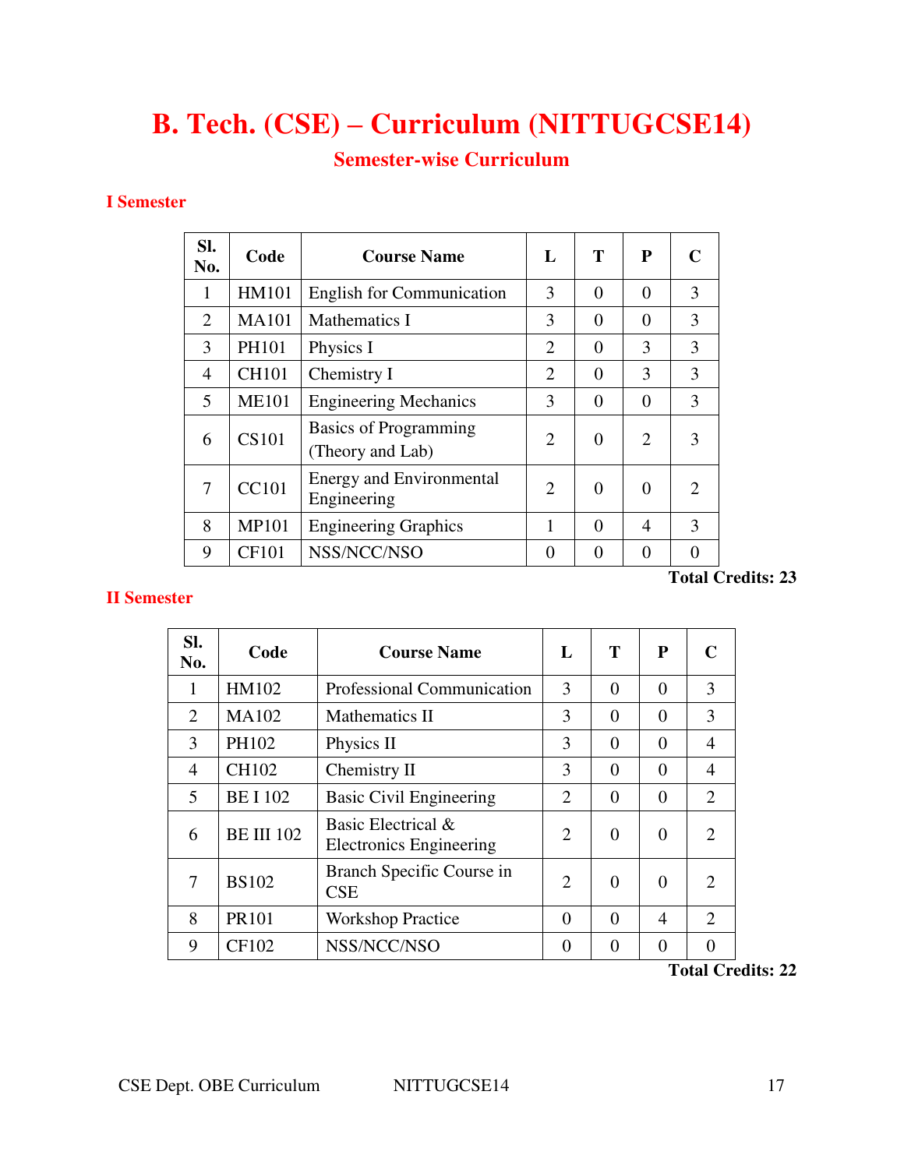# **B. Tech. (CSE) – Curriculum (NITTUGCSE14)**

# **Semester-wise Curriculum**

### **I Semester**

| SI.<br>No.     | Code         | <b>Course Name</b>                               | $\mathbf{L}$   | T        | P                           | C                           |
|----------------|--------------|--------------------------------------------------|----------------|----------|-----------------------------|-----------------------------|
| 1              | <b>HM101</b> | <b>English for Communication</b>                 | 3              | $\theta$ | 0                           | 3                           |
| $\overline{2}$ | <b>MA101</b> | <b>Mathematics I</b>                             | 3              | $\Omega$ | $\Omega$                    | 3                           |
| 3              | PH101        | Physics I                                        | $\overline{2}$ | $\theta$ | 3                           | 3                           |
| 4              | <b>CH101</b> | Chemistry I                                      | $\overline{2}$ | $\Omega$ | 3                           | 3                           |
| 5              | <b>ME101</b> | <b>Engineering Mechanics</b>                     | 3              | $\theta$ | 0                           | 3                           |
| 6              | <b>CS101</b> | <b>Basics of Programming</b><br>(Theory and Lab) | $\overline{2}$ | $\Omega$ | $\mathcal{D}_{\mathcal{L}}$ | 3                           |
| 7              | <b>CC101</b> | <b>Energy and Environmental</b><br>Engineering   | $\mathfrak{D}$ | $\Omega$ | 0                           | $\mathcal{D}_{\mathcal{L}}$ |
| 8              | <b>MP101</b> | <b>Engineering Graphics</b>                      | 1              | $\Omega$ | $\overline{\mathcal{A}}$    | 3                           |
| 9              | <b>CF101</b> | NSS/NCC/NSO                                      | 0              | $\Omega$ | ∩                           | 0                           |

# **II Semester**

**Total Credits: 23** 

| SI.<br>No.     | Code              | <b>Course Name</b>                                   | L                           | T        | P              | C                           |
|----------------|-------------------|------------------------------------------------------|-----------------------------|----------|----------------|-----------------------------|
| 1              | HM102             | Professional Communication                           | 3                           | $\theta$ | $\theta$       | 3                           |
| 2              | <b>MA102</b>      | Mathematics II                                       | 3                           | $\theta$ | $\overline{0}$ | 3                           |
| 3              | PH102             | Physics II                                           | 3                           | $\theta$ | $\theta$       | 4                           |
| $\overline{4}$ | <b>CH102</b>      | Chemistry II                                         | 3                           | $\theta$ | $\theta$       | 4                           |
| 5              | <b>BE I 102</b>   | <b>Basic Civil Engineering</b>                       | 2                           | $\theta$ | $\overline{0}$ | 2                           |
| 6              | <b>BE III 102</b> | Basic Electrical &<br><b>Electronics Engineering</b> | $\mathcal{D}_{\mathcal{L}}$ | $\theta$ | $\overline{0}$ | $\mathcal{D}_{\mathcal{L}}$ |
| 7              | <b>BS102</b>      | Branch Specific Course in<br><b>CSE</b>              | $\overline{2}$              | $\theta$ | $\Omega$       | 2                           |
| 8              | <b>PR101</b>      | <b>Workshop Practice</b>                             | $\Omega$                    | $\theta$ | 4              | $\overline{2}$              |
| 9              | <b>CF102</b>      | NSS/NCC/NSO                                          | $\theta$                    | $\theta$ | $\theta$       | 0                           |
|                |                   |                                                      |                             |          |                | $\mathbf{m}$ . $\mathbf{n}$ |

**Total Credits: 22**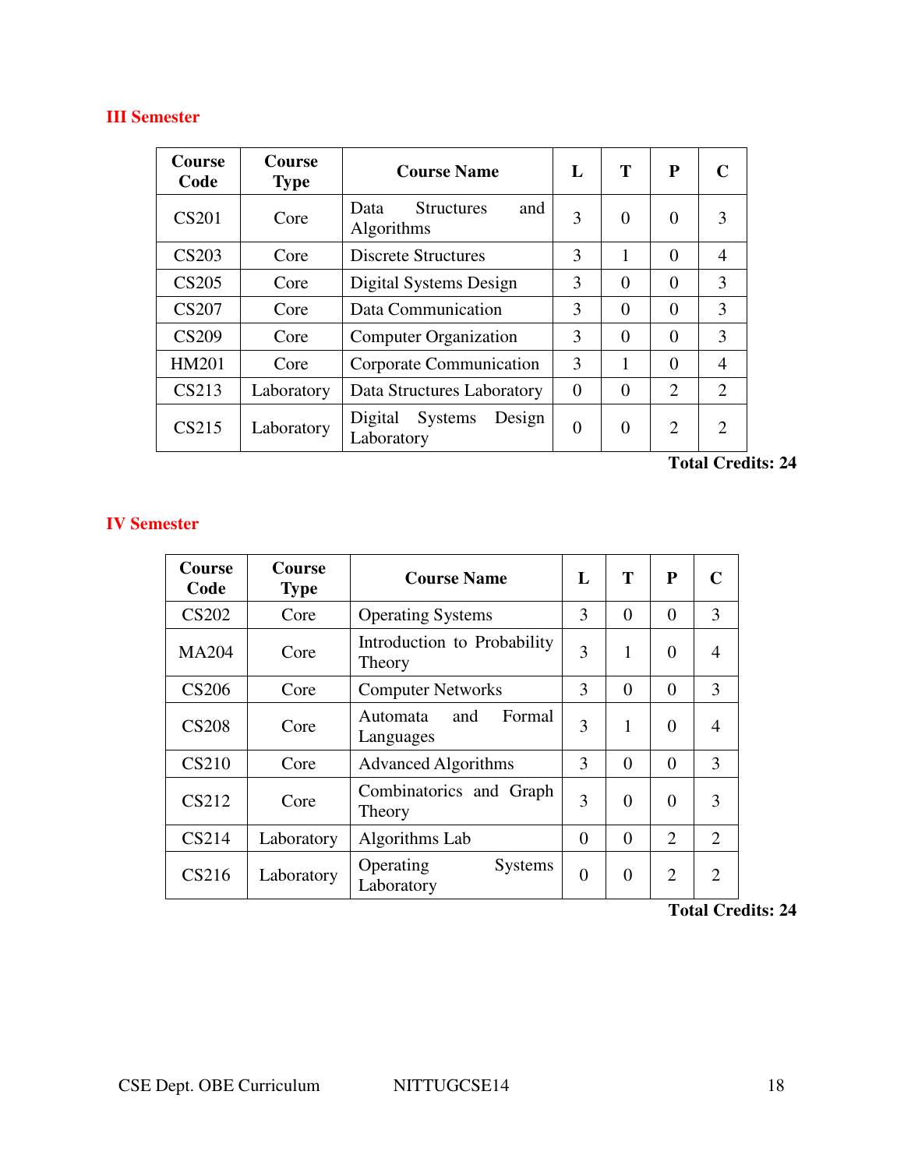# **III Semester**

| Course<br>Code | Course<br><b>Type</b> | <b>Course Name</b>                                    | L             | T        | P                     | C                           |
|----------------|-----------------------|-------------------------------------------------------|---------------|----------|-----------------------|-----------------------------|
| <b>CS201</b>   | Core                  | <b>Structures</b><br>and<br>Data<br><b>Algorithms</b> | 3             | 0        | $\Omega$              | 3                           |
| <b>CS203</b>   | Core                  | <b>Discrete Structures</b>                            | $\mathcal{F}$ | 1        | $\Omega$              | 4                           |
| <b>CS205</b>   | Core                  | Digital Systems Design                                | 3             | 0        | $\theta$              | 3                           |
| <b>CS207</b>   | Core                  | Data Communication                                    | 3             | $\Omega$ | $\Omega$              | 3                           |
| <b>CS209</b>   | Core                  | <b>Computer Organization</b>                          | $\mathcal{F}$ | 0        | $\theta$              | 3                           |
| <b>HM201</b>   | Core                  | Corporate Communication                               | 3             |          | $\Omega$              | 4                           |
| CS213          | Laboratory            | Data Structures Laboratory                            | $\Omega$      | $\Omega$ | $\mathcal{D}_{\cdot}$ | 2                           |
| CS215          | Laboratory            | <b>Systems</b><br>Digital<br>Design<br>Laboratory     | $\theta$      | 0        | 2                     | $\mathcal{D}_{\mathcal{L}}$ |

**Total Credits: 24** 

# **IV Semester**

| Course<br>Code | Course<br><b>Type</b> | <b>Course Name</b>                        | L        | Т        | ${\bf P}$      | C              |
|----------------|-----------------------|-------------------------------------------|----------|----------|----------------|----------------|
| <b>CS202</b>   | Core                  | <b>Operating Systems</b>                  | 3        | $\theta$ | $\theta$       | 3              |
| <b>MA204</b>   | Core                  | Introduction to Probability<br>Theory     | 3        | 1        | $\theta$       | $\overline{4}$ |
| <b>CS206</b>   | Core                  | <b>Computer Networks</b>                  | 3        | $\Omega$ | $\Omega$       | 3              |
| <b>CS208</b>   | Core                  | Formal<br>and<br>Automata<br>Languages    | 3        | 1        | $\theta$       | $\overline{4}$ |
| <b>CS210</b>   | Core                  | <b>Advanced Algorithms</b>                | 3        | $\Omega$ | $\Omega$       | 3              |
| <b>CS212</b>   | Core                  | Combinatorics and Graph<br>Theory         | 3        | $\theta$ | $\theta$       | 3              |
| <b>CS214</b>   | Laboratory            | Algorithms Lab                            | $\theta$ | $\Omega$ | $\overline{2}$ | $\overline{2}$ |
| CS216          | Laboratory            | Operating<br><b>Systems</b><br>Laboratory | $\theta$ | $\theta$ | $\overline{2}$ | $\overline{2}$ |

**Total Credits: 24**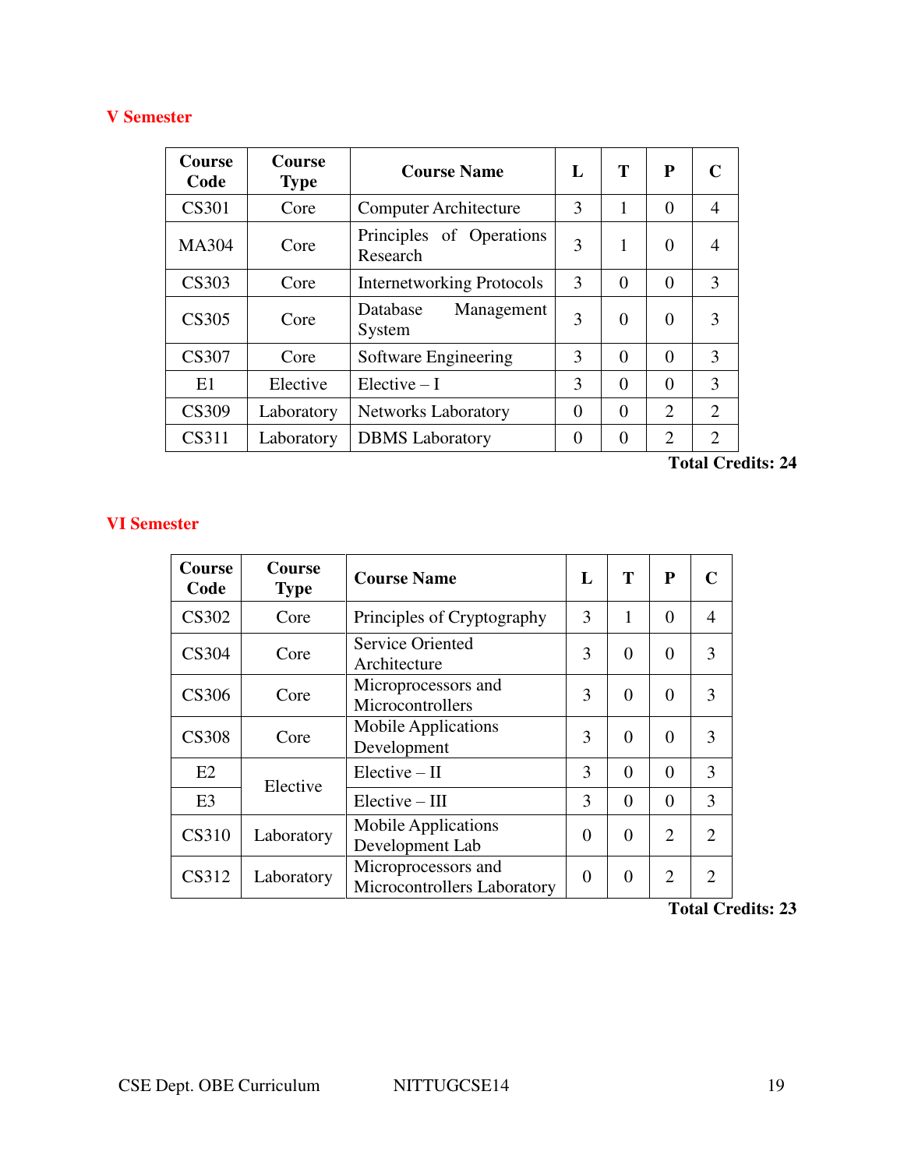# **V Semester**

| Course<br>Code | Course<br><b>Type</b> | <b>Course Name</b>                   | $\mathbf{L}$ | T        | P                           | C              |
|----------------|-----------------------|--------------------------------------|--------------|----------|-----------------------------|----------------|
| <b>CS301</b>   | Core                  | <b>Computer Architecture</b>         | 3            | 1        | $\Omega$                    | $\overline{4}$ |
| <b>MA304</b>   | Core                  | Principles of Operations<br>Research | 3            | 1        | $\Omega$                    | 4              |
| <b>CS303</b>   | Core                  | <b>Internetworking Protocols</b>     | 3            | $\theta$ | $\Omega$                    | 3              |
| CS305          | Core                  | Database<br>Management<br>System     | 3            | $\theta$ | $\Omega$                    | 3              |
| <b>CS307</b>   | Core                  | Software Engineering                 | 3            | $\theta$ | $\theta$                    | 3              |
| E1             | Elective              | $Elective-I$                         | 3            | $\theta$ | $\theta$                    | 3              |
| CS309          | Laboratory            | Networks Laboratory                  | $\theta$     | $\theta$ | $\mathcal{D}_{\mathcal{L}}$ | $\overline{2}$ |
| CS311          | Laboratory            | <b>DBMS</b> Laboratory               | 0            | $\theta$ | $\overline{2}$              | $\overline{2}$ |

**Total Credits: 24** 

# **VI Semester**

| Course<br>Code | Course<br><b>Type</b> | <b>Course Name</b>                                 | L        | T        | P              |                             |
|----------------|-----------------------|----------------------------------------------------|----------|----------|----------------|-----------------------------|
| <b>CS302</b>   | Core                  | Principles of Cryptography                         | 3        | 1        | $\Omega$       | $\overline{4}$              |
| <b>CS304</b>   | Core                  | <b>Service Oriented</b><br>Architecture            | 3        | $\Omega$ | $\Omega$       | 3                           |
| <b>CS306</b>   | Core                  | Microprocessors and<br>Microcontrollers            | 3        | 0        | 0              | $\mathcal{F}$               |
| <b>CS308</b>   | Core                  | <b>Mobile Applications</b><br>Development          | 3        | $\Omega$ | $\theta$       | $\mathcal{F}$               |
| E2             | Elective              | $Elective - II$                                    | 3        | 0        | 0              | 3                           |
| E <sub>3</sub> |                       | $Electric - III$                                   | 3        | $\Omega$ | $\Omega$       | 3                           |
| <b>CS310</b>   | Laboratory            | <b>Mobile Applications</b><br>Development Lab      | $\Omega$ | $\Omega$ | $\overline{2}$ | $\mathcal{D}_{\mathcal{L}}$ |
| CS312          | Laboratory            | Microprocessors and<br>Microcontrollers Laboratory | $\Omega$ | $\Omega$ | $\overline{2}$ | $\mathcal{D}$               |

# **Total Credits: 23**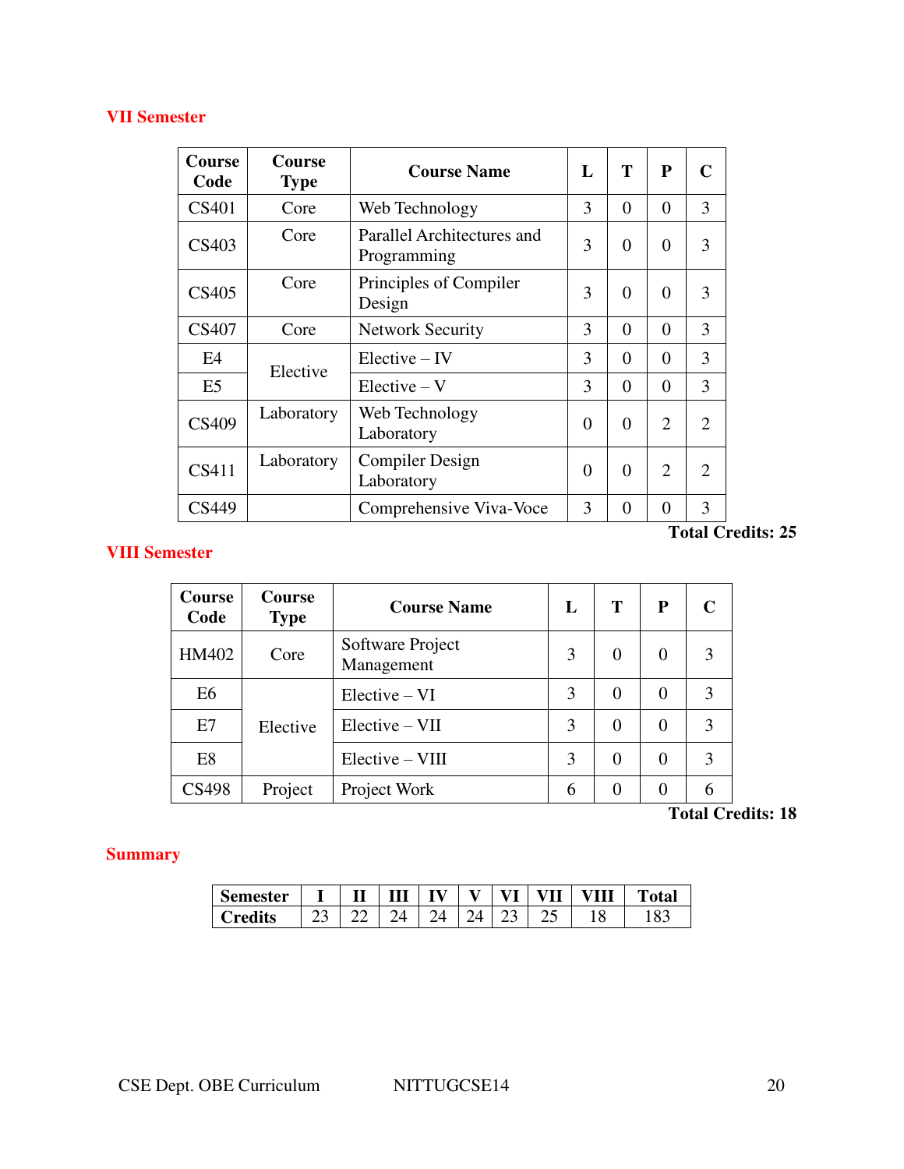# **VII Semester**

| Course<br>Code | <b>Course</b><br><b>Type</b> | <b>Course Name</b>                        | L        | T        | ${\bf P}$      | $\mathbf C$    |
|----------------|------------------------------|-------------------------------------------|----------|----------|----------------|----------------|
| <b>CS401</b>   | Core                         | Web Technology                            | 3        | $\Omega$ | $\theta$       | 3              |
| CS403          | Core                         | Parallel Architectures and<br>Programming | 3        | $\theta$ | $\theta$       | 3              |
| CS405          | Core                         | Principles of Compiler<br>Design          | 3        | $\Omega$ | $\Omega$       | 3              |
| <b>CS407</b>   | Core                         | <b>Network Security</b>                   | 3        | $\Omega$ | $\theta$       | 3              |
| E <sub>4</sub> | Elective                     | $Electric - IV$                           | 3        | $\Omega$ | $\Omega$       | 3              |
| E <sub>5</sub> |                              | $Electric - V$                            | 3        | $\theta$ | $\theta$       | 3              |
| CS409          | Laboratory                   | Web Technology<br>Laboratory              | $\theta$ | $\theta$ | $\overline{2}$ | $\overline{2}$ |
| CS411          | Laboratory                   | <b>Compiler Design</b><br>Laboratory      | $\theta$ | $\theta$ | $\overline{2}$ | $\overline{2}$ |
| CS449          |                              | Comprehensive Viva-Voce                   | 3        | $\Omega$ | $\Omega$       | 3              |

# **Total Credits: 25**

# **VIII Semester**

| Course<br>Code | Course<br><b>Type</b> | <b>Course Name</b>             | L | Т        | P        | C |
|----------------|-----------------------|--------------------------------|---|----------|----------|---|
| HM402          | Core                  | Software Project<br>Management | 3 | $\Omega$ | 0        | 3 |
| E <sub>6</sub> |                       | $Electric - VI$                | 3 | $\Omega$ | $\Omega$ | 3 |
| E7             | Elective              | $Electric - VII$               | 3 | $\Omega$ | 0        | 3 |
| E <sub>8</sub> |                       | $Electric - VIII$              | 3 | $\Omega$ | $\Omega$ | 3 |
| CS498          | Project               | Project Work                   | 6 | 0        | 0        | 6 |

# **Total Credits: 18**

# **Summary**

| Semester |  | $T$ $T$<br>1 V | - 77 | <br>v | 'III<br>v | 'otal |
|----------|--|----------------|------|-------|-----------|-------|
| Credits  |  |                |      | ر_    |           |       |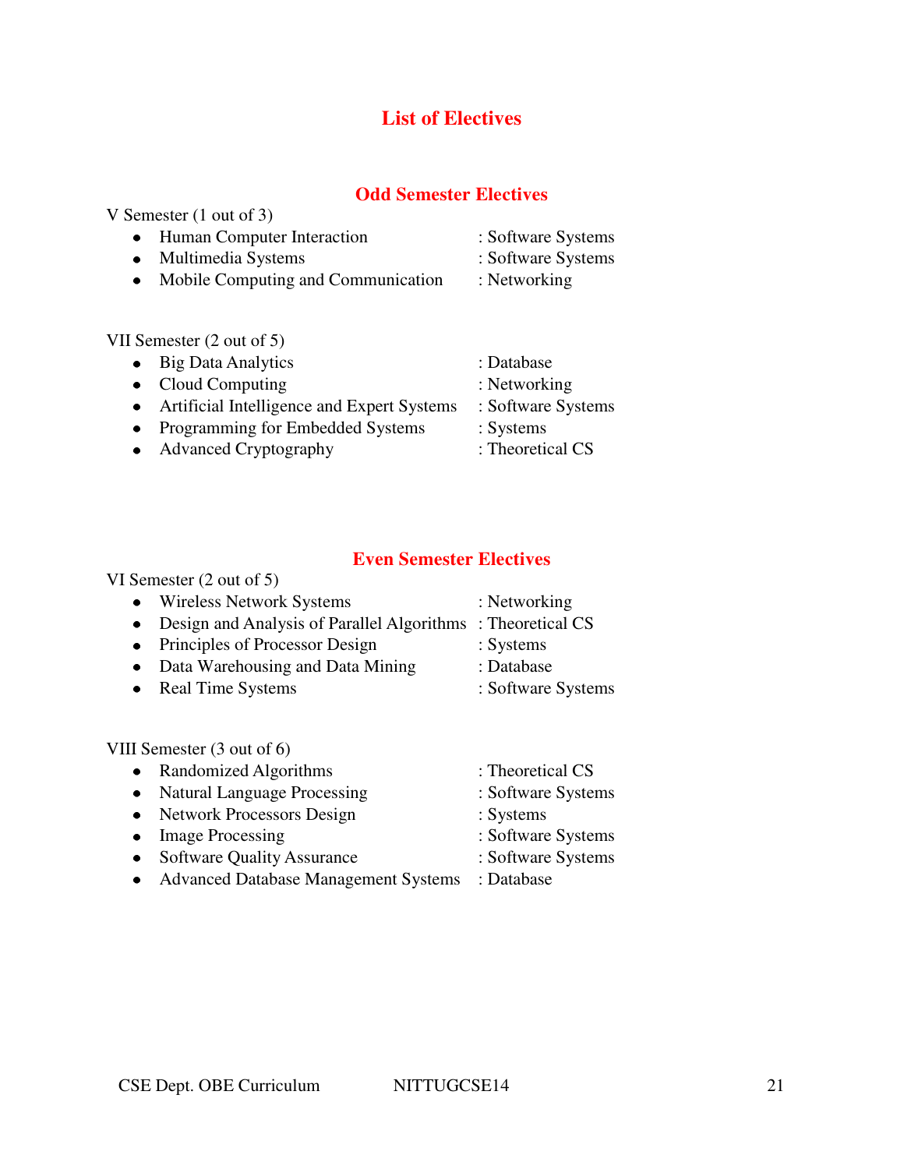# **List of Electives**

# **Odd Semester Electives**

V Semester (1 out of 3) • Human Computer Interaction : Software Systems • Multimedia Systems : Software Systems • Mobile Computing and Communication : Networking

VII Semester (2 out of 5)

| • Big Data Analytics                         | : Database         |
|----------------------------------------------|--------------------|
| $\bullet$ Cloud Computing                    | : Networking       |
| • Artificial Intelligence and Expert Systems | : Software Systems |
| • Programming for Embedded Systems           | : Systems          |
| • Advanced Cryptography                      | : Theoretical CS   |

# **Even Semester Electives**

|           | VI Semester $(2 \text{ out of } 5)$        |                    |
|-----------|--------------------------------------------|--------------------|
| $\bullet$ | <b>Wireless Network Systems</b>            | : Networking       |
| $\bullet$ | Design and Analysis of Parallel Algorithms | : Theoretical CS   |
| $\bullet$ | Principles of Processor Design             | : Systems          |
| ٠         | Data Warehousing and Data Mining           | : Database         |
| ٠         | <b>Real Time Systems</b>                   | : Software Systems |
|           |                                            |                    |
|           | VIII Semester (3 out of 6)                 |                    |
| $\bullet$ | Randomized Algorithms                      | : Theoretical CS   |
| $\bullet$ | <b>Natural Language Processing</b>         | : Software Systems |
| $\bullet$ | <b>Network Processors Design</b>           | : Systems          |
|           | <b>Image Processing</b>                    | : Software Systems |

- Software Quality Assurance : Software Systems
- Advanced Database Management Systems : Database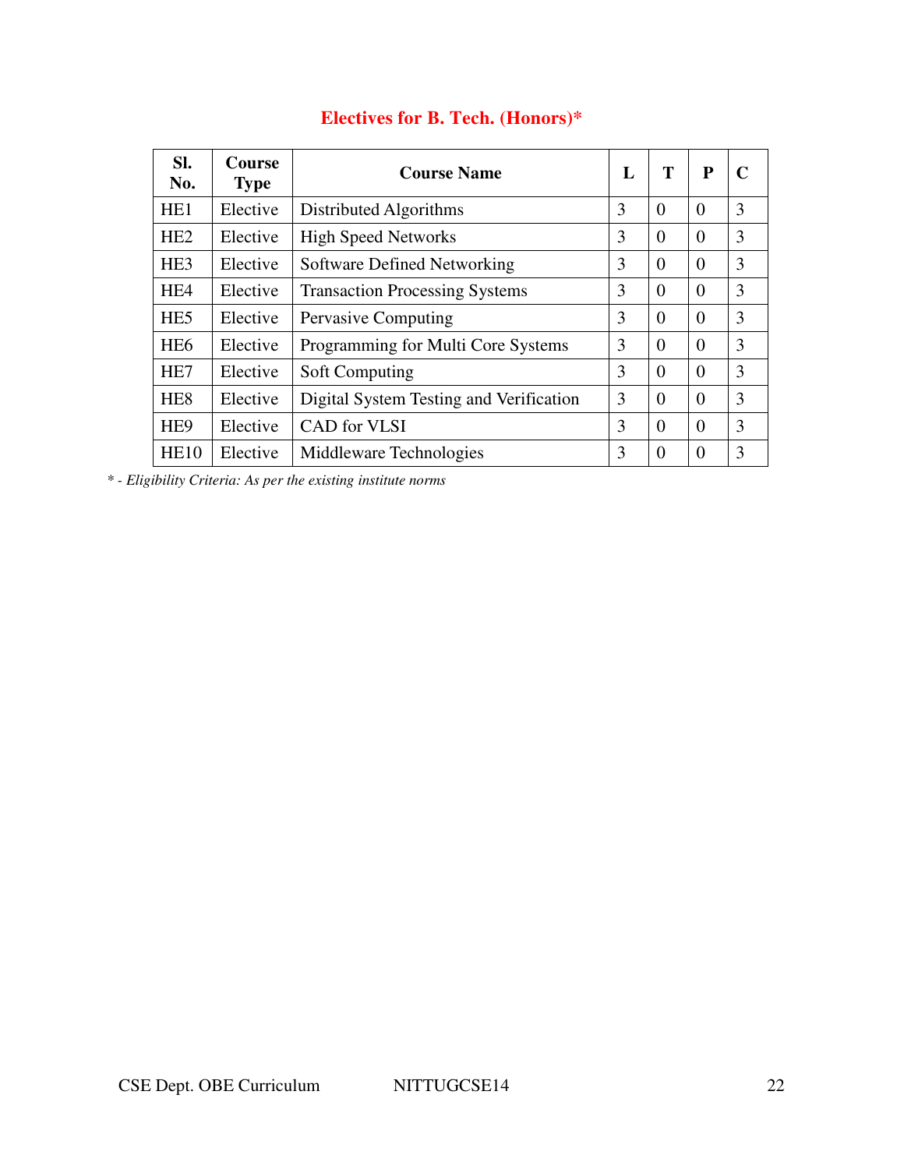| SI.<br>No.       | <b>Course</b><br><b>Type</b> | <b>Course Name</b>                      | L | Т        | $\mathbf{P}$ | C |
|------------------|------------------------------|-----------------------------------------|---|----------|--------------|---|
| HE <sub>1</sub>  | Elective                     | Distributed Algorithms                  | 3 | $\theta$ | $\Omega$     | 3 |
| H <sub>E</sub> 2 | Elective                     | <b>High Speed Networks</b>              | 3 | $\Omega$ | $\Omega$     | 3 |
| HE <sub>3</sub>  | Elective                     | Software Defined Networking             | 3 | $\Omega$ | $\Omega$     | 3 |
| HE <sub>4</sub>  | Elective                     | <b>Transaction Processing Systems</b>   | 3 | $\Omega$ | $\Omega$     | 3 |
| HE <sub>5</sub>  | Elective                     | <b>Pervasive Computing</b>              | 3 | $\Omega$ | $\Omega$     | 3 |
| HE <sub>6</sub>  | Elective                     | Programming for Multi Core Systems      | 3 | $\Omega$ | $\Omega$     | 3 |
| HE <sub>7</sub>  | Elective                     | <b>Soft Computing</b>                   | 3 | $\Omega$ | $\Omega$     | 3 |
| HE <sub>8</sub>  | Elective                     | Digital System Testing and Verification | 3 | $\Omega$ | $\Omega$     | 3 |
| HE <sub>9</sub>  | Elective                     | <b>CAD</b> for VLSI                     | 3 | $\Omega$ | $\Omega$     | 3 |
| HE10             | Elective                     | Middleware Technologies                 | 3 | $\Omega$ | $\Omega$     | 3 |

# **Electives for B. Tech. (Honors)\***

*\* - Eligibility Criteria: As per the existing institute norms*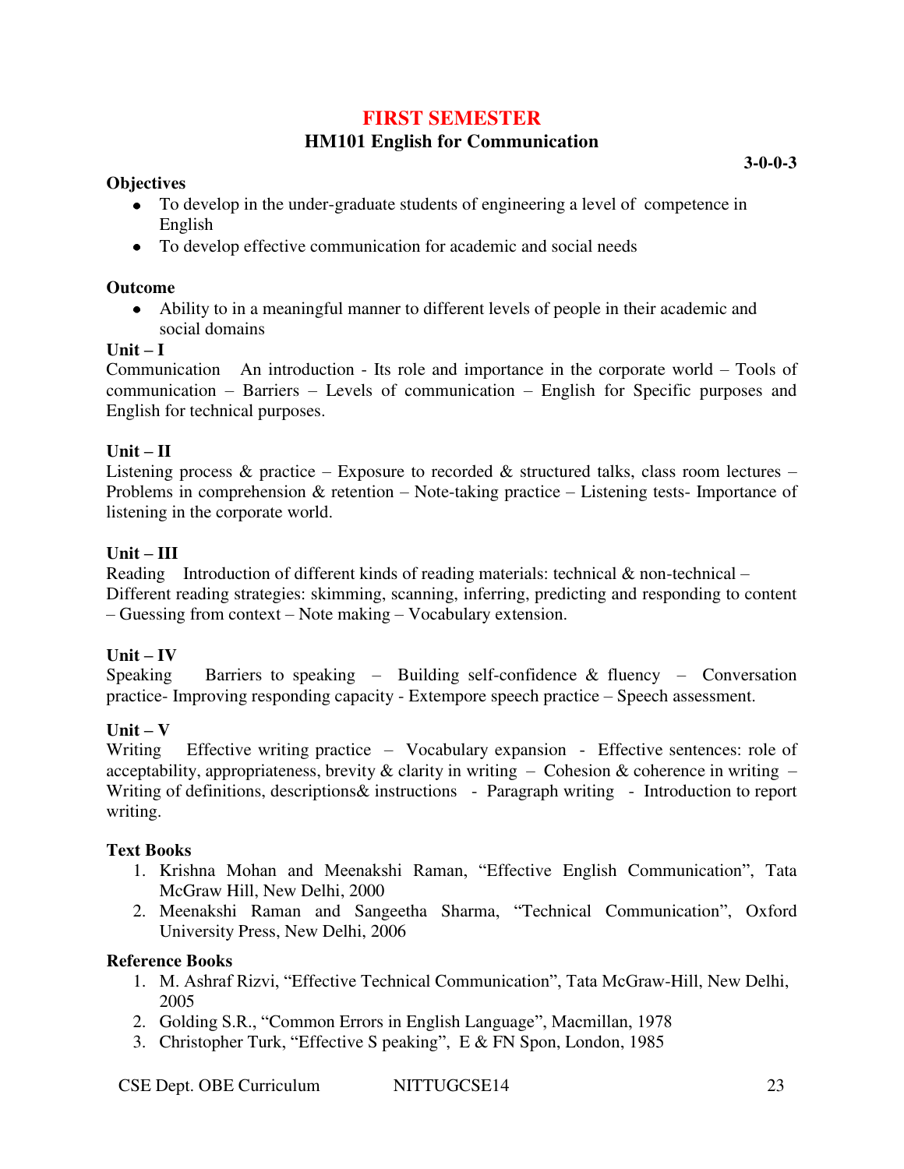# **FIRST SEMESTER**

# **HM101 English for Communication**

### **Objectives**

- To develop in the under-graduate students of engineering a level of competence in English
- To develop effective communication for academic and social needs

### **Outcome**

 $\bullet$ Ability to in a meaningful manner to different levels of people in their academic and social domains

### **Unit – I**

Communication An introduction - Its role and importance in the corporate world – Tools of communication – Barriers – Levels of communication – English for Specific purposes and English for technical purposes.

# $Unit - II$

Listening process & practice – Exposure to recorded & structured talks, class room lectures – Problems in comprehension & retention – Note-taking practice – Listening tests- Importance of listening in the corporate world.

### **Unit – III**

Reading Introduction of different kinds of reading materials: technical & non-technical – Different reading strategies: skimming, scanning, inferring, predicting and responding to content – Guessing from context – Note making – Vocabulary extension.

#### $Unit - IV$

Speaking Barriers to speaking – Building self-confidence  $\&$  fluency – Conversation practice- Improving responding capacity - Extempore speech practice – Speech assessment.

# $Unit - V$

Writing Effective writing practice – Vocabulary expansion - Effective sentences: role of acceptability, appropriateness, brevity  $\&$  clarity in writing – Cohesion  $\&$  coherence in writing – Writing of definitions, descriptions & instructions - Paragraph writing - Introduction to report writing.

#### **Text Books**

- 1. Krishna Mohan and Meenakshi Raman, "Effective English Communication", Tata McGraw Hill, New Delhi, 2000
- 2. Meenakshi Raman and Sangeetha Sharma, "Technical Communication", Oxford University Press, New Delhi, 2006

- 1. M. Ashraf Rizvi, "Effective Technical Communication", Tata McGraw-Hill, New Delhi, 2005
- 2. Golding S.R., "Common Errors in English Language", Macmillan, 1978
- 3. Christopher Turk, "Effective S peaking", E & FN Spon, London, 1985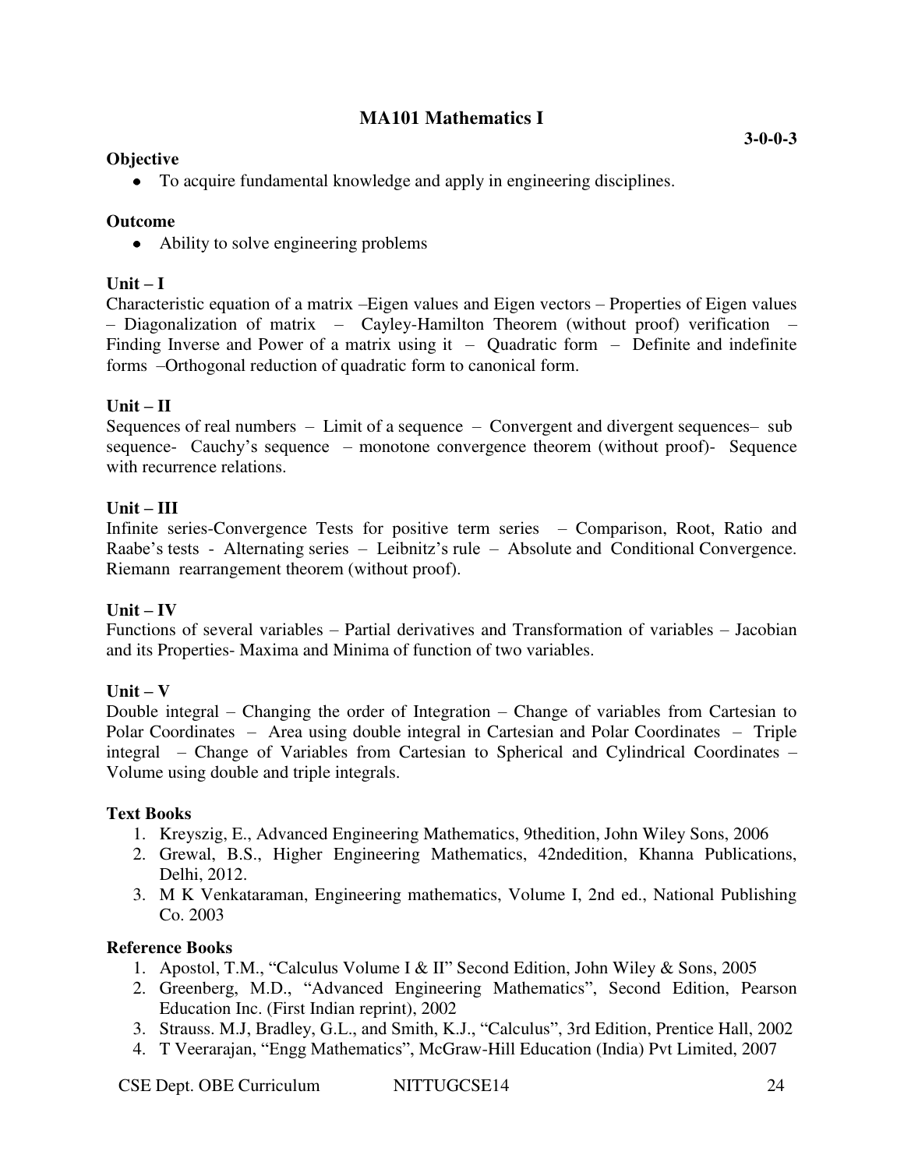# **MA101 Mathematics I**

### **Objective**

To acquire fundamental knowledge and apply in engineering disciplines.

#### **Outcome**

• Ability to solve engineering problems

#### $\textbf{Unit} - \textbf{I}$

Characteristic equation of a matrix –Eigen values and Eigen vectors – Properties of Eigen values – Diagonalization of matrix – Cayley-Hamilton Theorem (without proof) verification – Finding Inverse and Power of a matrix using it  $-$  Quadratic form  $-$  Definite and indefinite forms –Orthogonal reduction of quadratic form to canonical form.

### $Unit - II$

Sequences of real numbers – Limit of a sequence – Convergent and divergent sequences– sub sequence- Cauchy's sequence – monotone convergence theorem (without proof)- Sequence with recurrence relations.

### **Unit – III**

Infinite series-Convergence Tests for positive term series – Comparison, Root, Ratio and Raabe's tests - Alternating series – Leibnitz's rule – Absolute and Conditional Convergence. Riemann rearrangement theorem (without proof).

#### $\textbf{Unit} - \textbf{IV}$

Functions of several variables – Partial derivatives and Transformation of variables – Jacobian and its Properties- Maxima and Minima of function of two variables.

#### $\textbf{Unit} - \textbf{V}$

Double integral – Changing the order of Integration – Change of variables from Cartesian to Polar Coordinates – Area using double integral in Cartesian and Polar Coordinates – Triple integral – Change of Variables from Cartesian to Spherical and Cylindrical Coordinates – Volume using double and triple integrals.

#### **Text Books**

- 1. Kreyszig, E., Advanced Engineering Mathematics, 9thedition, John Wiley Sons, 2006
- 2. Grewal, B.S., Higher Engineering Mathematics, 42ndedition, Khanna Publications, Delhi, 2012.
- 3. M K Venkataraman, Engineering mathematics, Volume I, 2nd ed., National Publishing Co. 2003

- 1. Apostol, T.M., "Calculus Volume I & II" Second Edition, John Wiley & Sons, 2005
- 2. Greenberg, M.D., "Advanced Engineering Mathematics", Second Edition, Pearson Education Inc. (First Indian reprint), 2002
- 3. Strauss. M.J, Bradley, G.L., and Smith, K.J., "Calculus", 3rd Edition, Prentice Hall, 2002
- 4. T Veerarajan, "Engg Mathematics", McGraw-Hill Education (India) Pvt Limited, 2007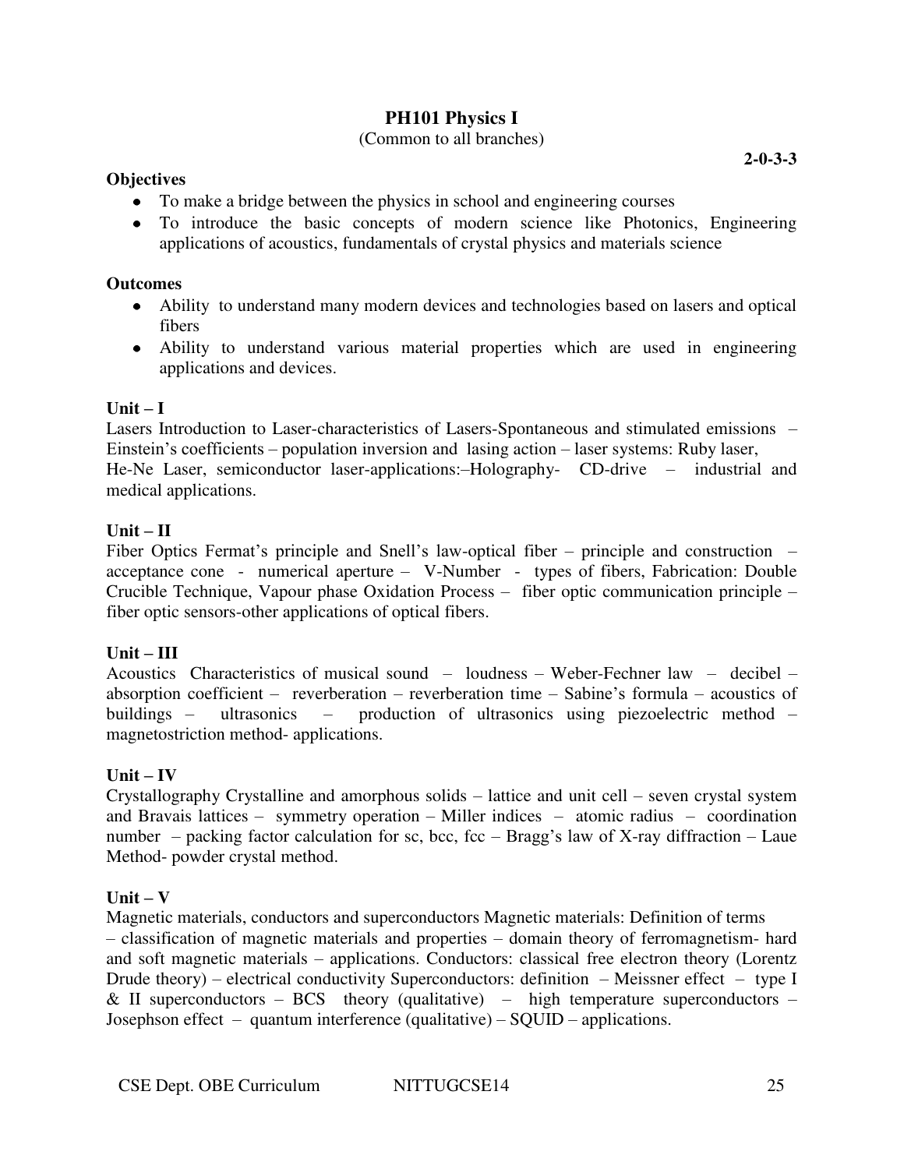# **PH101 Physics I**

# (Common to all branches)

#### **Objectives**

- To make a bridge between the physics in school and engineering courses
- To introduce the basic concepts of modern science like Photonics, Engineering applications of acoustics, fundamentals of crystal physics and materials science

### **Outcomes**

- Ability to understand many modern devices and technologies based on lasers and optical fibers
- Ability to understand various material properties which are used in engineering applications and devices.

### $Unit - I$

Lasers Introduction to Laser-characteristics of Lasers-Spontaneous and stimulated emissions – Einstein's coefficients – population inversion and lasing action – laser systems: Ruby laser, He-Ne Laser, semiconductor laser-applications:–Holography- CD-drive – industrial and medical applications.

### **Unit – II**

Fiber Optics Fermat's principle and Snell's law-optical fiber – principle and construction – acceptance cone - numerical aperture – V-Number - types of fibers, Fabrication: Double Crucible Technique, Vapour phase Oxidation Process – fiber optic communication principle – fiber optic sensors-other applications of optical fibers.

#### **Unit – III**

Acoustics Characteristics of musical sound – loudness – Weber-Fechner law – decibel – absorption coefficient – reverberation – reverberation time – Sabine's formula – acoustics of buildings – ultrasonics – production of ultrasonics using piezoelectric method – magnetostriction method- applications.

# $Unit - IV$

Crystallography Crystalline and amorphous solids – lattice and unit cell – seven crystal system and Bravais lattices – symmetry operation – Miller indices – atomic radius – coordination number – packing factor calculation for sc, bcc, fcc – Bragg's law of X-ray diffraction – Laue Method- powder crystal method.

# $Unit - V$

Magnetic materials, conductors and superconductors Magnetic materials: Definition of terms – classification of magnetic materials and properties – domain theory of ferromagnetism- hard and soft magnetic materials – applications. Conductors: classical free electron theory (Lorentz Drude theory) – electrical conductivity Superconductors: definition – Meissner effect – type I & II superconductors – BCS theory (qualitative) – high temperature superconductors – Josephson effect – quantum interference (qualitative) – SQUID – applications.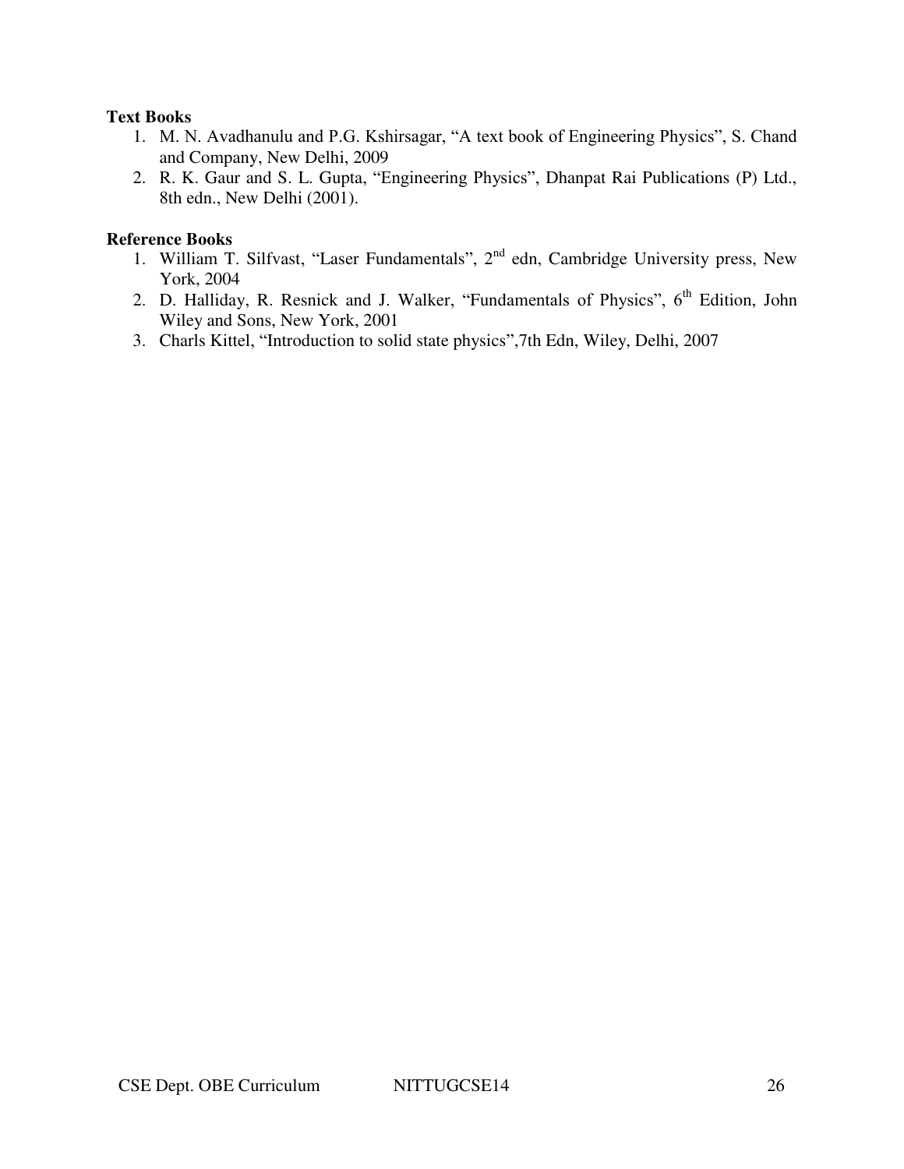#### **Text Books**

- 1. M. N. Avadhanulu and P.G. Kshirsagar, "A text book of Engineering Physics", S. Chand and Company, New Delhi, 2009
- 2. R. K. Gaur and S. L. Gupta, "Engineering Physics", Dhanpat Rai Publications (P) Ltd., 8th edn., New Delhi (2001).

- 1. William T. Silfvast, "Laser Fundamentals", 2<sup>nd</sup> edn, Cambridge University press, New York, 2004
- 2. D. Halliday, R. Resnick and J. Walker, "Fundamentals of Physics", 6<sup>th</sup> Edition, John Wiley and Sons, New York, 2001
- 3. Charls Kittel, "Introduction to solid state physics",7th Edn, Wiley, Delhi, 2007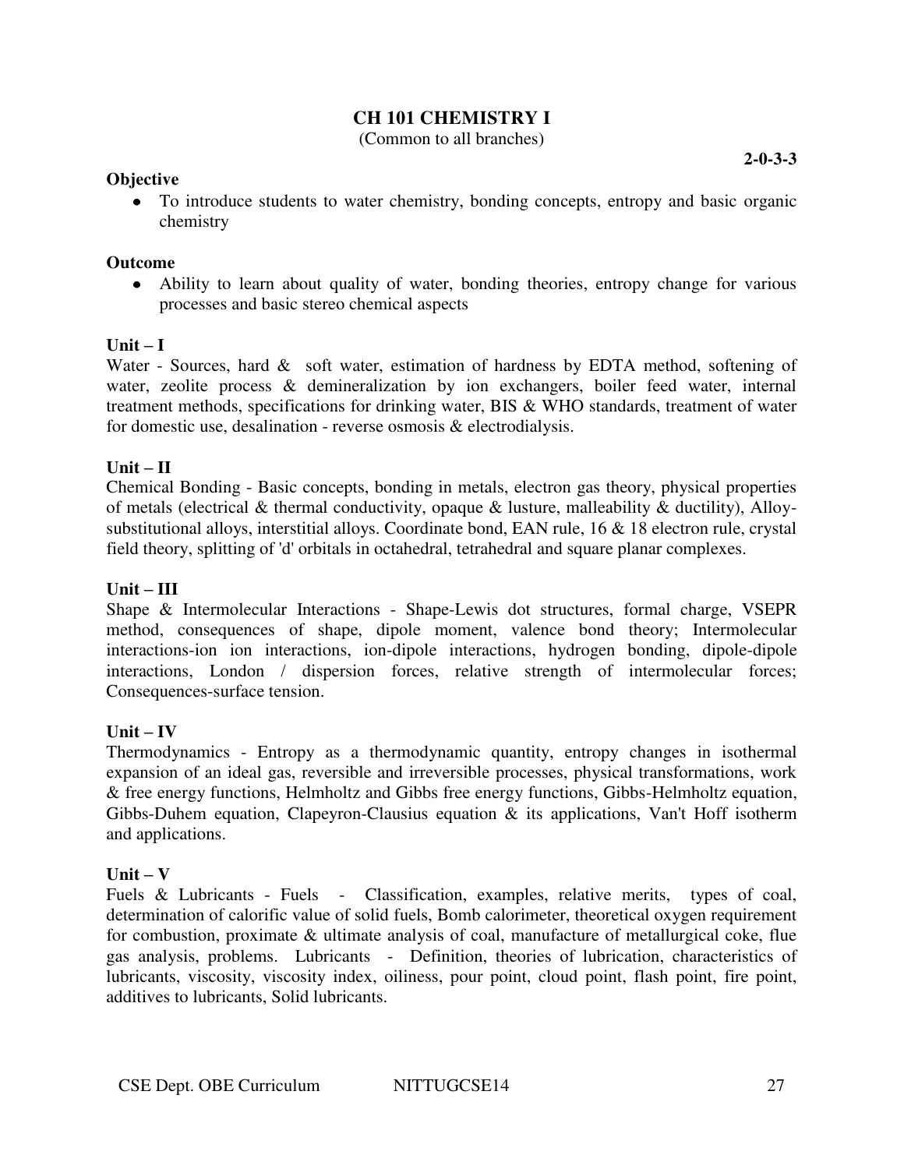# **CH 101 CHEMISTRY I**

(Common to all branches)

#### **Objective**

To introduce students to water chemistry, bonding concepts, entropy and basic organic chemistry

#### **Outcome**

Ability to learn about quality of water, bonding theories, entropy change for various processes and basic stereo chemical aspects

### $\textbf{Unit} - \textbf{I}$

Water - Sources, hard & soft water, estimation of hardness by EDTA method, softening of water, zeolite process & demineralization by ion exchangers, boiler feed water, internal treatment methods, specifications for drinking water, BIS & WHO standards, treatment of water for domestic use, desalination - reverse osmosis & electrodialysis.

### $\mathbf{U}$ nit –  $\mathbf{U}$

Chemical Bonding - Basic concepts, bonding in metals, electron gas theory, physical properties of metals (electrical & thermal conductivity, opaque & lusture, malleability & ductility), Alloysubstitutional alloys, interstitial alloys. Coordinate bond, EAN rule, 16 & 18 electron rule, crystal field theory, splitting of 'd' orbitals in octahedral, tetrahedral and square planar complexes.

#### **Unit – III**

Shape & Intermolecular Interactions - Shape-Lewis dot structures, formal charge, VSEPR method, consequences of shape, dipole moment, valence bond theory; Intermolecular interactions-ion ion interactions, ion-dipole interactions, hydrogen bonding, dipole-dipole interactions, London / dispersion forces, relative strength of intermolecular forces; Consequences-surface tension.

# **Unit – IV**

Thermodynamics - Entropy as a thermodynamic quantity, entropy changes in isothermal expansion of an ideal gas, reversible and irreversible processes, physical transformations, work & free energy functions, Helmholtz and Gibbs free energy functions, Gibbs-Helmholtz equation, Gibbs-Duhem equation, Clapeyron-Clausius equation & its applications, Van't Hoff isotherm and applications.

#### $\textbf{Unit} - \textbf{V}$

Fuels & Lubricants - Fuels - Classification, examples, relative merits, types of coal, determination of calorific value of solid fuels, Bomb calorimeter, theoretical oxygen requirement for combustion, proximate & ultimate analysis of coal, manufacture of metallurgical coke, flue gas analysis, problems. Lubricants - Definition, theories of lubrication, characteristics of lubricants, viscosity, viscosity index, oiliness, pour point, cloud point, flash point, fire point, additives to lubricants, Solid lubricants.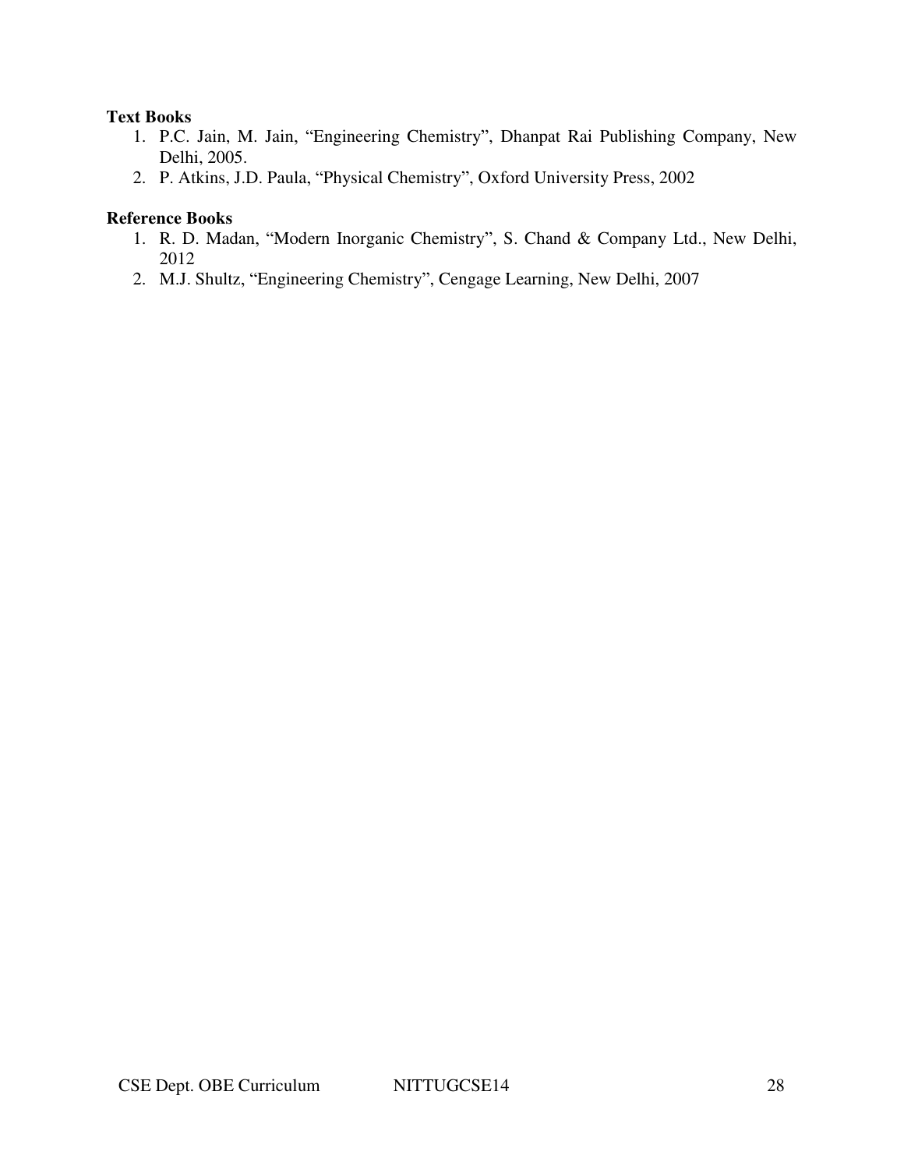#### **Text Books**

- 1. P.C. Jain, M. Jain, "Engineering Chemistry", Dhanpat Rai Publishing Company, New Delhi, 2005.
- 2. P. Atkins, J.D. Paula, "Physical Chemistry", Oxford University Press, 2002

- 1. R. D. Madan, "Modern Inorganic Chemistry", S. Chand & Company Ltd., New Delhi, 2012
- 2. M.J. Shultz, "Engineering Chemistry", Cengage Learning, New Delhi, 2007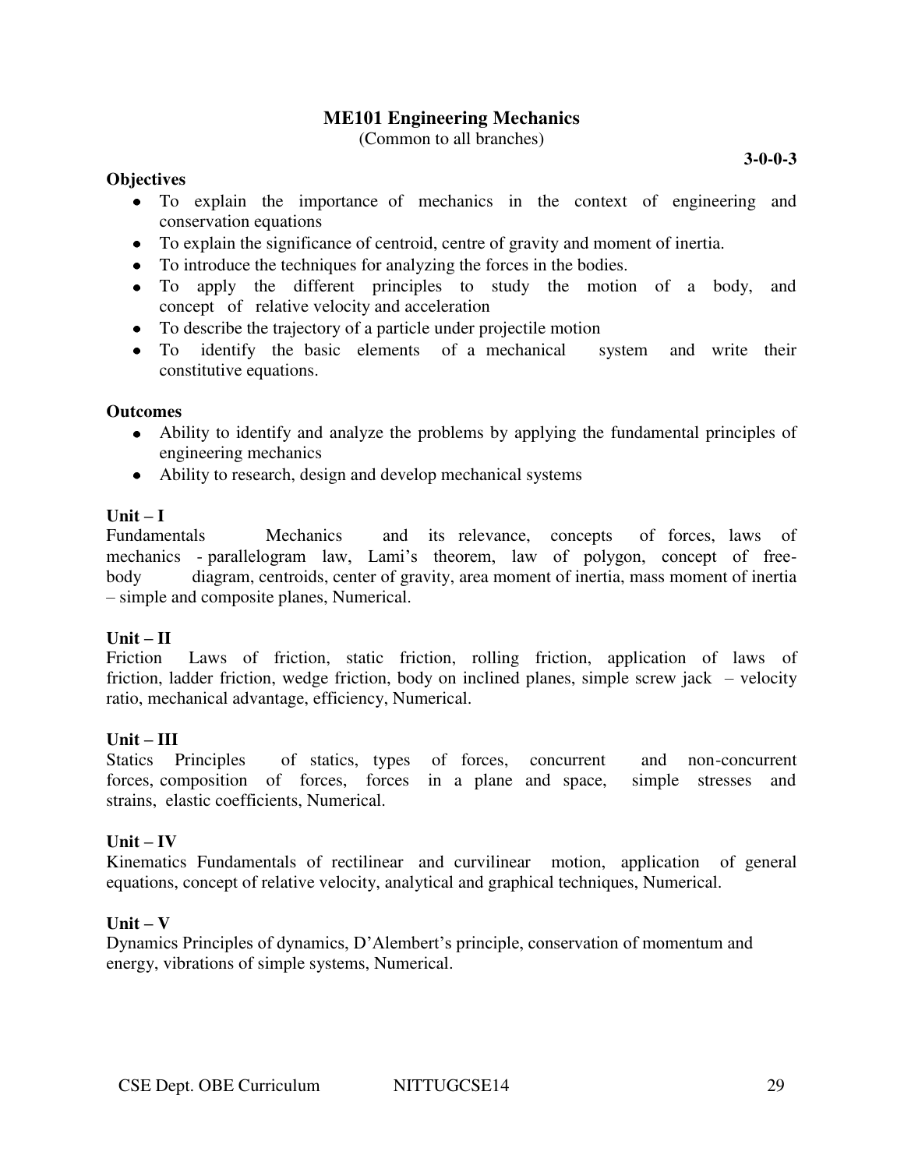# **ME101 Engineering Mechanics**

(Common to all branches)

#### **3-0-0-3**

### **Objectives**

- To explain the importance of mechanics in the context of engineering and conservation equations
- To explain the significance of centroid, centre of gravity and moment of inertia.
- To introduce the techniques for analyzing the forces in the bodies.
- To apply the different principles to study the motion of a body, and concept of relative velocity and acceleration
- To describe the trajectory of a particle under projectile motion
- To identify the basic elements of a mechanical system and write their constitutive equations.

#### **Outcomes**

- Ability to identify and analyze the problems by applying the fundamental principles of engineering mechanics
- Ability to research, design and develop mechanical systems

### $\textbf{Unit} - \textbf{I}$

Fundamentals Mechanics and its relevance, concepts of forces, laws of mechanics - parallelogram law, Lami's theorem, law of polygon, concept of freebody diagram, centroids, center of gravity, area moment of inertia, mass moment of inertia – simple and composite planes, Numerical.

#### $Unit - II$

Friction Laws of friction, static friction, rolling friction, application of laws of friction, ladder friction, wedge friction, body on inclined planes, simple screw jack – velocity ratio, mechanical advantage, efficiency, Numerical.

# **Unit – III**

Statics Principles of statics, types of forces, concurrent and non-concurrent forces, composition of forces, forces in a plane and space, simple stresses and strains, elastic coefficients, Numerical.

#### $Unit - IV$

Kinematics Fundamentals of rectilinear and curvilinear motion, application of general equations, concept of relative velocity, analytical and graphical techniques, Numerical.

#### $Unit - V$

Dynamics Principles of dynamics, D'Alembert's principle, conservation of momentum and energy, vibrations of simple systems, Numerical.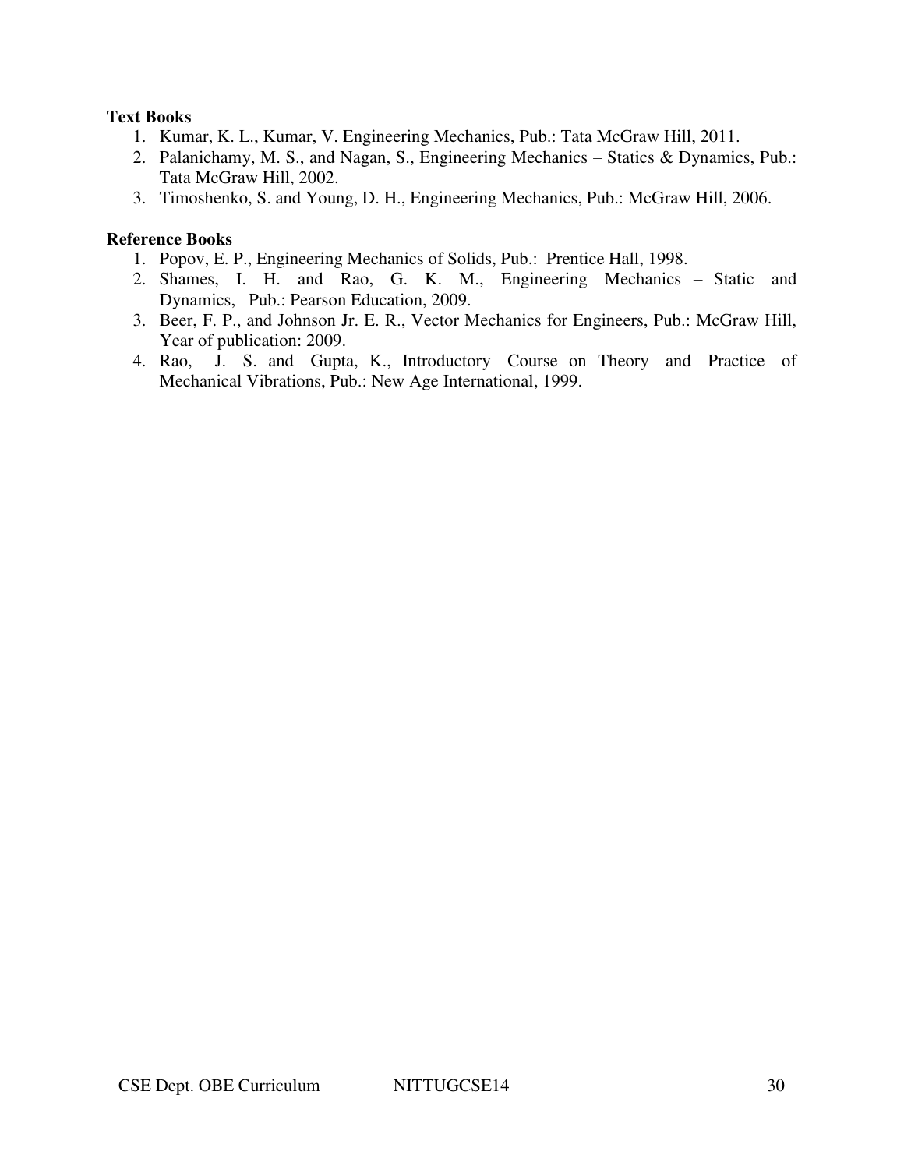### **Text Books**

- 1. Kumar, K. L., Kumar, V. Engineering Mechanics, Pub.: Tata McGraw Hill, 2011.
- 2. Palanichamy, M. S., and Nagan, S., Engineering Mechanics Statics & Dynamics, Pub.: Tata McGraw Hill, 2002.
- 3. Timoshenko, S. and Young, D. H., Engineering Mechanics, Pub.: McGraw Hill, 2006.

- 1. Popov, E. P., Engineering Mechanics of Solids, Pub.: Prentice Hall, 1998.
- 2. Shames, I. H. and Rao, G. K. M., Engineering Mechanics Static and Dynamics, Pub.: Pearson Education, 2009.
- 3. Beer, F. P., and Johnson Jr. E. R., Vector Mechanics for Engineers, Pub.: McGraw Hill, Year of publication: 2009.
- 4. Rao, J. S. and Gupta, K., Introductory Course on Theory and Practice of Mechanical Vibrations, Pub.: New Age International, 1999.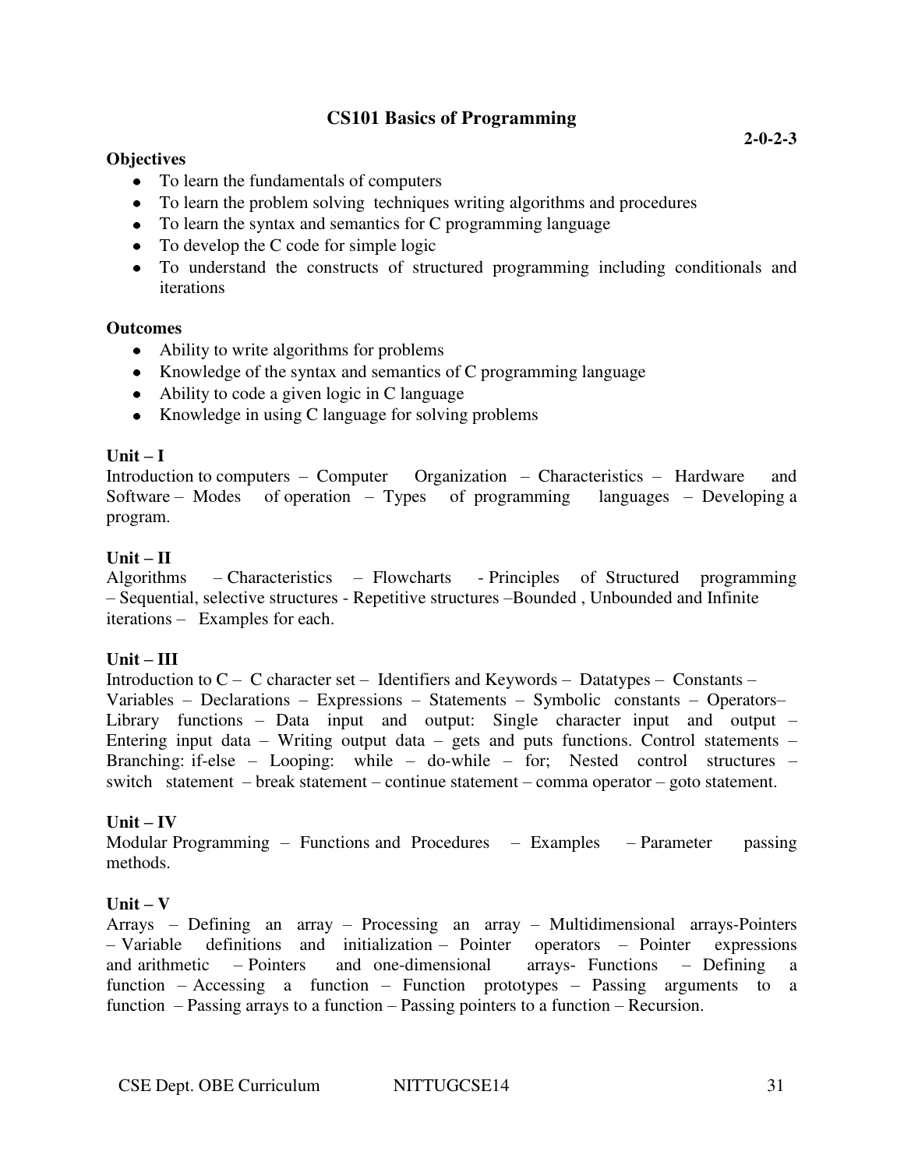# **CS101 Basics of Programming**

### **Objectives**

- To learn the fundamentals of computers
- To learn the problem solving techniques writing algorithms and procedures
- To learn the syntax and semantics for C programming language
- To develop the C code for simple logic
- To understand the constructs of structured programming including conditionals and iterations

#### **Outcomes**

- Ability to write algorithms for problems
- Knowledge of the syntax and semantics of C programming language
- Ability to code a given logic in C language
- Knowledge in using C language for solving problems

### $\textbf{Unit} - \textbf{I}$

Introduction to computers – Computer Organization – Characteristics – Hardware and Software – Modes of operation – Types of programming languages – Developing a program.

### $\textbf{Unit} - \textbf{II}$

Algorithms – Characteristics – Flowcharts - Principles of Structured programming – Sequential, selective structures - Repetitive structures –Bounded , Unbounded and Infinite iterations – Examples for each.

#### **Unit – III**

Introduction to C – C character set – Identifiers and Keywords – Datatypes – Constants – Variables – Declarations – Expressions – Statements – Symbolic constants – Operators– Library functions – Data input and output: Single character input and output – Entering input data – Writing output data – gets and puts functions. Control statements – Branching: if-else – Looping: while – do-while – for; Nested control structures – switch statement – break statement – continue statement – comma operator – goto statement.

# $Unit - IV$

Modular Programming – Functions and Procedures – Examples – Parameter passing methods.

#### $Unit - V$

Arrays – Defining an array – Processing an array – Multidimensional arrays-Pointers – Variable definitions and initialization – Pointer operators – Pointer expressions and arithmetic – Pointers and one-dimensional arrays- Functions – Defining a function – Accessing a function – Function prototypes – Passing arguments to a function – Passing arrays to a function – Passing pointers to a function – Recursion.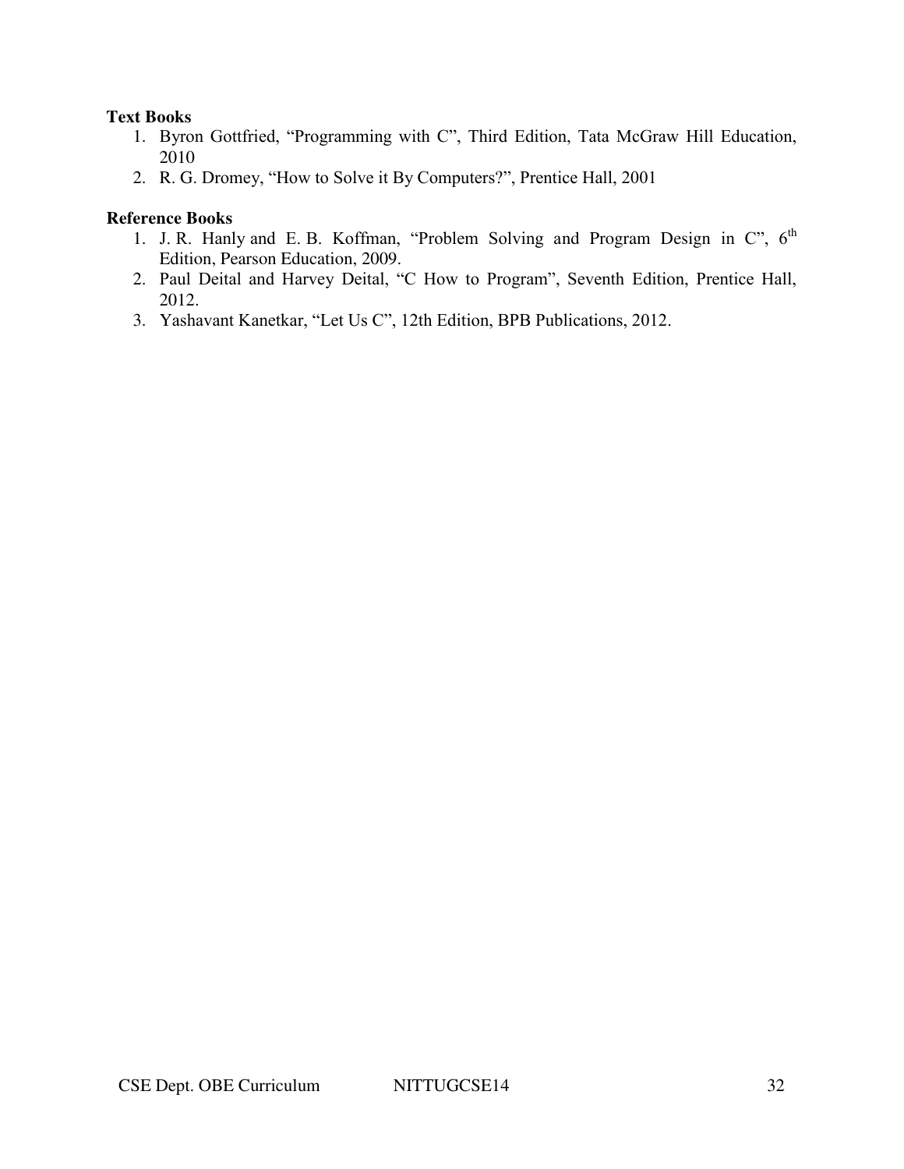#### **Text Books**

- 1. Byron Gottfried, "Programming with C", Third Edition, Tata McGraw Hill Education, 2010
- 2. R. G. Dromey, "How to Solve it By Computers?", Prentice Hall, 2001

- 1. J. R. Hanly and E. B. Koffman, "Problem Solving and Program Design in  $C$ ",  $6<sup>th</sup>$ Edition, Pearson Education, 2009.
- 2. Paul Deital and Harvey Deital, "C How to Program", Seventh Edition, Prentice Hall, 2012.
- 3. Yashavant Kanetkar, "Let Us C", 12th Edition, BPB Publications, 2012.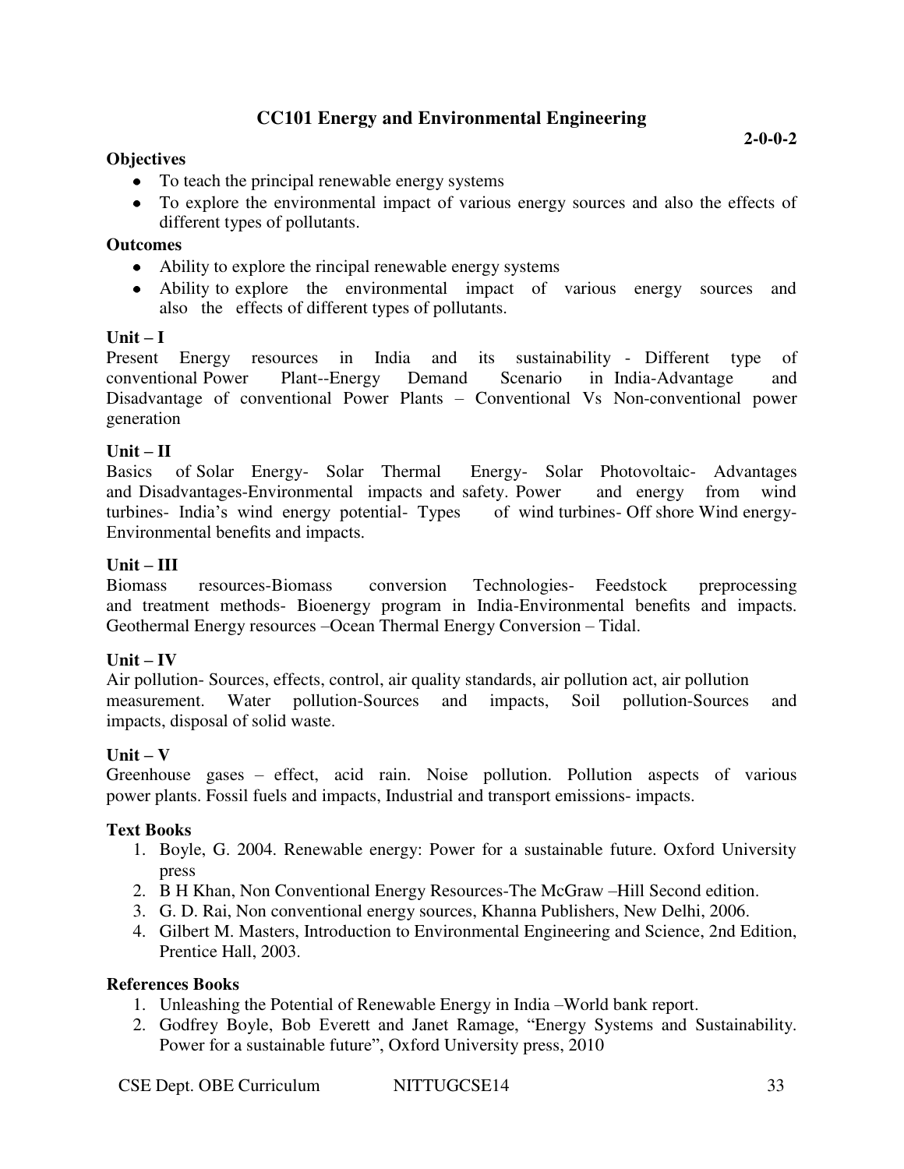# **CC101 Energy and Environmental Engineering**

### **Objectives**

**2-0-0-2** 

- To teach the principal renewable energy systems
- To explore the environmental impact of various energy sources and also the effects of different types of pollutants.

#### **Outcomes**

- Ability to explore the rincipal renewable energy systems
- Ability to explore the environmental impact of various energy sources and also the effects of different types of pollutants.

#### $\textbf{Unit} - \textbf{I}$

Present Energy resources in India and its sustainability - Different type of conventional Power Plant--Energy Demand Scenario in India-Advantage and Disadvantage of conventional Power Plants – Conventional Vs Non-conventional power generation

#### $Unit - II$

Basics of Solar Energy- Solar Thermal Energy- Solar Photovoltaic- Advantages and Disadvantages-Environmental impacts and safety. Power and energy from wind turbines- India's wind energy potential- Types of wind turbines- Off shore Wind energy-Environmental benefits and impacts.

#### $Unit - III$

Biomass resources-Biomass conversion Technologies- Feedstock preprocessing and treatment methods- Bioenergy program in India-Environmental benefits and impacts. Geothermal Energy resources –Ocean Thermal Energy Conversion – Tidal.

#### $\mathbf{Unit} - \mathbf{IV}$

Air pollution- Sources, effects, control, air quality standards, air pollution act, air pollution measurement. Water pollution-Sources and impacts, Soil pollution-Sources and impacts, disposal of solid waste.

#### $\textbf{Unit} - \textbf{V}$

Greenhouse gases – effect, acid rain. Noise pollution. Pollution aspects of various power plants. Fossil fuels and impacts, Industrial and transport emissions- impacts.

#### **Text Books**

- 1. Boyle, G. 2004. Renewable energy: Power for a sustainable future. Oxford University press
- 2. B H Khan, Non Conventional Energy Resources-The McGraw –Hill Second edition.
- 3. G. D. Rai, Non conventional energy sources, Khanna Publishers, New Delhi, 2006.
- 4. Gilbert M. Masters, Introduction to Environmental Engineering and Science, 2nd Edition, Prentice Hall, 2003.

- 1. Unleashing the Potential of Renewable Energy in India –World bank report.
- 2. Godfrey Boyle, Bob Everett and Janet Ramage, "Energy Systems and Sustainability. Power for a sustainable future", Oxford University press, 2010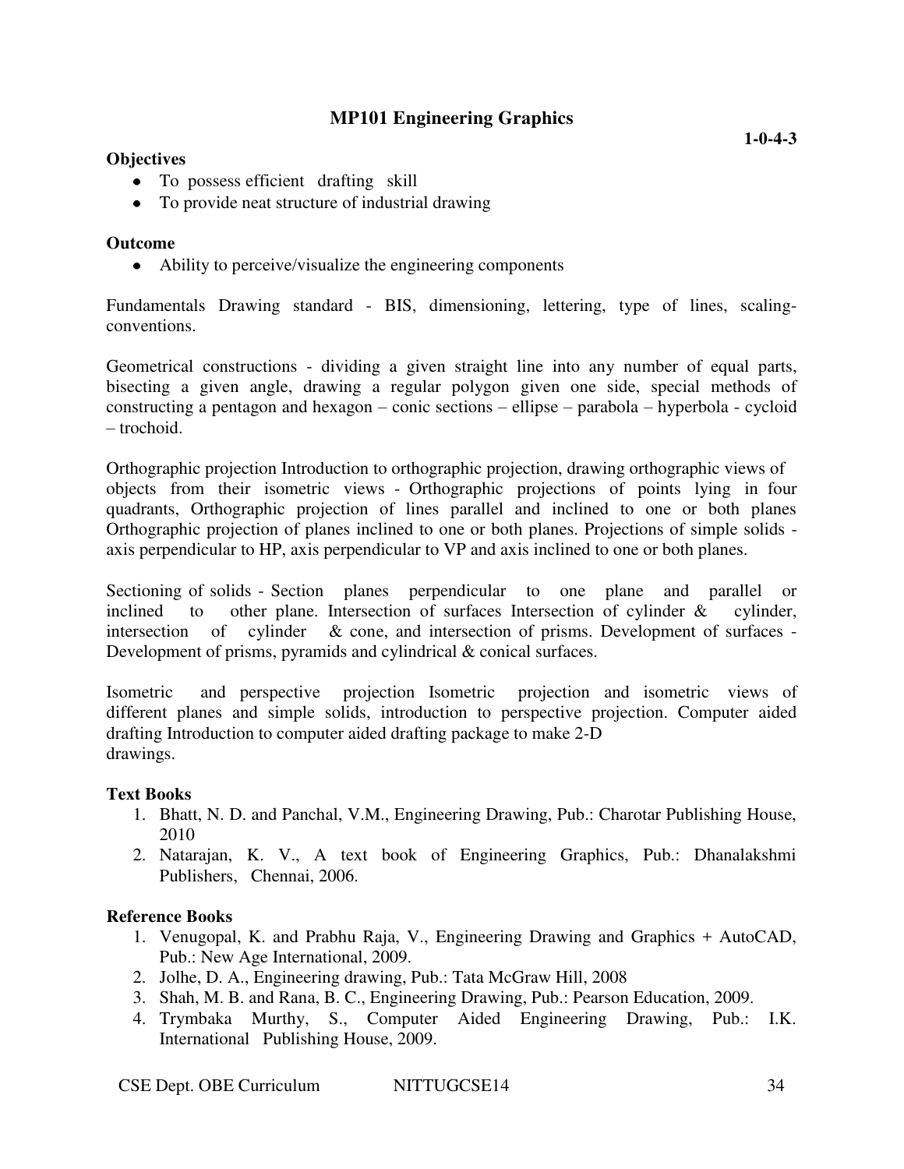# **MP101 Engineering Graphics**

#### **Objectives**

- To possess efficient drafting skill
- To provide neat structure of industrial drawing

#### **Outcome**

• Ability to perceive/visualize the engineering components

Fundamentals Drawing standard - BIS, dimensioning, lettering, type of lines, scalingconventions.

Geometrical constructions - dividing a given straight line into any number of equal parts, bisecting a given angle, drawing a regular polygon given one side, special methods of constructing a pentagon and hexagon – conic sections – ellipse – parabola – hyperbola - cycloid – trochoid.

Orthographic projection Introduction to orthographic projection, drawing orthographic views of objects from their isometric views - Orthographic projections of points lying in four quadrants, Orthographic projection of lines parallel and inclined to one or both planes Orthographic projection of planes inclined to one or both planes. Projections of simple solids axis perpendicular to HP, axis perpendicular to VP and axis inclined to one or both planes.

Sectioning of solids - Section planes perpendicular to one plane and parallel or inclined to other plane. Intersection of surfaces Intersection of cylinder  $\&$  cylinder, intersection of cylinder & cone, and intersection of prisms. Development of surfaces - Development of prisms, pyramids and cylindrical & conical surfaces.

Isometric and perspective projection Isometric projection and isometric views of different planes and simple solids, introduction to perspective projection. Computer aided drafting Introduction to computer aided drafting package to make 2-D drawings.

#### **Text Books**

- 1. Bhatt, N. D. and Panchal, V.M., Engineering Drawing, Pub.: Charotar Publishing House, 2010
- 2. Natarajan, K. V., A text book of Engineering Graphics, Pub.: Dhanalakshmi Publishers, Chennai, 2006.

- 1. Venugopal, K. and Prabhu Raja, V., Engineering Drawing and Graphics + AutoCAD, Pub.: New Age International, 2009.
- 2. Jolhe, D. A., Engineering drawing, Pub.: Tata McGraw Hill, 2008
- 3. Shah, M. B. and Rana, B. C., Engineering Drawing, Pub.: Pearson Education, 2009.
- 4. Trymbaka Murthy, S., Computer Aided Engineering Drawing, Pub.: I.K. International Publishing House, 2009.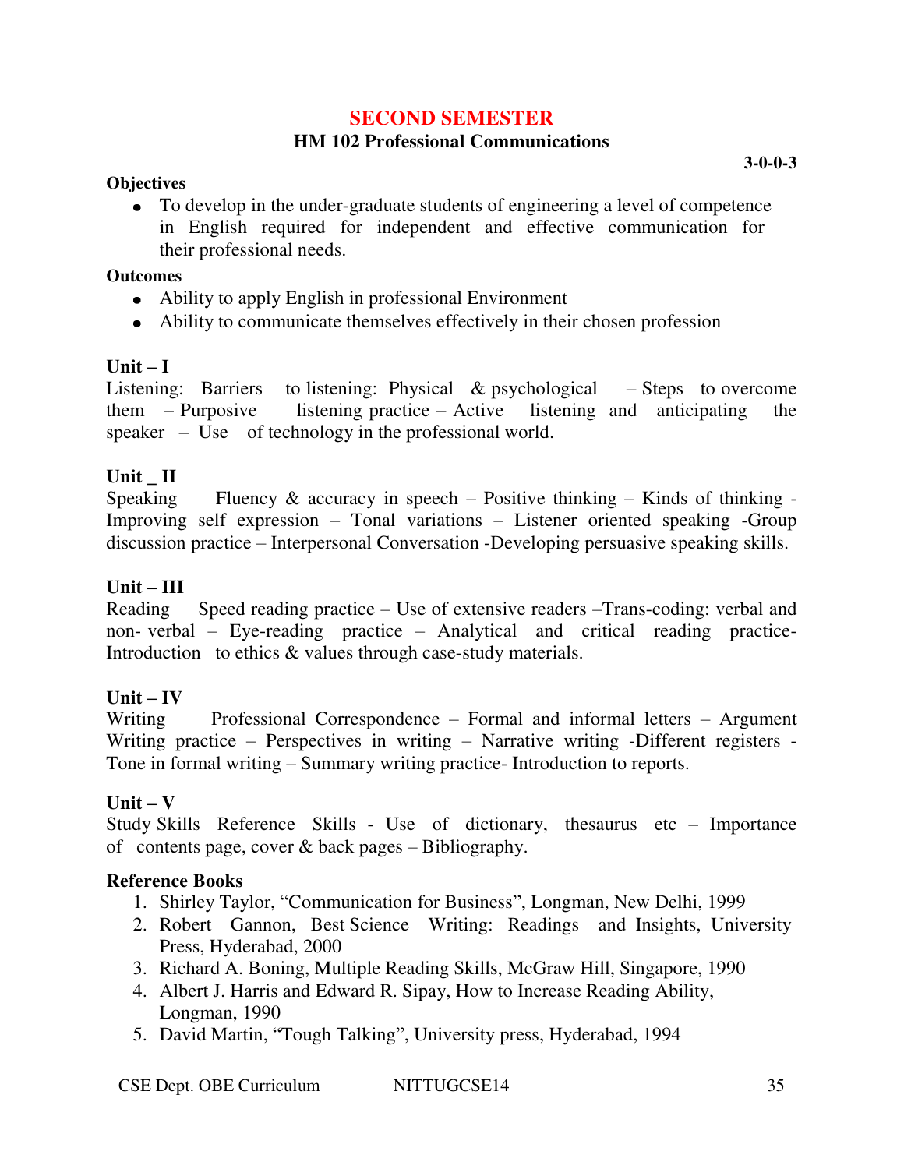# **SECOND SEMESTER**

# **HM 102 Professional Communications**

### **Objectives**

**3-0-0-3** 

To develop in the under-graduate students of engineering a level of competence in English required for independent and effective communication for their professional needs.

### **Outcomes**

- Ability to apply English in professional Environment
- Ability to communicate themselves effectively in their chosen profession

# $Unit - I$

Listening: Barriers to listening: Physical & psychological – Steps to overcome them – Purposive listening practice – Active listening and anticipating the speaker – Use of technology in the professional world.

# Unit **II**

Speaking Fluency & accuracy in speech – Positive thinking – Kinds of thinking – Improving self expression – Tonal variations – Listener oriented speaking -Group discussion practice – Interpersonal Conversation -Developing persuasive speaking skills.

# **Unit – III**

Reading Speed reading practice – Use of extensive readers –Trans-coding: verbal and non- verbal – Eye-reading practice – Analytical and critical reading practice-Introduction to ethics & values through case-study materials.

# $Unit - IV$

Writing Professional Correspondence – Formal and informal letters – Argument Writing practice – Perspectives in writing – Narrative writing -Different registers -Tone in formal writing – Summary writing practice- Introduction to reports.

# $\textbf{Unit} - \textbf{V}$

Study Skills Reference Skills - Use of dictionary, thesaurus etc – Importance of contents page, cover  $&$  back pages – Bibliography.

- 1. Shirley Taylor, "Communication for Business", Longman, New Delhi, 1999
- 2. Robert Gannon, Best Science Writing: Readings and Insights, University Press, Hyderabad, 2000
- 3. Richard A. Boning, Multiple Reading Skills, McGraw Hill, Singapore, 1990
- 4. Albert J. Harris and Edward R. Sipay, How to Increase Reading Ability, Longman, 1990
- 5. David Martin, "Tough Talking", University press, Hyderabad, 1994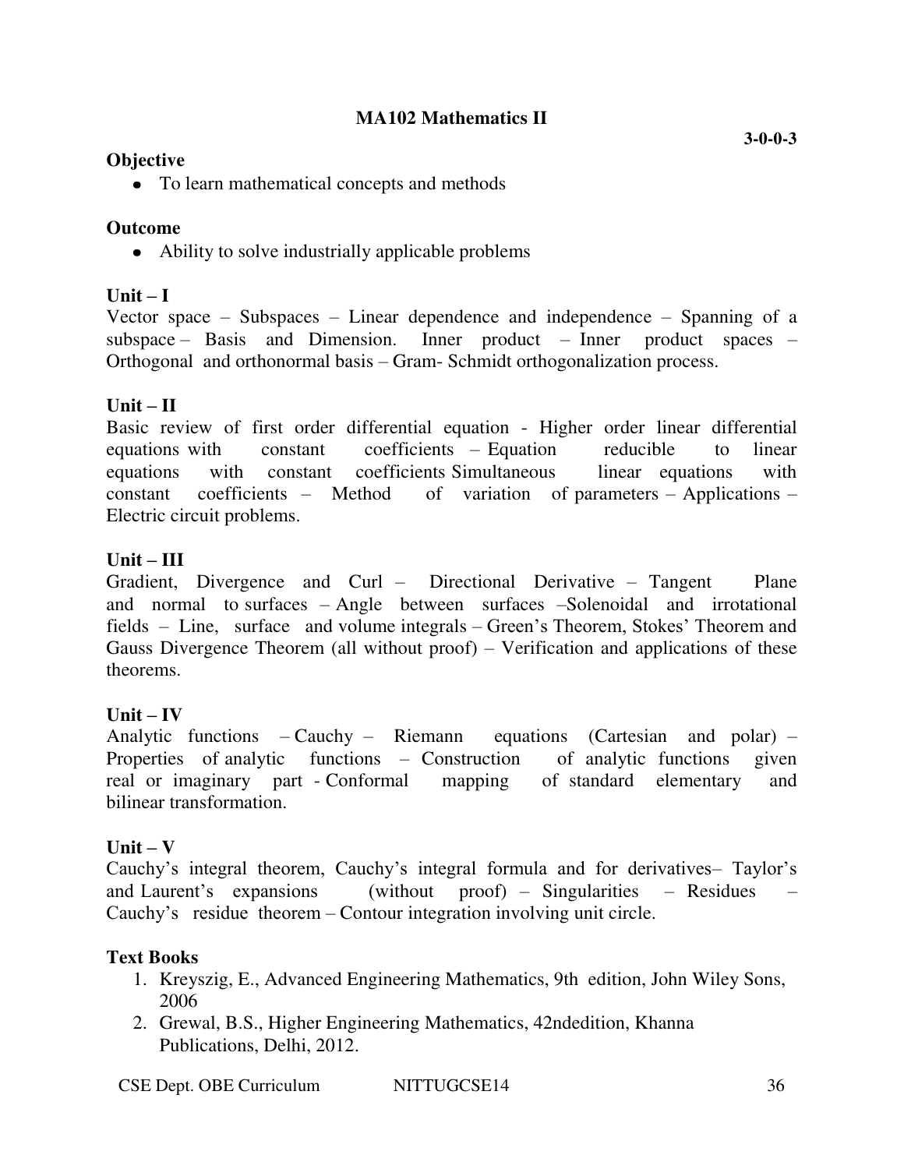# **MA102 Mathematics II**

# **Objective**

• To learn mathematical concepts and methods

# **Outcome**

• Ability to solve industrially applicable problems

# $Unit - I$

Vector space – Subspaces – Linear dependence and independence – Spanning of a subspace – Basis and Dimension. Inner product – Inner product spaces – Orthogonal and orthonormal basis – Gram- Schmidt orthogonalization process.

# $Unit - II$

Basic review of first order differential equation - Higher order linear differential equations with constant coefficients – Equation reducible to linear equations with constant coefficients Simultaneous linear equations with constant coefficients – Method of variation of parameters – Applications – Electric circuit problems.

# **Unit – III**

Gradient, Divergence and Curl – Directional Derivative – Tangent Plane and normal to surfaces – Angle between surfaces –Solenoidal and irrotational fields – Line, surface and volume integrals – Green's Theorem, Stokes' Theorem and Gauss Divergence Theorem (all without proof) – Verification and applications of these theorems.

# $\textbf{Unit} - \textbf{IV}$

Analytic functions – Cauchy – Riemann equations (Cartesian and polar) – Properties of analytic functions – Construction of analytic functions given real or imaginary part - Conformal mapping of standard elementary and bilinear transformation.

# $Unit - V$

Cauchy's integral theorem, Cauchy's integral formula and for derivatives– Taylor's and Laurent's expansions (without proof) – Singularities – Residues – Cauchy's residue theorem – Contour integration involving unit circle.

# **Text Books**

- 1. Kreyszig, E., Advanced Engineering Mathematics, 9th edition, John Wiley Sons, 2006
- 2. Grewal, B.S., Higher Engineering Mathematics, 42ndedition, Khanna Publications, Delhi, 2012.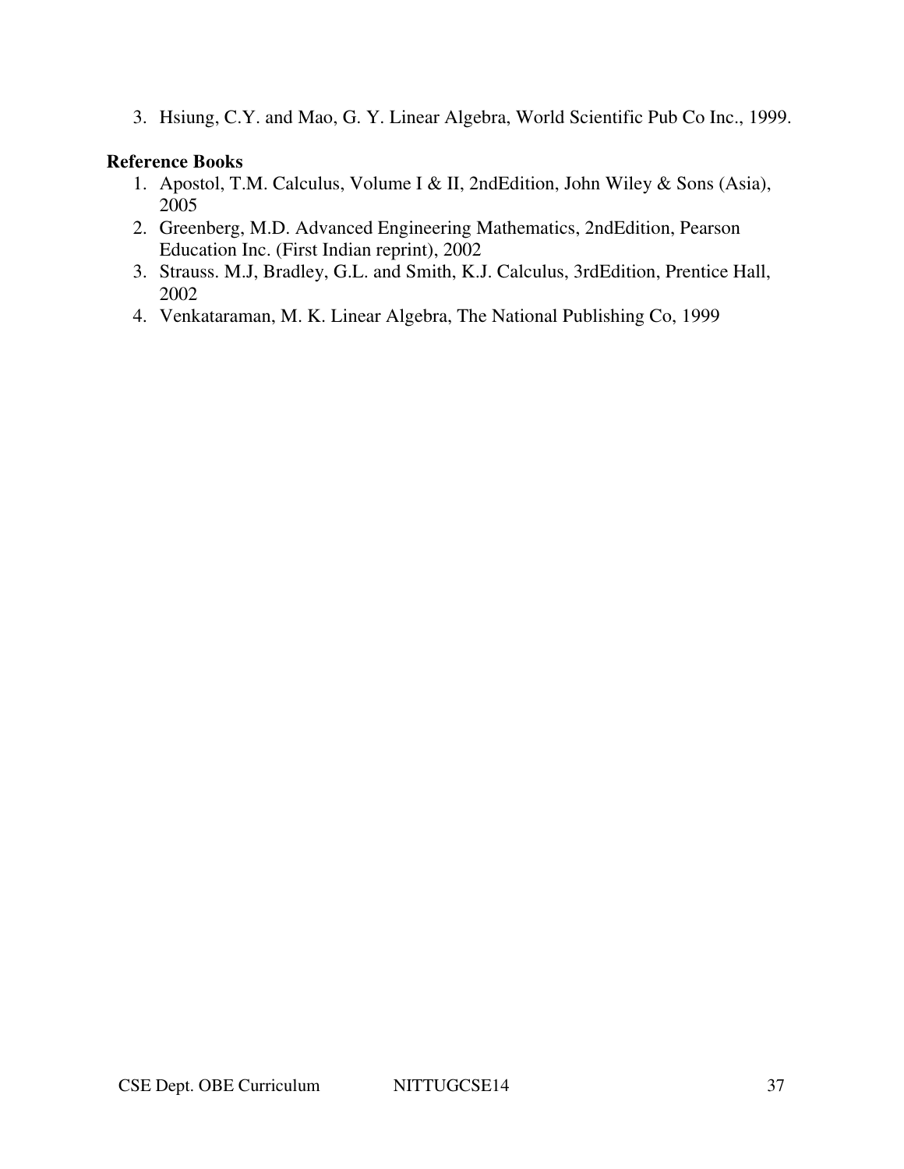3. Hsiung, C.Y. and Mao, G. Y. Linear Algebra, World Scientific Pub Co Inc., 1999.

- 1. Apostol, T.M. Calculus, Volume I & II, 2ndEdition, John Wiley & Sons (Asia), 2005
- 2. Greenberg, M.D. Advanced Engineering Mathematics, 2ndEdition, Pearson Education Inc. (First Indian reprint), 2002
- 3. Strauss. M.J, Bradley, G.L. and Smith, K.J. Calculus, 3rdEdition, Prentice Hall, 2002
- 4. Venkataraman, M. K. Linear Algebra, The National Publishing Co, 1999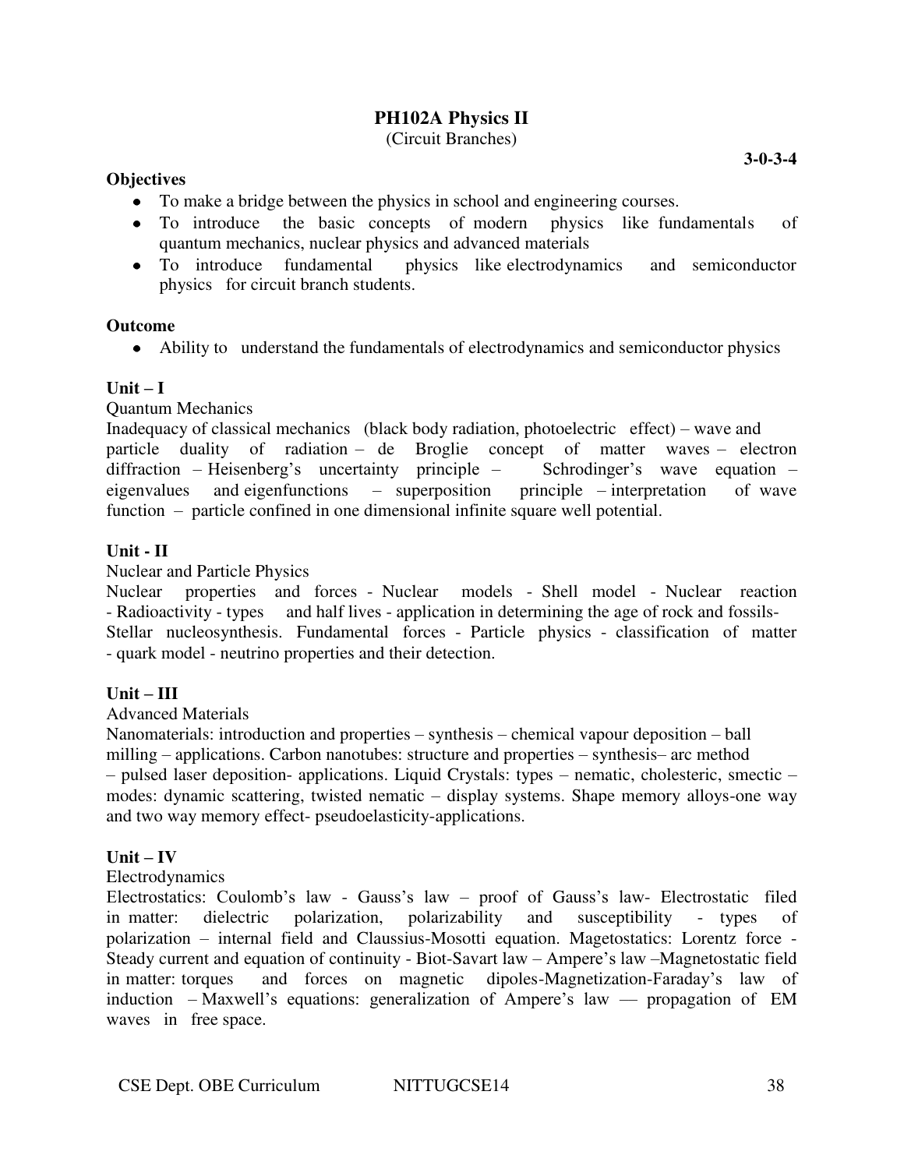# **PH102A Physics II**

# (Circuit Branches)

#### **Objectives**

- To make a bridge between the physics in school and engineering courses.
- To introduce the basic concepts of modern physics like fundamentals of quantum mechanics, nuclear physics and advanced materials
- To introduce fundamental physics like electrodynamics and semiconductor physics for circuit branch students.

#### **Outcome**

Ability to understand the fundamentals of electrodynamics and semiconductor physics

#### $\textbf{Unit} - \textbf{I}$

Quantum Mechanics

Inadequacy of classical mechanics (black body radiation, photoelectric effect) – wave and particle duality of radiation – de Broglie concept of matter waves – electron diffraction – Heisenberg's uncertainty principle – Schrodinger's wave equation – eigenvalues and eigenfunctions – superposition principle – interpretation of wave function – particle confined in one dimensional infinite square well potential.

### **Unit - II**

Nuclear and Particle Physics

Nuclear properties and forces - Nuclear models - Shell model - Nuclear reaction - Radioactivity - types and half lives - application in determining the age of rock and fossils-Stellar nucleosynthesis. Fundamental forces - Particle physics - classification of matter - quark model - neutrino properties and their detection.

#### **Unit – III**

#### Advanced Materials

Nanomaterials: introduction and properties – synthesis – chemical vapour deposition – ball milling – applications. Carbon nanotubes: structure and properties – synthesis– arc method – pulsed laser deposition- applications. Liquid Crystals: types – nematic, cholesteric, smectic – modes: dynamic scattering, twisted nematic – display systems. Shape memory alloys-one way and two way memory effect- pseudoelasticity-applications.

#### $\mathbf{Unit} - \mathbf{IV}$

#### Electrodynamics

Electrostatics: Coulomb's law - Gauss's law – proof of Gauss's law- Electrostatic filed in matter: dielectric polarization, polarizability and susceptibility - types of polarization – internal field and Claussius-Mosotti equation. Magetostatics: Lorentz force - Steady current and equation of continuity - Biot-Savart law – Ampere's law –Magnetostatic field in matter: torques and forces on magnetic dipoles-Magnetization-Faraday's law of induction – Maxwell's equations: generalization of Ampere's law –– propagation of EM waves in free space.

**3-0-3-4**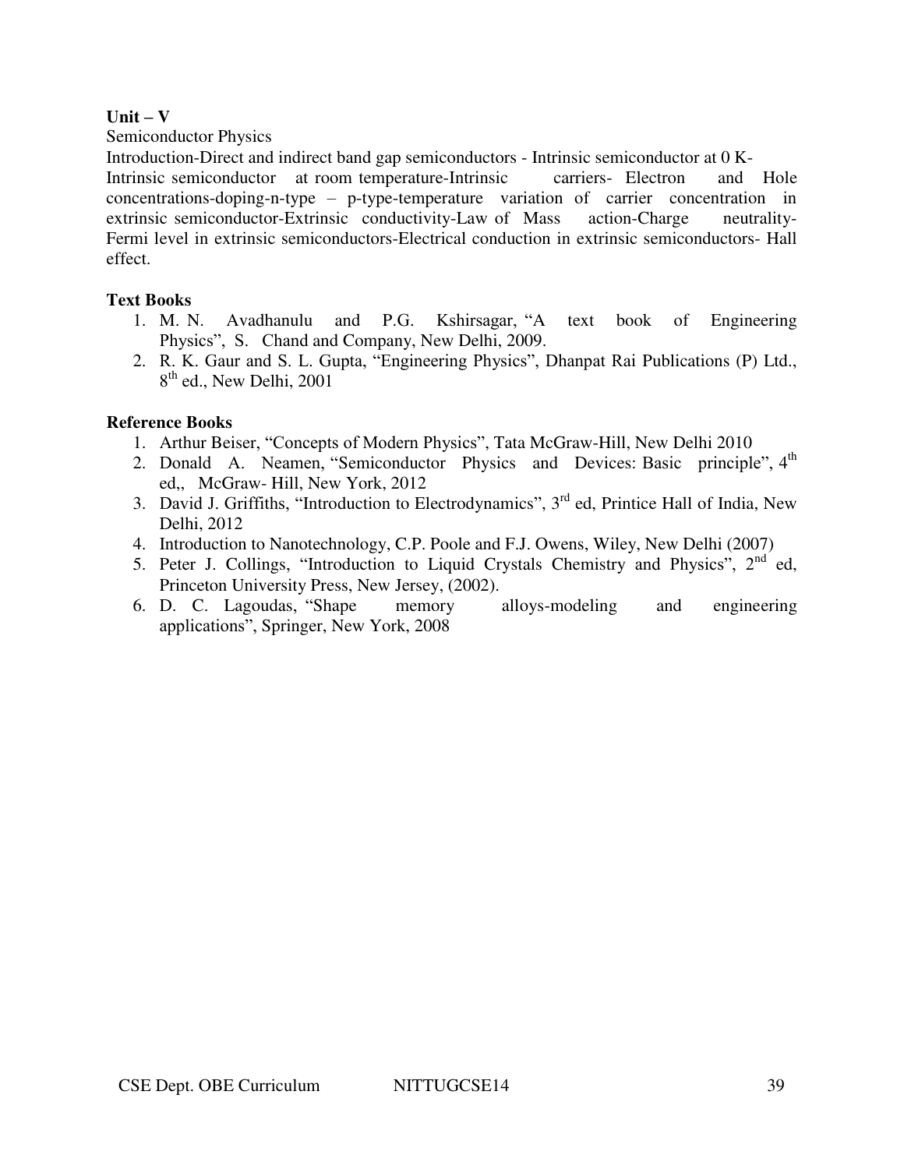#### $Unit - V$

Semiconductor Physics

Introduction-Direct and indirect band gap semiconductors - Intrinsic semiconductor at 0 K-

Intrinsic semiconductor at room temperature-Intrinsic carriers- Electron and Hole concentrations-doping-n-type – p-type-temperature variation of carrier concentration in extrinsic semiconductor-Extrinsic conductivity-Law of Mass action-Charge neutrality-Fermi level in extrinsic semiconductors-Electrical conduction in extrinsic semiconductors- Hall effect.

# **Text Books**

- 1. M. N. Avadhanulu and P.G. Kshirsagar, "A text book of Engineering Physics", S. Chand and Company, New Delhi, 2009.
- 2. R. K. Gaur and S. L. Gupta, "Engineering Physics", Dhanpat Rai Publications (P) Ltd., 8<sup>th</sup> ed., New Delhi, 2001

- 1. Arthur Beiser, "Concepts of Modern Physics", Tata McGraw-Hill, New Delhi 2010
- 2. Donald A. Neamen, "Semiconductor Physics and Devices: Basic principle", 4<sup>th</sup> ed,, McGraw- Hill, New York, 2012
- 3. David J. Griffiths, "Introduction to Electrodynamics", 3<sup>rd</sup> ed, Printice Hall of India, New Delhi, 2012
- 4. Introduction to Nanotechnology, C.P. Poole and F.J. Owens, Wiley, New Delhi (2007)
- 5. Peter J. Collings, "Introduction to Liquid Crystals Chemistry and Physics",  $2^{nd}$  ed, Princeton University Press, New Jersey, (2002).
- 6. D. C. Lagoudas, "Shape memory alloys-modeling and engineering applications", Springer, New York, 2008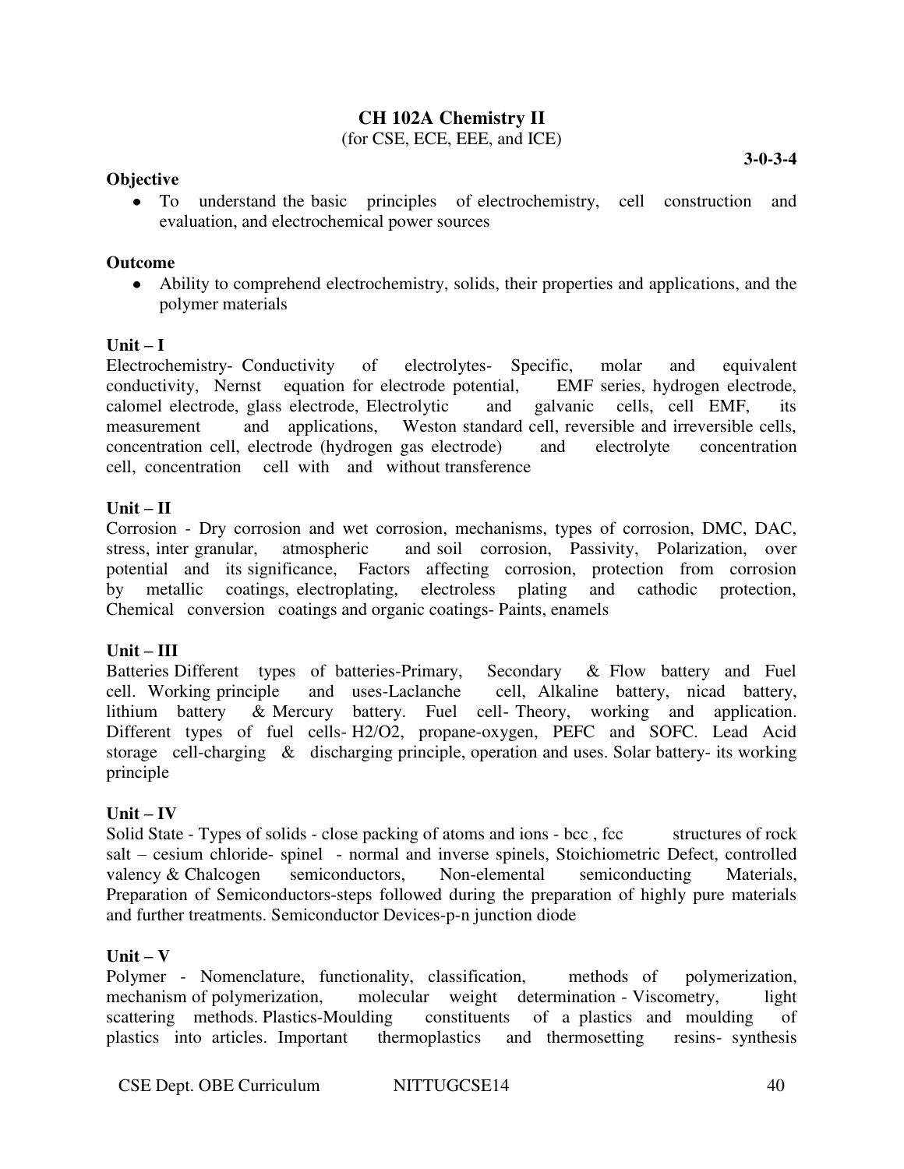# **CH 102A Chemistry II**

(for CSE, ECE, EEE, and ICE)

#### **Objective**

**3-0-3-4** 

To understand the basic principles of electrochemistry, cell construction and evaluation, and electrochemical power sources

#### **Outcome**

Ability to comprehend electrochemistry, solids, their properties and applications, and the polymer materials

#### $\textbf{Unit} - \textbf{I}$

Electrochemistry- Conductivity of electrolytes- Specific, molar and equivalent conductivity, Nernst equation for electrode potential, EMF series, hydrogen electrode, calomel electrode, glass electrode, Electrolytic and galvanic cells, cell EMF, its measurement and applications, Weston standard cell, reversible and irreversible cells, concentration cell, electrode (hydrogen gas electrode) and electrolyte concentration cell, concentration cell with and without transference

#### **Unit – II**

Corrosion - Dry corrosion and wet corrosion, mechanisms, types of corrosion, DMC, DAC, stress, inter granular, atmospheric and soil corrosion, Passivity, Polarization, over potential and its significance, Factors affecting corrosion, protection from corrosion by metallic coatings, electroplating, electroless plating and cathodic protection, Chemical conversion coatings and organic coatings- Paints, enamels

#### **Unit – III**

Batteries Different types of batteries-Primary, Secondary & Flow battery and Fuel cell. Working principle and uses-Laclanche cell, Alkaline battery, nicad battery, lithium battery & Mercury battery. Fuel cell- Theory, working and application. Different types of fuel cells- H2/O2, propane-oxygen, PEFC and SOFC. Lead Acid storage cell-charging & discharging principle, operation and uses. Solar battery- its working principle

#### $Unit - IV$

Solid State - Types of solids - close packing of atoms and ions - bcc, fcc structures of rock salt – cesium chloride- spinel - normal and inverse spinels, Stoichiometric Defect, controlled valency & Chalcogen semiconductors, Non-elemental semiconducting Materials, Preparation of Semiconductors-steps followed during the preparation of highly pure materials and further treatments. Semiconductor Devices-p-n junction diode

#### $Unit - V$

Polymer - Nomenclature, functionality, classification, methods of polymerization, mechanism of polymerization, molecular weight determination - Viscometry, light scattering methods. Plastics-Moulding constituents of a plastics and moulding of plastics into articles. Important thermoplastics and thermosetting resins- synthesis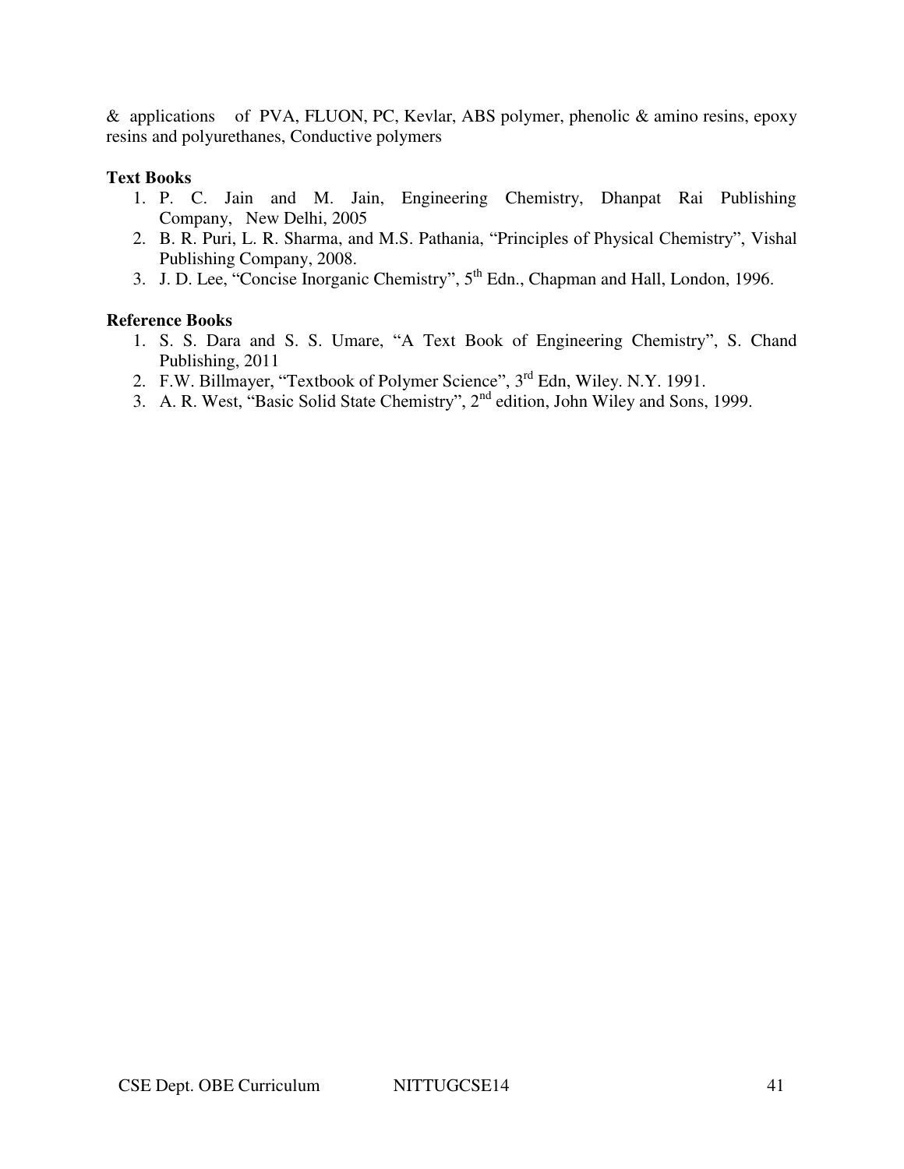& applications of PVA, FLUON, PC, Kevlar, ABS polymer, phenolic & amino resins, epoxy resins and polyurethanes, Conductive polymers

#### **Text Books**

- 1. P. C. Jain and M. Jain, Engineering Chemistry, Dhanpat Rai Publishing Company, New Delhi, 2005
- 2. B. R. Puri, L. R. Sharma, and M.S. Pathania, "Principles of Physical Chemistry", Vishal Publishing Company, 2008.
- 3. J. D. Lee, "Concise Inorganic Chemistry", 5<sup>th</sup> Edn., Chapman and Hall, London, 1996.

- 1. S. S. Dara and S. S. Umare, "A Text Book of Engineering Chemistry", S. Chand Publishing, 2011
- 2. F.W. Billmayer, "Textbook of Polymer Science", 3<sup>rd</sup> Edn, Wiley. N.Y. 1991.
- 3. A. R. West, "Basic Solid State Chemistry",  $2<sup>nd</sup>$  edition, John Wiley and Sons, 1999.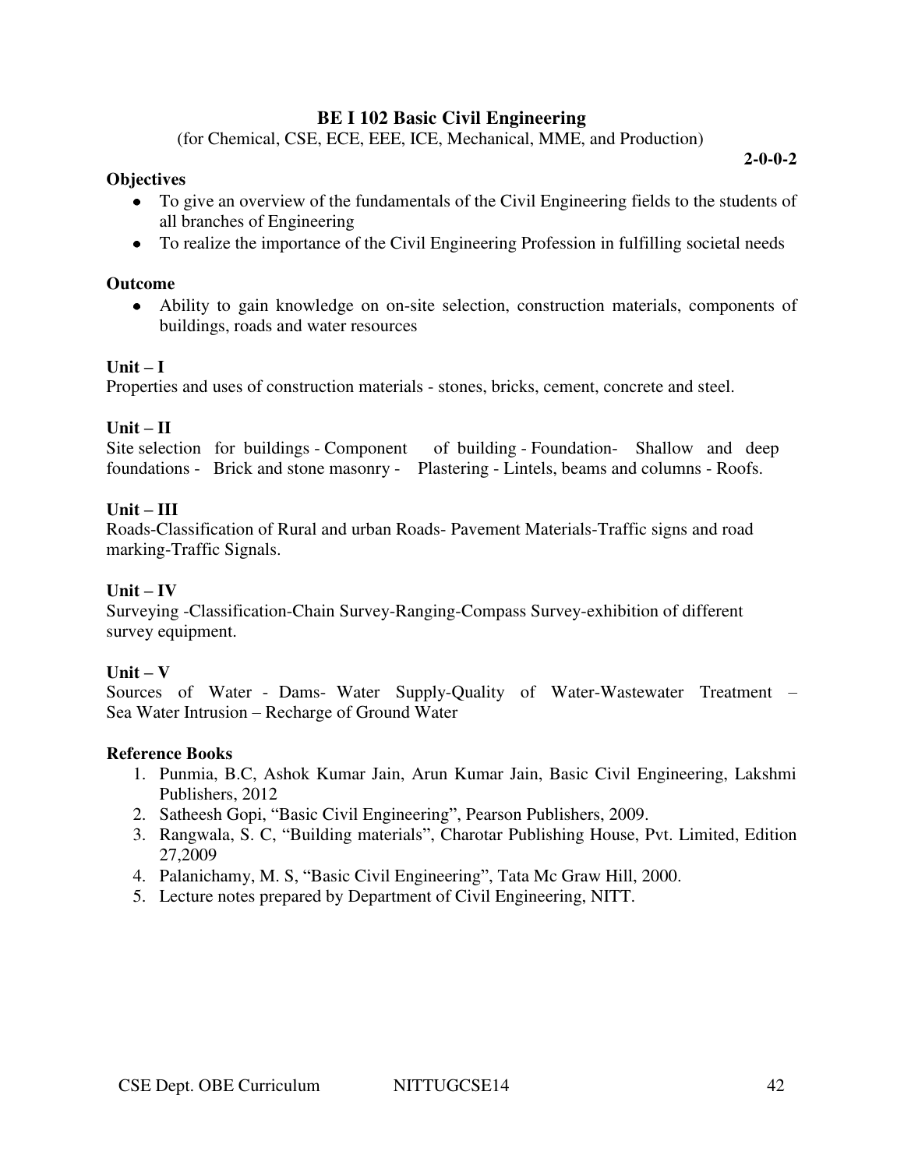# **BE I 102 Basic Civil Engineering**

(for Chemical, CSE, ECE, EEE, ICE, Mechanical, MME, and Production)

**2-0-0-2** 

### **Objectives**

- To give an overview of the fundamentals of the Civil Engineering fields to the students of all branches of Engineering
- To realize the importance of the Civil Engineering Profession in fulfilling societal needs

#### **Outcome**

Ability to gain knowledge on on-site selection, construction materials, components of buildings, roads and water resources

### **Unit – I**

Properties and uses of construction materials - stones, bricks, cement, concrete and steel.

### **Unit – II**

```
Site selection for buildings - Component of building - Foundation- Shallow and deep 
foundations - Brick and stone masonry - Plastering - Lintels, beams and columns - Roofs.
```
### **Unit – III**

Roads-Classification of Rural and urban Roads- Pavement Materials-Traffic signs and road marking-Traffic Signals.

### $Unit - IV$

Surveying -Classification-Chain Survey-Ranging-Compass Survey-exhibition of different survey equipment.

#### $Unit - V$

Sources of Water - Dams- Water Supply-Quality of Water-Wastewater Treatment – Sea Water Intrusion – Recharge of Ground Water

- 1. Punmia, B.C, Ashok Kumar Jain, Arun Kumar Jain, Basic Civil Engineering, Lakshmi Publishers, 2012
- 2. Satheesh Gopi, "Basic Civil Engineering", Pearson Publishers, 2009.
- 3. Rangwala, S. C, "Building materials", Charotar Publishing House, Pvt. Limited, Edition 27,2009
- 4. Palanichamy, M. S, "Basic Civil Engineering", Tata Mc Graw Hill, 2000.
- 5. Lecture notes prepared by Department of Civil Engineering, NITT.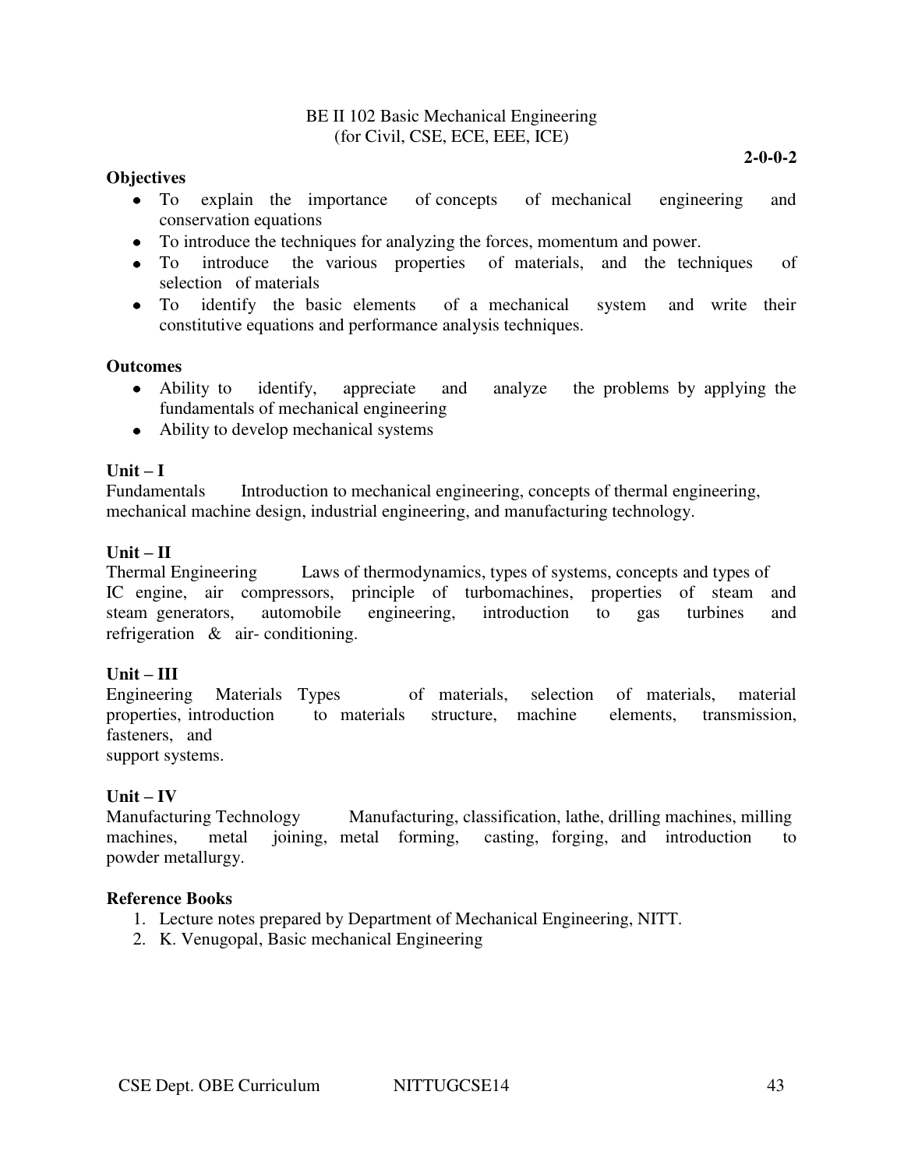#### BE II 102 Basic Mechanical Engineering (for Civil, CSE, ECE, EEE, ICE)

#### **Objectives**

- To explain the importance of concepts of mechanical engineering and conservation equations
- To introduce the techniques for analyzing the forces, momentum and power.
- To introduce the various properties of materials, and the techniques of selection of materials
- To identify the basic elements of a mechanical system and write their constitutive equations and performance analysis techniques.

#### **Outcomes**

- Ability to identify, appreciate and analyze the problems by applying the fundamentals of mechanical engineering
- Ability to develop mechanical systems

#### $Unit - I$

Fundamentals Introduction to mechanical engineering, concepts of thermal engineering, mechanical machine design, industrial engineering, and manufacturing technology.

#### $Unit - II$

Thermal Engineering Laws of thermodynamics, types of systems, concepts and types of IC engine, air compressors, principle of turbomachines, properties of steam and steam generators, automobile engineering, introduction to gas turbines and refrigeration & air- conditioning.

#### **Unit – III**

Engineering Materials Types of materials, selection of materials, material properties, introduction to materials structure, machine elements, transmission, fasteners, and

support systems.

#### $Unit - IV$

Manufacturing Technology Manufacturing, classification, lathe, drilling machines, milling machines, metal joining, metal forming, casting, forging, and introduction to powder metallurgy.

- 1. Lecture notes prepared by Department of Mechanical Engineering, NITT.
- 2. K. Venugopal, Basic mechanical Engineering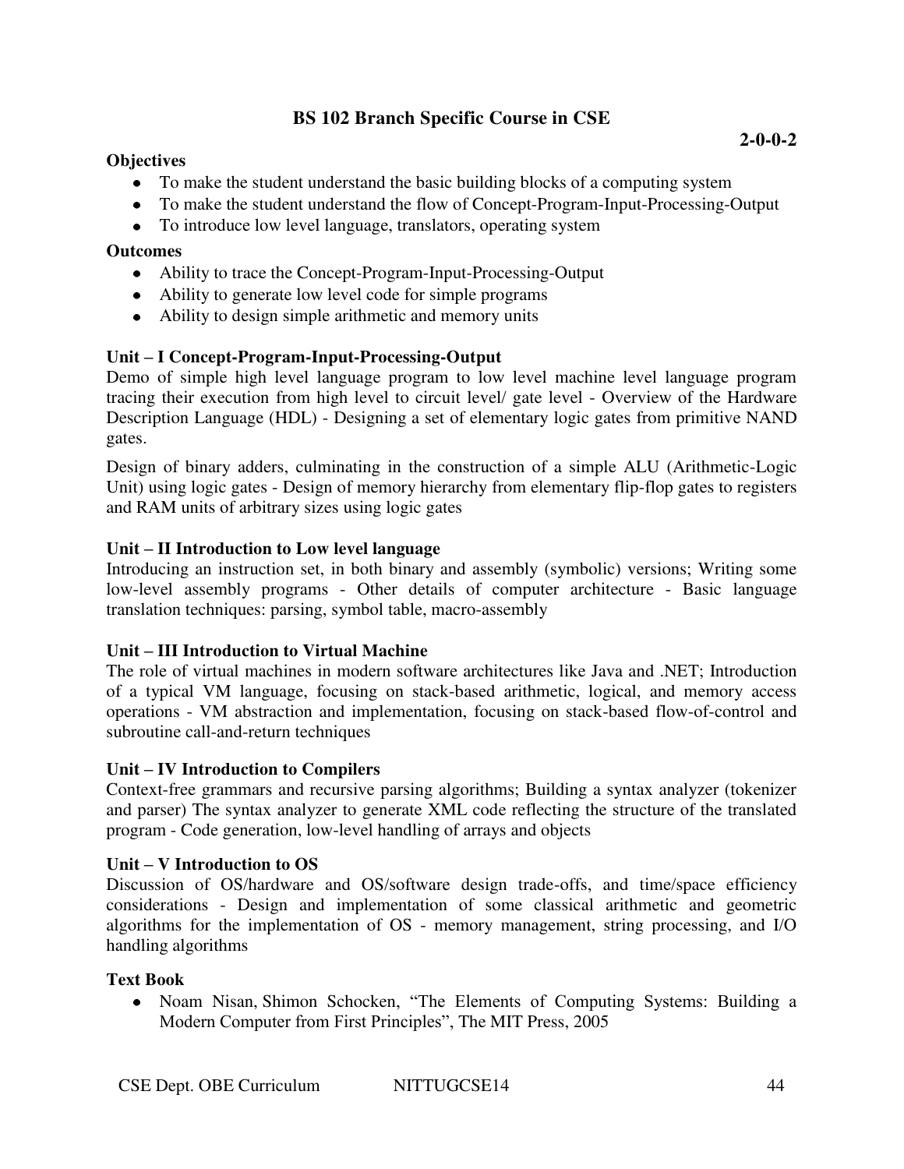# **BS 102 Branch Specific Course in CSE**

### **Objectives**

- To make the student understand the basic building blocks of a computing system
- To make the student understand the flow of Concept-Program-Input-Processing-Output
- To introduce low level language, translators, operating system

### **Outcomes**

- Ability to trace the Concept-Program-Input-Processing-Output
- Ability to generate low level code for simple programs
- Ability to design simple arithmetic and memory units

# **Unit – I Concept-Program-Input-Processing-Output**

Demo of simple high level language program to low level machine level language program tracing their execution from high level to circuit level/ gate level - Overview of the Hardware Description Language (HDL) - Designing a set of elementary logic gates from primitive NAND gates.

Design of binary adders, culminating in the construction of a simple ALU (Arithmetic-Logic Unit) using logic gates - Design of memory hierarchy from elementary flip-flop gates to registers and RAM units of arbitrary sizes using logic gates

### **Unit – II Introduction to Low level language**

Introducing an instruction set, in both binary and assembly (symbolic) versions; Writing some low-level assembly programs - Other details of computer architecture - Basic language translation techniques: parsing, symbol table, macro-assembly

# **Unit – III Introduction to Virtual Machine**

The role of virtual machines in modern software architectures like Java and .NET; Introduction of a typical VM language, focusing on stack-based arithmetic, logical, and memory access operations - VM abstraction and implementation, focusing on stack-based flow-of-control and subroutine call-and-return techniques

#### **Unit – IV Introduction to Compilers**

Context-free grammars and recursive parsing algorithms; Building a syntax analyzer (tokenizer and parser) The syntax analyzer to generate XML code reflecting the structure of the translated program - Code generation, low-level handling of arrays and objects

#### **Unit – V Introduction to OS**

Discussion of OS/hardware and OS/software design trade-offs, and time/space efficiency considerations - Design and implementation of some classical arithmetic and geometric algorithms for the implementation of OS - memory management, string processing, and I/O handling algorithms

#### **Text Book**

• Noam Nisan, Shimon Schocken, "The Elements of Computing Systems: Building a Modern Computer from First Principles", The MIT Press, 2005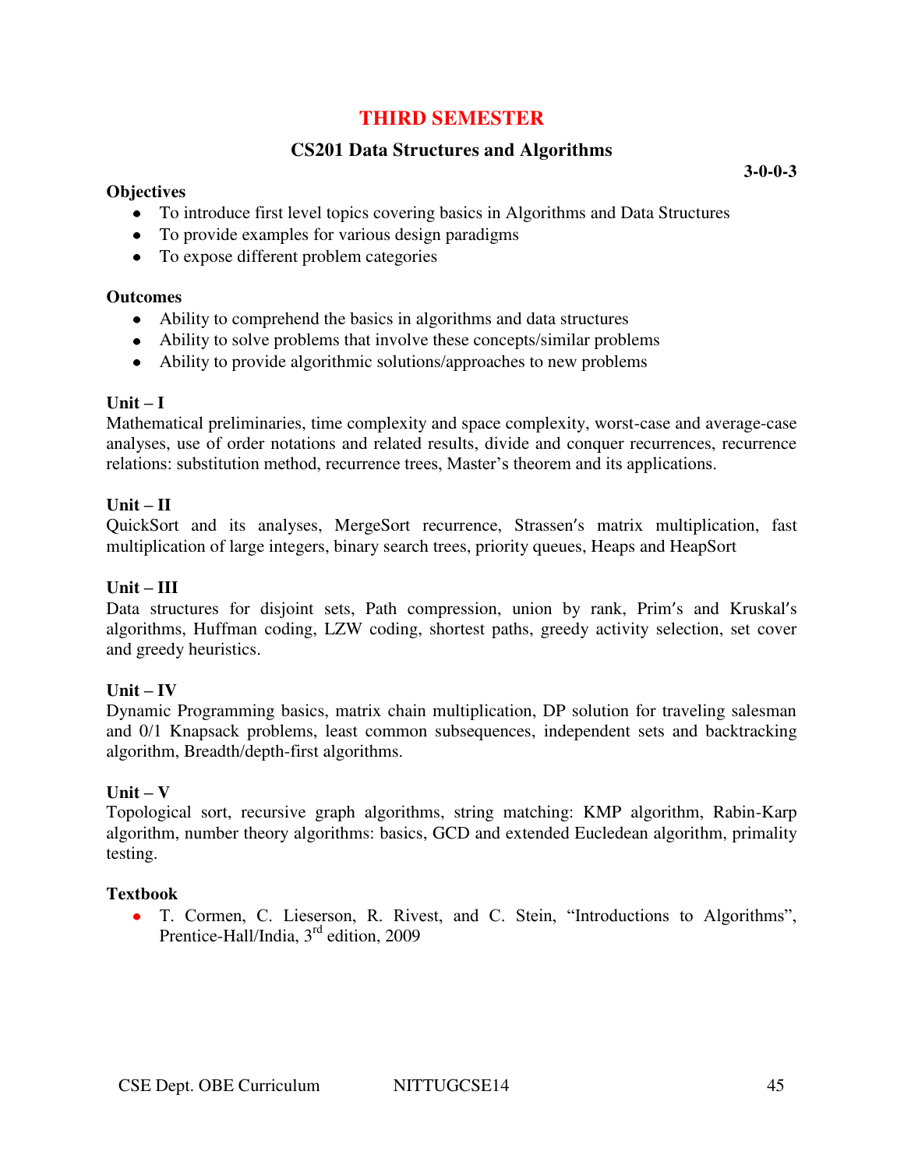# **THIRD SEMESTER**

# **CS201 Data Structures and Algorithms**

#### **Objectives**

- To introduce first level topics covering basics in Algorithms and Data Structures
- To provide examples for various design paradigms
- To expose different problem categories

#### **Outcomes**

- Ability to comprehend the basics in algorithms and data structures
- Ability to solve problems that involve these concepts/similar problems
- Ability to provide algorithmic solutions/approaches to new problems

#### $\textbf{Unit} - \textbf{I}$

Mathematical preliminaries, time complexity and space complexity, worst-case and average-case analyses, use of order notations and related results, divide and conquer recurrences, recurrence relations: substitution method, recurrence trees, Master's theorem and its applications.

#### $Unit - II$

QuickSort and its analyses, MergeSort recurrence, Strassen's matrix multiplication, fast multiplication of large integers, binary search trees, priority queues, Heaps and HeapSort

#### **Unit – III**

Data structures for disjoint sets, Path compression, union by rank, Prim's and Kruskal's algorithms, Huffman coding, LZW coding, shortest paths, greedy activity selection, set cover and greedy heuristics.

#### $Unit - IV$

Dynamic Programming basics, matrix chain multiplication, DP solution for traveling salesman and 0/1 Knapsack problems, least common subsequences, independent sets and backtracking algorithm, Breadth/depth-first algorithms.

#### $Unit - V$

Topological sort, recursive graph algorithms, string matching: KMP algorithm, Rabin-Karp algorithm, number theory algorithms: basics, GCD and extended Eucledean algorithm, primality testing.

#### **Textbook**

T. Cormen, C. Lieserson, R. Rivest, and C. Stein, "Introductions to Algorithms", Prentice-Hall/India, 3<sup>rd</sup> edition, 2009

**3-0-0-3**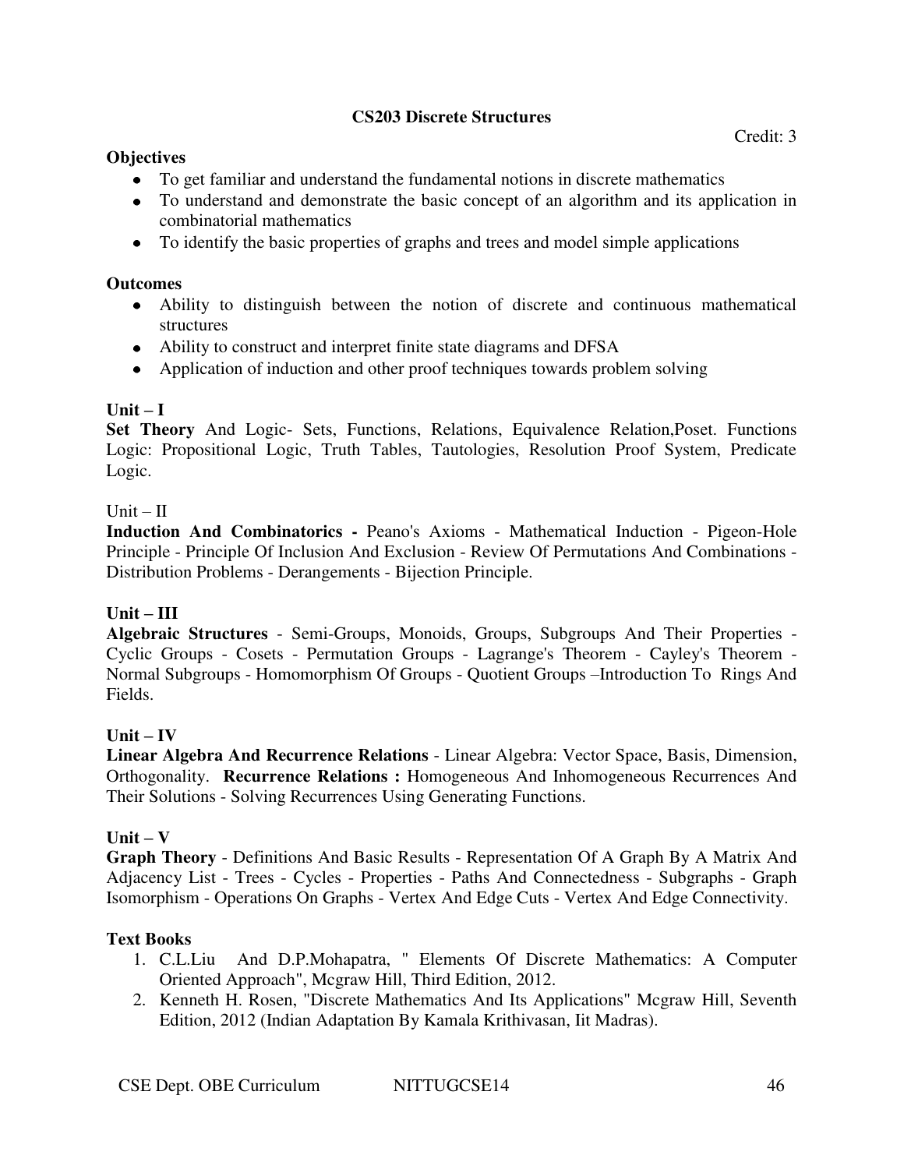### **CS203 Discrete Structures**

- To get familiar and understand the fundamental notions in discrete mathematics
- To understand and demonstrate the basic concept of an algorithm and its application in combinatorial mathematics
- To identify the basic properties of graphs and trees and model simple applications

# **Outcomes**

- Ability to distinguish between the notion of discrete and continuous mathematical structures
- Ability to construct and interpret finite state diagrams and DFSA
- Application of induction and other proof techniques towards problem solving

# $\textbf{Unit} - \textbf{I}$

**Set Theory** And Logic- Sets, Functions, Relations, Equivalence Relation,Poset. Functions Logic: Propositional Logic, Truth Tables, Tautologies, Resolution Proof System, Predicate Logic.

# $Unit - II$

**Induction And Combinatorics -** Peano's Axioms - Mathematical Induction - Pigeon-Hole Principle - Principle Of Inclusion And Exclusion - Review Of Permutations And Combinations - Distribution Problems - Derangements - Bijection Principle.

# **Unit – III**

**Algebraic Structures** - Semi-Groups, Monoids, Groups, Subgroups And Their Properties - Cyclic Groups - Cosets - Permutation Groups - Lagrange's Theorem - Cayley's Theorem - Normal Subgroups - Homomorphism Of Groups - Quotient Groups –Introduction To Rings And Fields.

# $Unit - IV$

**Linear Algebra And Recurrence Relations** - Linear Algebra: Vector Space, Basis, Dimension, Orthogonality. **Recurrence Relations :** Homogeneous And Inhomogeneous Recurrences And Their Solutions - Solving Recurrences Using Generating Functions.

# $Unit - V$

**Graph Theory** - Definitions And Basic Results - Representation Of A Graph By A Matrix And Adjacency List - Trees - Cycles - Properties - Paths And Connectedness - Subgraphs - Graph Isomorphism - Operations On Graphs - Vertex And Edge Cuts - Vertex And Edge Connectivity.

# **Text Books**

- 1. C.L.Liu And D.P.Mohapatra, " Elements Of Discrete Mathematics: A Computer Oriented Approach", Mcgraw Hill, Third Edition, 2012.
- 2. Kenneth H. Rosen, "Discrete Mathematics And Its Applications" Mcgraw Hill, Seventh Edition, 2012 (Indian Adaptation By Kamala Krithivasan, Iit Madras).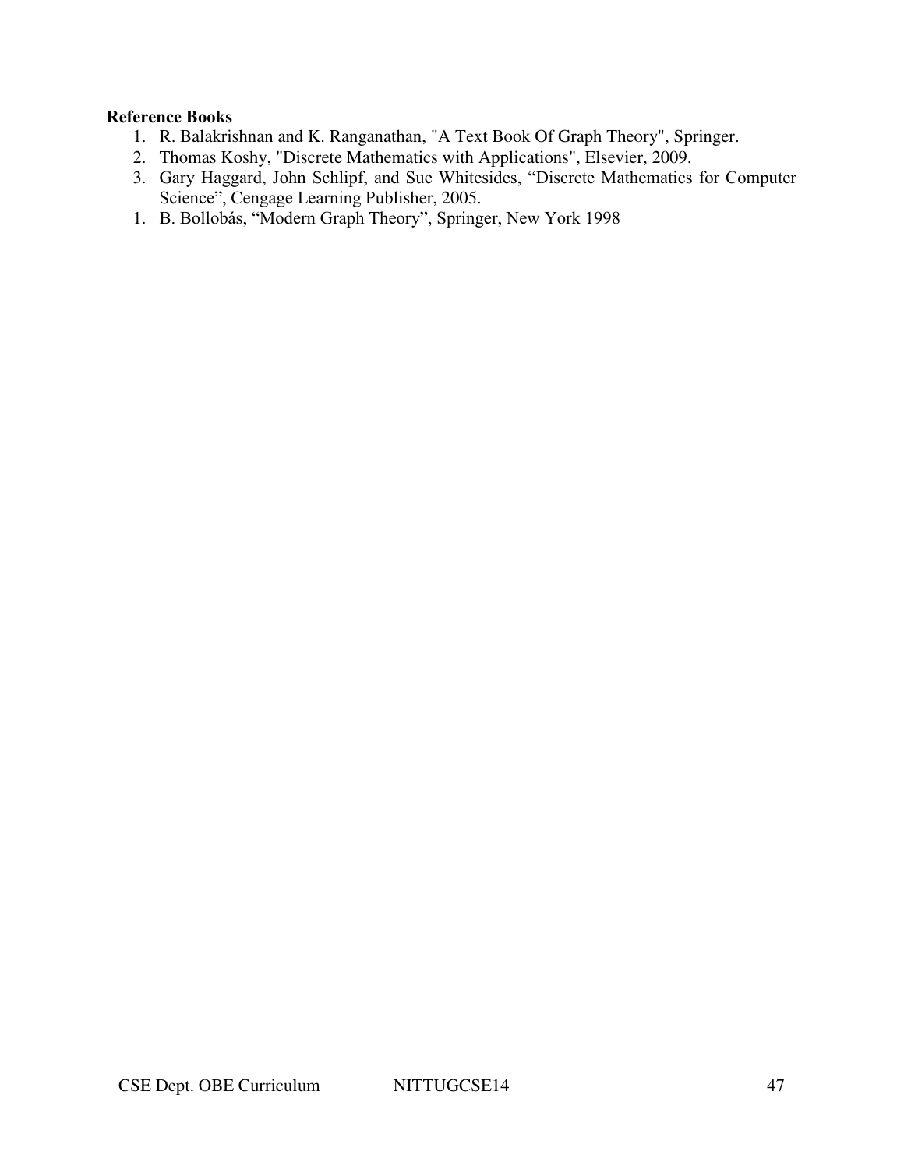- 1. R. Balakrishnan and K. Ranganathan, "A Text Book Of Graph Theory", Springer.
- 2. Thomas Koshy, "Discrete Mathematics with Applications", Elsevier, 2009.
- 3. Gary Haggard, John Schlipf, and Sue Whitesides, "Discrete Mathematics for Computer Science", Cengage Learning Publisher, 2005.
- 1. B. Bollobás, "Modern Graph Theory", Springer, New York 1998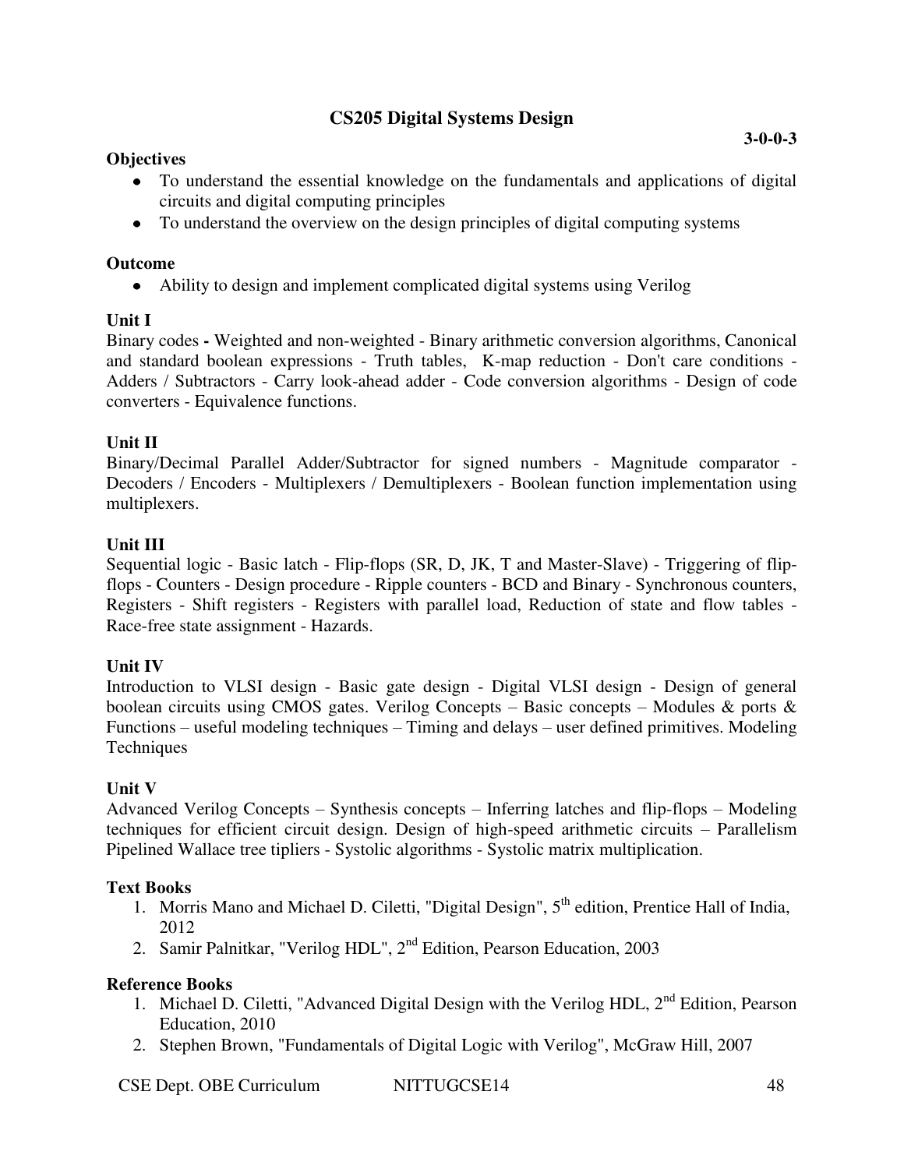# **CS205 Digital Systems Design**

### **Objectives**

- To understand the essential knowledge on the fundamentals and applications of digital circuits and digital computing principles
- To understand the overview on the design principles of digital computing systems

### **Outcome**

Ability to design and implement complicated digital systems using Verilog  $\bullet$ 

### **Unit I**

Binary codes **-** Weighted and non-weighted - Binary arithmetic conversion algorithms, Canonical and standard boolean expressions - Truth tables, K-map reduction - Don't care conditions - Adders / Subtractors - Carry look-ahead adder - Code conversion algorithms - Design of code converters - Equivalence functions.

# **Unit II**

Binary/Decimal Parallel Adder/Subtractor for signed numbers - Magnitude comparator - Decoders / Encoders - Multiplexers / Demultiplexers - Boolean function implementation using multiplexers.

# **Unit III**

Sequential logic - Basic latch - Flip-flops (SR, D, JK, T and Master-Slave) - Triggering of flipflops - Counters - Design procedure - Ripple counters - BCD and Binary - Synchronous counters, Registers - Shift registers - Registers with parallel load, Reduction of state and flow tables - Race-free state assignment - Hazards.

# **Unit IV**

Introduction to VLSI design - Basic gate design - Digital VLSI design - Design of general boolean circuits using CMOS gates. Verilog Concepts – Basic concepts – Modules & ports & Functions – useful modeling techniques – Timing and delays – user defined primitives. Modeling Techniques

# **Unit V**

Advanced Verilog Concepts – Synthesis concepts – Inferring latches and flip-flops – Modeling techniques for efficient circuit design. Design of high-speed arithmetic circuits – Parallelism Pipelined Wallace tree tipliers - Systolic algorithms - Systolic matrix multiplication.

# **Text Books**

- 1. Morris Mano and Michael D. Ciletti, "Digital Design",  $5<sup>th</sup>$  edition, Prentice Hall of India, 2012
- 2. Samir Palnitkar, "Verilog HDL", 2<sup>nd</sup> Edition, Pearson Education, 2003

- 1. Michael D. Ciletti, "Advanced Digital Design with the Verilog HDL,  $2<sup>nd</sup>$  Edition, Pearson Education, 2010
- 2. Stephen Brown, "Fundamentals of Digital Logic with Verilog", McGraw Hill, 2007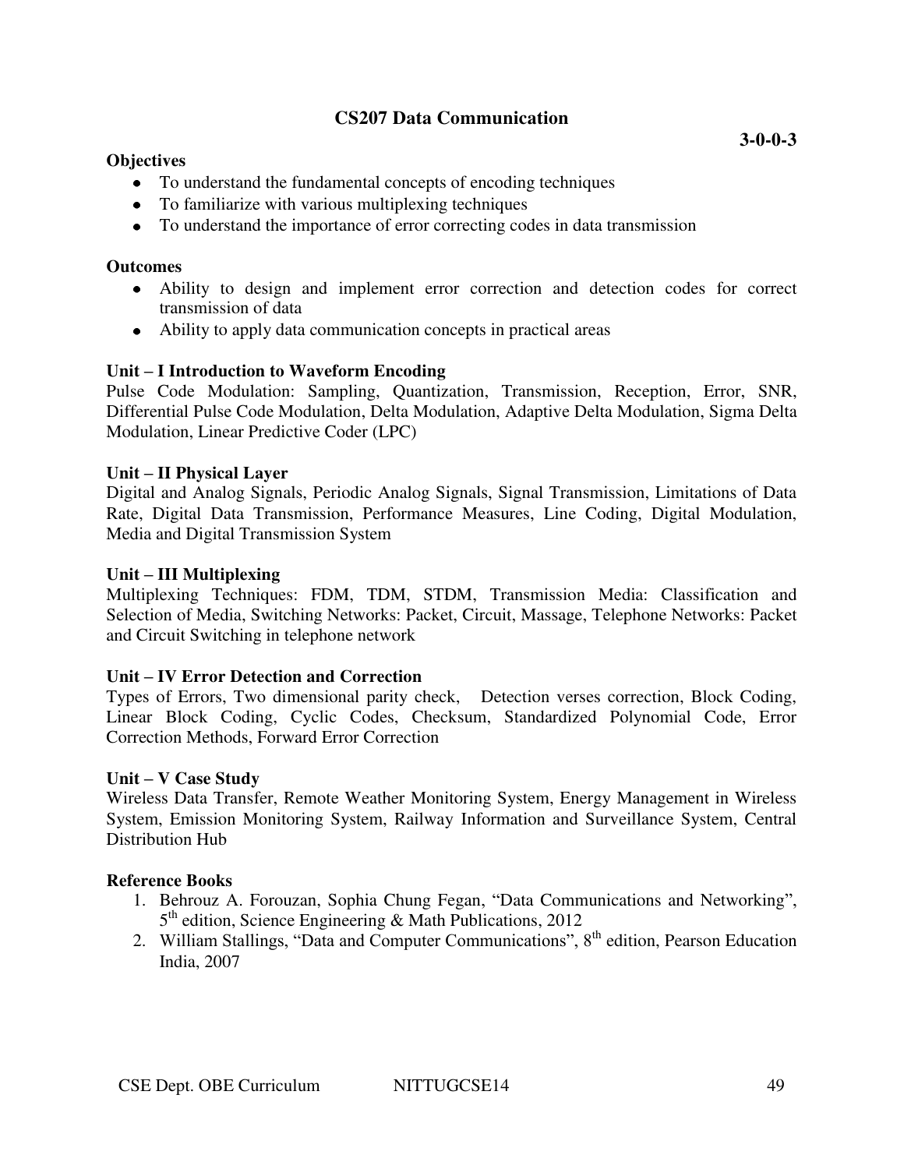# **CS207 Data Communication**

#### **Objectives**

- To understand the fundamental concepts of encoding techniques
- To familiarize with various multiplexing techniques
- To understand the importance of error correcting codes in data transmission

#### **Outcomes**

- Ability to design and implement error correction and detection codes for correct transmission of data
- Ability to apply data communication concepts in practical areas

### **Unit – I Introduction to Waveform Encoding**

Pulse Code Modulation: Sampling, Quantization, Transmission, Reception, Error, SNR, Differential Pulse Code Modulation, Delta Modulation, Adaptive Delta Modulation, Sigma Delta Modulation, Linear Predictive Coder (LPC)

#### **Unit – II Physical Layer**

Digital and Analog Signals, Periodic Analog Signals, Signal Transmission, Limitations of Data Rate, Digital Data Transmission, Performance Measures, Line Coding, Digital Modulation, Media and Digital Transmission System

#### **Unit – III Multiplexing**

Multiplexing Techniques: FDM, TDM, STDM, Transmission Media: Classification and Selection of Media, Switching Networks: Packet, Circuit, Massage, Telephone Networks: Packet and Circuit Switching in telephone network

#### **Unit – IV Error Detection and Correction**

Types of Errors, Two dimensional parity check, Detection verses correction, Block Coding, Linear Block Coding, Cyclic Codes, Checksum, Standardized Polynomial Code, Error Correction Methods, Forward Error Correction

#### **Unit – V Case Study**

Wireless Data Transfer, Remote Weather Monitoring System, Energy Management in Wireless System, Emission Monitoring System, Railway Information and Surveillance System, Central Distribution Hub

- 1. Behrouz A. Forouzan, Sophia Chung Fegan, "Data Communications and Networking", 5<sup>th</sup> edition, Science Engineering & Math Publications, 2012
- 2. William Stallings, "Data and Computer Communications", 8<sup>th</sup> edition, Pearson Education India, 2007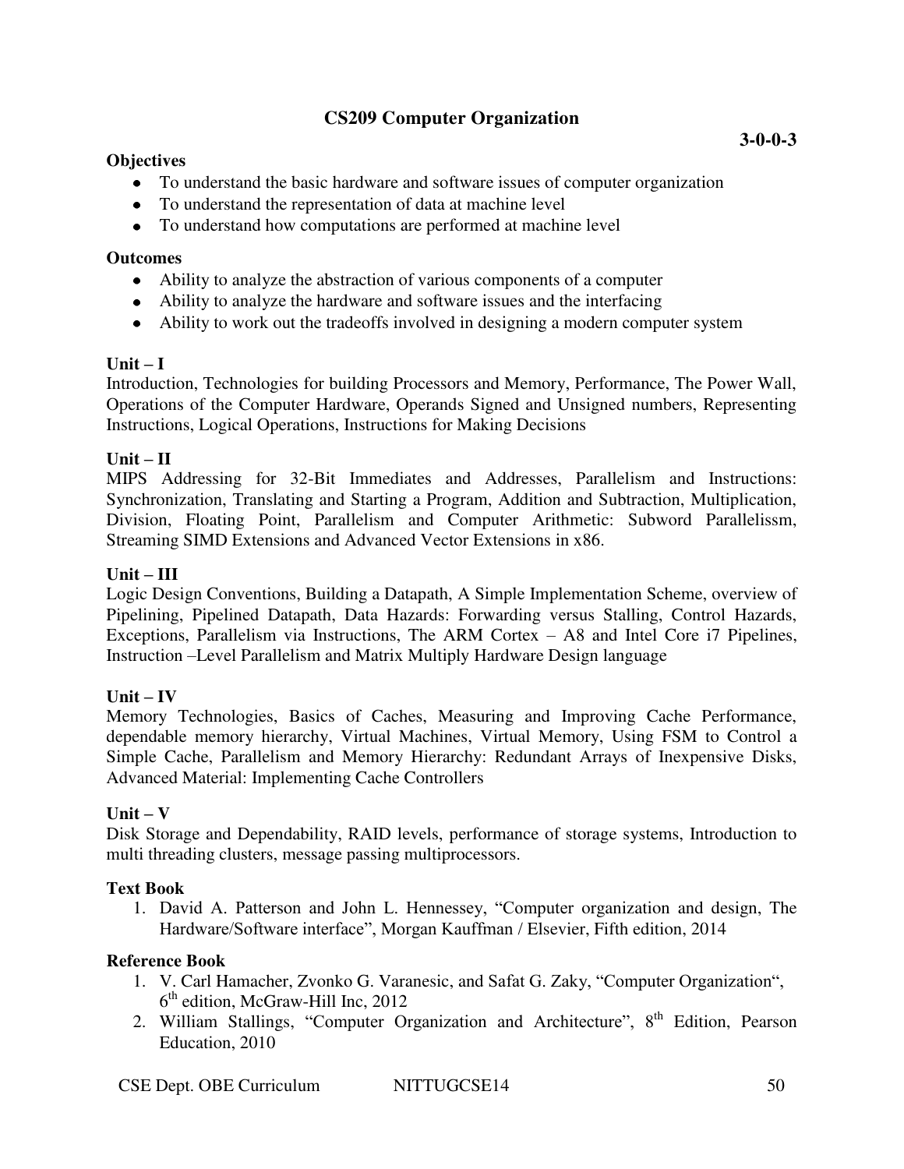# **CS209 Computer Organization**

### **Objectives**

- To understand the basic hardware and software issues of computer organization
- To understand the representation of data at machine level
- To understand how computations are performed at machine level

### **Outcomes**

- Ability to analyze the abstraction of various components of a computer
- Ability to analyze the hardware and software issues and the interfacing
- Ability to work out the tradeoffs involved in designing a modern computer system

### $\textbf{Unit} - \textbf{I}$

Introduction, Technologies for building Processors and Memory, Performance, The Power Wall, Operations of the Computer Hardware, Operands Signed and Unsigned numbers, Representing Instructions, Logical Operations, Instructions for Making Decisions

### **Unit – II**

MIPS Addressing for 32-Bit Immediates and Addresses, Parallelism and Instructions: Synchronization, Translating and Starting a Program, Addition and Subtraction, Multiplication, Division, Floating Point, Parallelism and Computer Arithmetic: Subword Parallelissm, Streaming SIMD Extensions and Advanced Vector Extensions in x86.

### **Unit – III**

Logic Design Conventions, Building a Datapath, A Simple Implementation Scheme, overview of Pipelining, Pipelined Datapath, Data Hazards: Forwarding versus Stalling, Control Hazards, Exceptions, Parallelism via Instructions, The ARM Cortex – A8 and Intel Core i7 Pipelines, Instruction –Level Parallelism and Matrix Multiply Hardware Design language

# $Unit - IV$

Memory Technologies, Basics of Caches, Measuring and Improving Cache Performance, dependable memory hierarchy, Virtual Machines, Virtual Memory, Using FSM to Control a Simple Cache, Parallelism and Memory Hierarchy: Redundant Arrays of Inexpensive Disks, Advanced Material: Implementing Cache Controllers

#### $Unit - V$

Disk Storage and Dependability, RAID levels, performance of storage systems, Introduction to multi threading clusters, message passing multiprocessors.

#### **Text Book**

1. David A. Patterson and John L. Hennessey, "Computer organization and design, The Hardware/Software interface", Morgan Kauffman / Elsevier, Fifth edition, 2014

- 1. V. Carl Hamacher, Zvonko G. Varanesic, and Safat G. Zaky, "Computer Organization", 6<sup>th</sup> edition, McGraw-Hill Inc, 2012
- 2. William Stallings, "Computer Organization and Architecture", 8<sup>th</sup> Edition, Pearson Education, 2010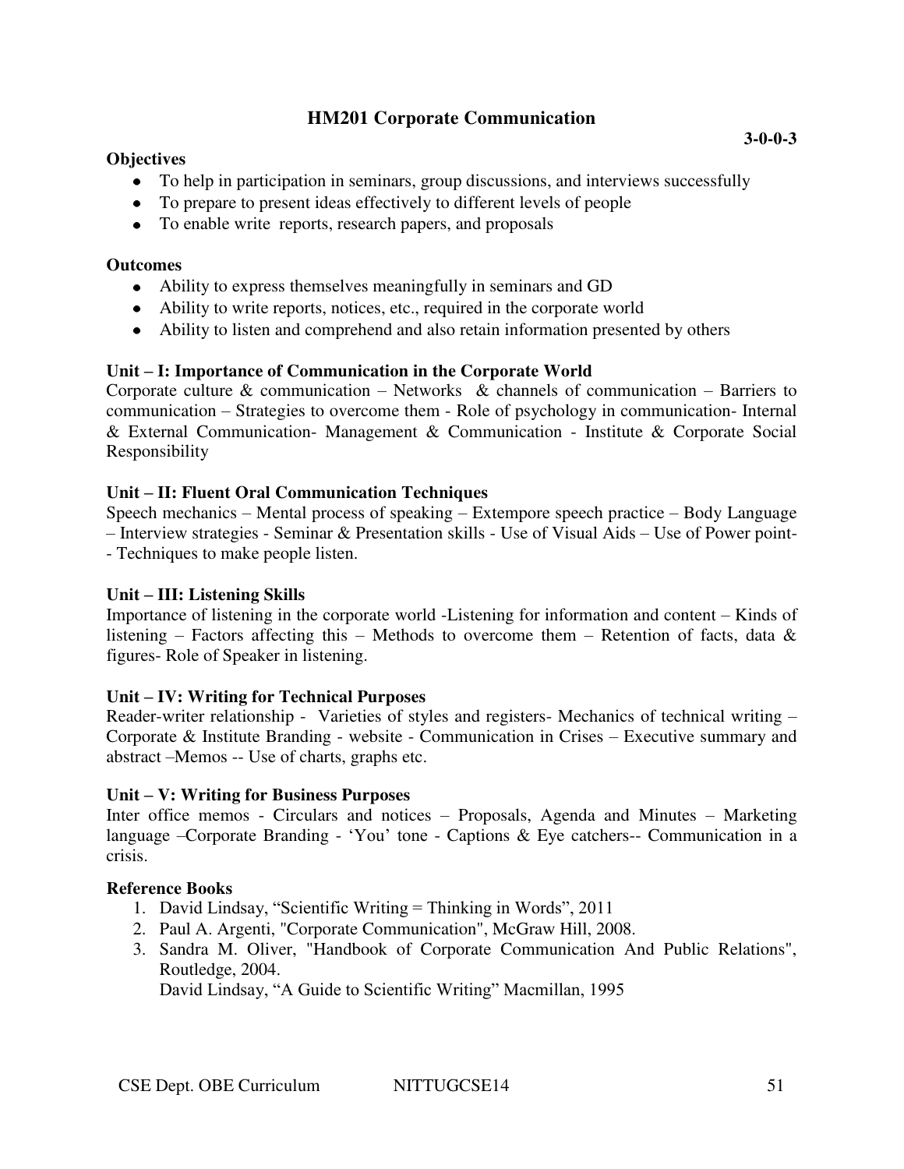# **HM201 Corporate Communication**

### **Objectives**

- To help in participation in seminars, group discussions, and interviews successfully
- To prepare to present ideas effectively to different levels of people
- To enable write reports, research papers, and proposals

#### **Outcomes**

- Ability to express themselves meaningfully in seminars and GD
- Ability to write reports, notices, etc., required in the corporate world
- Ability to listen and comprehend and also retain information presented by others

### **Unit – I: Importance of Communication in the Corporate World**

Corporate culture  $\&$  communication – Networks  $\&$  channels of communication – Barriers to communication – Strategies to overcome them - Role of psychology in communication- Internal & External Communication- Management & Communication - Institute & Corporate Social Responsibility

#### **Unit – II: Fluent Oral Communication Techniques**

Speech mechanics – Mental process of speaking – Extempore speech practice – Body Language – Interview strategies - Seminar & Presentation skills - Use of Visual Aids – Use of Power point- - Techniques to make people listen.

#### **Unit – III: Listening Skills**

Importance of listening in the corporate world -Listening for information and content – Kinds of listening – Factors affecting this – Methods to overcome them – Retention of facts, data  $\&$ figures- Role of Speaker in listening.

#### **Unit – IV: Writing for Technical Purposes**

Reader-writer relationship - Varieties of styles and registers- Mechanics of technical writing – Corporate & Institute Branding - website - Communication in Crises – Executive summary and abstract –Memos -- Use of charts, graphs etc.

#### **Unit – V: Writing for Business Purposes**

Inter office memos - Circulars and notices – Proposals, Agenda and Minutes – Marketing language –Corporate Branding - 'You' tone - Captions & Eye catchers-- Communication in a crisis.

# **Reference Books**

- 1. David Lindsay, "Scientific Writing = Thinking in Words", 2011
- 2. Paul A. Argenti, "Corporate Communication", McGraw Hill, 2008.
- 3. Sandra M. Oliver, "Handbook of Corporate Communication And Public Relations", Routledge, 2004.

David Lindsay, "A Guide to Scientific Writing" Macmillan, 1995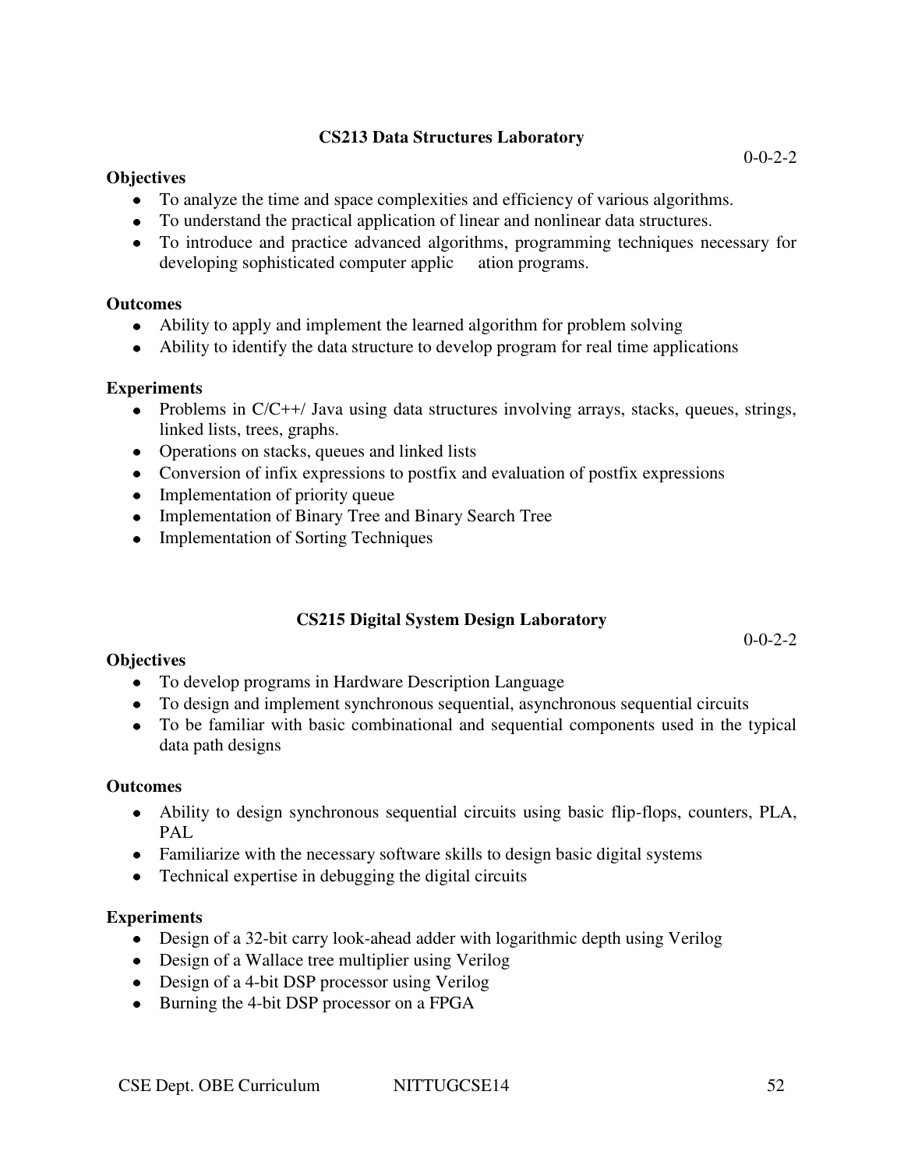# **CS213 Data Structures Laboratory**

### **Objectives**

- To analyze the time and space complexities and efficiency of various algorithms.
- To understand the practical application of linear and nonlinear data structures.
- To introduce and practice advanced algorithms, programming techniques necessary for developing sophisticated computer applic ation programs.

### **Outcomes**

- Ability to apply and implement the learned algorithm for problem solving
- Ability to identify the data structure to develop program for real time applications

### **Experiments**

- Problems in  $C/C++/$  Java using data structures involving arrays, stacks, queues, strings, linked lists, trees, graphs.
- Operations on stacks, queues and linked lists
- Conversion of infix expressions to postfix and evaluation of postfix expressions
- Implementation of priority queue
- Implementation of Binary Tree and Binary Search Tree
- Implementation of Sorting Techniques

# **CS215 Digital System Design Laboratory**

 $0 - 0 - 2 - 2$ 

# **Objectives**

- To develop programs in Hardware Description Language
- To design and implement synchronous sequential, asynchronous sequential circuits
- To be familiar with basic combinational and sequential components used in the typical data path designs

#### **Outcomes**

- Ability to design synchronous sequential circuits using basic flip-flops, counters, PLA, PAL.
- Familiarize with the necessary software skills to design basic digital systems
- Technical expertise in debugging the digital circuits

#### **Experiments**

- Design of a 32-bit carry look-ahead adder with logarithmic depth using Verilog
- Design of a Wallace tree multiplier using Verilog
- Design of a 4-bit DSP processor using Verilog
- Burning the 4-bit DSP processor on a FPGA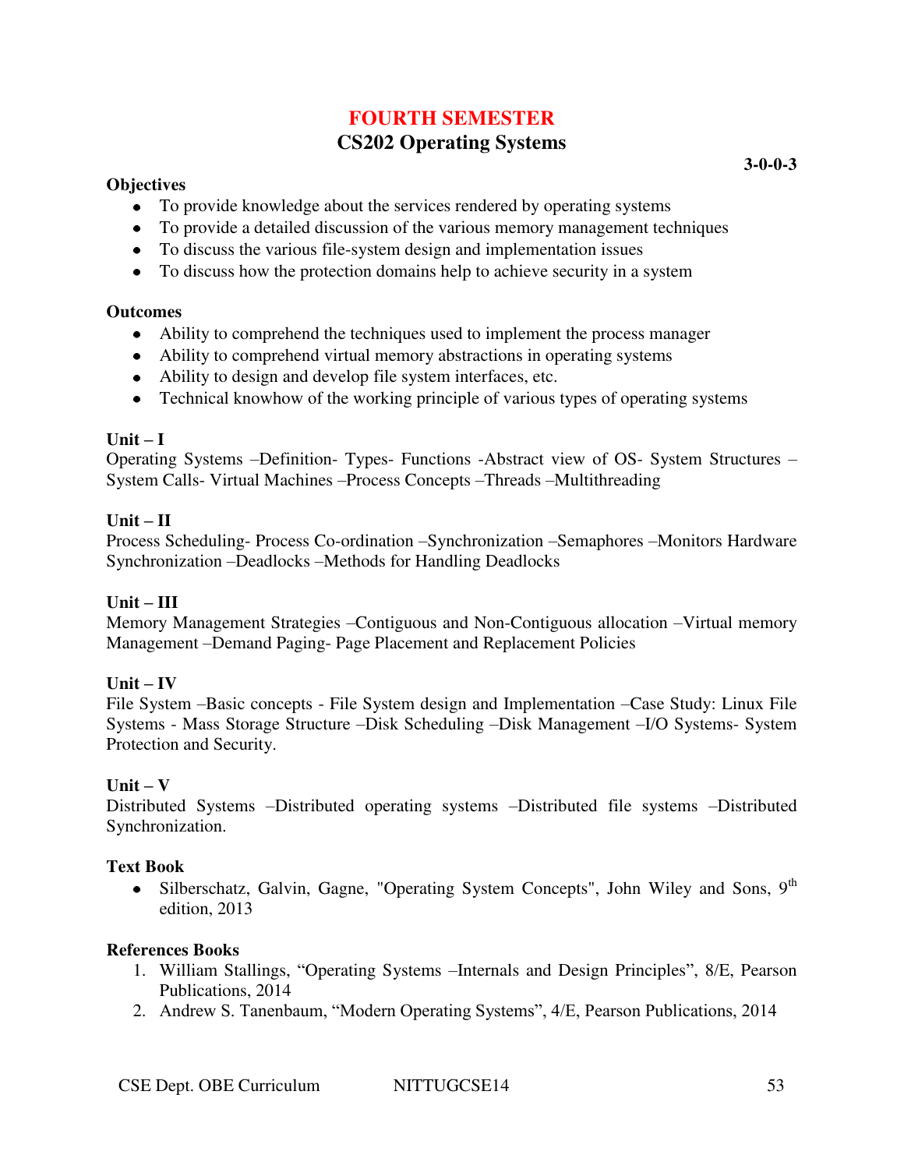# **FOURTH SEMESTER**

## **CS202 Operating Systems**

### **Objectives**

- To provide knowledge about the services rendered by operating systems
- To provide a detailed discussion of the various memory management techniques
- To discuss the various file-system design and implementation issues
- To discuss how the protection domains help to achieve security in a system

## **Outcomes**

- Ability to comprehend the techniques used to implement the process manager
- Ability to comprehend virtual memory abstractions in operating systems
- Ability to design and develop file system interfaces, etc.
- Technical knowhow of the working principle of various types of operating systems

## $Unit - I$

Operating Systems –Definition- Types- Functions -Abstract view of OS- System Structures – System Calls- Virtual Machines –Process Concepts –Threads –Multithreading

## **Unit – II**

Process Scheduling- Process Co-ordination –Synchronization –Semaphores –Monitors Hardware Synchronization –Deadlocks –Methods for Handling Deadlocks

## **Unit – III**

Memory Management Strategies –Contiguous and Non-Contiguous allocation –Virtual memory Management –Demand Paging- Page Placement and Replacement Policies

## $Unit - IV$

File System –Basic concepts - File System design and Implementation –Case Study: Linux File Systems - Mass Storage Structure –Disk Scheduling –Disk Management –I/O Systems- System Protection and Security.

## $Unit - V$

Distributed Systems –Distributed operating systems –Distributed file systems –Distributed Synchronization.

## **Text Book**

 $\bullet$  Silberschatz, Galvin, Gagne, "Operating System Concepts", John Wiley and Sons, 9<sup>th</sup> edition, 2013

## **References Books**

- 1. William Stallings, "Operating Systems –Internals and Design Principles", 8/E, Pearson Publications, 2014
- 2. Andrew S. Tanenbaum, "Modern Operating Systems", 4/E, Pearson Publications, 2014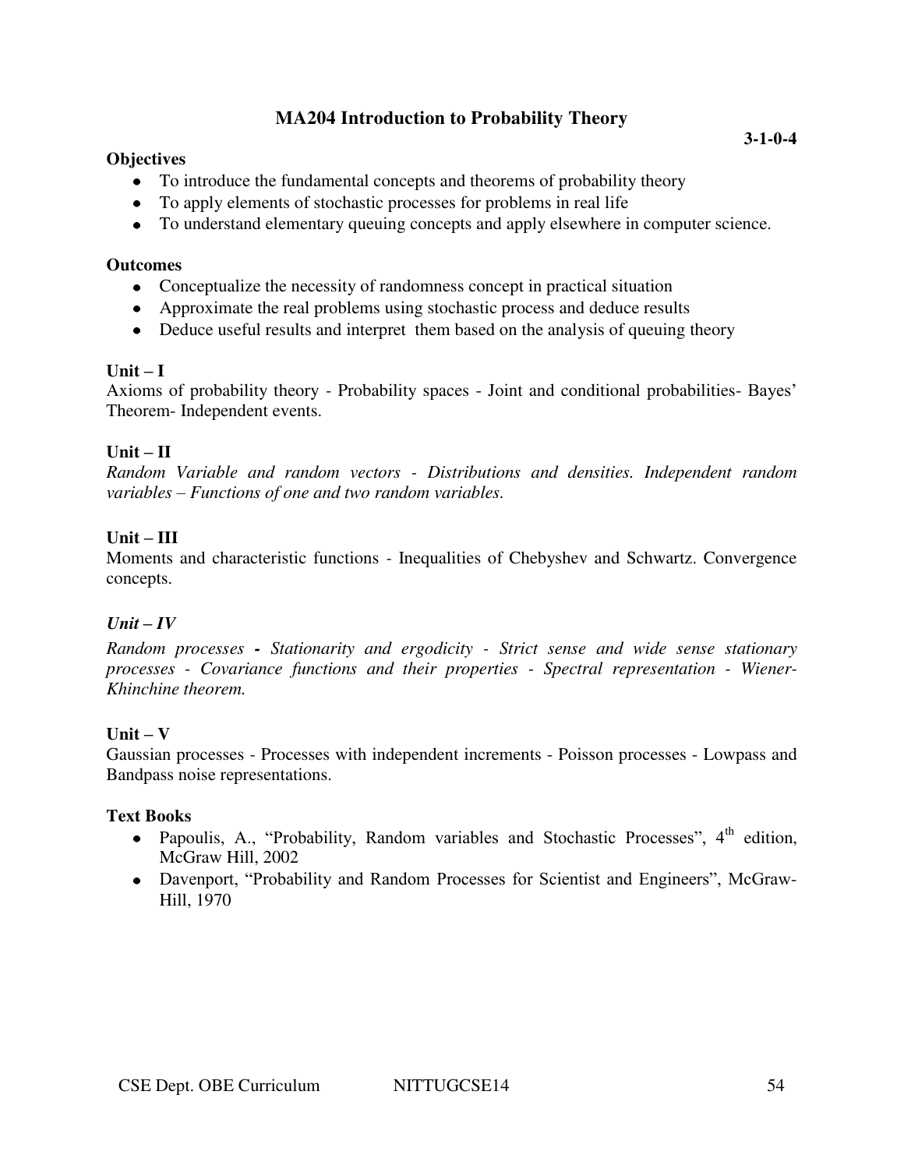## **MA204 Introduction to Probability Theory**

### **Objectives**

- To introduce the fundamental concepts and theorems of probability theory
- To apply elements of stochastic processes for problems in real life
- To understand elementary queuing concepts and apply elsewhere in computer science.

#### **Outcomes**

- Conceptualize the necessity of randomness concept in practical situation
- Approximate the real problems using stochastic process and deduce results
- Deduce useful results and interpret them based on the analysis of queuing theory

#### $\textbf{Unit} - \textbf{I}$

Axioms of probability theory *-* Probability spaces - Joint and conditional probabilities- Bayes' Theorem- Independent events.

## $Unit - II$

*Random Variable and random vectors - Distributions and densities. Independent random variables – Functions of one and two random variables.* 

## **Unit – III**

Moments and characteristic functions *-* Inequalities of Chebyshev and Schwartz. Convergence concepts.

## $Unit - IV$

*Random processes - Stationarity and ergodicity - Strict sense and wide sense stationary processes - Covariance functions and their properties - Spectral representation - Wiener-Khinchine theorem.*

## $Unit - V$

Gaussian processes *-* Processes with independent increments - Poisson processes - Lowpass and Bandpass noise representations.

#### **Text Books**

- Papoulis, A., "Probability, Random variables and Stochastic Processes",  $4<sup>th</sup>$  edition, McGraw Hill, 2002
- Davenport, "Probability and Random Processes for Scientist and Engineers", McGraw-Hill, 1970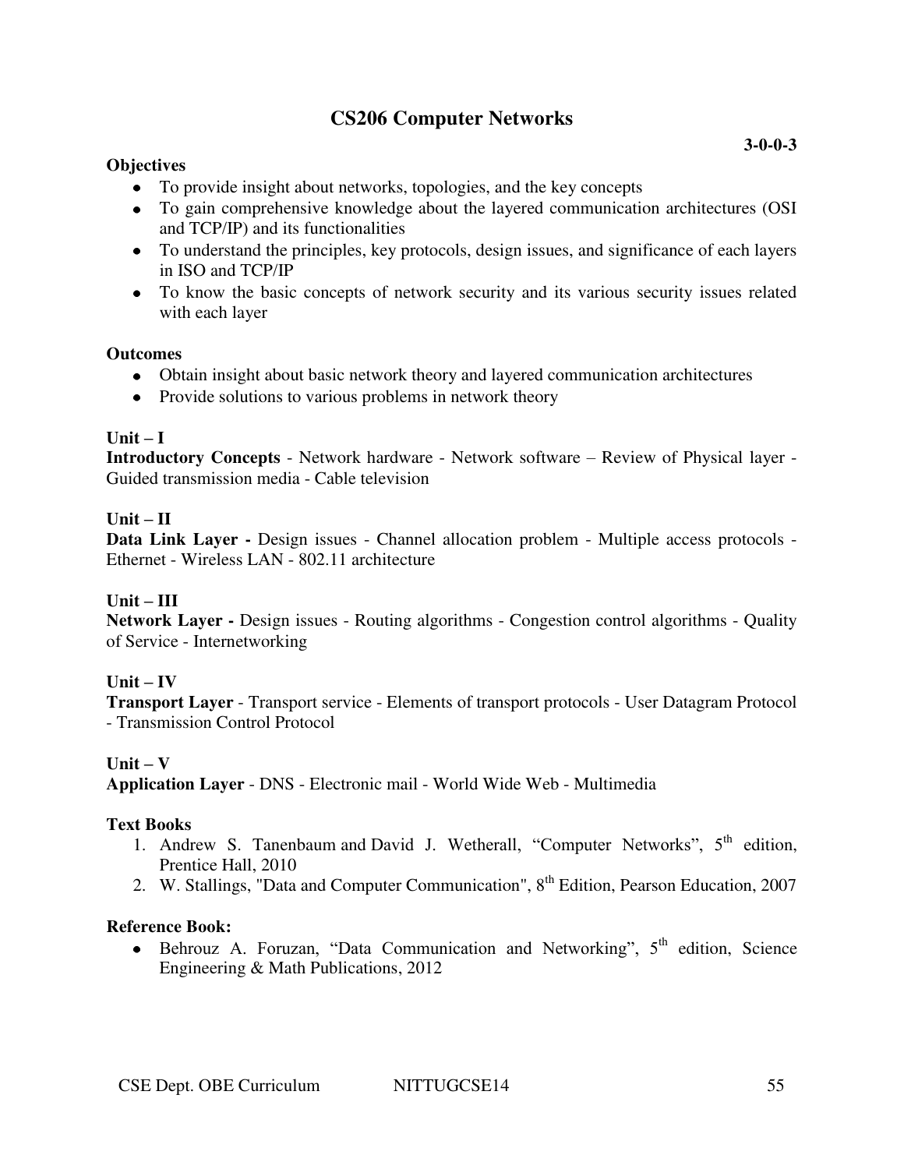## **CS206 Computer Networks**

### **Objectives**

- To provide insight about networks, topologies, and the key concepts
- To gain comprehensive knowledge about the layered communication architectures (OSI and TCP/IP) and its functionalities
- To understand the principles, key protocols, design issues, and significance of each layers in ISO and TCP/IP
- To know the basic concepts of network security and its various security issues related with each layer

### **Outcomes**

- Obtain insight about basic network theory and layered communication architectures
- Provide solutions to various problems in network theory

### $Unit - I$

**Introductory Concepts** - Network hardware - Network software – Review of Physical layer - Guided transmission media - Cable television

### $\mathbf{U}$ nit –  $\mathbf{U}$

**Data Link Layer -** Design issues - Channel allocation problem - Multiple access protocols - Ethernet - Wireless LAN - 802.11 architecture

## **Unit – III**

**Network Layer -** Design issues - Routing algorithms - Congestion control algorithms - Quality of Service - Internetworking

## $Unit - IV$

**Transport Layer** - Transport service - Elements of transport protocols - User Datagram Protocol - Transmission Control Protocol

#### $Unit - V$

**Application Layer** - DNS - Electronic mail - World Wide Web - Multimedia

## **Text Books**

- 1. Andrew S. Tanenbaum and David J. Wetherall, "Computer Networks",  $5<sup>th</sup>$  edition, Prentice Hall, 2010
- 2. W. Stallings, "Data and Computer Communication", 8<sup>th</sup> Edition, Pearson Education, 2007

#### **Reference Book:**

 $\bullet$  Behrouz A. Foruzan, "Data Communication and Networking",  $5<sup>th</sup>$  edition, Science Engineering & Math Publications, 2012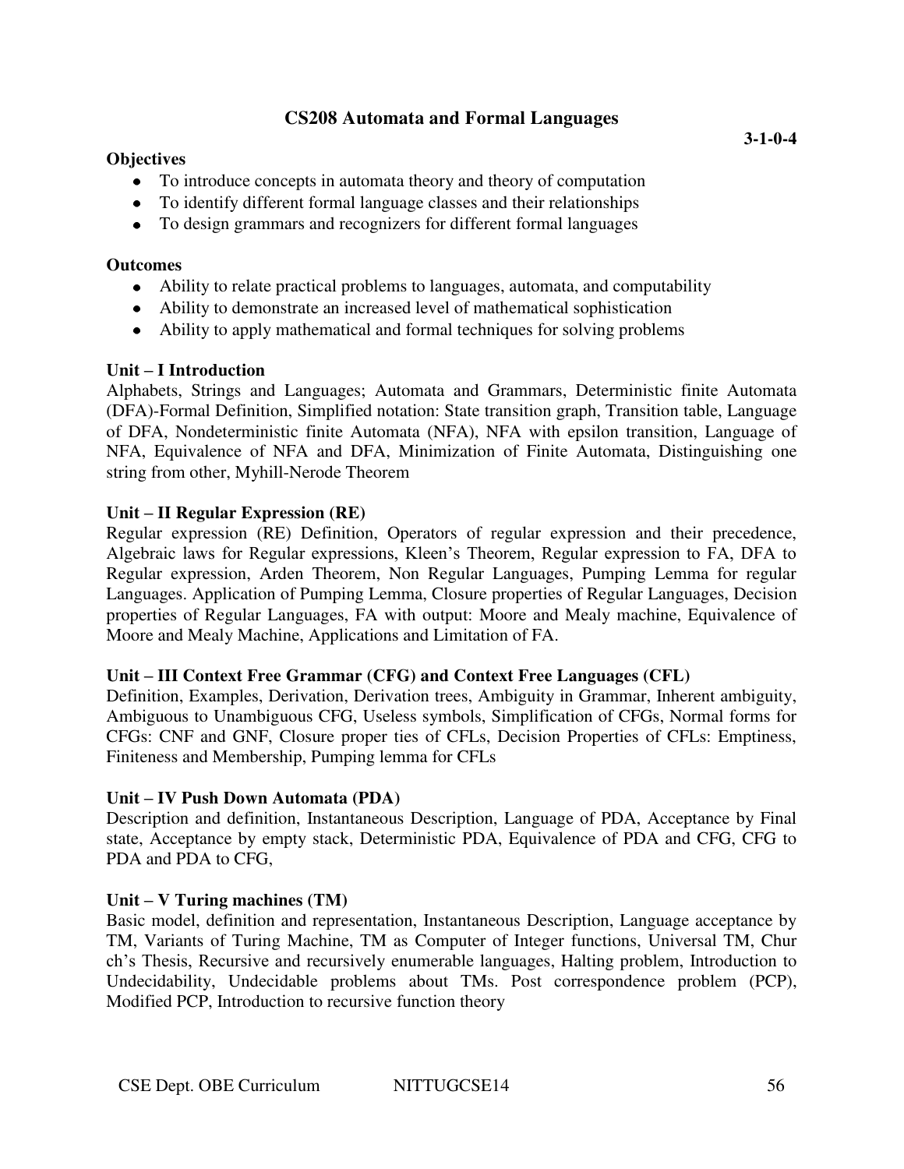## **CS208 Automata and Formal Languages**

### **Objectives**

- To introduce concepts in automata theory and theory of computation
- To identify different formal language classes and their relationships
- To design grammars and recognizers for different formal languages

#### **Outcomes**

- Ability to relate practical problems to languages, automata, and computability
- Ability to demonstrate an increased level of mathematical sophistication
- Ability to apply mathematical and formal techniques for solving problems

### **Unit – I Introduction**

Alphabets, Strings and Languages; Automata and Grammars, Deterministic finite Automata (DFA)-Formal Definition, Simplified notation: State transition graph, Transition table, Language of DFA, Nondeterministic finite Automata (NFA), NFA with epsilon transition, Language of NFA, Equivalence of NFA and DFA, Minimization of Finite Automata, Distinguishing one string from other, Myhill-Nerode Theorem

### **Unit – II Regular Expression (RE)**

Regular expression (RE) Definition, Operators of regular expression and their precedence, Algebraic laws for Regular expressions, Kleen's Theorem, Regular expression to FA, DFA to Regular expression, Arden Theorem, Non Regular Languages, Pumping Lemma for regular Languages. Application of Pumping Lemma, Closure properties of Regular Languages, Decision properties of Regular Languages, FA with output: Moore and Mealy machine, Equivalence of Moore and Mealy Machine, Applications and Limitation of FA.

#### **Unit – III Context Free Grammar (CFG) and Context Free Languages (CFL)**

Definition, Examples, Derivation, Derivation trees, Ambiguity in Grammar, Inherent ambiguity, Ambiguous to Unambiguous CFG, Useless symbols, Simplification of CFGs, Normal forms for CFGs: CNF and GNF, Closure proper ties of CFLs, Decision Properties of CFLs: Emptiness, Finiteness and Membership, Pumping lemma for CFLs

#### **Unit – IV Push Down Automata (PDA)**

Description and definition, Instantaneous Description, Language of PDA, Acceptance by Final state, Acceptance by empty stack, Deterministic PDA, Equivalence of PDA and CFG, CFG to PDA and PDA to CFG,

#### **Unit – V Turing machines (TM)**

Basic model, definition and representation, Instantaneous Description, Language acceptance by TM, Variants of Turing Machine, TM as Computer of Integer functions, Universal TM, Chur ch's Thesis, Recursive and recursively enumerable languages, Halting problem, Introduction to Undecidability, Undecidable problems about TMs. Post correspondence problem (PCP), Modified PCP, Introduction to recursive function theory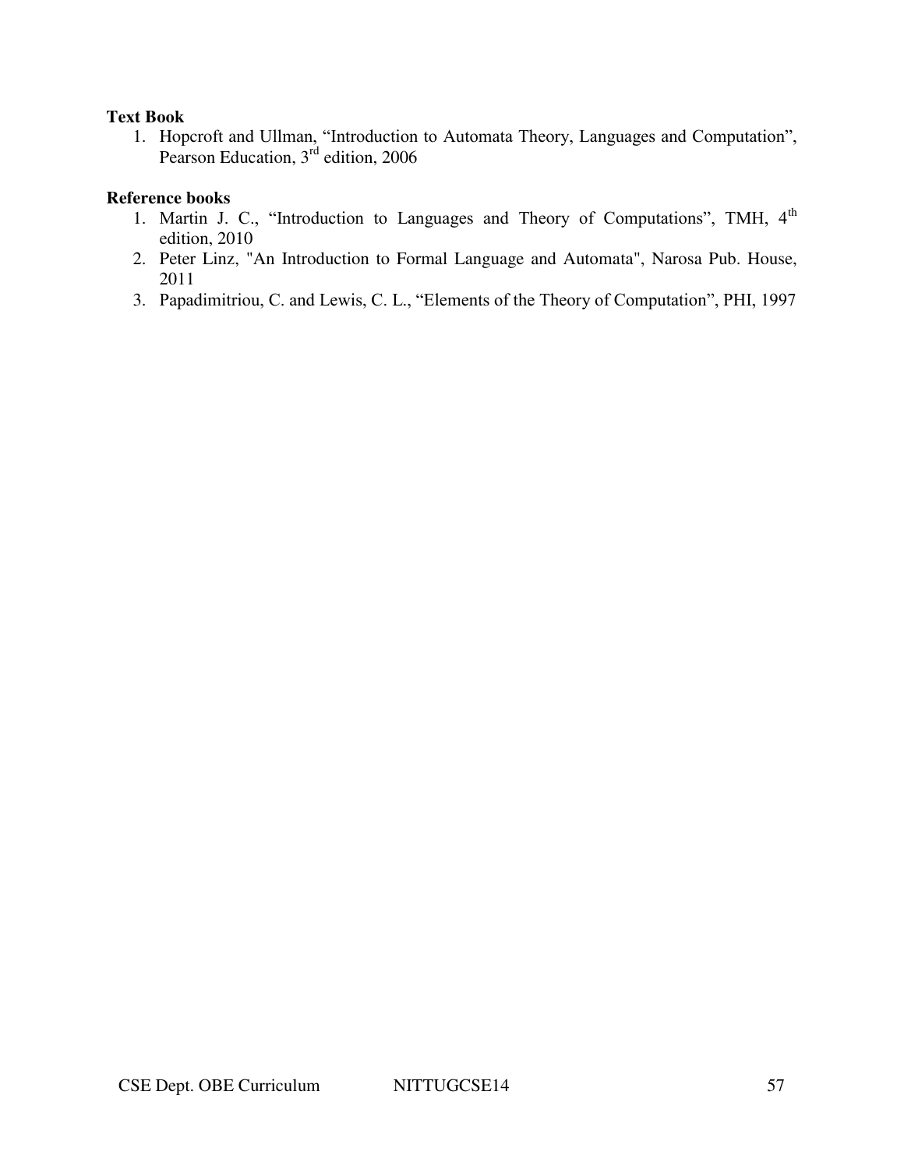#### **Text Book**

1. Hopcroft and Ullman, "Introduction to Automata Theory, Languages and Computation", Pearson Education, 3<sup>rd</sup> edition, 2006

#### **Reference books**

- 1. Martin J. C., "Introduction to Languages and Theory of Computations", TMH, 4<sup>th</sup> edition, 2010
- 2. Peter Linz, "An Introduction to Formal Language and Automata", Narosa Pub. House, 2011
- 3. Papadimitriou, C. and Lewis, C. L., "Elements of the Theory of Computation", PHI, 1997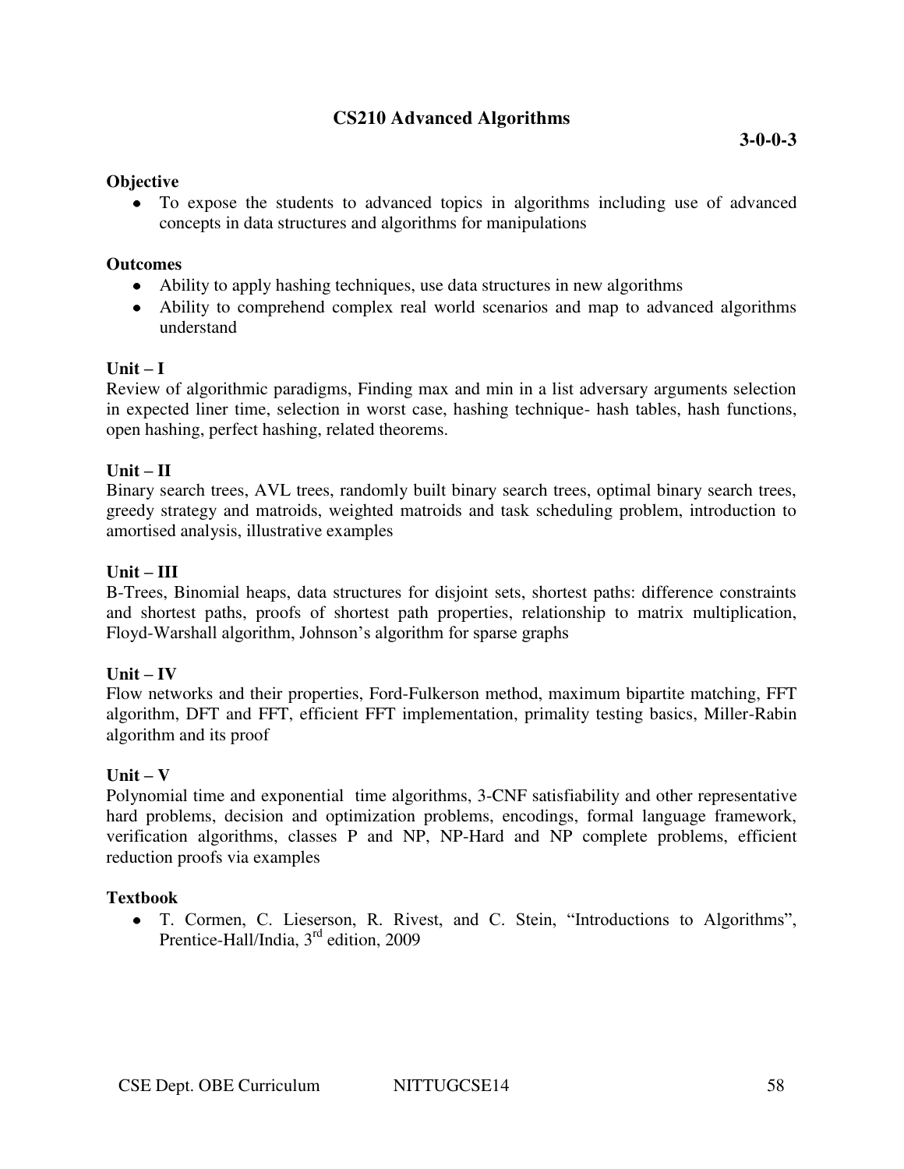## **CS210 Advanced Algorithms**

#### **Objective**

To expose the students to advanced topics in algorithms including use of advanced concepts in data structures and algorithms for manipulations

#### **Outcomes**

- Ability to apply hashing techniques, use data structures in new algorithms
- Ability to comprehend complex real world scenarios and map to advanced algorithms understand

### **Unit – I**

Review of algorithmic paradigms, Finding max and min in a list adversary arguments selection in expected liner time, selection in worst case, hashing technique- hash tables, hash functions, open hashing, perfect hashing, related theorems.

### **Unit – II**

Binary search trees, AVL trees, randomly built binary search trees, optimal binary search trees, greedy strategy and matroids, weighted matroids and task scheduling problem, introduction to amortised analysis, illustrative examples

### **Unit – III**

B-Trees, Binomial heaps, data structures for disjoint sets, shortest paths: difference constraints and shortest paths, proofs of shortest path properties, relationship to matrix multiplication, Floyd-Warshall algorithm, Johnson's algorithm for sparse graphs

#### $Unit - IV$

Flow networks and their properties, Ford-Fulkerson method, maximum bipartite matching, FFT algorithm, DFT and FFT, efficient FFT implementation, primality testing basics, Miller-Rabin algorithm and its proof

## $Unit - V$

Polynomial time and exponential time algorithms, 3-CNF satisfiability and other representative hard problems, decision and optimization problems, encodings, formal language framework, verification algorithms, classes P and NP, NP-Hard and NP complete problems, efficient reduction proofs via examples

## **Textbook**

T. Cormen, C. Lieserson, R. Rivest, and C. Stein, "Introductions to Algorithms", Prentice-Hall/India, 3<sup>rd</sup> edition, 2009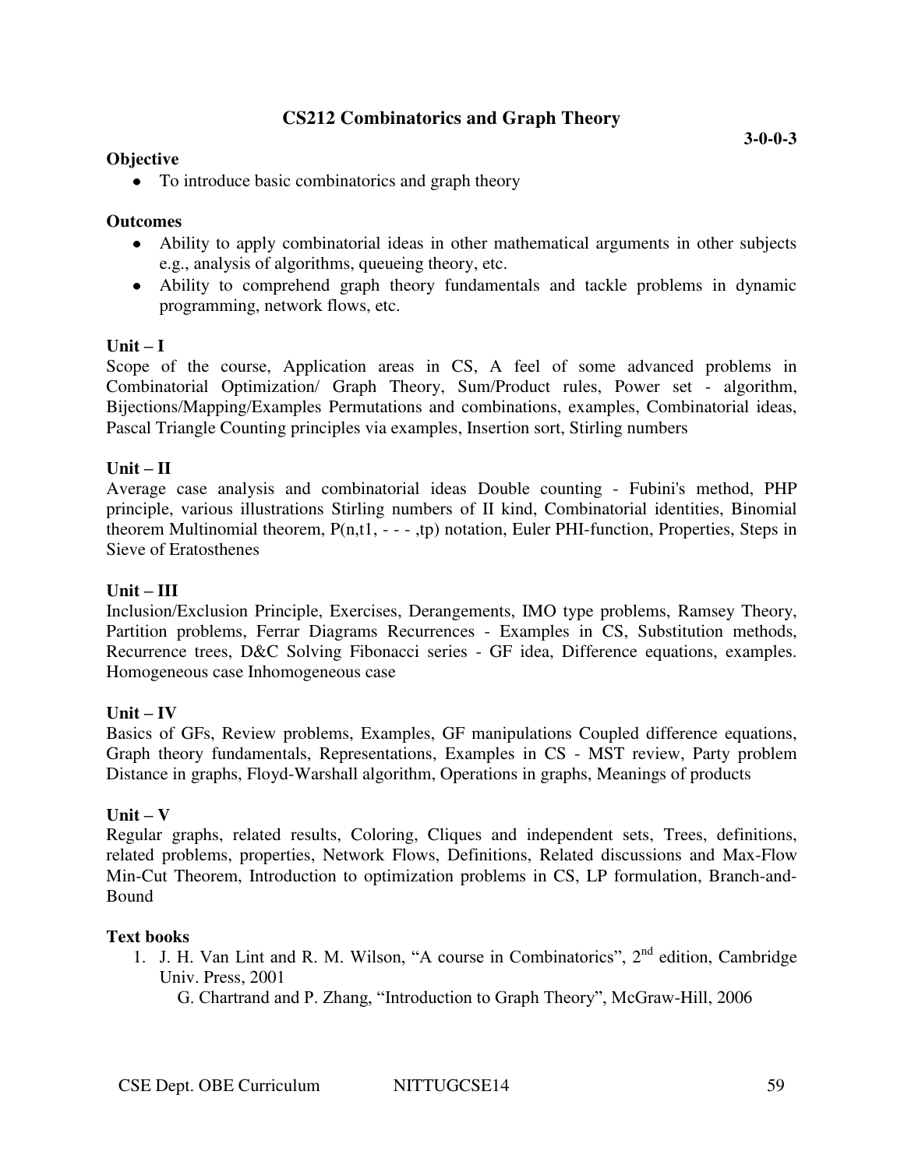## **CS212 Combinatorics and Graph Theory**

### **Objective**

• To introduce basic combinatorics and graph theory

#### **Outcomes**

- Ability to apply combinatorial ideas in other mathematical arguments in other subjects e.g., analysis of algorithms, queueing theory, etc.
- Ability to comprehend graph theory fundamentals and tackle problems in dynamic programming, network flows, etc.

### $\textbf{Unit} - \textbf{I}$

Scope of the course, Application areas in CS, A feel of some advanced problems in Combinatorial Optimization/ Graph Theory, Sum/Product rules, Power set - algorithm, Bijections/Mapping/Examples Permutations and combinations, examples, Combinatorial ideas, Pascal Triangle Counting principles via examples, Insertion sort, Stirling numbers

### **Unit – II**

Average case analysis and combinatorial ideas Double counting - Fubini's method, PHP principle, various illustrations Stirling numbers of II kind, Combinatorial identities, Binomial theorem Multinomial theorem, P(n,t1, - - - ,tp) notation, Euler PHI-function, Properties, Steps in Sieve of Eratosthenes

#### **Unit – III**

Inclusion/Exclusion Principle, Exercises, Derangements, IMO type problems, Ramsey Theory, Partition problems, Ferrar Diagrams Recurrences - Examples in CS, Substitution methods, Recurrence trees, D&C Solving Fibonacci series - GF idea, Difference equations, examples. Homogeneous case Inhomogeneous case

#### $Unit - IV$

Basics of GFs, Review problems, Examples, GF manipulations Coupled difference equations, Graph theory fundamentals, Representations, Examples in CS - MST review, Party problem Distance in graphs, Floyd-Warshall algorithm, Operations in graphs, Meanings of products

#### $\textbf{Unit} - \textbf{V}$

Regular graphs, related results, Coloring, Cliques and independent sets, Trees, definitions, related problems, properties, Network Flows, Definitions, Related discussions and Max-Flow Min-Cut Theorem, Introduction to optimization problems in CS, LP formulation, Branch-and-Bound

#### **Text books**

1. J. H. Van Lint and R. M. Wilson, "A course in Combinatorics", 2<sup>nd</sup> edition, Cambridge Univ. Press, 2001

G. Chartrand and P. Zhang, "Introduction to Graph Theory", McGraw-Hill, 2006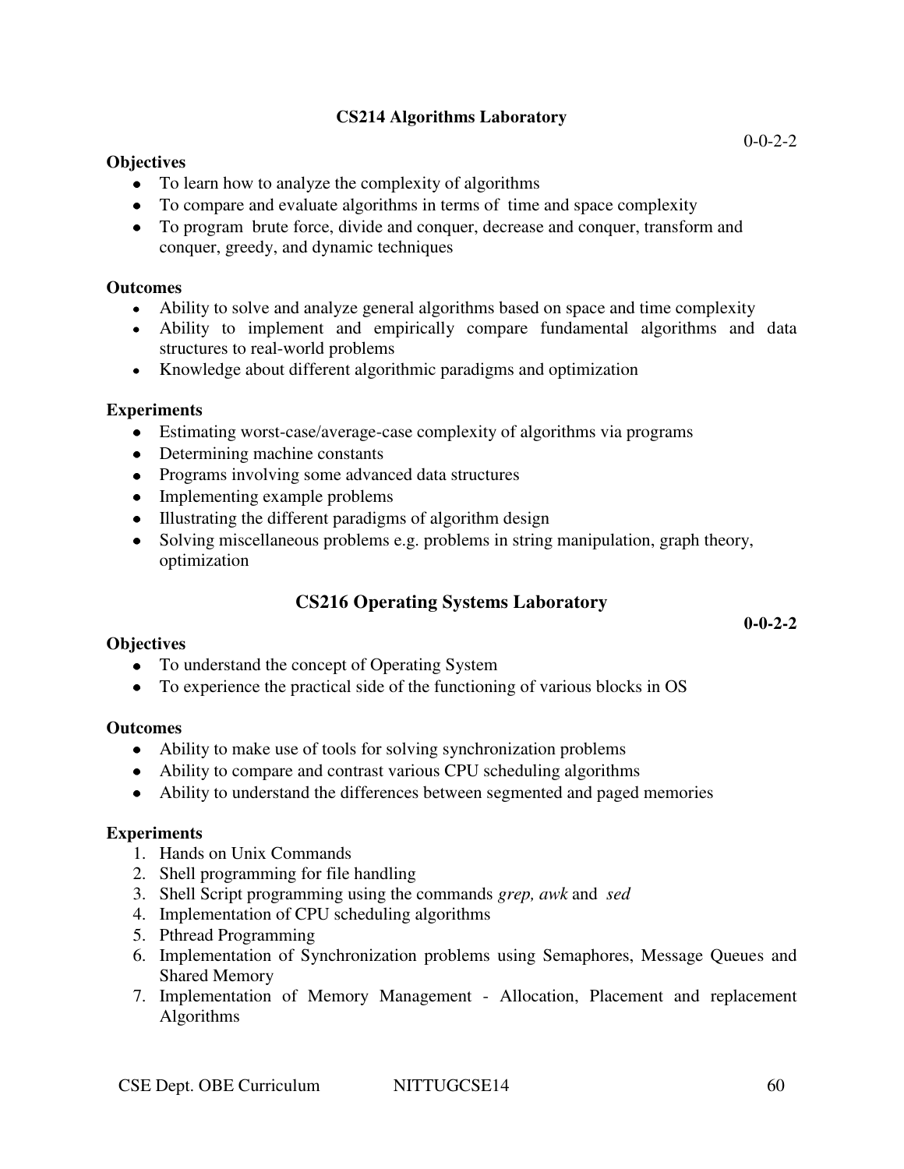## **CS214 Algorithms Laboratory**

### **Objectives**

- To learn how to analyze the complexity of algorithms
- To compare and evaluate algorithms in terms of time and space complexity
- To program brute force, divide and conquer, decrease and conquer, transform and conquer, greedy, and dynamic techniques

#### **Outcomes**

- Ability to solve and analyze general algorithms based on space and time complexity
- Ability to implement and empirically compare fundamental algorithms and data structures to real-world problems
- Knowledge about different algorithmic paradigms and optimization

### **Experiments**

- Estimating worst-case/average-case complexity of algorithms via programs
- Determining machine constants
- Programs involving some advanced data structures
- Implementing example problems
- Illustrating the different paradigms of algorithm design
- Solving miscellaneous problems e.g. problems in string manipulation, graph theory, optimization

## **CS216 Operating Systems Laboratory**

**0-0-2-2** 

#### **Objectives**

- To understand the concept of Operating System
- To experience the practical side of the functioning of various blocks in OS

#### **Outcomes**

- Ability to make use of tools for solving synchronization problems
- Ability to compare and contrast various CPU scheduling algorithms
- Ability to understand the differences between segmented and paged memories

#### **Experiments**

- 1. Hands on Unix Commands
- 2. Shell programming for file handling
- 3. Shell Script programming using the commands *grep, awk* and *sed*
- 4. Implementation of CPU scheduling algorithms
- 5. Pthread Programming
- 6. Implementation of Synchronization problems using Semaphores, Message Queues and Shared Memory
- 7. Implementation of Memory Management Allocation, Placement and replacement Algorithms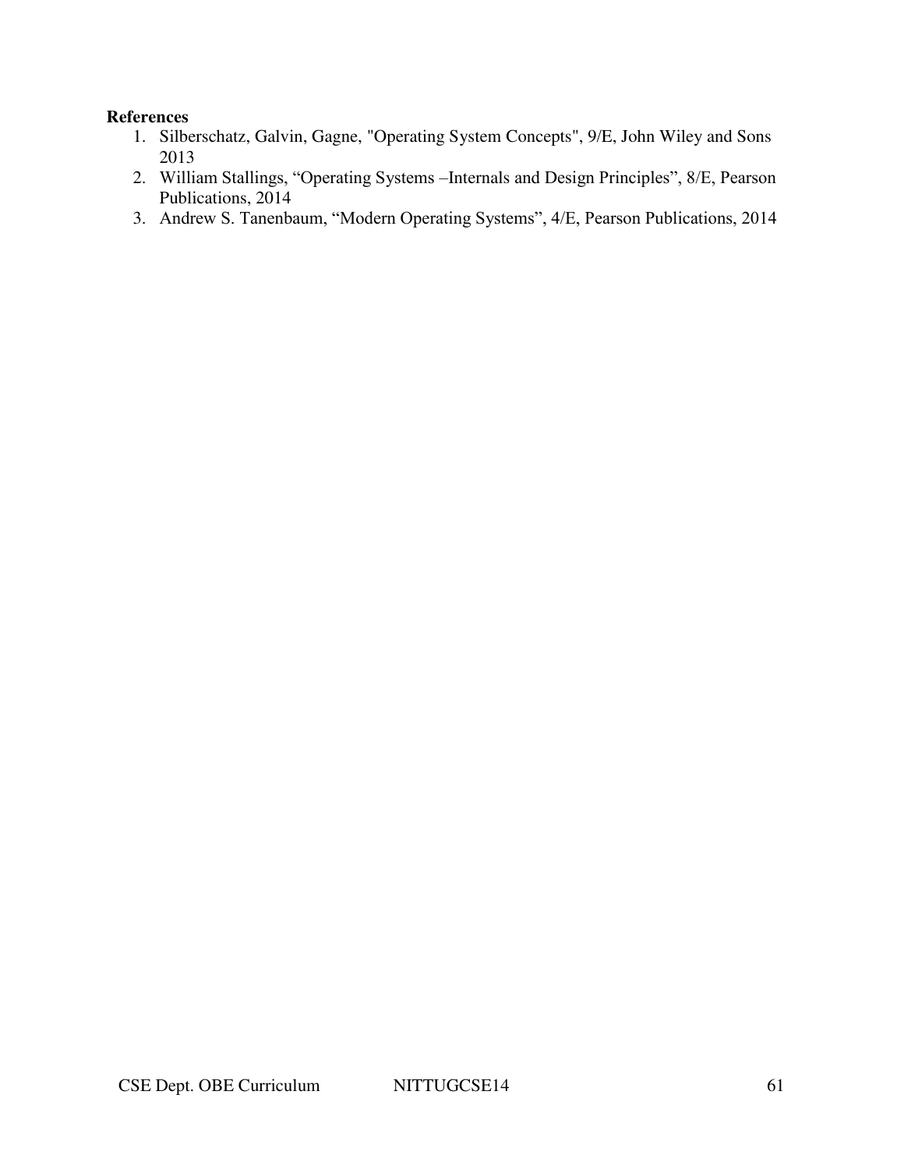#### **References**

- 1. Silberschatz, Galvin, Gagne, "Operating System Concepts", 9/E, John Wiley and Sons 2013
- 2. William Stallings, "Operating Systems –Internals and Design Principles", 8/E, Pearson Publications, 2014
- 3. Andrew S. Tanenbaum, "Modern Operating Systems", 4/E, Pearson Publications, 2014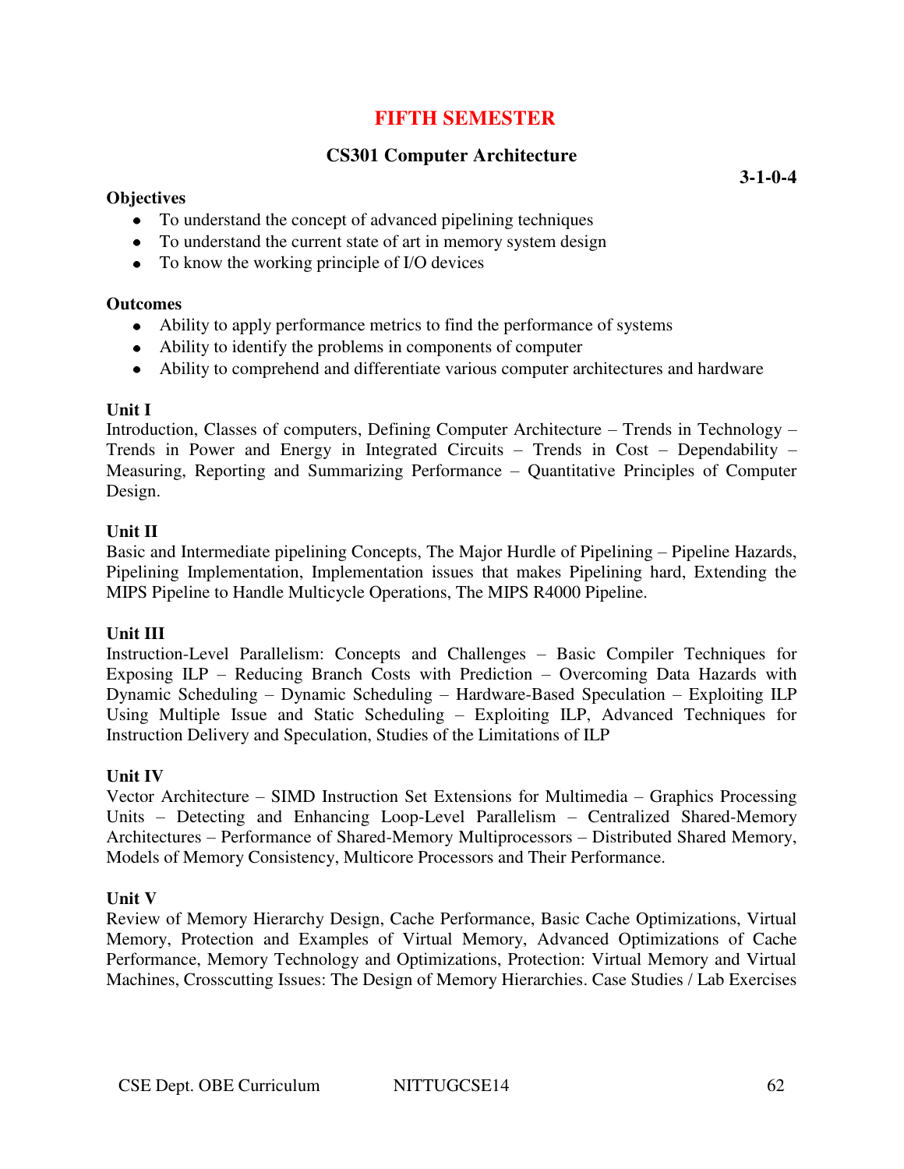## **FIFTH SEMESTER**

## **CS301 Computer Architecture**

#### **Objectives**

**3-1-0-4** 

- To understand the concept of advanced pipelining techniques
- To understand the current state of art in memory system design
- To know the working principle of I/O devices

#### **Outcomes**

- Ability to apply performance metrics to find the performance of systems
- Ability to identify the problems in components of computer
- Ability to comprehend and differentiate various computer architectures and hardware

#### **Unit I**

Introduction, Classes of computers, Defining Computer Architecture – Trends in Technology – Trends in Power and Energy in Integrated Circuits – Trends in Cost – Dependability – Measuring, Reporting and Summarizing Performance – Quantitative Principles of Computer Design.

### **Unit II**

Basic and Intermediate pipelining Concepts, The Major Hurdle of Pipelining – Pipeline Hazards, Pipelining Implementation, Implementation issues that makes Pipelining hard, Extending the MIPS Pipeline to Handle Multicycle Operations, The MIPS R4000 Pipeline.

## **Unit III**

Instruction-Level Parallelism: Concepts and Challenges – Basic Compiler Techniques for Exposing ILP – Reducing Branch Costs with Prediction – Overcoming Data Hazards with Dynamic Scheduling – Dynamic Scheduling – Hardware-Based Speculation – Exploiting ILP Using Multiple Issue and Static Scheduling – Exploiting ILP, Advanced Techniques for Instruction Delivery and Speculation, Studies of the Limitations of ILP

## **Unit IV**

Vector Architecture – SIMD Instruction Set Extensions for Multimedia – Graphics Processing Units – Detecting and Enhancing Loop-Level Parallelism – Centralized Shared-Memory Architectures – Performance of Shared-Memory Multiprocessors – Distributed Shared Memory, Models of Memory Consistency, Multicore Processors and Their Performance.

#### **Unit V**

Review of Memory Hierarchy Design, Cache Performance, Basic Cache Optimizations, Virtual Memory, Protection and Examples of Virtual Memory, Advanced Optimizations of Cache Performance, Memory Technology and Optimizations, Protection: Virtual Memory and Virtual Machines, Crosscutting Issues: The Design of Memory Hierarchies. Case Studies / Lab Exercises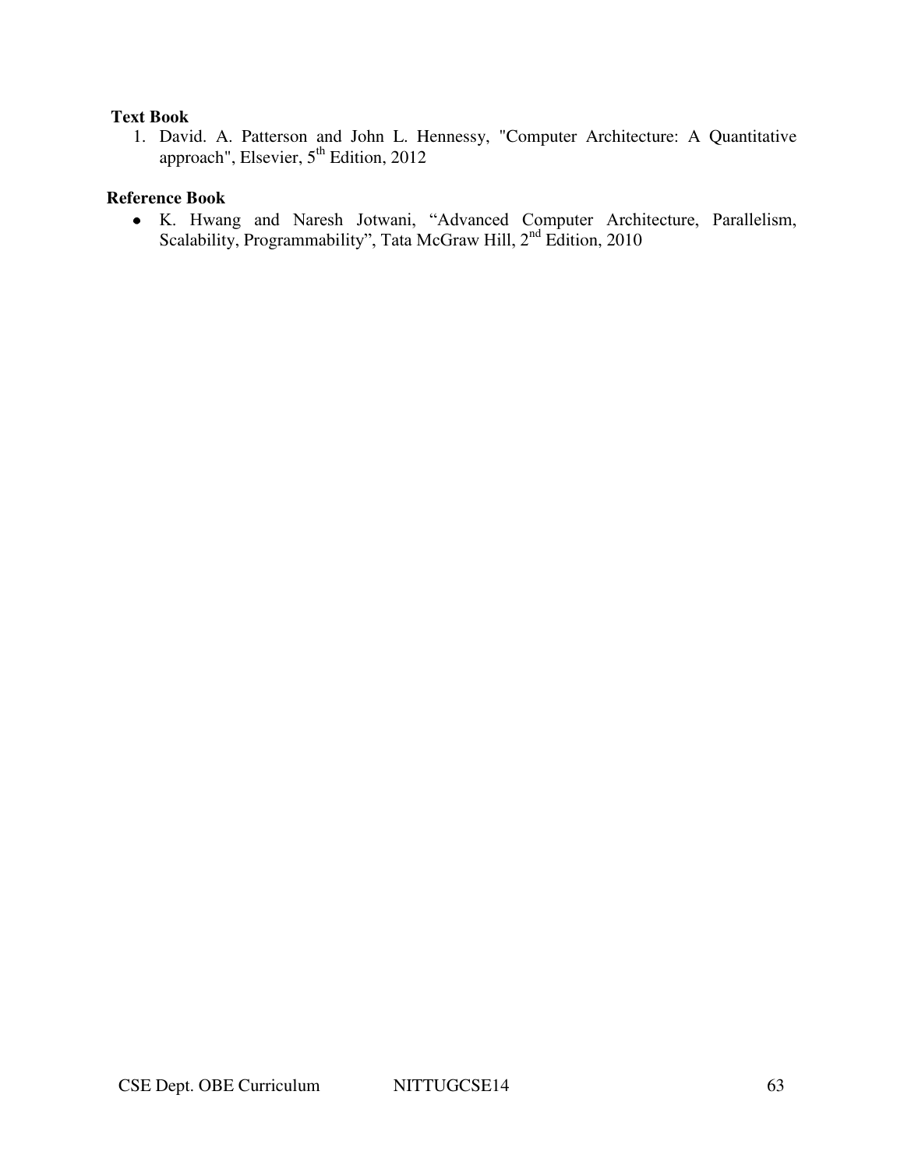### **Text Book**

1. David. A. Patterson and John L. Hennessy, "Computer Architecture: A Quantitative approach", Elsevier, 5<sup>th</sup> Edition, 2012

## **Reference Book**

K. Hwang and Naresh Jotwani, "Advanced Computer Architecture, Parallelism, Scalability, Programmability", Tata McGraw Hill, 2<sup>nd</sup> Edition, 2010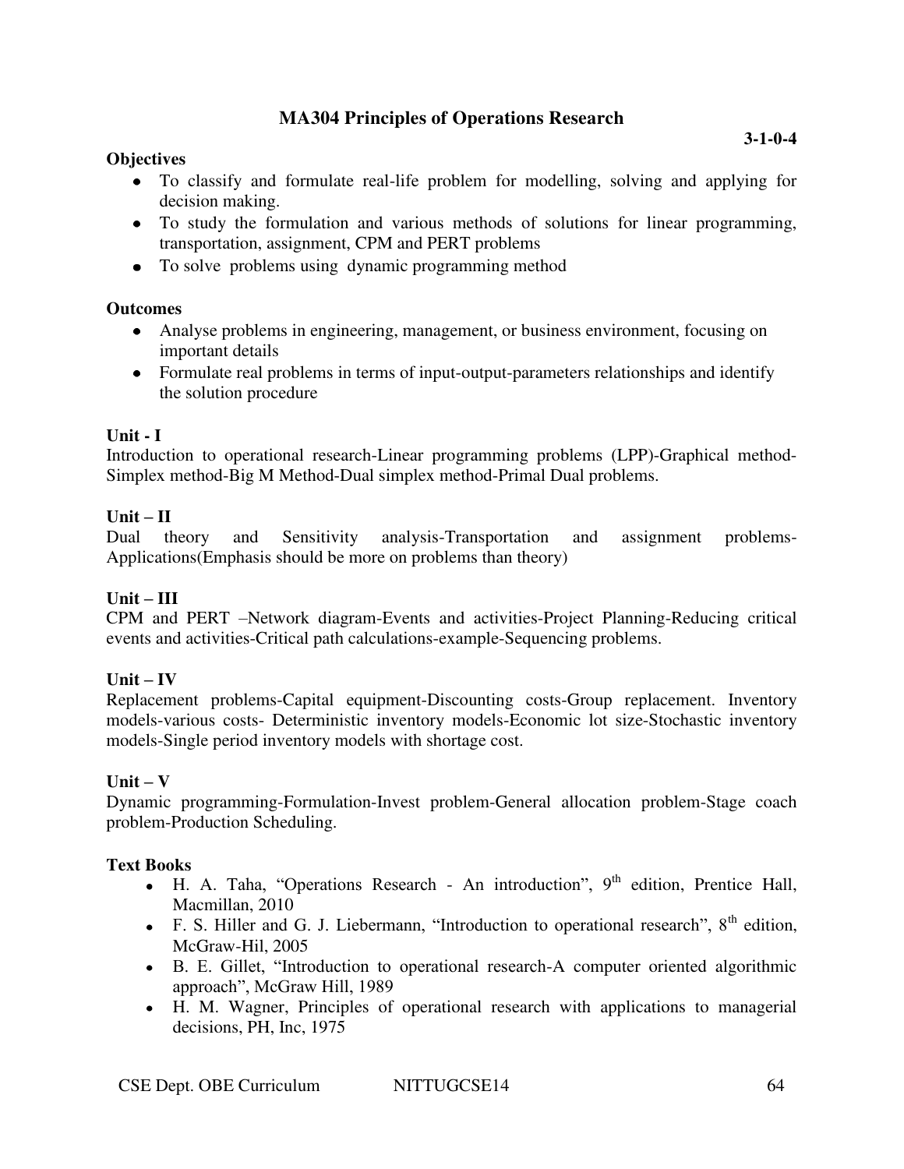## **MA304 Principles of Operations Research**

## **Objectives**

- To classify and formulate real-life problem for modelling, solving and applying for decision making.
- To study the formulation and various methods of solutions for linear programming, transportation, assignment, CPM and PERT problems
- To solve problems using dynamic programming method

## **Outcomes**

- Analyse problems in engineering, management, or business environment, focusing on important details
- Formulate real problems in terms of input-output-parameters relationships and identify the solution procedure

## **Unit - I**

Introduction to operational research-Linear programming problems (LPP)-Graphical method-Simplex method-Big M Method-Dual simplex method-Primal Dual problems.

## $Unit - II$

Dual theory and Sensitivity analysis-Transportation and assignment problems-Applications(Emphasis should be more on problems than theory)

## **Unit – III**

CPM and PERT –Network diagram-Events and activities-Project Planning-Reducing critical events and activities-Critical path calculations-example-Sequencing problems.

## $Unit - IV$

Replacement problems-Capital equipment-Discounting costs-Group replacement. Inventory models-various costs- Deterministic inventory models-Economic lot size-Stochastic inventory models-Single period inventory models with shortage cost.

## $Unit - V$

Dynamic programming-Formulation-Invest problem-General allocation problem-Stage coach problem-Production Scheduling.

## **Text Books**

- $\bullet$  H. A. Taha, "Operations Research An introduction", 9<sup>th</sup> edition, Prentice Hall, Macmillan, 2010
- F. S. Hiller and G. J. Liebermann, "Introduction to operational research",  $8<sup>th</sup>$  edition, McGraw-Hil, 2005
- B. E. Gillet, "Introduction to operational research-A computer oriented algorithmic approach", McGraw Hill, 1989
- H. M. Wagner, Principles of operational research with applications to managerial decisions, PH, Inc, 1975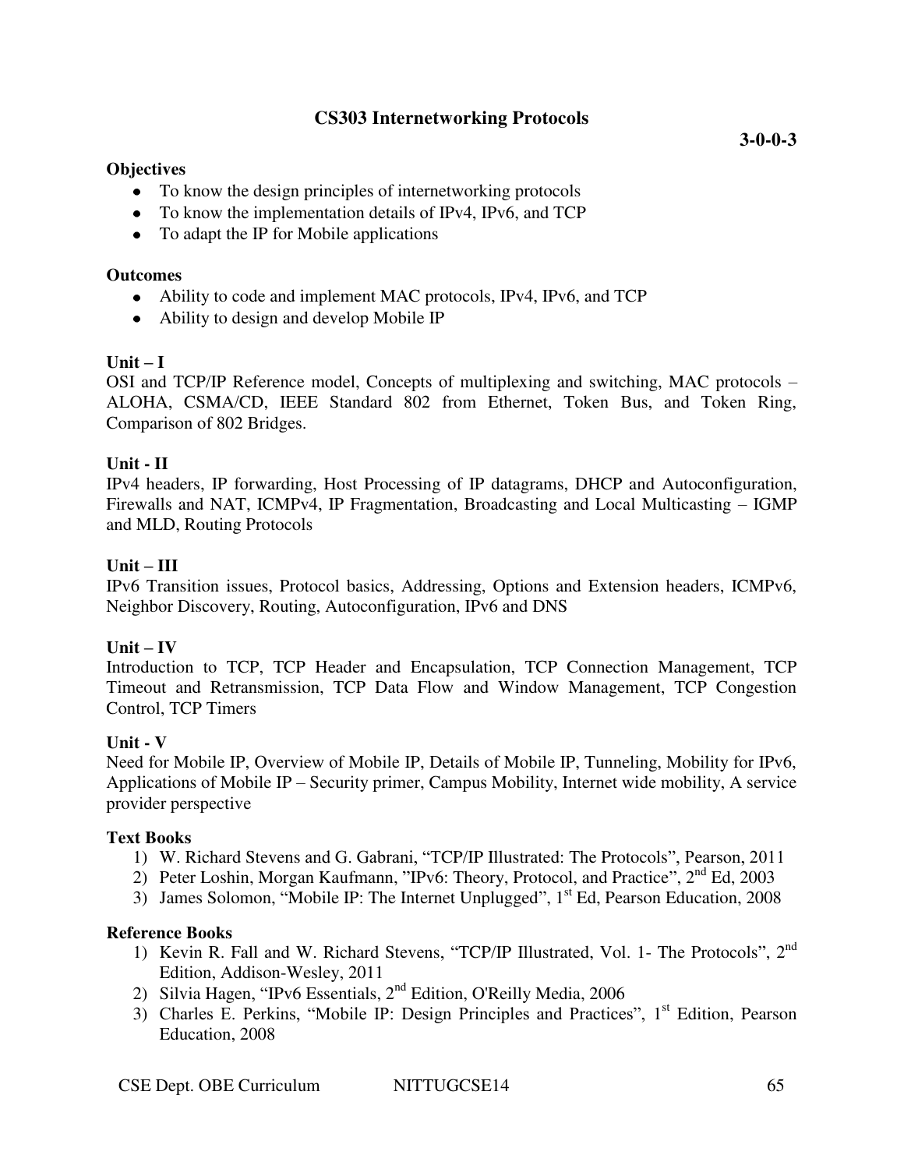## **CS303 Internetworking Protocols**

#### **Objectives**

- To know the design principles of internetworking protocols
- To know the implementation details of IPv4, IPv6, and TCP
- To adapt the IP for Mobile applications

### **Outcomes**

- Ability to code and implement MAC protocols, IPv4, IPv6, and TCP
- Ability to design and develop Mobile IP

### $\textbf{Unit} - \textbf{I}$

OSI and TCP/IP Reference model, Concepts of multiplexing and switching, MAC protocols – ALOHA, CSMA/CD, IEEE Standard 802 from Ethernet, Token Bus, and Token Ring, Comparison of 802 Bridges.

### **Unit - II**

IPv4 headers, IP forwarding, Host Processing of IP datagrams, DHCP and Autoconfiguration, Firewalls and NAT, ICMPv4, IP Fragmentation, Broadcasting and Local Multicasting – IGMP and MLD, Routing Protocols

### **Unit – III**

IPv6 Transition issues, Protocol basics, Addressing, Options and Extension headers, ICMPv6, Neighbor Discovery, Routing, Autoconfiguration, IPv6 and DNS

#### $Unit - IV$

Introduction to TCP, TCP Header and Encapsulation, TCP Connection Management, TCP Timeout and Retransmission, TCP Data Flow and Window Management, TCP Congestion Control, TCP Timers

#### **Unit - V**

Need for Mobile IP, Overview of Mobile IP, Details of Mobile IP, Tunneling, Mobility for IPv6, Applications of Mobile IP – Security primer, Campus Mobility, Internet wide mobility, A service provider perspective

#### **Text Books**

- 1) W. Richard Stevens and G. Gabrani, "TCP/IP Illustrated: The Protocols", Pearson, 2011
- 2) [Peter Loshin,](http://www.google.co.in/search?tbo=p&tbm=bks&q=inauthor:%22Peter+Loshin%22) Morgan Kaufmann, "IPv6: Theory, Protocol, and Practice",  $2<sup>nd</sup> Ed$ , 2003
- 3) [James Solomon](http://www.amazon.com/s/ref=ntt_athr_dp_sr_1?_encoding=UTF8&field-author=James%20Solomon&search-alias=books&sort=relevancerank), "Mobile IP: The Internet Unplugged",  $1<sup>st</sup>$  Ed, Pearson Education, 2008

#### **Reference Books**

- 1) Kevin R. Fall and W. Richard Stevens, "TCP/IP Illustrated, Vol. 1- The Protocols", 2<sup>nd</sup> Edition, Addison-Wesley, 2011
- 2) Silvia Hagen, "IPv6 Essentials, 2nd Edition, O'Reilly Media, 2006
- 3) Charles E. Perkins, "Mobile IP: Design Principles and Practices", 1<sup>st</sup> Edition, Pearson Education, 2008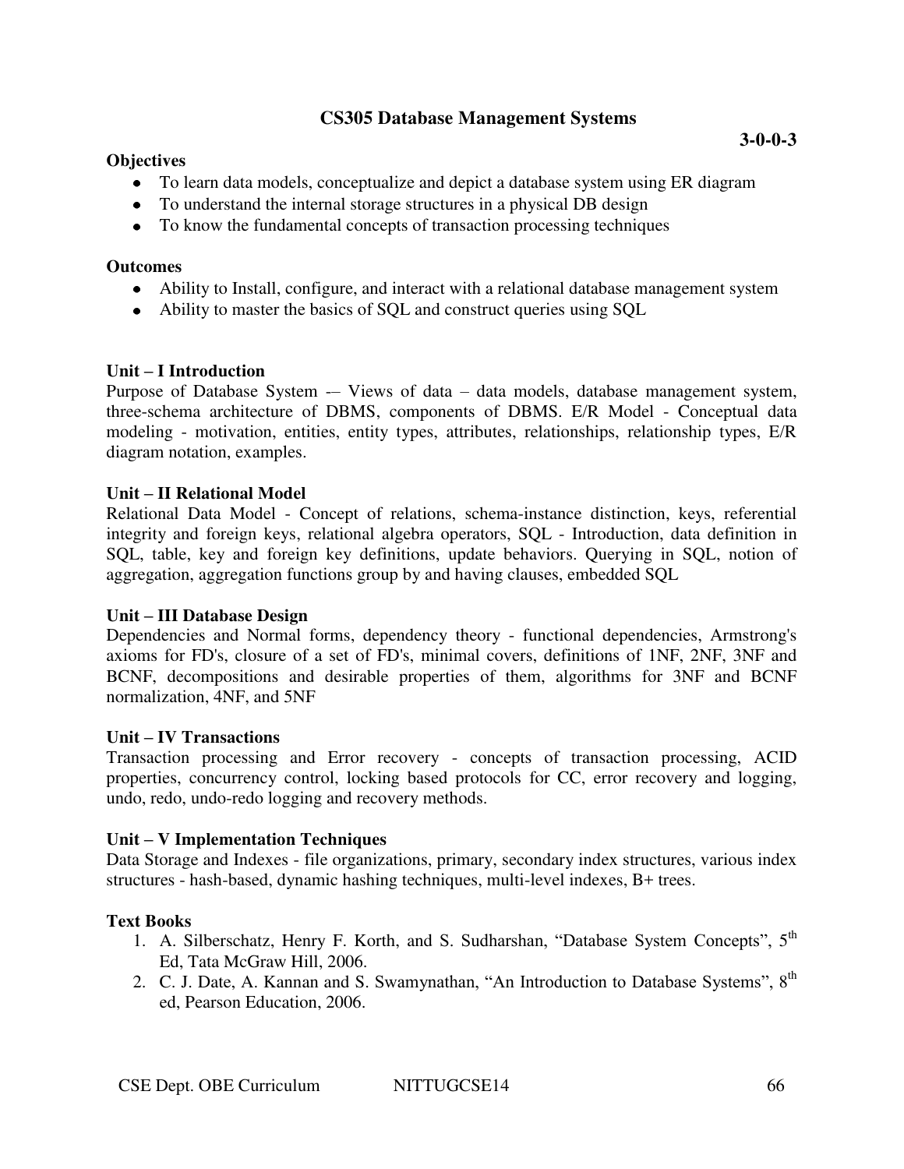## **CS305 Database Management Systems**

### **Objectives**

- To learn data models, conceptualize and depict a database system using ER diagram
- To understand the internal storage structures in a physical DB design
- To know the fundamental concepts of transaction processing techniques

#### **Outcomes**

- Ability to Install, configure, and interact with a relational database management system
- Ability to master the basics of SQL and construct queries using SQL

#### **Unit – I Introduction**

Purpose of Database System -– Views of data – data models, database management system, three-schema architecture of DBMS, components of DBMS. E/R Model - Conceptual data modeling - motivation, entities, entity types, attributes, relationships, relationship types, E/R diagram notation, examples.

#### **Unit – II Relational Model**

Relational Data Model - Concept of relations, schema-instance distinction, keys, referential integrity and foreign keys, relational algebra operators, SQL - Introduction, data definition in SQL, table, key and foreign key definitions, update behaviors. Querying in SQL, notion of aggregation, aggregation functions group by and having clauses, embedded SQL

#### **Unit – III Database Design**

Dependencies and Normal forms, dependency theory - functional dependencies, Armstrong's axioms for FD's, closure of a set of FD's, minimal covers, definitions of 1NF, 2NF, 3NF and BCNF, decompositions and desirable properties of them, algorithms for 3NF and BCNF normalization, 4NF, and 5NF

#### **Unit – IV Transactions**

Transaction processing and Error recovery - concepts of transaction processing, ACID properties, concurrency control, locking based protocols for CC, error recovery and logging, undo, redo, undo-redo logging and recovery methods.

#### **Unit – V Implementation Techniques**

Data Storage and Indexes - file organizations, primary, secondary index structures, various index structures - hash-based, dynamic hashing techniques, multi-level indexes, B+ trees.

## **Text Books**

- 1. A. Silberschatz, Henry F. Korth, and S. Sudharshan, "Database System Concepts", 5<sup>th</sup> Ed, Tata McGraw Hill, 2006.
- 2. C. J. Date, A. Kannan and S. Swamynathan, "An Introduction to Database Systems", 8<sup>th</sup> ed, Pearson Education, 2006.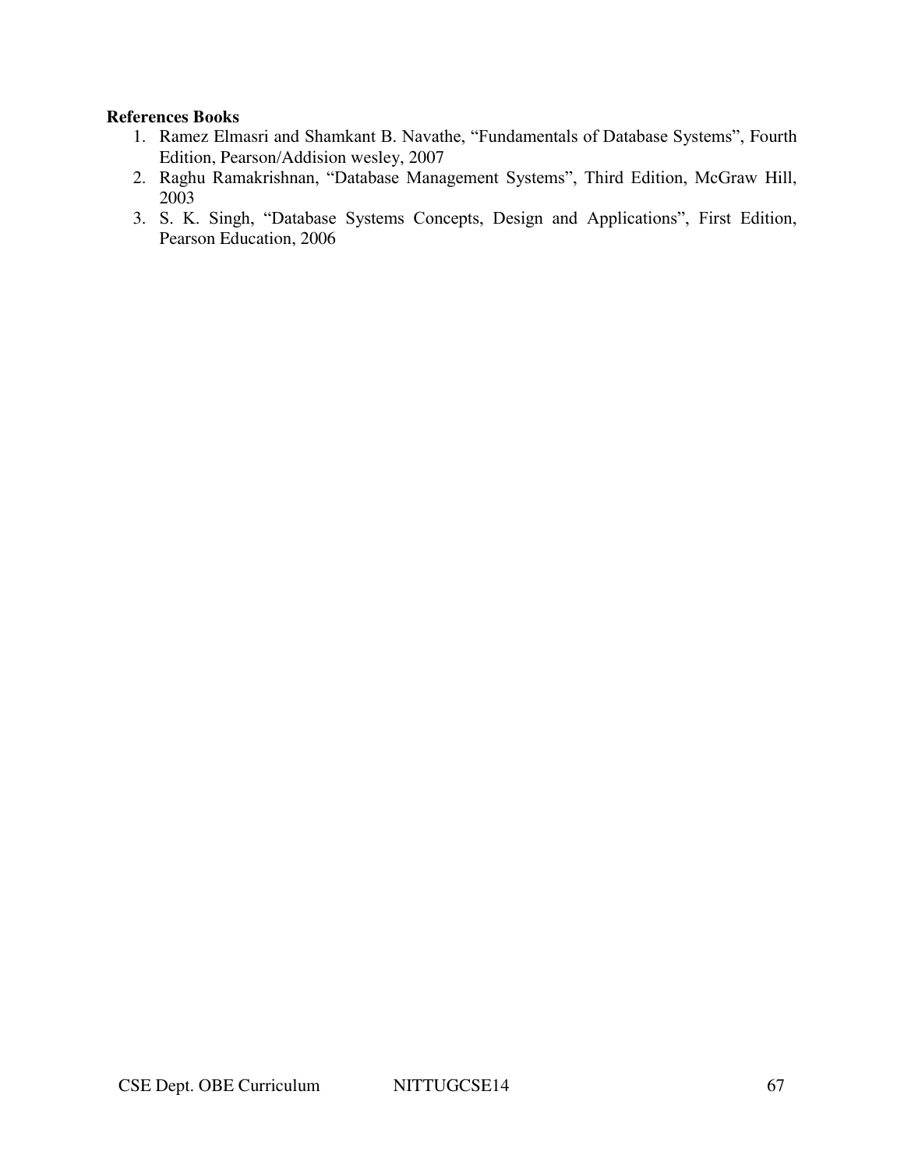#### **References Books**

- 1. Ramez Elmasri and Shamkant B. Navathe, "Fundamentals of Database Systems", Fourth Edition, Pearson/Addision wesley, 2007
- 2. Raghu Ramakrishnan, "Database Management Systems", Third Edition, McGraw Hill, 2003
- 3. S. K. Singh, "Database Systems Concepts, Design and Applications", First Edition, Pearson Education, 2006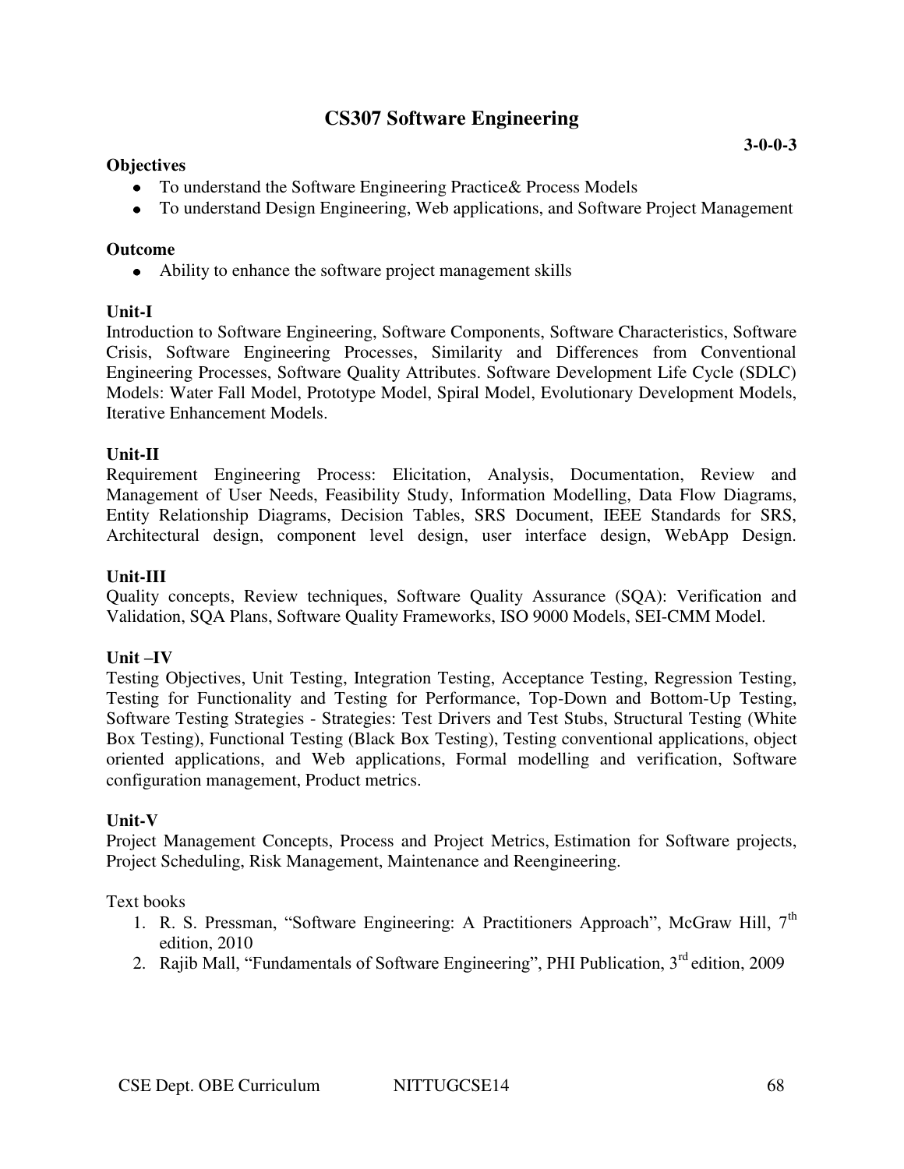## **CS307 Software Engineering**

#### **Objectives**

- To understand the Software Engineering Practice& Process Models
- To understand Design Engineering, Web applications, and Software Project Management

### **Outcome**

Ability to enhance the software project management skills

### **Unit-I**

Introduction to Software Engineering, Software Components, Software Characteristics, Software Crisis, Software Engineering Processes, Similarity and Differences from Conventional Engineering Processes, Software Quality Attributes. Software Development Life Cycle (SDLC) Models: Water Fall Model, Prototype Model, Spiral Model, Evolutionary Development Models, Iterative Enhancement Models.

### **Unit-II**

Requirement Engineering Process: Elicitation, Analysis, Documentation, Review and Management of User Needs, Feasibility Study, Information Modelling, Data Flow Diagrams, Entity Relationship Diagrams, Decision Tables, SRS Document, IEEE Standards for SRS, Architectural design, component level design, user interface design, WebApp Design.

### **Unit-III**

Quality concepts, Review techniques, Software Quality Assurance (SQA): Verification and Validation, SQA Plans, Software Quality Frameworks, ISO 9000 Models, SEI-CMM Model.

#### **Unit –IV**

Testing Objectives, Unit Testing, Integration Testing, Acceptance Testing, Regression Testing, Testing for Functionality and Testing for Performance, Top-Down and Bottom-Up Testing, Software Testing Strategies - Strategies: Test Drivers and Test Stubs, Structural Testing (White Box Testing), Functional Testing (Black Box Testing), Testing conventional applications, object oriented applications, and Web applications, Formal modelling and verification, Software configuration management, Product metrics.

#### **Unit-V**

Project Management Concepts, Process and Project Metrics, Estimation for Software projects, Project Scheduling, Risk Management, Maintenance and Reengineering.

Text books

- 1. R. S. Pressman, "Software Engineering: A Practitioners Approach", McGraw Hill, 7<sup>th</sup> edition, 2010
- 2. Rajib Mall, "Fundamentals of Software Engineering", PHI Publication, 3<sup>rd</sup> edition, 2009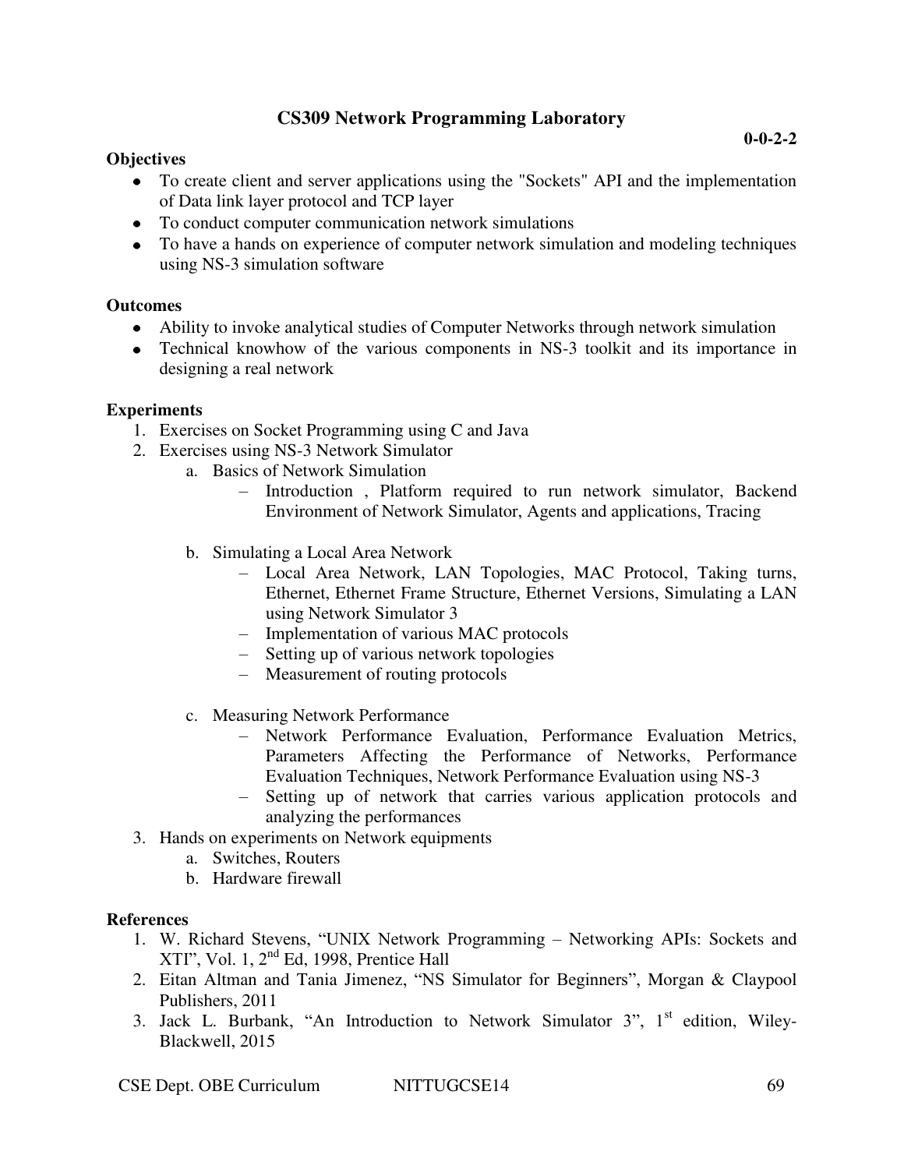## **CS309 Network Programming Laboratory**

### **Objectives**

- To create client and server applications using the "Sockets" API and the implementation of Data link layer protocol and TCP layer
- To conduct computer communication network simulations
- To have a hands on experience of computer network simulation and modeling techniques using NS-3 simulation software

### **Outcomes**

- Ability to invoke analytical studies of Computer Networks through network simulation
- Technical knowhow of the various components in NS-3 toolkit and its importance in designing a real network

### **Experiments**

- 1. Exercises on Socket Programming using C and Java
- 2. Exercises using NS-3 Network Simulator
	- a. [Basics of Network Simulation](http://virtual-labs.ac.in/cse28/ant/ant/1/) 
		- Introduction , Platform required to run network simulator, Backend Environment of Network Simulator, Agents and applications, Tracing
		- b. Simulating a Local Area Network
			- Local Area Network, LAN Topologies, MAC Protocol, Taking turns, Ethernet, Ethernet Frame Structure, Ethernet Versions, Simulating a LAN using Network Simulator 3
			- Implementation of various MAC protocols
			- Setting up of various network topologies
			- Measurement of routing protocols
		- c. [Measuring Network Performance](http://virtual-labs.ac.in/cse28/ant/ant/3/) 
			- Network Performance Evaluation, Performance Evaluation Metrics, Parameters Affecting the Performance of Networks, Performance Evaluation Techniques, Network Performance Evaluation using NS-3
			- Setting up of network that carries various application protocols and analyzing the performances
- 3. Hands on experiments on Network equipments
	- a. Switches, Routers
	- b. Hardware firewall

#### **References**

- 1. W. Richard Stevens, "UNIX Network Programming Networking APIs: Sockets and XTI", Vol. 1, 2nd Ed, 1998, Prentice Hall
- 2. Eitan Altman and Tania Jimenez, "NS Simulator for Beginners", Morgan & Claypool Publishers, 2011
- 3. Jack L. Burbank, "An Introduction to Network Simulator  $3$ ",  $1<sup>st</sup>$  edition, Wiley-Blackwell, 2015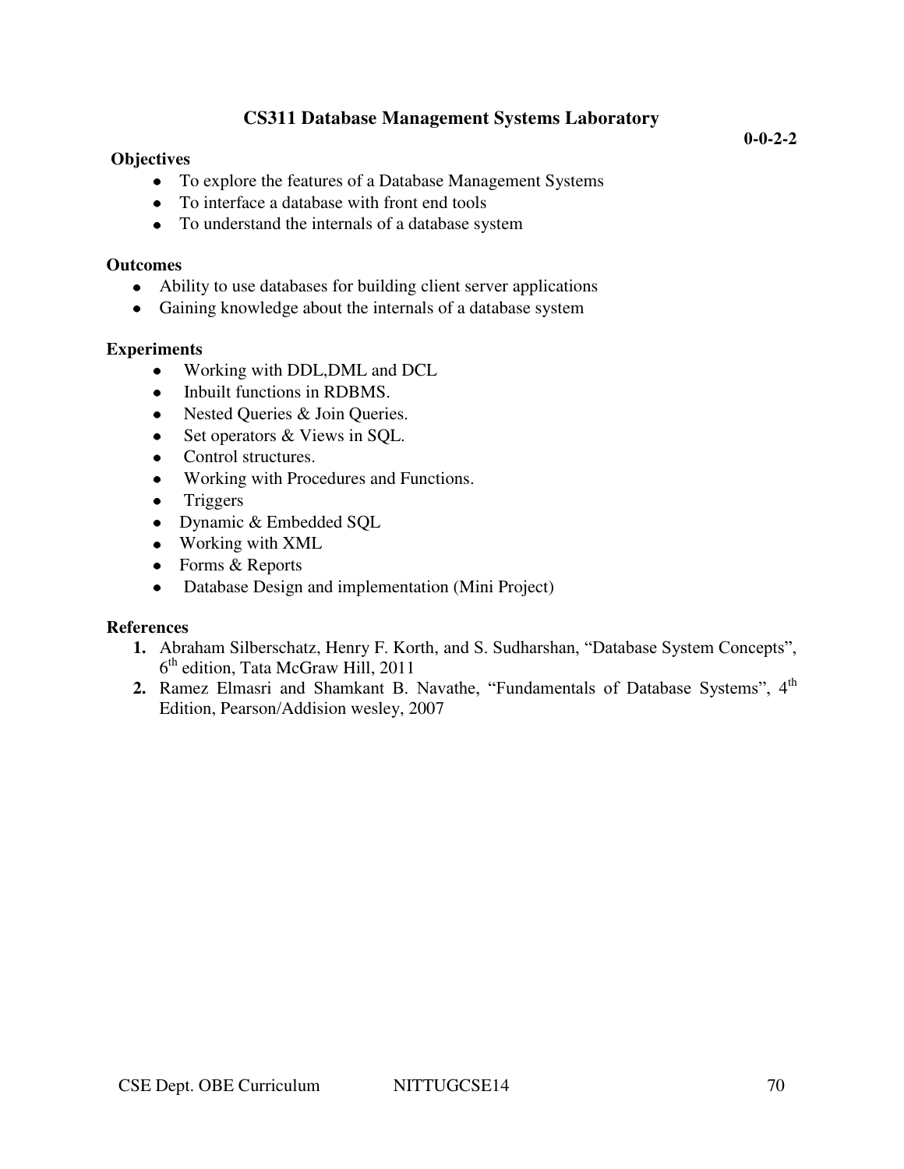## **Objectives**

- To explore the features of a Database Management Systems
- To interface a database with front end tools
- To understand the internals of a database system

### **Outcomes**

- Ability to use databases for building client server applications
- Gaining knowledge about the internals of a database system

## **Experiments**

- Working with DDL,DML and DCL  $\bullet$
- Inbuilt functions in RDBMS.  $\bullet$
- Nested Queries & Join Queries.
- Set operators & Views in SQL.
- Control structures.
- Working with Procedures and Functions.  $\bullet$
- Triggers  $\bullet$
- Dynamic & Embedded SQL
- Working with XML
- Forms & Reports
- Database Design and implementation (Mini Project)  $\bullet$

## **References**

- **1.** Abraham Silberschatz, Henry F. Korth, and S. Sudharshan, "Database System Concepts", 6 th edition, Tata McGraw Hill, 2011
- **2.** Ramez Elmasri and Shamkant B. Navathe, "Fundamentals of Database Systems", 4<sup>th</sup> Edition, Pearson/Addision wesley, 2007

**0-0-2-2**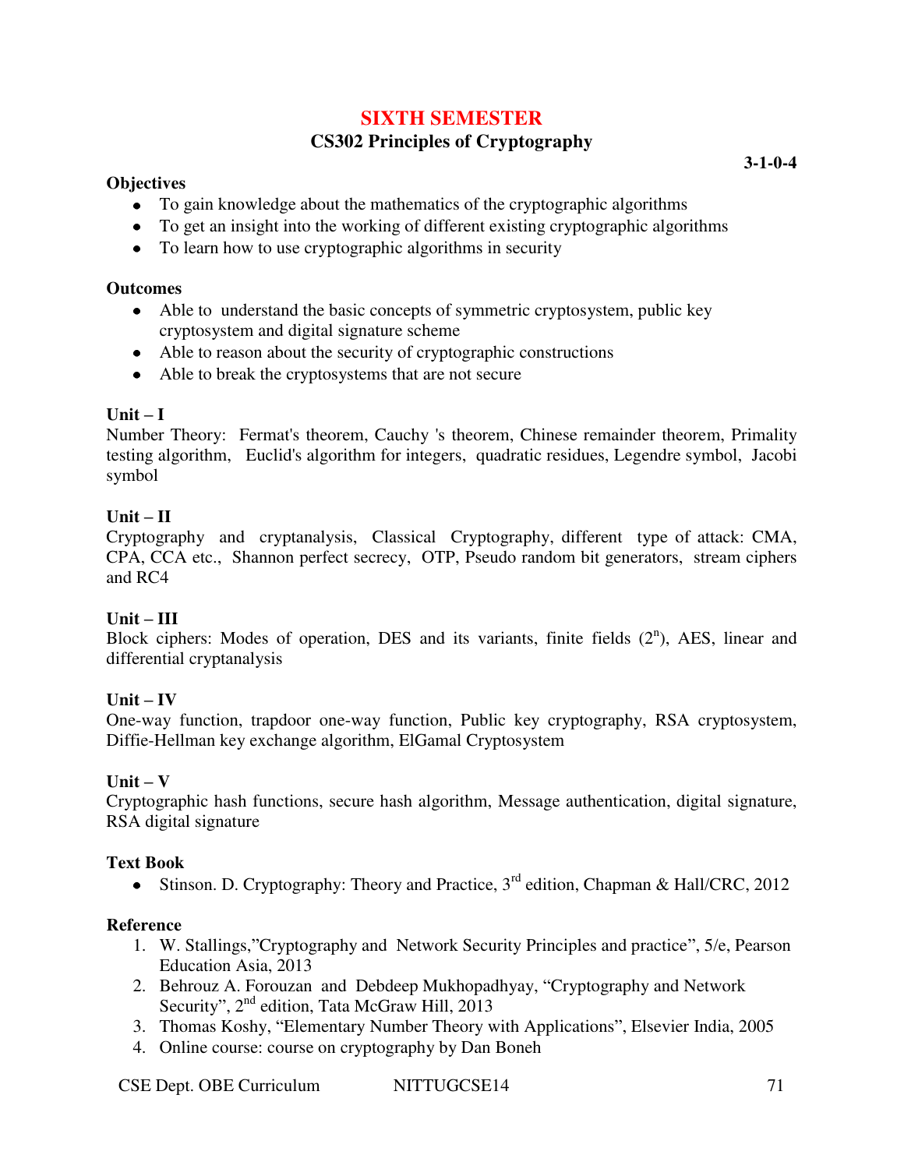## **SIXTH SEMESTER**

## **CS302 Principles of Cryptography**

### **Objectives**

- To gain knowledge about the mathematics of the cryptographic algorithms
- To get an insight into the working of different existing cryptographic algorithms
- To learn how to use cryptographic algorithms in security

### **Outcomes**

- Able to understand the basic concepts of symmetric cryptosystem, public key cryptosystem and digital signature scheme
- Able to reason about the security of cryptographic constructions
- Able to break the cryptosystems that are not secure

## **Unit – I**

Number Theory: Fermat's theorem, Cauchy 's theorem, Chinese remainder theorem, Primality testing algorithm, Euclid's algorithm for integers, quadratic residues, Legendre symbol, Jacobi symbol

## **Unit – II**

Cryptography and cryptanalysis, Classical Cryptography, different type of attack: CMA, CPA, CCA etc., Shannon perfect secrecy, OTP, Pseudo random bit generators, stream ciphers and RC4

## **Unit – III**

Block ciphers: Modes of operation, DES and its variants, finite fields  $(2<sup>n</sup>)$ , AES, linear and differential cryptanalysis

## $Unit - IV$

One-way function, trapdoor one-way function, Public key cryptography, RSA cryptosystem, Diffie-Hellman key exchange algorithm, ElGamal Cryptosystem

## **Unit – V**

Cryptographic hash functions, secure hash algorithm, Message authentication, digital signature, RSA digital signature

## **Text Book**

Stinson. D. Cryptography: Theory and Practice,  $3<sup>rd</sup>$  edition, Chapman & Hall/CRC, 2012

## **Reference**

- 1. W. Stallings,"Cryptography and Network Security Principles and practice", 5/e, Pearson Education Asia, 2013
- 2. Behrouz A. Forouzan and Debdeep Mukhopadhyay, "Cryptography and Network Security", 2<sup>nd</sup> edition, Tata McGraw Hill, 2013
- 3. Thomas Koshy, "Elementary Number Theory with Applications", Elsevier India, 2005
- 4. Online course: course on cryptography by Dan Boneh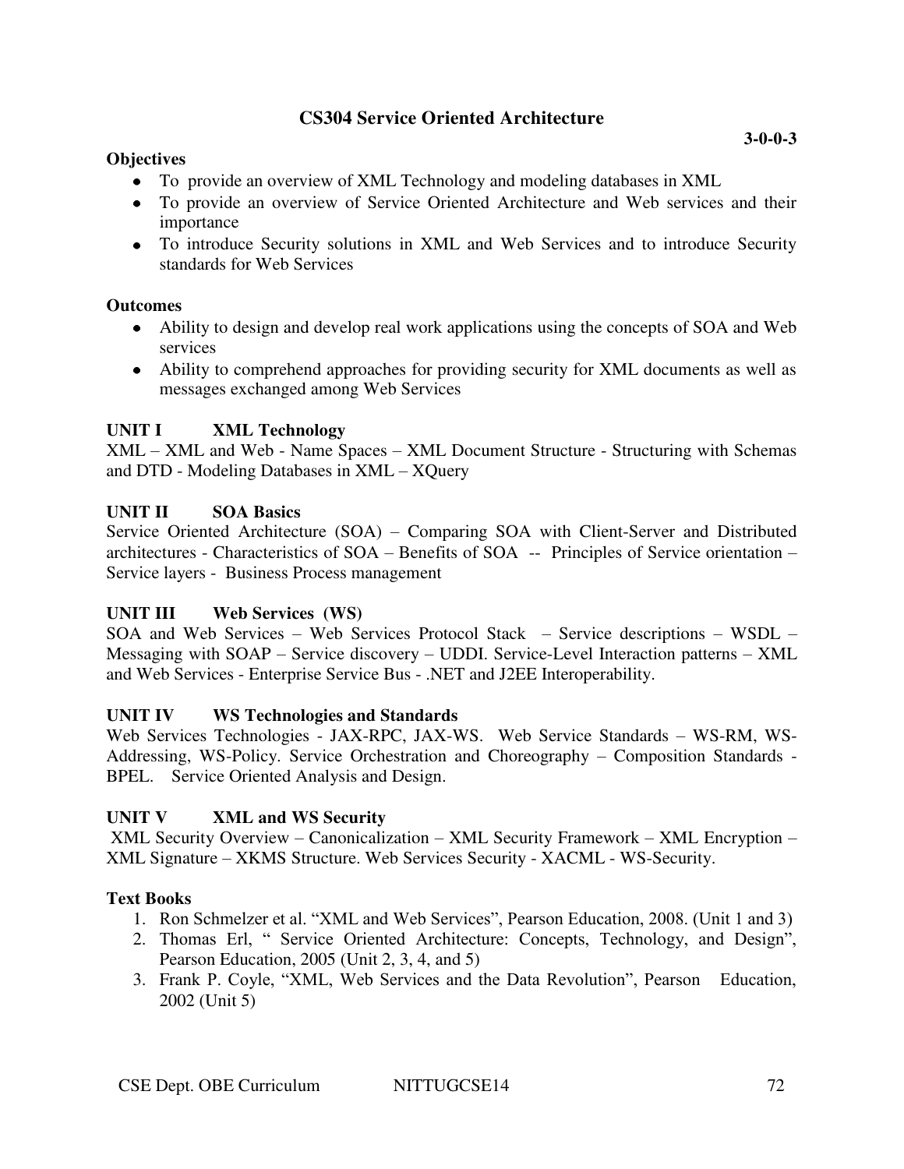## **CS304 Service Oriented Architecture**

### **Objectives**

- To provide an overview of XML Technology and modeling databases in XML
- To provide an overview of Service Oriented Architecture and Web services and their importance
- To introduce Security solutions in XML and Web Services and to introduce Security standards for Web Services

## **Outcomes**

- Ability to design and develop real work applications using the concepts of SOA and Web services
- Ability to comprehend approaches for providing security for XML documents as well as messages exchanged among Web Services

## **UNIT I XML Technology**

XML – XML and Web - Name Spaces – XML Document Structure - Structuring with Schemas and DTD - Modeling Databases in XML – XQuery

## **UNIT II SOA Basics**

Service Oriented Architecture (SOA) – Comparing SOA with Client-Server and Distributed architectures - Characteristics of SOA – Benefits of SOA -- Principles of Service orientation – Service layers - Business Process management

## **UNIT III Web Services (WS)**

SOA and Web Services – Web Services Protocol Stack – Service descriptions – WSDL – Messaging with SOAP – Service discovery – UDDI. Service-Level Interaction patterns – XML and Web Services - Enterprise Service Bus - .NET and J2EE Interoperability.

## **UNIT IV WS Technologies and Standards**

Web Services Technologies - JAX-RPC, JAX-WS. Web Service Standards – WS-RM, WS-Addressing, WS-Policy. Service Orchestration and Choreography – Composition Standards - BPEL. Service Oriented Analysis and Design.

## **UNIT V XML and WS Security**

 XML Security Overview – Canonicalization – XML Security Framework – XML Encryption – XML Signature – XKMS Structure. Web Services Security - XACML - WS-Security.

## **Text Books**

- 1. Ron Schmelzer et al. "XML and Web Services", Pearson Education, 2008. (Unit 1 and 3)
- 2. Thomas Erl, " Service Oriented Architecture: Concepts, Technology, and Design", Pearson Education, 2005 (Unit 2, 3, 4, and 5)
- 3. Frank P. Coyle, "XML, Web Services and the Data Revolution", Pearson Education, 2002 (Unit 5)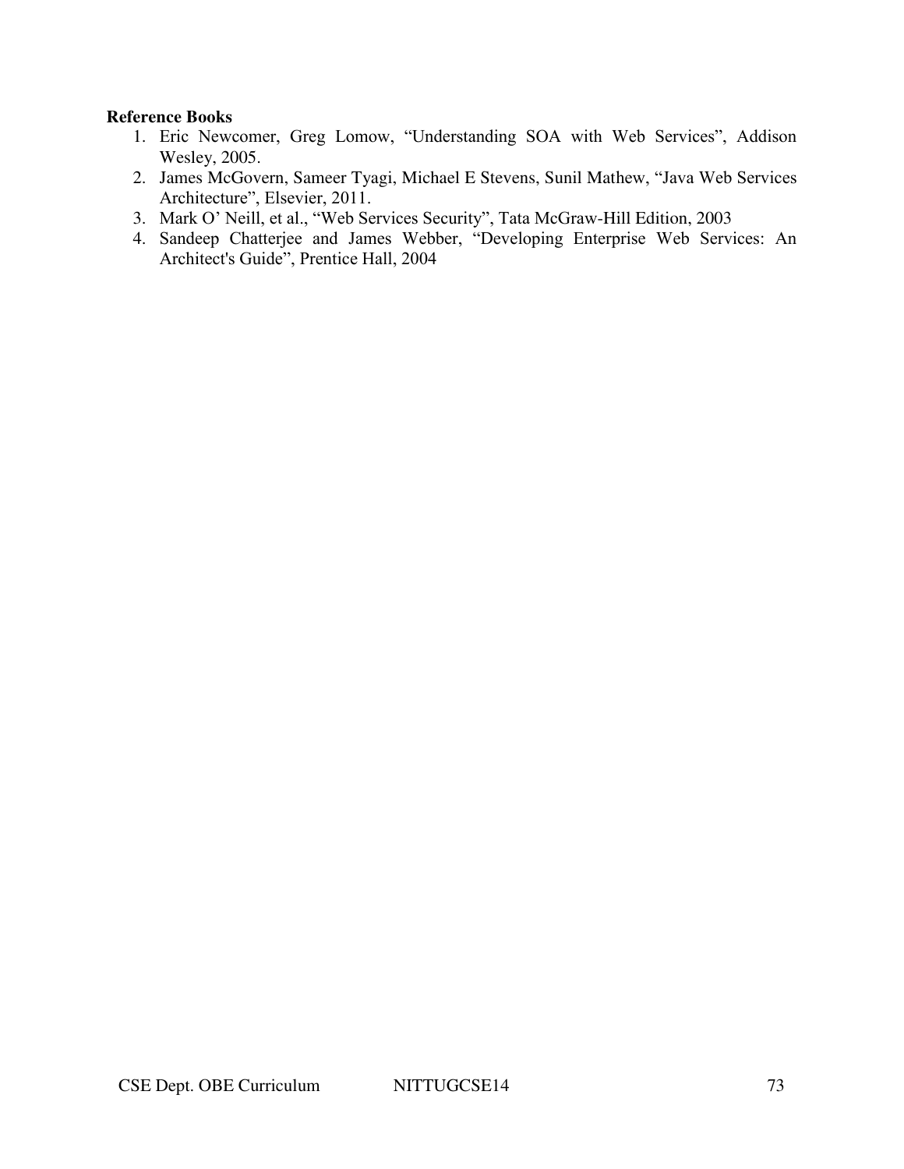## **Reference Books**

- 1. Eric Newcomer, Greg Lomow, "Understanding SOA with Web Services", Addison Wesley, 2005.
- 2. James McGovern, Sameer Tyagi, Michael E Stevens, Sunil Mathew, "Java Web Services Architecture", Elsevier, 2011.
- 3. Mark O' Neill, et al., "Web Services Security", Tata McGraw-Hill Edition, 2003
- 4. Sandeep Chatterjee and James Webber, "Developing Enterprise Web Services: An Architect's Guide", Prentice Hall, 2004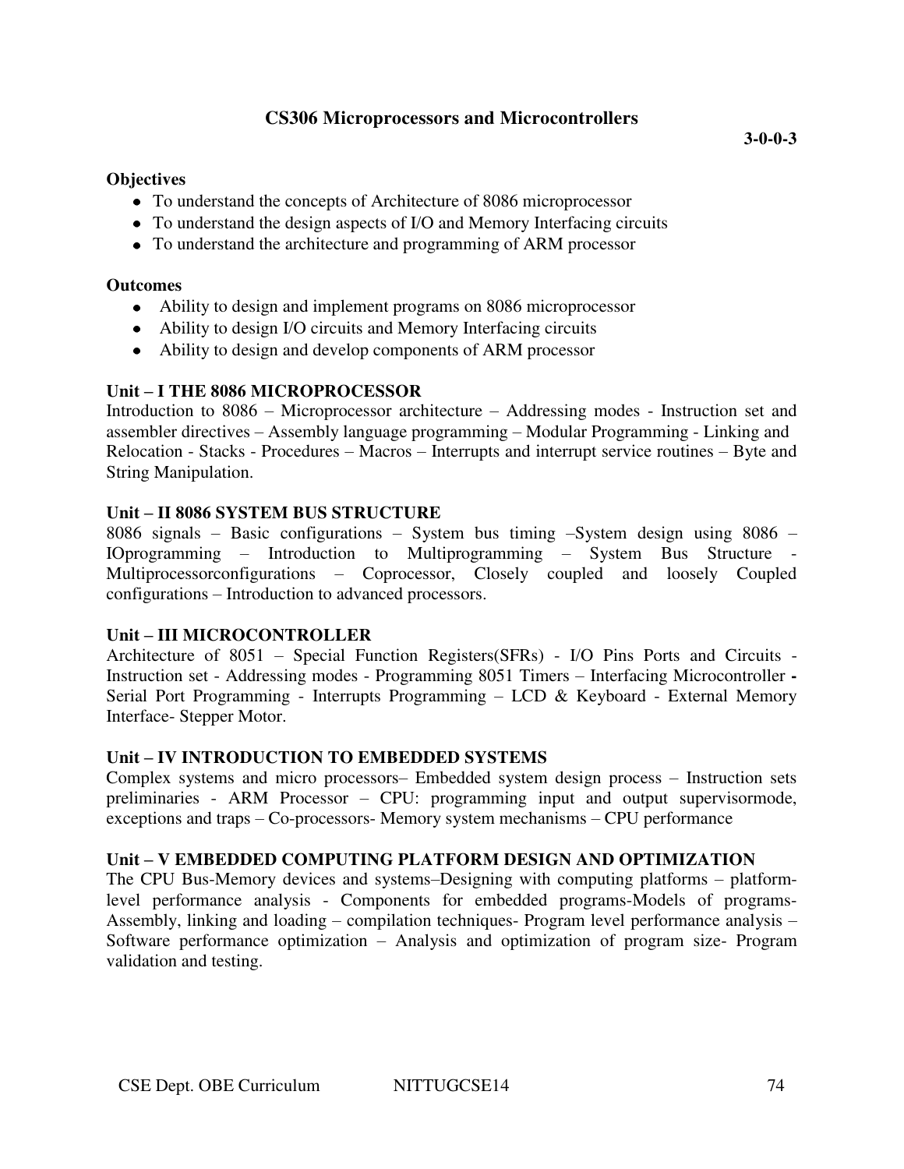### **Objectives**

- To understand the concepts of Architecture of 8086 microprocessor
- To understand the design aspects of I/O and Memory Interfacing circuits
- To understand the architecture and programming of ARM processor

### **Outcomes**

- Ability to design and implement programs on 8086 microprocessor
- Ability to design I/O circuits and Memory Interfacing circuits
- Ability to design and develop components of ARM processor

## **Unit – I THE 8086 MICROPROCESSOR**

Introduction to 8086 – Microprocessor architecture – Addressing modes - Instruction set and assembler directives – Assembly language programming – Modular Programming - Linking and Relocation - Stacks - Procedures – Macros – Interrupts and interrupt service routines – Byte and String Manipulation.

### **Unit – II 8086 SYSTEM BUS STRUCTURE**

8086 signals – Basic configurations – System bus timing –System design using 8086 – IOprogramming – Introduction to Multiprogramming – System Bus Structure - Multiprocessorconfigurations – Coprocessor, Closely coupled and loosely Coupled configurations – Introduction to advanced processors.

## **Unit – III MICROCONTROLLER**

Architecture of 8051 – Special Function Registers(SFRs) - I/O Pins Ports and Circuits - Instruction set - Addressing modes - Programming 8051 Timers – Interfacing Microcontroller **-** Serial Port Programming - Interrupts Programming – LCD & Keyboard - External Memory Interface- Stepper Motor.

#### **Unit – IV INTRODUCTION TO EMBEDDED SYSTEMS**

Complex systems and micro processors– Embedded system design process – Instruction sets preliminaries - ARM Processor – CPU: programming input and output supervisormode, exceptions and traps – Co-processors- Memory system mechanisms – CPU performance

#### **Unit – V EMBEDDED COMPUTING PLATFORM DESIGN AND OPTIMIZATION**

The CPU Bus-Memory devices and systems–Designing with computing platforms – platformlevel performance analysis - Components for embedded programs-Models of programs-Assembly, linking and loading – compilation techniques- Program level performance analysis – Software performance optimization – Analysis and optimization of program size- Program validation and testing.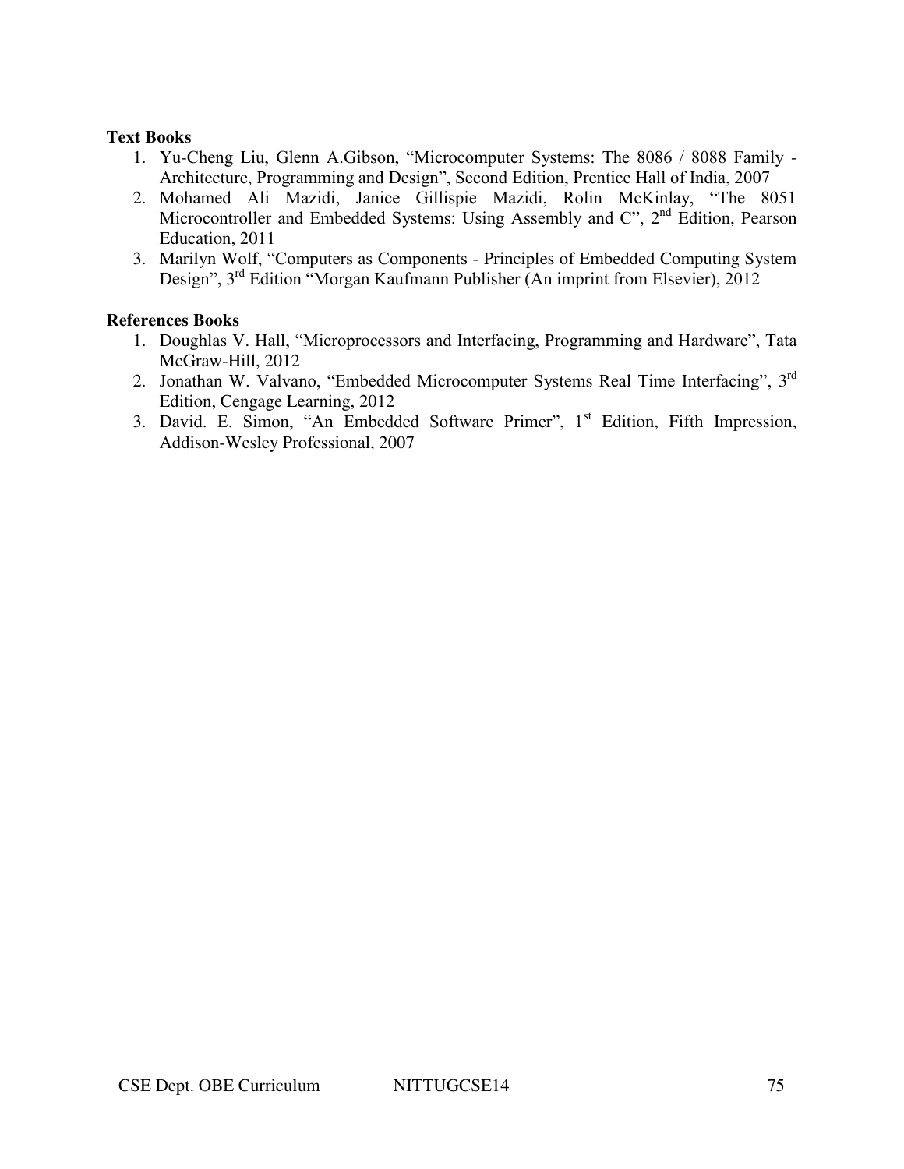### **Text Books**

- 1. Yu-Cheng Liu, Glenn A.Gibson, "Microcomputer Systems: The 8086 / 8088 Family Architecture, Programming and Design", Second Edition, Prentice Hall of India, 2007
- 2. Mohamed Ali Mazidi, Janice Gillispie Mazidi, Rolin McKinlay, "The 8051 Microcontroller and Embedded Systems: Using Assembly and  $C^{\prime}$ ,  $2^{nd}$  Edition, Pearson Education, 2011
- 3. Marilyn Wolf, "Computers as Components Principles of Embedded Computing System Design", 3rd Edition "Morgan Kaufmann Publisher (An imprint from Elsevier), 2012

### **References Books**

- 1. Doughlas V. Hall, "Microprocessors and Interfacing, Programming and Hardware", Tata McGraw-Hill, 2012
- 2. Jonathan W. Valvano, "Embedded Microcomputer Systems Real Time Interfacing", 3<sup>rd</sup> Edition, Cengage Learning, 2012
- 3. David. E. Simon, "An Embedded Software Primer", 1<sup>st</sup> Edition, Fifth Impression, Addison-Wesley Professional, 2007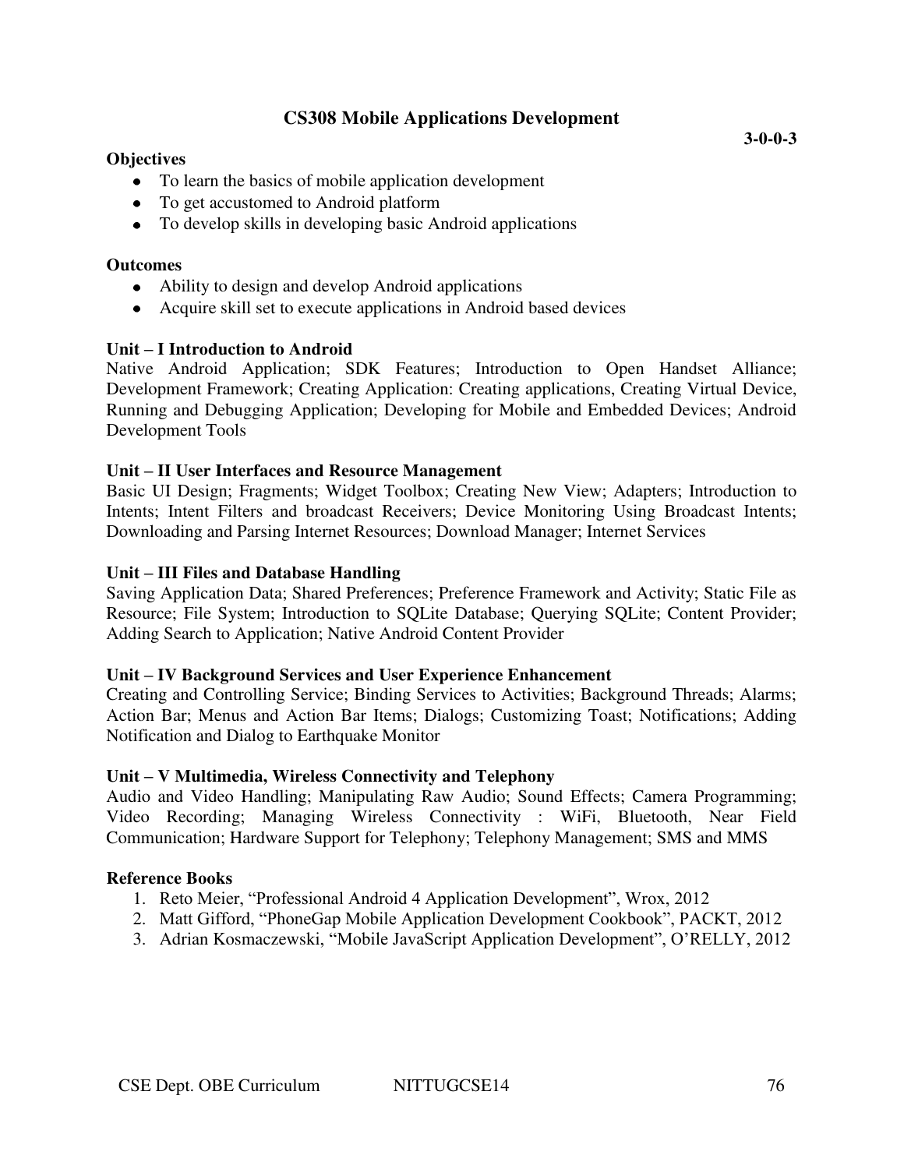## **CS308 Mobile Applications Development**

### **Objectives**

- To learn the basics of mobile application development
- To get accustomed to Android platform
- To develop skills in developing basic Android applications

#### **Outcomes**

- Ability to design and develop Android applications
- Acquire skill set to execute applications in Android based devices

### **Unit – I Introduction to Android**

Native Android Application; SDK Features; Introduction to Open Handset Alliance; Development Framework; Creating Application: Creating applications, Creating Virtual Device, Running and Debugging Application; Developing for Mobile and Embedded Devices; Android Development Tools

### **Unit – II User Interfaces and Resource Management**

Basic UI Design; Fragments; Widget Toolbox; Creating New View; Adapters; Introduction to Intents; Intent Filters and broadcast Receivers; Device Monitoring Using Broadcast Intents; Downloading and Parsing Internet Resources; Download Manager; Internet Services

#### **Unit – III Files and Database Handling**

Saving Application Data; Shared Preferences; Preference Framework and Activity; Static File as Resource; File System; Introduction to SQLite Database; Querying SQLite; Content Provider; Adding Search to Application; Native Android Content Provider

#### **Unit – IV Background Services and User Experience Enhancement**

Creating and Controlling Service; Binding Services to Activities; Background Threads; Alarms; Action Bar; Menus and Action Bar Items; Dialogs; Customizing Toast; Notifications; Adding Notification and Dialog to Earthquake Monitor

#### **Unit – V Multimedia, Wireless Connectivity and Telephony**

Audio and Video Handling; Manipulating Raw Audio; Sound Effects; Camera Programming; Video Recording; Managing Wireless Connectivity : WiFi, Bluetooth, Near Field Communication; Hardware Support for Telephony; Telephony Management; SMS and MMS

#### **Reference Books**

- 1. Reto Meier, "Professional Android 4 Application Development", Wrox, 2012
- 2. Matt Gifford, "PhoneGap Mobile Application Development Cookbook", PACKT, 2012
- 3. Adrian Kosmaczewski, "Mobile JavaScript Application Development", O'RELLY, 2012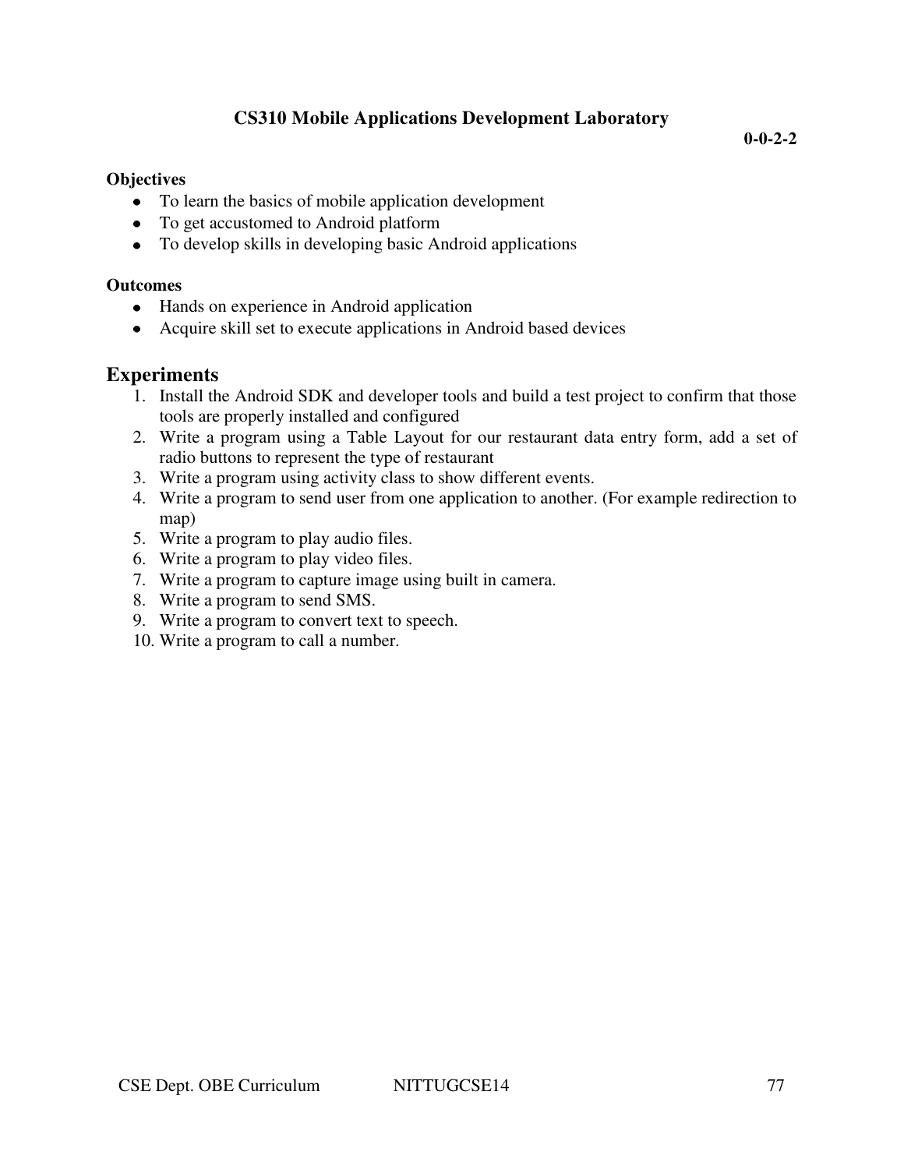## **CS310 Mobile Applications Development Laboratory**

**0-0-2-2** 

### **Objectives**

- To learn the basics of mobile application development
- To get accustomed to Android platform
- To develop skills in developing basic Android applications

### **Outcomes**

- Hands on experience in Android application
- Acquire skill set to execute applications in Android based devices

## **Experiments**

- 1. Install the Android SDK and developer tools and build a test project to confirm that those tools are properly installed and configured
- 2. Write a program using a Table Layout for our restaurant data entry form, add a set of radio buttons to represent the type of restaurant
- 3. Write a program using activity class to show different events.
- 4. Write a program to send user from one application to another. (For example redirection to map)
- 5. Write a program to play audio files.
- 6. Write a program to play video files.
- 7. Write a program to capture image using built in camera.
- 8. Write a program to send SMS.
- 9. Write a program to convert text to speech.
- 10. Write a program to call a number.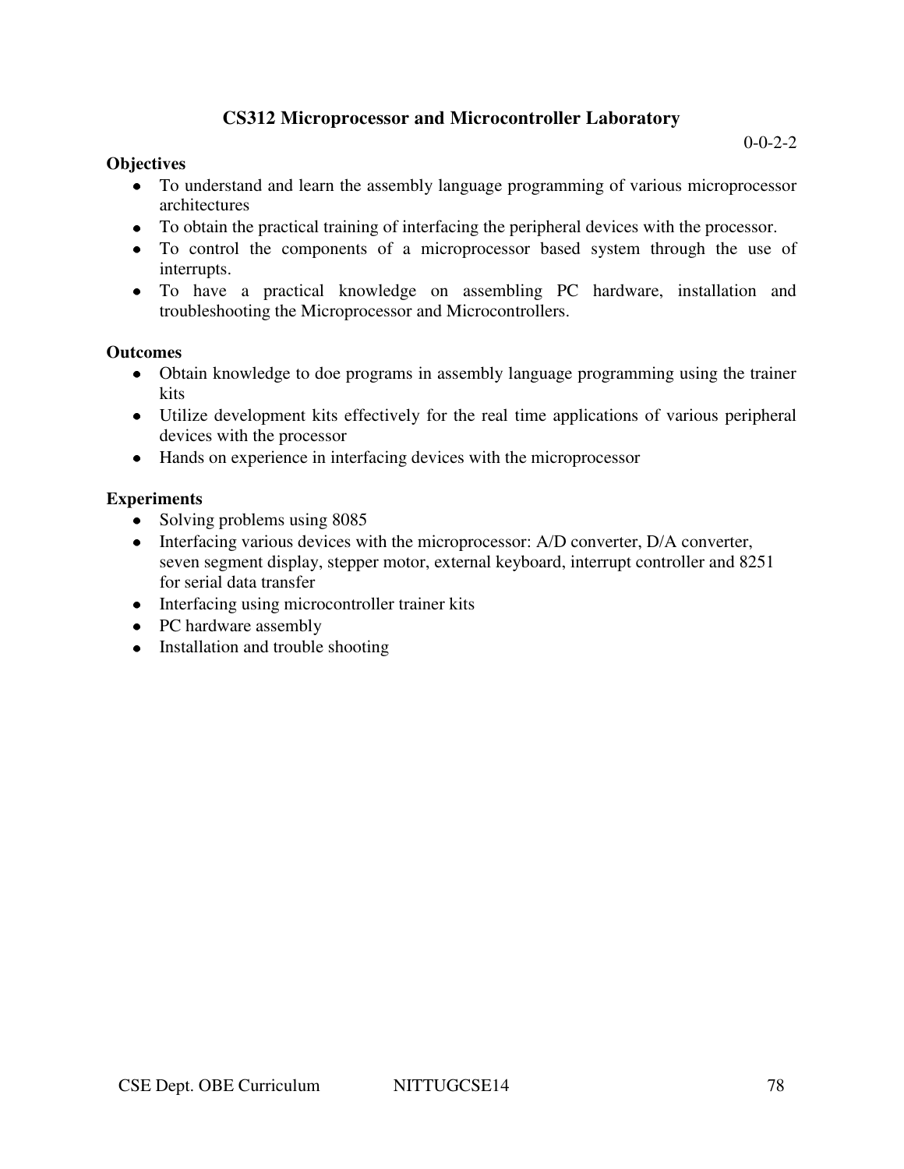## **CS312 Microprocessor and Microcontroller Laboratory**

#### **Objectives**

- To understand and learn the assembly language programming of various microprocessor architectures
- To obtain the practical training of interfacing the peripheral devices with the processor.
- To control the components of a microprocessor based system through the use of interrupts.
- To have a practical knowledge on assembling PC hardware, installation and troubleshooting the Microprocessor and Microcontrollers.

#### **Outcomes**

- Obtain knowledge to doe programs in assembly language programming using the trainer kits
- Utilize development kits effectively for the real time applications of various peripheral devices with the processor
- Hands on experience in interfacing devices with the microprocessor

### **Experiments**

- Solving problems using 8085
- Interfacing various devices with the microprocessor: A/D converter, D/A converter, seven segment display, stepper motor, external keyboard, interrupt controller and 8251 for serial data transfer
- Interfacing using microcontroller trainer kits
- PC hardware assembly
- Installation and trouble shooting

 $0 - 0 - 2 - 2$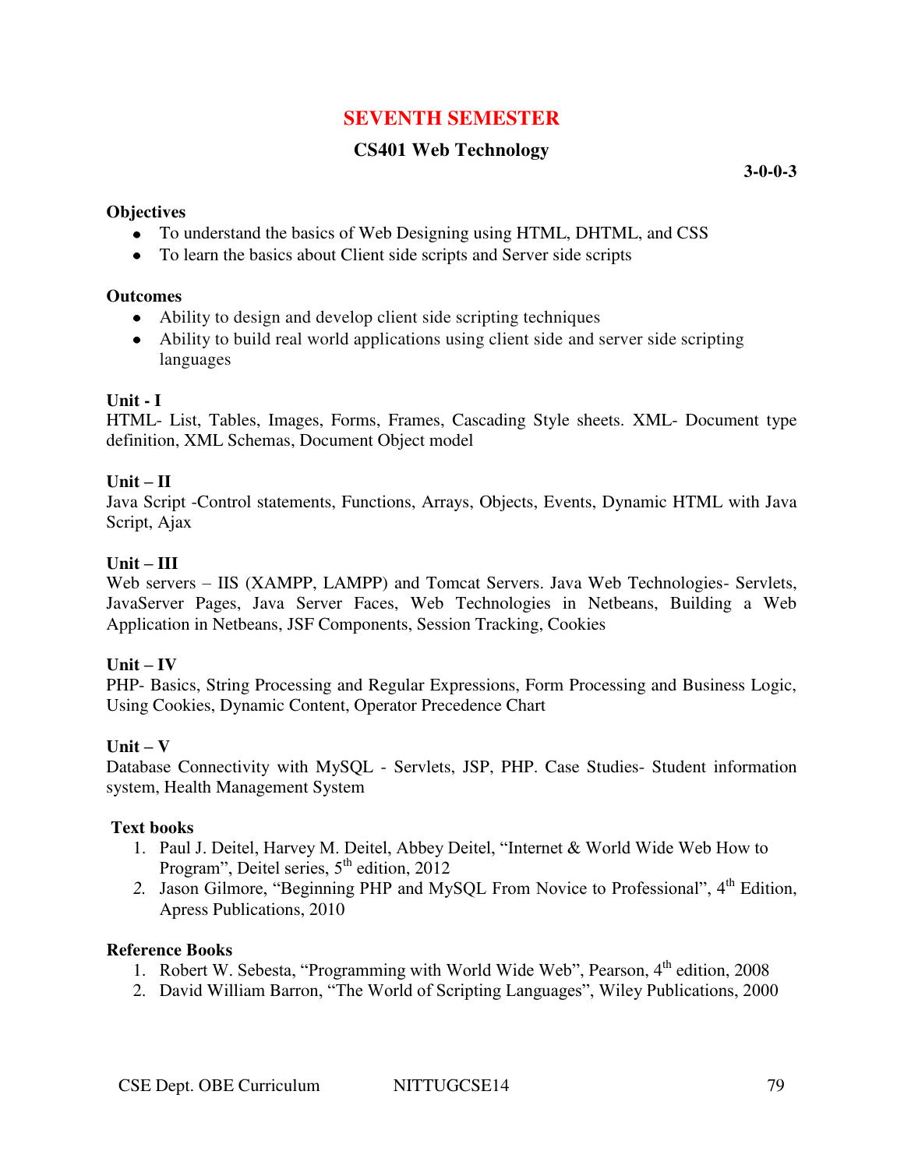## **SEVENTH SEMESTER**

## **CS401 Web Technology**

**3-0-0-3** 

#### **Objectives**

- To understand the basics of Web Designing using HTML, DHTML, and CSS
- To learn the basics about Client side scripts and Server side scripts

#### **Outcomes**

- Ability to design and develop client side scripting techniques
- Ability to build real world applications using client side and server side scripting languages

### **Unit - I**

HTML- List, Tables, Images, Forms, Frames, Cascading Style sheets. XML- Document type definition, XML Schemas, Document Object model

### **Unit – II**

Java Script -Control statements, Functions, Arrays, Objects, Events, Dynamic HTML with Java Script, Ajax

### $Unit - III$

Web servers – IIS (XAMPP, LAMPP) and Tomcat Servers. Java Web Technologies- Servlets, JavaServer Pages, Java Server Faces, Web Technologies in Netbeans, Building a Web Application in Netbeans, JSF Components, Session Tracking, Cookies

## $Unit - IV$

PHP- Basics, String Processing and Regular Expressions, Form Processing and Business Logic, Using Cookies, Dynamic Content, Operator Precedence Chart

#### $Unit - V$

Database Connectivity with MySQL - Servlets, JSP, PHP. Case Studies- Student information system, Health Management System

#### **Text books**

- 1. Paul J. Deitel, Harvey M. Deitel, Abbey Deitel, "Internet & World Wide Web How to Program", Deitel series, 5<sup>th</sup> edition, 2012
- 2. Jason Gilmore, "Beginning PHP and MySQL From Novice to Professional", 4<sup>th</sup> Edition, Apress Publications, 2010

## **Reference Books**

- 1. Robert W. Sebesta, "Programming with World Wide Web", Pearson, 4<sup>th</sup> edition, 2008
- 2. [David William Barron](http://www.google.co.in/search?tbo=p&tbm=bks&q=inauthor:%22David+William+Barron%22), "The World of Scripting Languages", Wiley Publications, 2000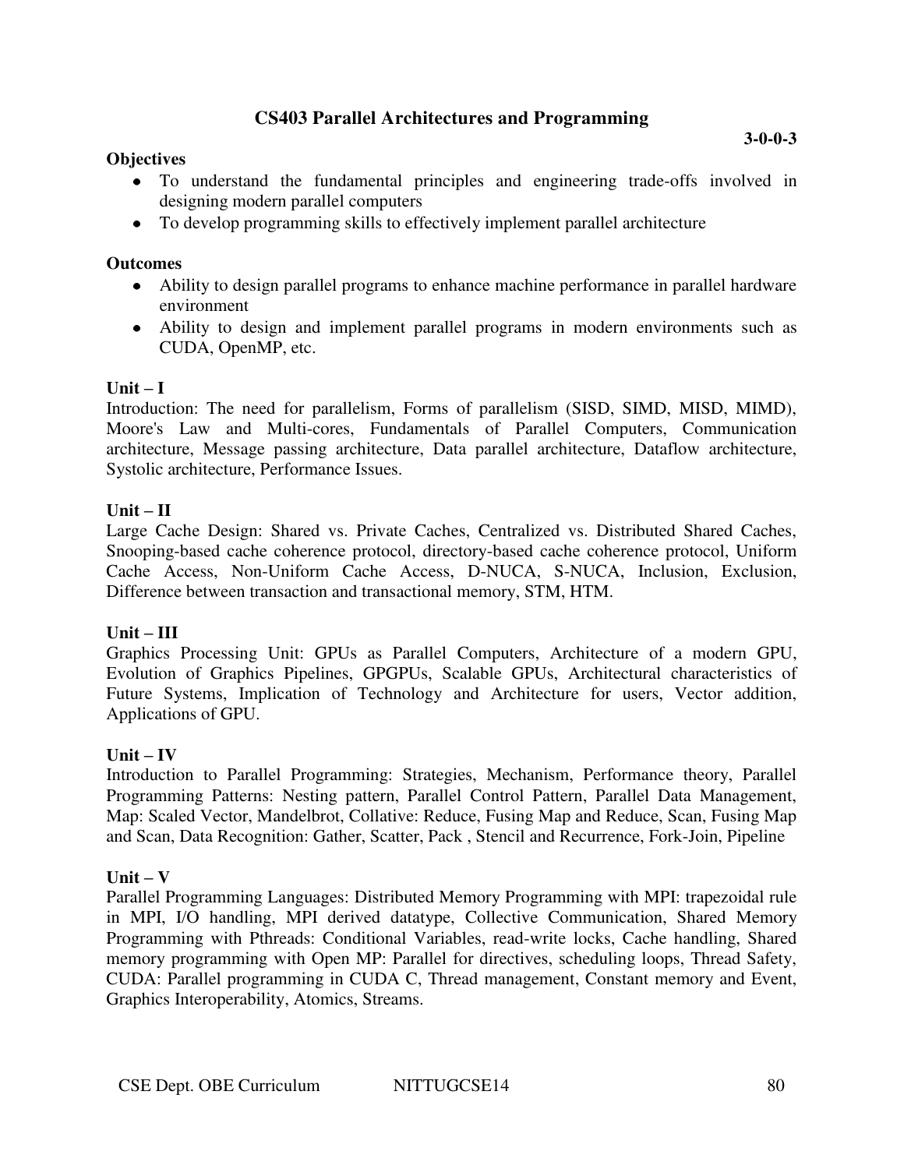## **CS403 Parallel Architectures and Programming**

#### **Objectives**

To develop programming skills to effectively implement parallel architecture

#### **Outcomes**

- Ability to design parallel programs to enhance machine performance in parallel hardware environment
- Ability to design and implement parallel programs in modern environments such as CUDA, OpenMP, etc.

### $\textbf{Unit} - \textbf{I}$

Introduction: The need for parallelism, Forms of parallelism (SISD, SIMD, MISD, MIMD), Moore's Law and Multi-cores, Fundamentals of Parallel Computers, Communication architecture, Message passing architecture, Data parallel architecture, Dataflow architecture, Systolic architecture, Performance Issues.

#### $Unit - II$

Large Cache Design: Shared vs. Private Caches, Centralized vs. Distributed Shared Caches, Snooping-based cache coherence protocol, directory-based cache coherence protocol, Uniform Cache Access, Non-Uniform Cache Access, D-NUCA, S-NUCA, Inclusion, Exclusion, Difference between transaction and transactional memory, STM, HTM.

#### **Unit – III**

Graphics Processing Unit: GPUs as Parallel Computers, Architecture of a modern GPU, Evolution of Graphics Pipelines, GPGPUs, Scalable GPUs, Architectural characteristics of Future Systems, Implication of Technology and Architecture for users, Vector addition, Applications of GPU.

#### $Unit - IV$

Introduction to Parallel Programming: Strategies, Mechanism, Performance theory, Parallel Programming Patterns: Nesting pattern, Parallel Control Pattern, Parallel Data Management, Map: Scaled Vector, Mandelbrot, Collative: Reduce, Fusing Map and Reduce, Scan, Fusing Map and Scan, Data Recognition: Gather, Scatter, Pack , Stencil and Recurrence, Fork-Join, Pipeline

#### $Unit - V$

Parallel Programming Languages: Distributed Memory Programming with MPI: trapezoidal rule in MPI, I/O handling, MPI derived datatype, Collective Communication, Shared Memory Programming with Pthreads: Conditional Variables, read-write locks, Cache handling, Shared memory programming with Open MP: Parallel for directives, scheduling loops, Thread Safety, CUDA: Parallel programming in CUDA C, Thread management, Constant memory and Event, Graphics Interoperability, Atomics, Streams.

**3-0-0-3**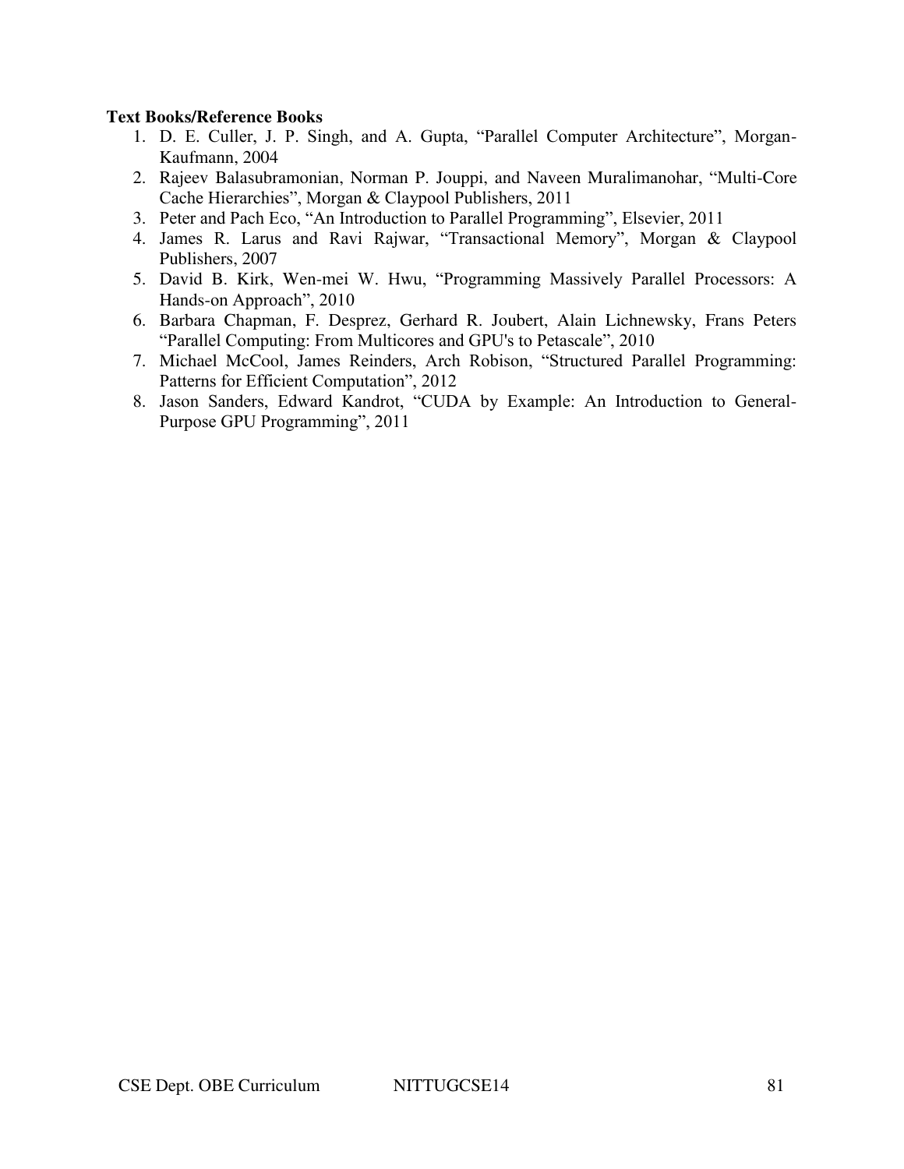#### **Text Books/Reference Books**

- 1. D. E. Culler, J. P. Singh, and A. Gupta, "Parallel Computer Architecture", Morgan-Kaufmann, 2004
- 2. Rajeev Balasubramonian, Norman P. Jouppi, and Naveen Muralimanohar, "Multi-Core Cache Hierarchies", Morgan & Claypool Publishers, 2011
- 3. Peter and Pach Eco, "An Introduction to Parallel Programming", Elsevier, 2011
- 4. James R. Larus and Ravi Rajwar, "Transactional Memory", Morgan & Claypool Publishers, 2007
- 5. David B. Kirk, Wen-mei W. Hwu, "Programming Massively Parallel Processors: A Hands-on Approach", 2010
- 6. Barbara Chapman, F. Desprez, Gerhard R. Joubert, Alain Lichnewsky, Frans Peters "Parallel Computing: From Multicores and GPU's to Petascale", 2010
- 7. Michael McCool, James Reinders, Arch Robison, "Structured Parallel Programming: Patterns for Efficient Computation", 2012
- 8. Jason Sanders, Edward Kandrot, "CUDA by Example: An Introduction to General-Purpose GPU Programming", 2011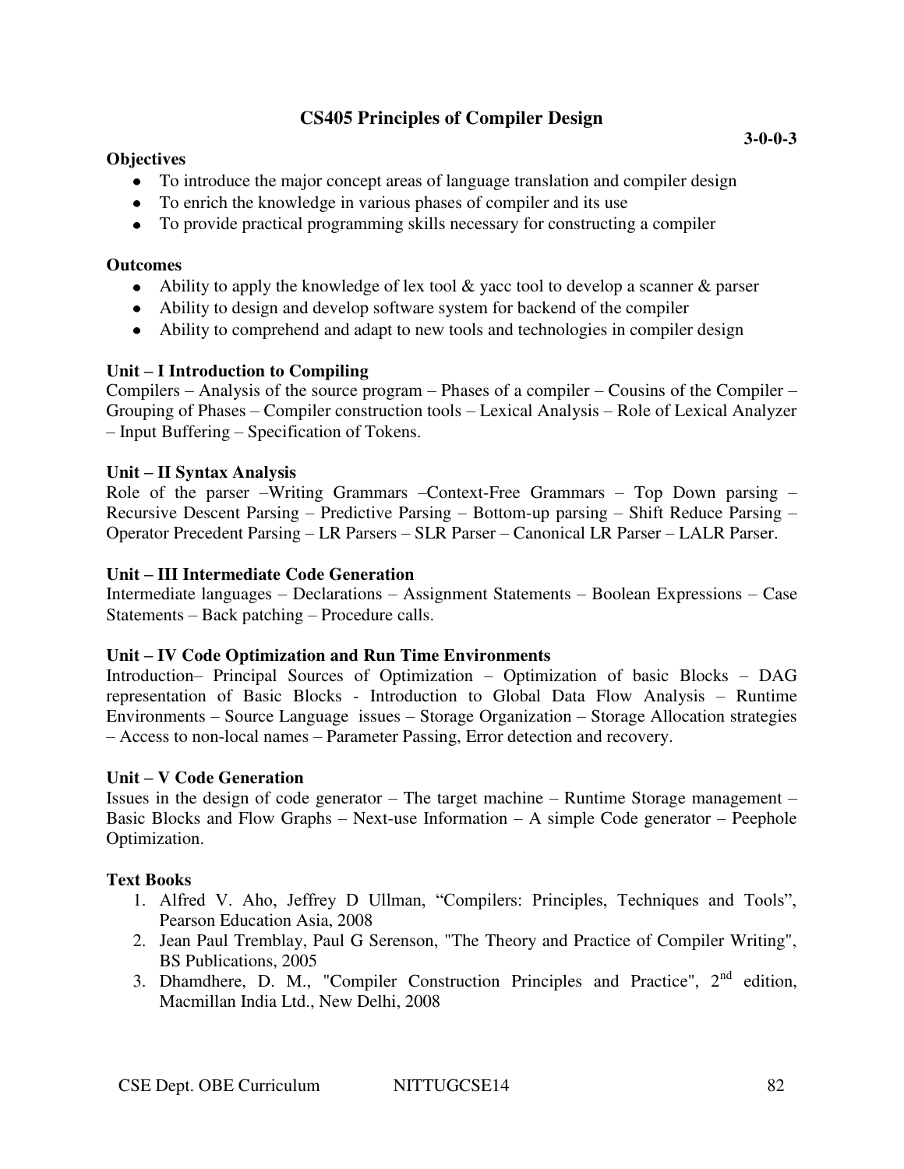## **CS405 Principles of Compiler Design**

### **Objectives**

- To introduce the major concept areas of language translation and compiler design
- To enrich the knowledge in various phases of compiler and its use
- To provide practical programming skills necessary for constructing a compiler

### **Outcomes**

- $\bullet$  Ability to apply the knowledge of lex tool & yacc tool to develop a scanner & parser
- Ability to design and develop software system for backend of the compiler
- Ability to comprehend and adapt to new tools and technologies in compiler design

## **Unit – I Introduction to Compiling**

Compilers – Analysis of the source program – Phases of a compiler – Cousins of the Compiler – Grouping of Phases – Compiler construction tools – Lexical Analysis – Role of Lexical Analyzer – Input Buffering – Specification of Tokens.

### **Unit – II Syntax Analysis**

Role of the parser –Writing Grammars –Context-Free Grammars – Top Down parsing – Recursive Descent Parsing – Predictive Parsing – Bottom-up parsing – Shift Reduce Parsing – Operator Precedent Parsing – LR Parsers – SLR Parser – Canonical LR Parser – LALR Parser.

### **Unit – III Intermediate Code Generation**

Intermediate languages – Declarations – Assignment Statements – Boolean Expressions – Case Statements – Back patching – Procedure calls.

#### **Unit – IV Code Optimization and Run Time Environments**

Introduction– Principal Sources of Optimization – Optimization of basic Blocks – DAG representation of Basic Blocks - Introduction to Global Data Flow Analysis – Runtime Environments – Source Language issues – Storage Organization – Storage Allocation strategies – Access to non-local names – Parameter Passing, Error detection and recovery.

## **Unit – V Code Generation**

Issues in the design of code generator – The target machine – Runtime Storage management – Basic Blocks and Flow Graphs – Next-use Information – A simple Code generator – Peephole Optimization.

## **Text Books**

- 1. Alfred V. Aho, Jeffrey D Ullman, "Compilers: Principles, Techniques and Tools", Pearson Education Asia, 2008
- 2. Jean Paul Tremblay, Paul G Serenson, "The Theory and Practice of Compiler Writing", BS Publications, 2005
- 3. Dhamdhere, D. M., "Compiler Construction Principles and Practice", 2<sup>nd</sup> edition, Macmillan India Ltd., New Delhi, 2008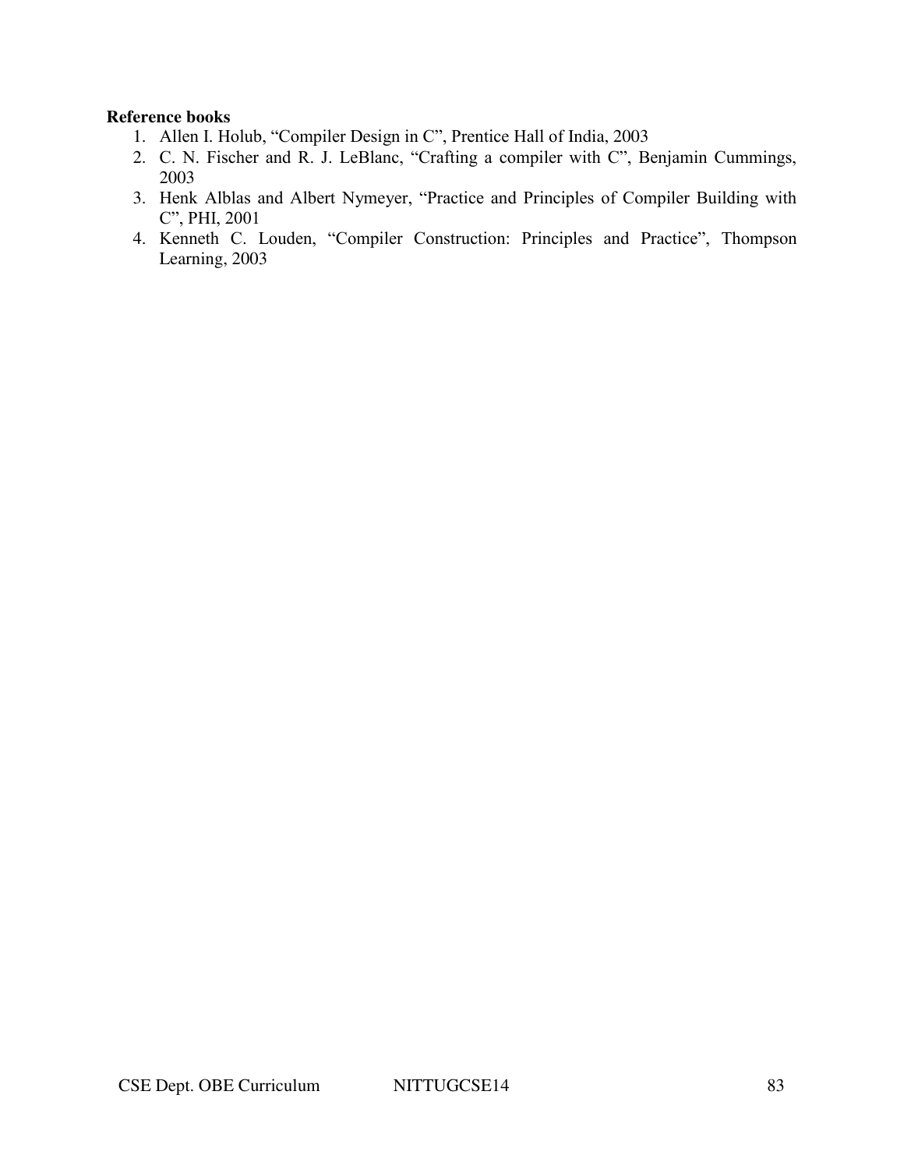#### **Reference books**

- 1. Allen I. Holub, "Compiler Design in C", Prentice Hall of India, 2003
- 2. C. N. Fischer and R. J. LeBlanc, "Crafting a compiler with C", Benjamin Cummings, 2003
- 3. Henk Alblas and Albert Nymeyer, "Practice and Principles of Compiler Building with C", PHI, 2001
- 4. Kenneth C. Louden, "Compiler Construction: Principles and Practice", Thompson Learning, 2003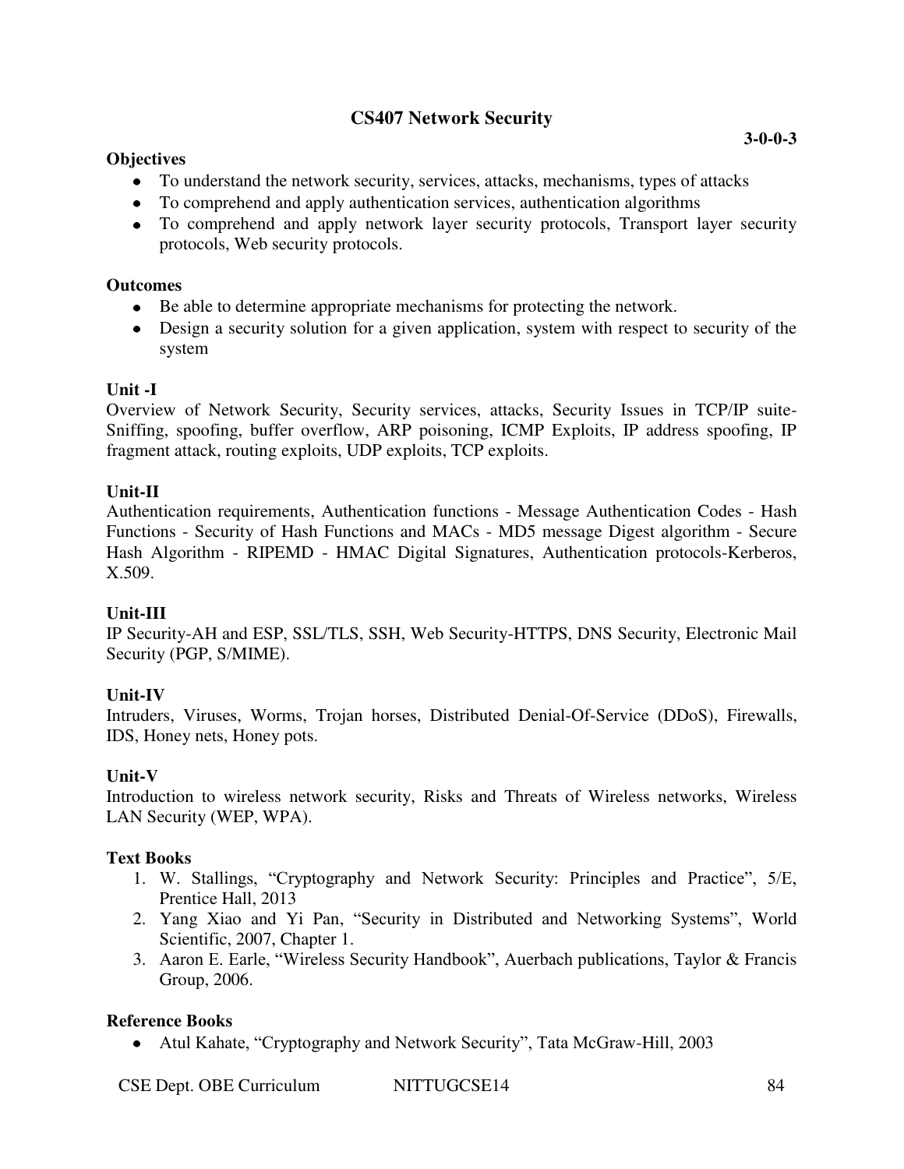## **CS407 Network Security**

## **Objectives**

- To understand the network security, services, attacks, mechanisms, types of attacks
- To comprehend and apply authentication services, authentication algorithms
- To comprehend and apply network layer security protocols, Transport layer security protocols, Web security protocols.

## **Outcomes**

- Be able to determine appropriate mechanisms for protecting the network.
- Design a security solution for a given application, system with respect to security of the system

## **Unit -I**

Overview of Network Security, Security services, attacks, Security Issues in TCP/IP suite-Sniffing, spoofing, buffer overflow, ARP poisoning, ICMP Exploits, IP address spoofing, IP fragment attack, routing exploits, UDP exploits, TCP exploits.

## **Unit-II**

Authentication requirements, Authentication functions - Message Authentication Codes - Hash Functions - Security of Hash Functions and MACs - MD5 message Digest algorithm - Secure Hash Algorithm - RIPEMD - HMAC Digital Signatures, Authentication protocols-Kerberos, X.509.

## **Unit-III**

IP Security-AH and ESP, SSL/TLS, SSH, Web Security-HTTPS, DNS Security, Electronic Mail Security (PGP, S/MIME).

## **Unit-IV**

Intruders, Viruses, Worms, Trojan horses, Distributed Denial-Of-Service (DDoS), Firewalls, IDS, Honey nets, Honey pots.

## **Unit-V**

Introduction to wireless network security, Risks and Threats of Wireless networks, Wireless LAN Security (WEP, WPA).

## **Text Books**

- 1. W. Stallings, "Cryptography and Network Security: Principles and Practice", 5/E, Prentice Hall, 2013
- 2. Yang Xiao and Yi Pan, "Security in Distributed and Networking Systems", World Scientific, 2007, Chapter 1.
- 3. Aaron E. Earle, "Wireless Security Handbook", Auerbach publications, Taylor & Francis Group, 2006.

## **Reference Books**

Atul Kahate, "Cryptography and Network Security", Tata McGraw-Hill, 2003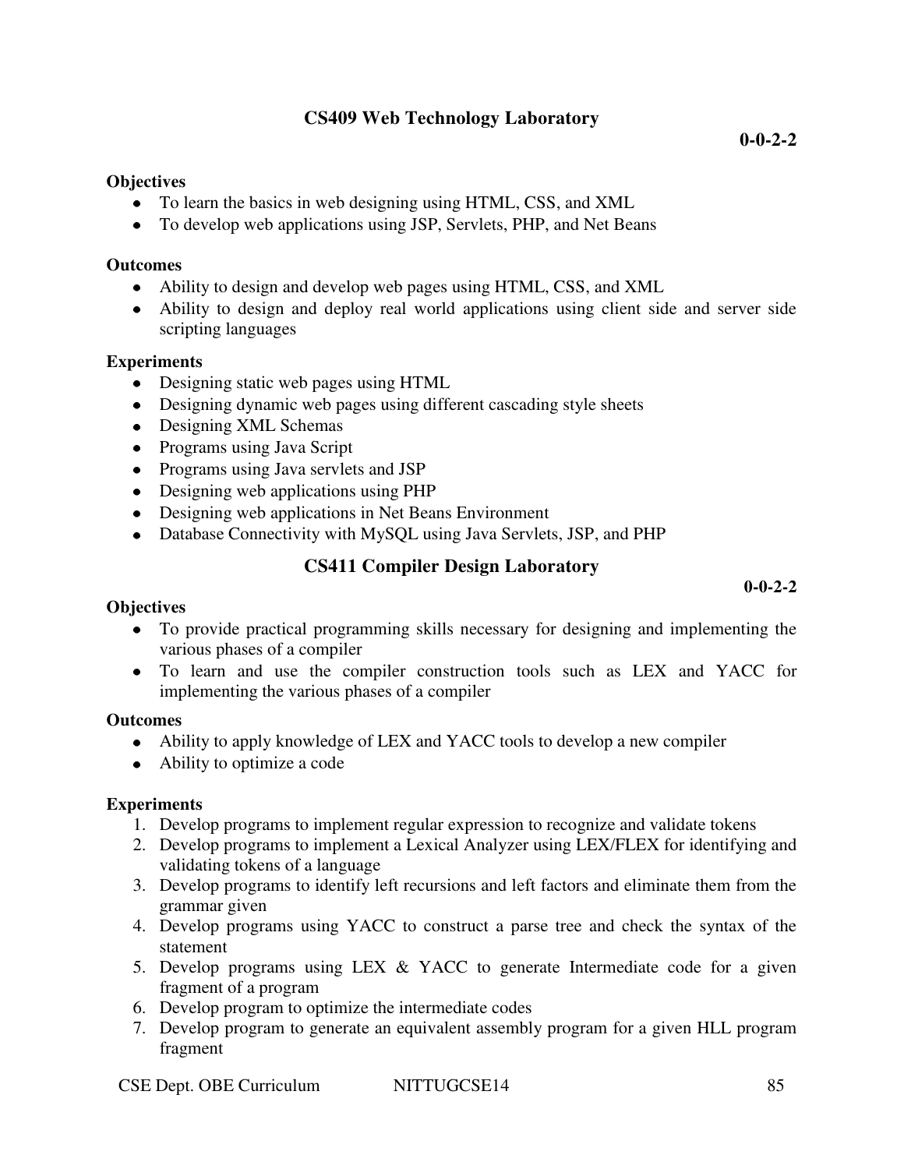## **CS409 Web Technology Laboratory**

**0-0-2-2** 

### **Objectives**

- To learn the basics in web designing using HTML, CSS, and XML
- To develop web applications using JSP, Servlets, PHP, and Net Beans

### **Outcomes**

- Ability to design and develop web pages using HTML, CSS, and XML
- Ability to design and deploy real world applications using client side and server side scripting languages

## **Experiments**

- Designing static web pages using HTML
- Designing dynamic web pages using different cascading style sheets
- Designing XML Schemas
- Programs using Java Script
- Programs using Java servlets and JSP
- Designing web applications using PHP
- Designing web applications in Net Beans Environment
- Database Connectivity with MySQL using Java Servlets, JSP, and PHP

## **CS411 Compiler Design Laboratory**

#### **Objectives**

- To provide practical programming skills necessary for designing and implementing the various phases of a compiler
- To learn and use the compiler construction tools such as LEX and YACC for implementing the various phases of a compiler

#### **Outcomes**

- Ability to apply knowledge of LEX and YACC tools to develop a new compiler
- Ability to optimize a code

## **Experiments**

- 1. Develop programs to implement regular expression to recognize and validate tokens
- 2. Develop programs to implement a Lexical Analyzer using LEX/FLEX for identifying and validating tokens of a language
- 3. Develop programs to identify left recursions and left factors and eliminate them from the grammar given
- 4. Develop programs using YACC to construct a parse tree and check the syntax of the statement
- 5. Develop programs using LEX & YACC to generate Intermediate code for a given fragment of a program
- 6. Develop program to optimize the intermediate codes
- 7. Develop program to generate an equivalent assembly program for a given HLL program fragment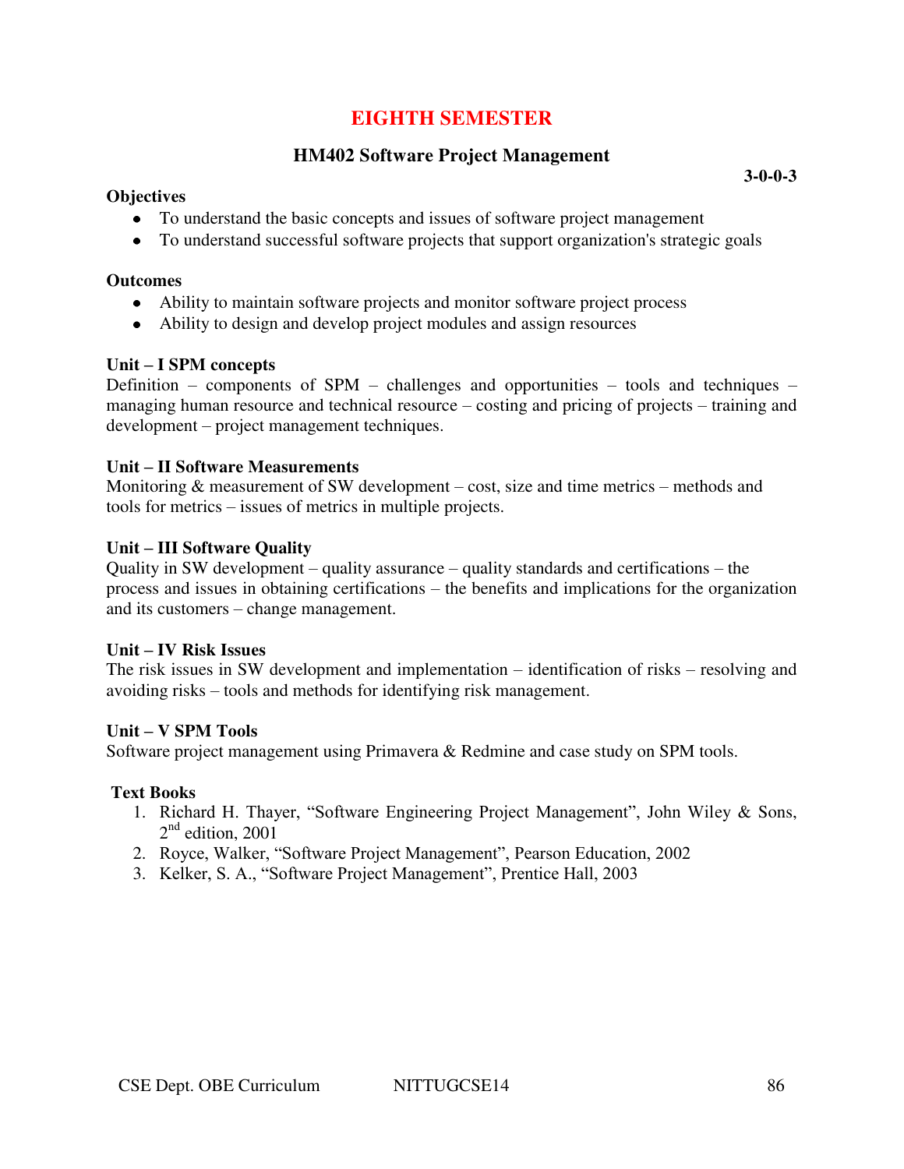## **EIGHTH SEMESTER**

## **HM402 Software Project Management**

#### **Objectives**

• To understand the basic concepts and issues of software project management

• To understand successful software projects that support organization's strategic goals

#### **Outcomes**

- Ability to maintain software projects and monitor software project process
- Ability to design and develop project modules and assign resources

### **Unit – I SPM concepts**

Definition – components of SPM – challenges and opportunities – tools and techniques – managing human resource and technical resource – costing and pricing of projects – training and development – project management techniques.

#### **Unit – II Software Measurements**

Monitoring & measurement of SW development – cost, size and time metrics – methods and tools for metrics – issues of metrics in multiple projects.

### **Unit – III Software Quality**

Quality in SW development – quality assurance – quality standards and certifications – the process and issues in obtaining certifications – the benefits and implications for the organization and its customers – change management.

#### **Unit – IV Risk Issues**

The risk issues in SW development and implementation – identification of risks – resolving and avoiding risks – tools and methods for identifying risk management.

#### **Unit – V SPM Tools**

Software project management using Primavera & Redmine and case study on SPM tools.

#### **Text Books**

- 1. Richard H. Thayer, "Software Engineering Project Management", John Wiley & Sons,  $2<sup>nd</sup>$  edition, 2001
- 2. Royce, Walker, "Software Project Management", Pearson Education, 2002
- 3. Kelker, S. A., "Software Project Management", Prentice Hall, 2003

**3-0-0-3**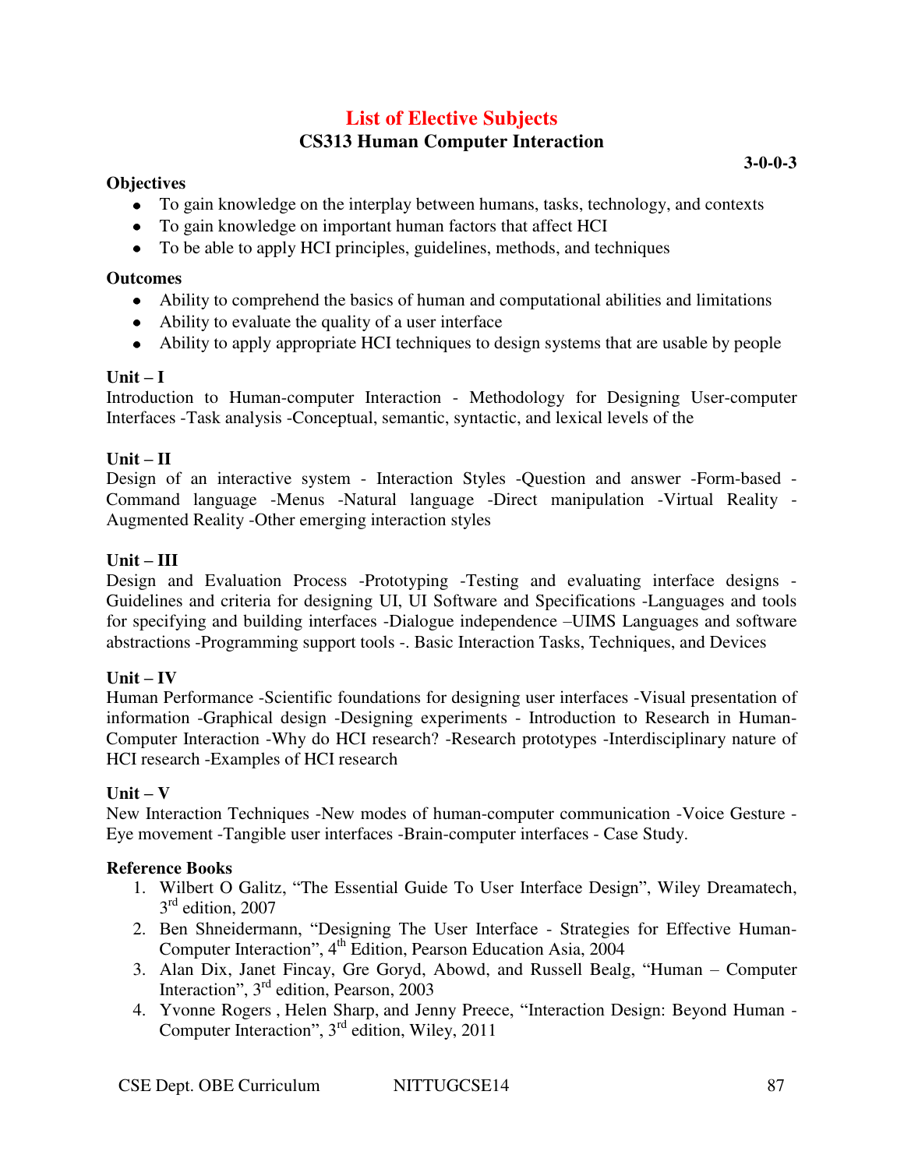## **List of Elective Subjects CS313 Human Computer Interaction**

#### **Objectives**

- To gain knowledge on the interplay between humans, tasks, technology, and contexts
- To gain knowledge on important human factors that affect HCI
- To be able to apply HCI principles, guidelines, methods, and techniques

#### **Outcomes**

- Ability to comprehend the basics of human and computational abilities and limitations
- Ability to evaluate the quality of a user interface
- Ability to apply appropriate HCI techniques to design systems that are usable by people

## $\textbf{Unit} - \textbf{I}$

Introduction to Human-computer Interaction - Methodology for Designing User-computer Interfaces -Task analysis -Conceptual, semantic, syntactic, and lexical levels of the

## $Unit - II$

Design of an interactive system - Interaction Styles -Question and answer -Form-based - Command language -Menus -Natural language -Direct manipulation -Virtual Reality - Augmented Reality -Other emerging interaction styles

### **Unit – III**

Design and Evaluation Process -Prototyping -Testing and evaluating interface designs - Guidelines and criteria for designing UI, UI Software and Specifications -Languages and tools for specifying and building interfaces -Dialogue independence –UIMS Languages and software abstractions -Programming support tools -. Basic Interaction Tasks, Techniques, and Devices

## $Unit - IV$

Human Performance -Scientific foundations for designing user interfaces -Visual presentation of information -Graphical design -Designing experiments - Introduction to Research in Human-Computer Interaction -Why do HCI research? -Research prototypes -Interdisciplinary nature of HCI research -Examples of HCI research

#### $Unit - V$

New Interaction Techniques -New modes of human-computer communication -Voice Gesture - Eye movement -Tangible user interfaces -Brain-computer interfaces - Case Study.

## **Reference Books**

- 1. Wilbert O Galitz, "The Essential Guide To User Interface Design", Wiley Dreamatech, 3 rd edition, 2007
- 2. Ben Shneidermann, "Designing The User Interface Strategies for Effective Human-Computer Interaction", 4<sup>th</sup> Edition, Pearson Education Asia, 2004
- 3. Alan Dix, Janet Fincay, Gre Goryd, Abowd, and Russell Bealg, "Human Computer Interaction", 3<sup>rd</sup> edition, Pearson, 2003
- 4. Yvonne Rogers , Helen Sharp, and Jenny Preece, "Interaction Design: Beyond Human Computer Interaction", 3rd edition, Wiley, 2011

**3-0-0-3**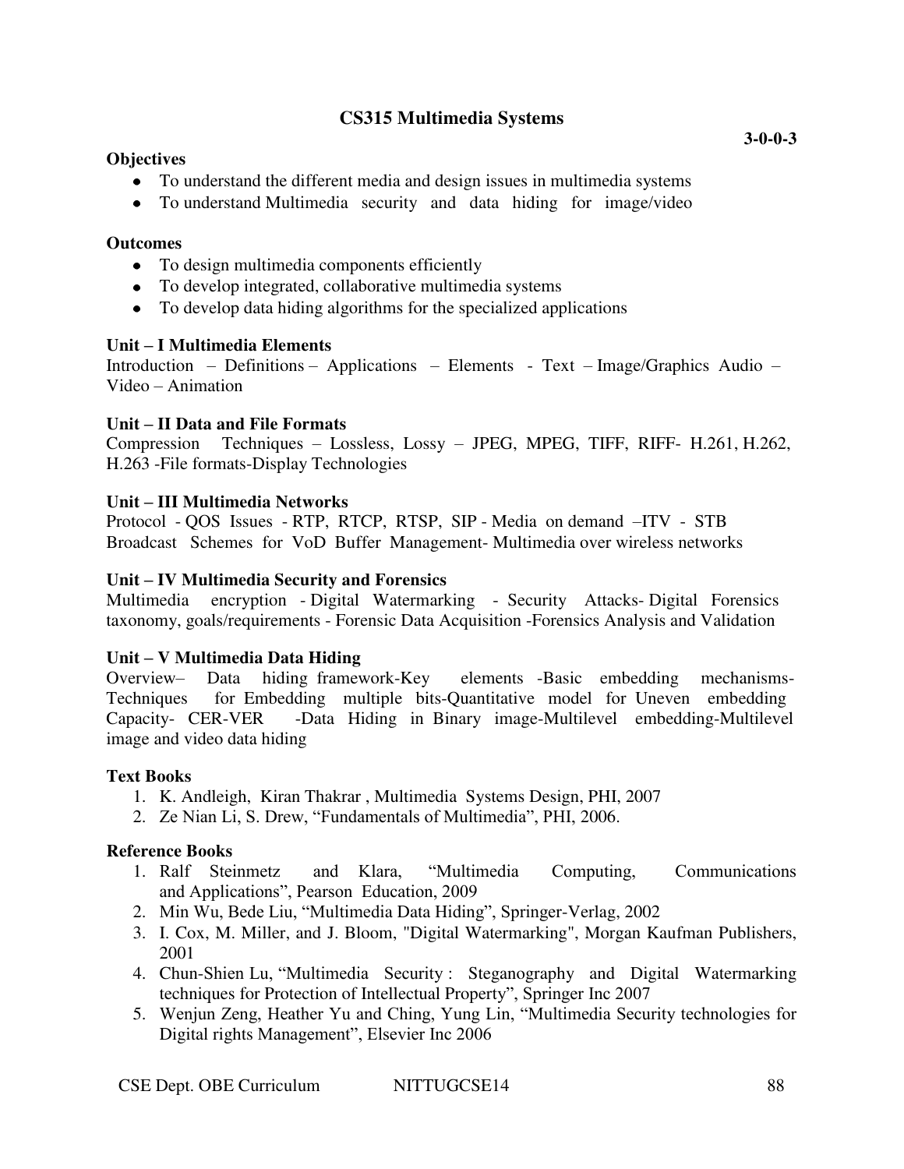## **CS315 Multimedia Systems**

#### **Objectives**

- To understand the different media and design issues in multimedia systems
- To understand Multimedia security and data hiding for image/video

#### **Outcomes**

- To design multimedia components efficiently
- To develop integrated, collaborative multimedia systems
- To develop data hiding algorithms for the specialized applications

## **Unit – I Multimedia Elements**

Introduction – Definitions – Applications – Elements - Text – Image/Graphics Audio – Video – Animation

### **Unit – II Data and File Formats**

Compression Techniques – Lossless, Lossy – JPEG, MPEG, TIFF, RIFF- H.261, H.262, H.263 -File formats-Display Technologies

### **Unit – III Multimedia Networks**

Protocol - QOS Issues - RTP, RTCP, RTSP, SIP - Media on demand –ITV - STB Broadcast Schemes for VoD Buffer Management- Multimedia over wireless networks

### **Unit – IV Multimedia Security and Forensics**

Multimedia encryption - Digital Watermarking - Security Attacks- Digital Forensics taxonomy, goals/requirements - Forensic Data Acquisition -Forensics Analysis and Validation

#### **Unit – V Multimedia Data Hiding**

Overview– Data hiding framework-Key elements -Basic embedding mechanisms-Techniques for Embedding multiple bits-Quantitative model for Uneven embedding Capacity- CER-VER -Data Hiding in Binary image-Multilevel embedding-Multilevel image and video data hiding

## **Text Books**

- 1. K. Andleigh, Kiran Thakrar , Multimedia Systems Design, PHI, 2007
- 2. Ze Nian Li, S. Drew, "Fundamentals of Multimedia", PHI, 2006.

#### **Reference Books**

- 1. Ralf Steinmetz and Klara, "Multimedia Computing, Communications and Applications", Pearson Education, 2009
- 2. Min Wu, Bede Liu, "Multimedia Data Hiding", Springer-Verlag, 2002
- 3. I. Cox, M. Miller, and J. Bloom, "Digital Watermarking", Morgan Kaufman Publishers, 2001
- 4. Chun-Shien Lu, "Multimedia Security : Steganography and Digital Watermarking techniques for Protection of Intellectual Property", Springer Inc 2007
- 5. Wenjun Zeng, Heather Yu and Ching, Yung Lin, "Multimedia Security technologies for Digital rights Management", Elsevier Inc 2006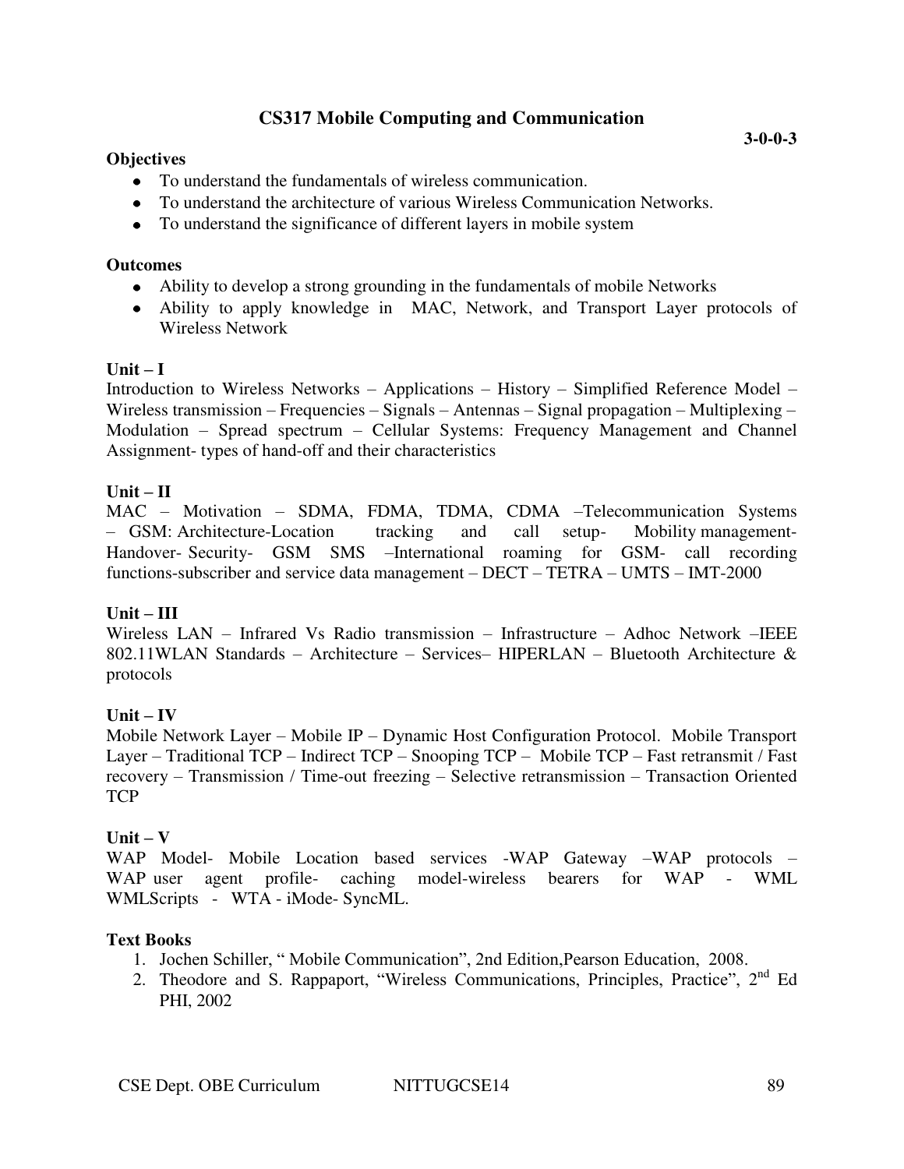# **CS317 Mobile Computing and Communication**

### **Objectives**

- To understand the fundamentals of wireless communication.
- To understand the architecture of various Wireless Communication Networks.
- To understand the significance of different layers in mobile system

#### **Outcomes**

- Ability to develop a strong grounding in the fundamentals of mobile Networks
- Ability to apply knowledge in MAC, Network, and Transport Layer protocols of Wireless Network

### $\textbf{Unit} - \textbf{I}$

Introduction to Wireless Networks – Applications – History – Simplified Reference Model – Wireless transmission – Frequencies – Signals – Antennas – Signal propagation – Multiplexing – Modulation – Spread spectrum – Cellular Systems: Frequency Management and Channel Assignment- types of hand-off and their characteristics

# $Unit - II$

MAC – Motivation – SDMA, FDMA, TDMA, CDMA –Telecommunication Systems – GSM: Architecture-Location tracking and call setup- Mobility management-Handover- Security- GSM SMS –International roaming for GSM- call recording functions-subscriber and service data management – DECT – TETRA – UMTS – IMT-2000

# **Unit – III**

Wireless LAN – Infrared Vs Radio transmission – Infrastructure – Adhoc Network –IEEE 802.11WLAN Standards – Architecture – Services– HIPERLAN – Bluetooth Architecture & protocols

# $Unit - IV$

Mobile Network Layer – Mobile IP – Dynamic Host Configuration Protocol. Mobile Transport Layer – Traditional TCP – Indirect TCP – Snooping TCP – Mobile TCP – Fast retransmit / Fast recovery – Transmission / Time-out freezing – Selective retransmission – Transaction Oriented **TCP** 

# $Unit - V$

WAP Model- Mobile Location based services -WAP Gateway –WAP protocols – WAP user agent profile- caching model-wireless bearers for WAP - WML WMLScripts - WTA - iMode- SyncML.

# **Text Books**

- 1. Jochen Schiller, " Mobile Communication", 2nd Edition,Pearson Education, 2008.
- 2. Theodore and S. Rappaport, "Wireless Communications, Principles, Practice", 2<sup>nd</sup> Ed PHI, 2002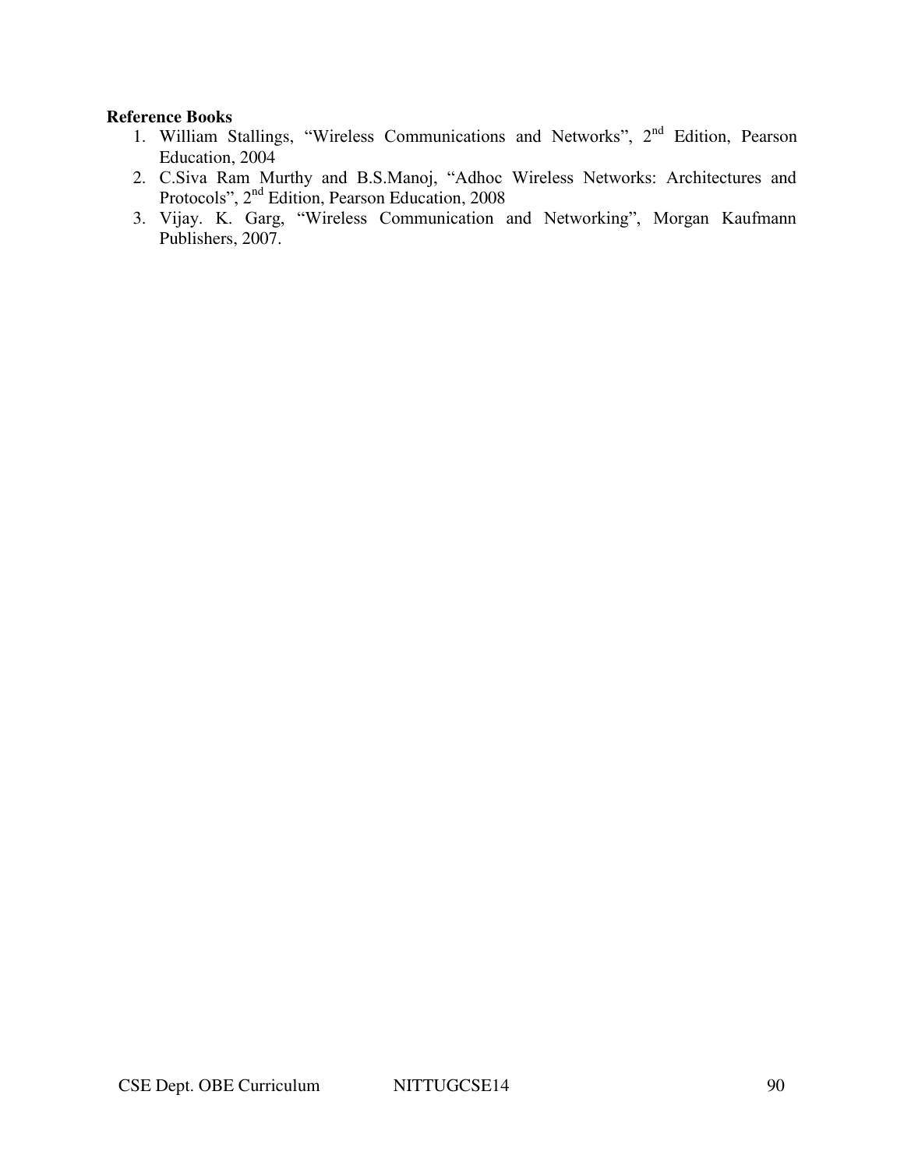- 1. William Stallings, "Wireless Communications and Networks", 2nd Edition, Pearson Education, 2004
- 2. C.Siva Ram Murthy and B.S.Manoj, "Adhoc Wireless Networks: Architectures and Protocols", 2<sup>nd</sup> Edition, Pearson Education, 2008
- 3. Vijay. K. Garg, "Wireless Communication and Networking", Morgan Kaufmann Publishers, 2007.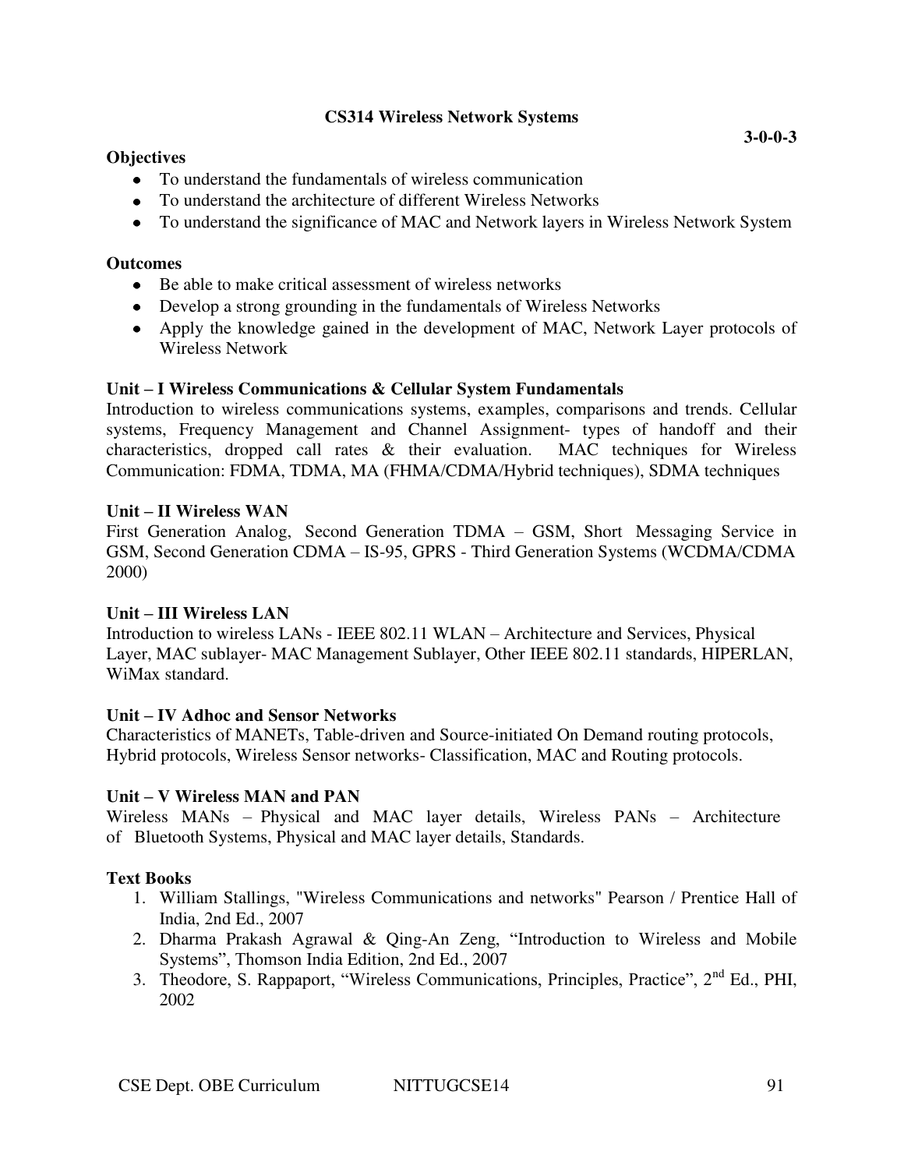# **CS314 Wireless Network Systems**

#### **Objectives**

- To understand the fundamentals of wireless communication
- To understand the architecture of different Wireless Networks
- To understand the significance of MAC and Network layers in Wireless Network System

#### **Outcomes**

- Be able to make critical assessment of wireless networks
- Develop a strong grounding in the fundamentals of Wireless Networks
- Apply the knowledge gained in the development of MAC, Network Layer protocols of Wireless Network

### **Unit – I Wireless Communications & Cellular System Fundamentals**

Introduction to wireless communications systems, examples, comparisons and trends. Cellular systems, Frequency Management and Channel Assignment- types of handoff and their characteristics, dropped call rates & their evaluation. MAC techniques for Wireless Communication: FDMA, TDMA, MA (FHMA/CDMA/Hybrid techniques), SDMA techniques

### **Unit – II Wireless WAN**

First Generation Analog, Second Generation TDMA – GSM, Short Messaging Service in GSM, Second Generation CDMA – IS-95, GPRS - Third Generation Systems (WCDMA/CDMA 2000)

#### **Unit – III Wireless LAN**

Introduction to wireless LANs - IEEE 802.11 WLAN – Architecture and Services, Physical Layer, MAC sublayer- MAC Management Sublayer, Other IEEE 802.11 standards, HIPERLAN, WiMax standard.

# **Unit – IV Adhoc and Sensor Networks**

Characteristics of MANETs, Table-driven and Source-initiated On Demand routing protocols, Hybrid protocols, Wireless Sensor networks- Classification, MAC and Routing protocols.

# **Unit – V Wireless MAN and PAN**

Wireless MANs – Physical and MAC layer details, Wireless PANs – Architecture of Bluetooth Systems, Physical and MAC layer details, Standards.

# **Text Books**

- 1. William Stallings, "Wireless Communications and networks" Pearson / Prentice Hall of India, 2nd Ed., 2007
- 2. Dharma Prakash Agrawal & Qing-An Zeng, "Introduction to Wireless and Mobile Systems", Thomson India Edition, 2nd Ed., 2007
- 3. Theodore, S. Rappaport, "Wireless Communications, Principles, Practice", 2nd Ed., PHI, 2002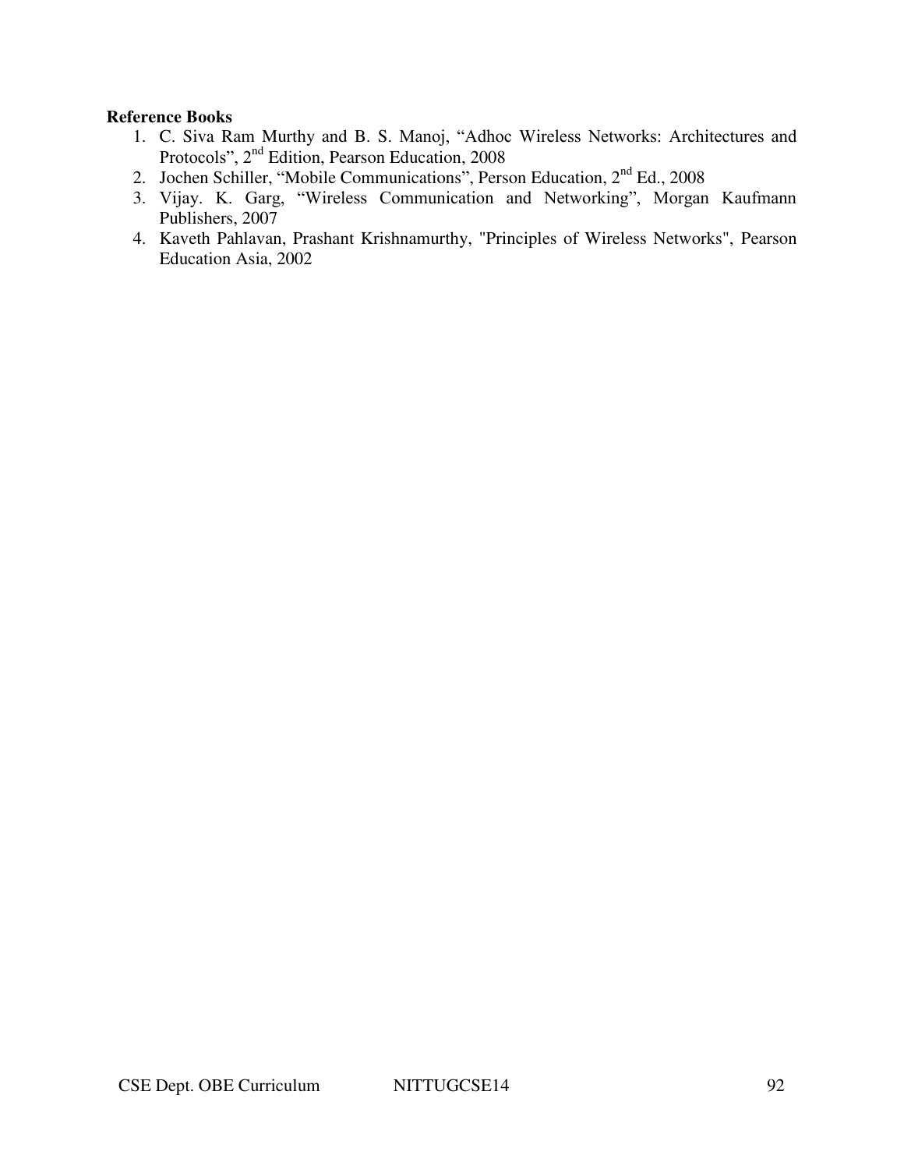- 1. C. Siva Ram Murthy and B. S. Manoj, "Adhoc Wireless Networks: Architectures and Protocols", 2nd Edition, Pearson Education, 2008
- 2. Jochen Schiller, "Mobile Communications", Person Education, 2<sup>nd</sup> Ed., 2008
- 3. Vijay. K. Garg, "Wireless Communication and Networking", Morgan Kaufmann Publishers, 2007
- 4. Kaveth Pahlavan, Prashant Krishnamurthy, "Principles of Wireless Networks", Pearson Education Asia, 2002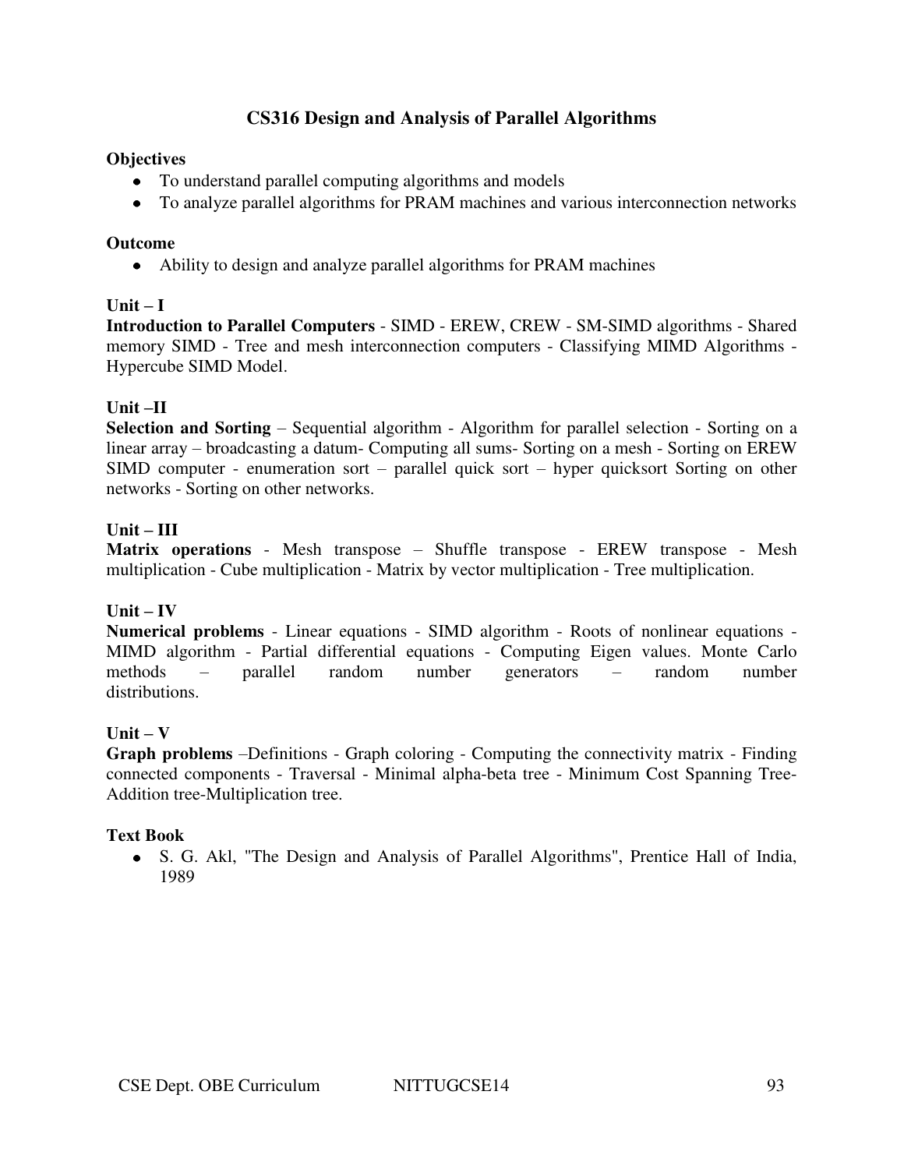# **CS316 Design and Analysis of Parallel Algorithms**

### **Objectives**

- To understand parallel computing algorithms and models
- To analyze parallel algorithms for PRAM machines and various interconnection networks

#### **Outcome**

Ability to design and analyze parallel algorithms for PRAM machines

# $\textbf{Unit} - \textbf{I}$

**Introduction to Parallel Computers** - SIMD - EREW, CREW - SM-SIMD algorithms - Shared memory SIMD - Tree and mesh interconnection computers - Classifying MIMD Algorithms - Hypercube SIMD Model.

### **Unit –II**

**Selection and Sorting** – Sequential algorithm - Algorithm for parallel selection - Sorting on a linear array – broadcasting a datum- Computing all sums- Sorting on a mesh - Sorting on EREW SIMD computer - enumeration sort – parallel quick sort – hyper quicksort Sorting on other networks - Sorting on other networks.

### **Unit – III**

**Matrix operations** - Mesh transpose – Shuffle transpose - EREW transpose - Mesh multiplication - Cube multiplication - Matrix by vector multiplication - Tree multiplication.

#### $Unit - IV$

**Numerical problems** - Linear equations - SIMD algorithm - Roots of nonlinear equations - MIMD algorithm - Partial differential equations - Computing Eigen values. Monte Carlo methods – parallel random number generators – random number distributions.

# $Unit - V$

**Graph problems** –Definitions - Graph coloring - Computing the connectivity matrix - Finding connected components - Traversal - Minimal alpha-beta tree - Minimum Cost Spanning Tree-Addition tree-Multiplication tree.

#### **Text Book**

S. G. Akl, "The Design and Analysis of Parallel Algorithms", Prentice Hall of India, 1989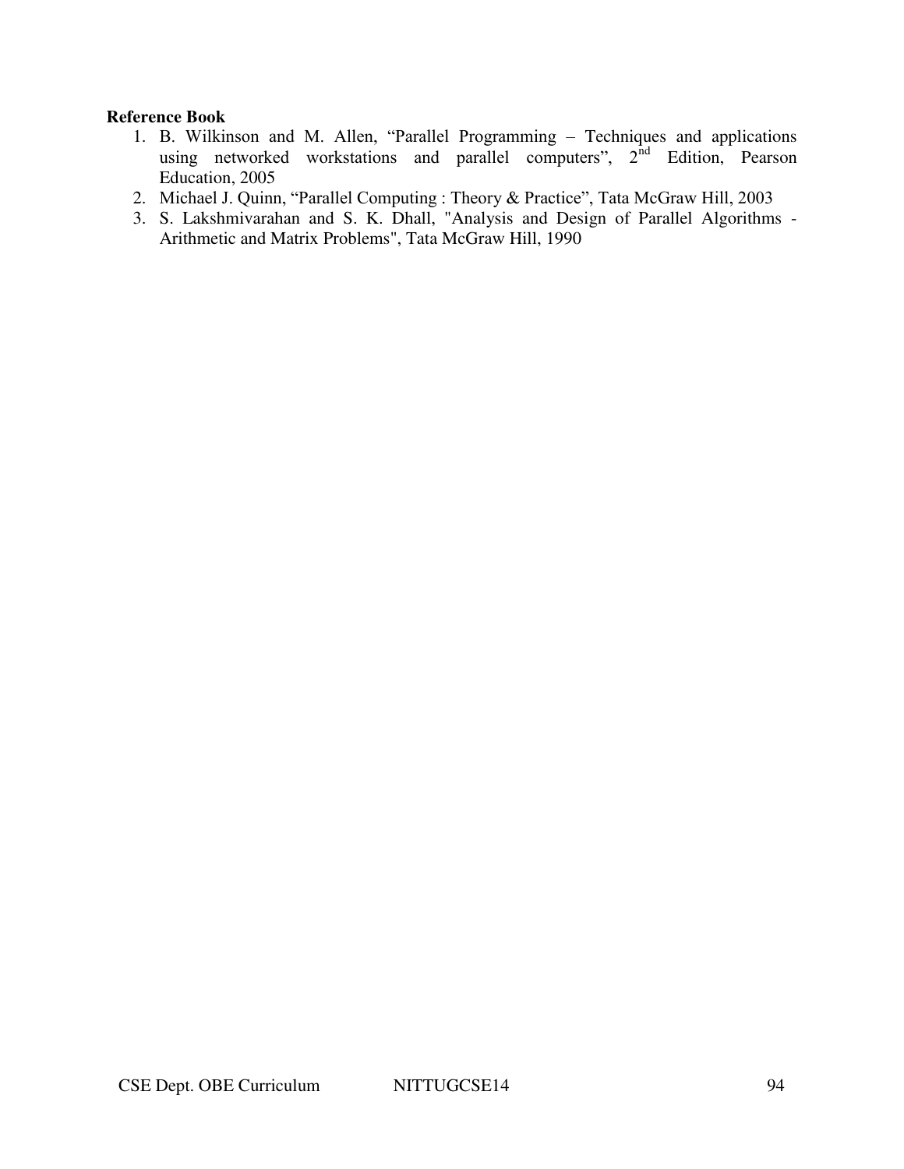- 1. B. Wilkinson and M. Allen, "Parallel Programming Techniques and applications using networked workstations and parallel computers", 2<sup>nd</sup> Edition, Pearson Education, 2005
- 2. Michael J. Quinn, "Parallel Computing : Theory & Practice", Tata McGraw Hill, 2003
- 3. S. Lakshmivarahan and S. K. Dhall, "Analysis and Design of Parallel Algorithms Arithmetic and Matrix Problems", Tata McGraw Hill, 1990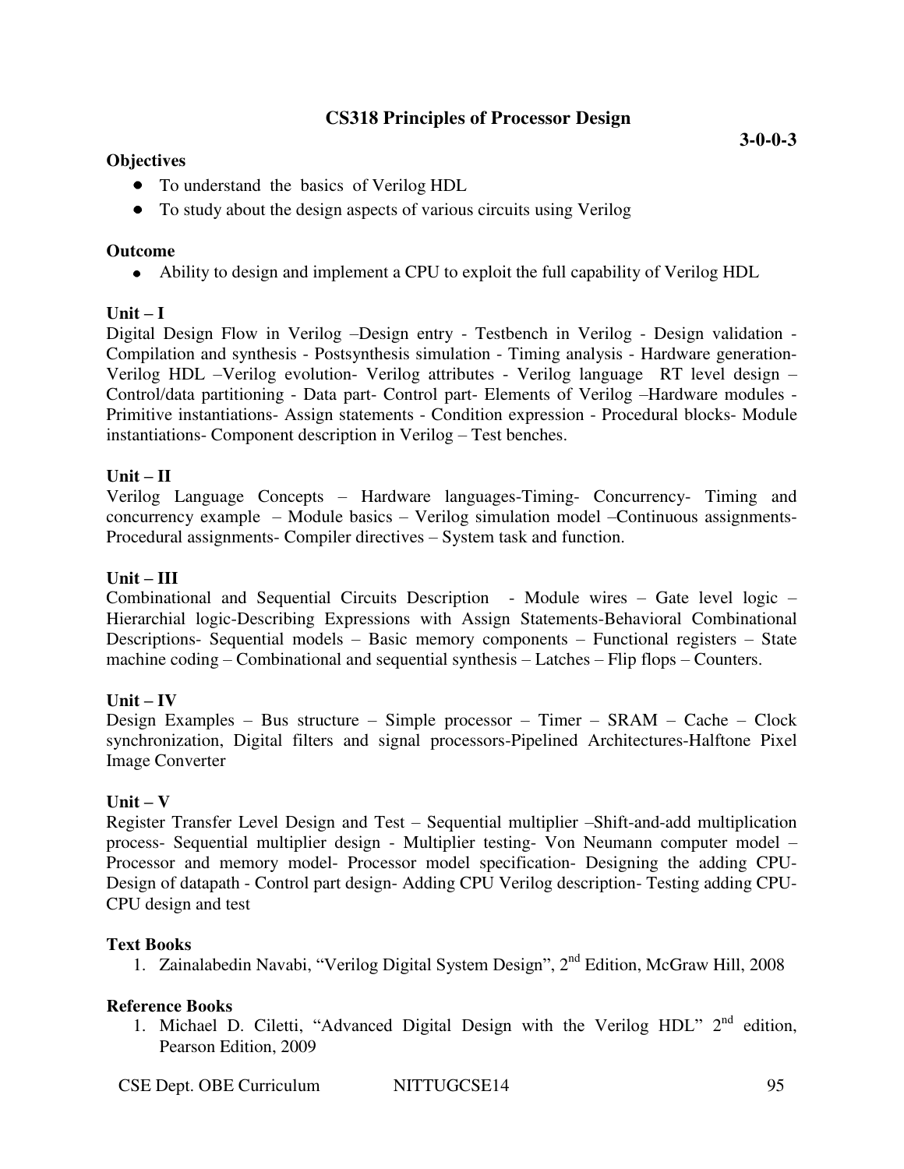# **CS318 Principles of Processor Design**

### **Objectives**

- To understand the basics of Verilog HDL
- To study about the design aspects of various circuits using Verilog

#### **Outcome**

Ability to design and implement a CPU to exploit the full capability of Verilog HDL

# $Unit - I$

Digital Design Flow in Verilog –Design entry - Testbench in Verilog - Design validation - Compilation and synthesis - Postsynthesis simulation - Timing analysis - Hardware generation-Verilog HDL –Verilog evolution- Verilog attributes - Verilog language RT level design – Control/data partitioning - Data part- Control part- Elements of Verilog –Hardware modules - Primitive instantiations- Assign statements - Condition expression - Procedural blocks- Module instantiations- Component description in Verilog – Test benches.

# $\mathbf{U}$ nit –  $\mathbf{H}$

Verilog Language Concepts – Hardware languages-Timing- Concurrency- Timing and concurrency example – Module basics – Verilog simulation model –Continuous assignments-Procedural assignments- Compiler directives – System task and function.

# **Unit – III**

Combinational and Sequential Circuits Description - Module wires – Gate level logic – Hierarchial logic-Describing Expressions with Assign Statements-Behavioral Combinational Descriptions- Sequential models – Basic memory components – Functional registers – State machine coding – Combinational and sequential synthesis – Latches – Flip flops – Counters.

# $Unit - IV$

Design Examples – Bus structure – Simple processor – Timer – SRAM – Cache – Clock synchronization, Digital filters and signal processors-Pipelined Architectures-Halftone Pixel Image Converter

# $Unit - V$

Register Transfer Level Design and Test – Sequential multiplier –Shift-and-add multiplication process- Sequential multiplier design - Multiplier testing- Von Neumann computer model – Processor and memory model- Processor model specification- Designing the adding CPU-Design of datapath - Control part design- Adding CPU Verilog description- Testing adding CPU-CPU design and test

# **Text Books**

1. Zainalabedin Navabi, "Verilog Digital System Design", 2nd Edition, McGraw Hill, 2008

# **Reference Books**

1. Michael D. Ciletti, "Advanced Digital Design with the Verilog HDL"  $2<sup>nd</sup>$  edition, Pearson Edition, 2009

CSE Dept. OBE Curriculum NITTUGCSE14 95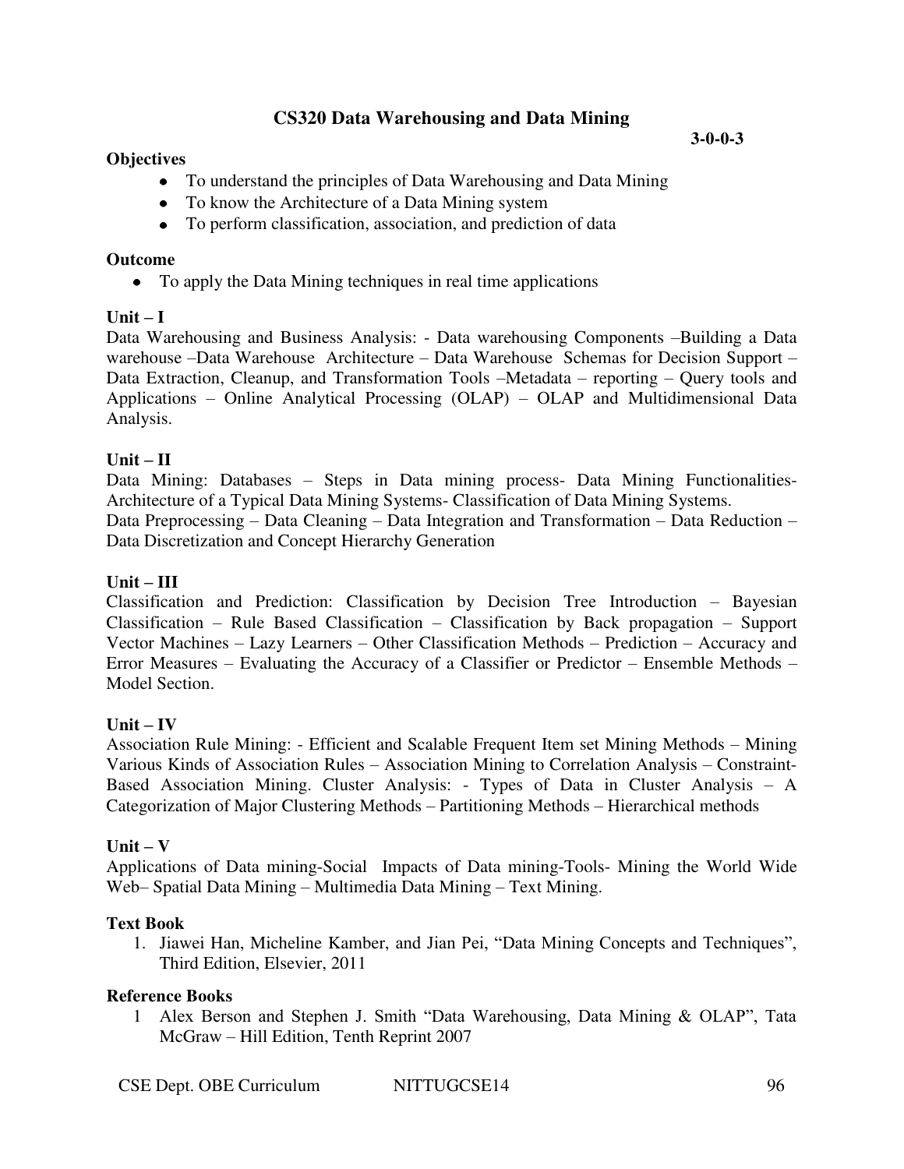# **CS320 Data Warehousing and Data Mining**

#### **Objectives**

#### **3-0-0-3**

- To understand the principles of Data Warehousing and Data Mining
- To know the Architecture of a Data Mining system
- To perform classification, association, and prediction of data

#### **Outcome**

To apply the Data Mining techniques in real time applications

### $Unit - I$

Data Warehousing and Business Analysis: - Data warehousing Components –Building a Data warehouse –Data Warehouse Architecture – Data Warehouse Schemas for Decision Support – Data Extraction, Cleanup, and Transformation Tools –Metadata – reporting – Query tools and Applications – Online Analytical Processing (OLAP) – OLAP and Multidimensional Data Analysis.

### $Unit - II$

Data Mining: Databases – Steps in Data mining process- Data Mining Functionalities-Architecture of a Typical Data Mining Systems- Classification of Data Mining Systems. Data Preprocessing – Data Cleaning – Data Integration and Transformation – Data Reduction – Data Discretization and Concept Hierarchy Generation

### **Unit – III**

Classification and Prediction: Classification by Decision Tree Introduction – Bayesian Classification – Rule Based Classification – Classification by Back propagation – Support Vector Machines – Lazy Learners – Other Classification Methods – Prediction – Accuracy and Error Measures – Evaluating the Accuracy of a Classifier or Predictor – Ensemble Methods – Model Section.

#### $Unit - IV$

Association Rule Mining: - Efficient and Scalable Frequent Item set Mining Methods – Mining Various Kinds of Association Rules – Association Mining to Correlation Analysis – Constraint-Based Association Mining. Cluster Analysis: - Types of Data in Cluster Analysis – A Categorization of Major Clustering Methods – Partitioning Methods – Hierarchical methods

#### $Unit - V$

Applications of Data mining-Social Impacts of Data mining-Tools- Mining the World Wide Web– Spatial Data Mining – Multimedia Data Mining – Text Mining.

#### **Text Book**

1. Jiawei Han, Micheline Kamber, and Jian Pei, "Data Mining Concepts and Techniques", Third Edition, Elsevier, 2011

#### **Reference Books**

1 Alex Berson and Stephen J. Smith "Data Warehousing, Data Mining & OLAP", Tata McGraw – Hill Edition, Tenth Reprint 2007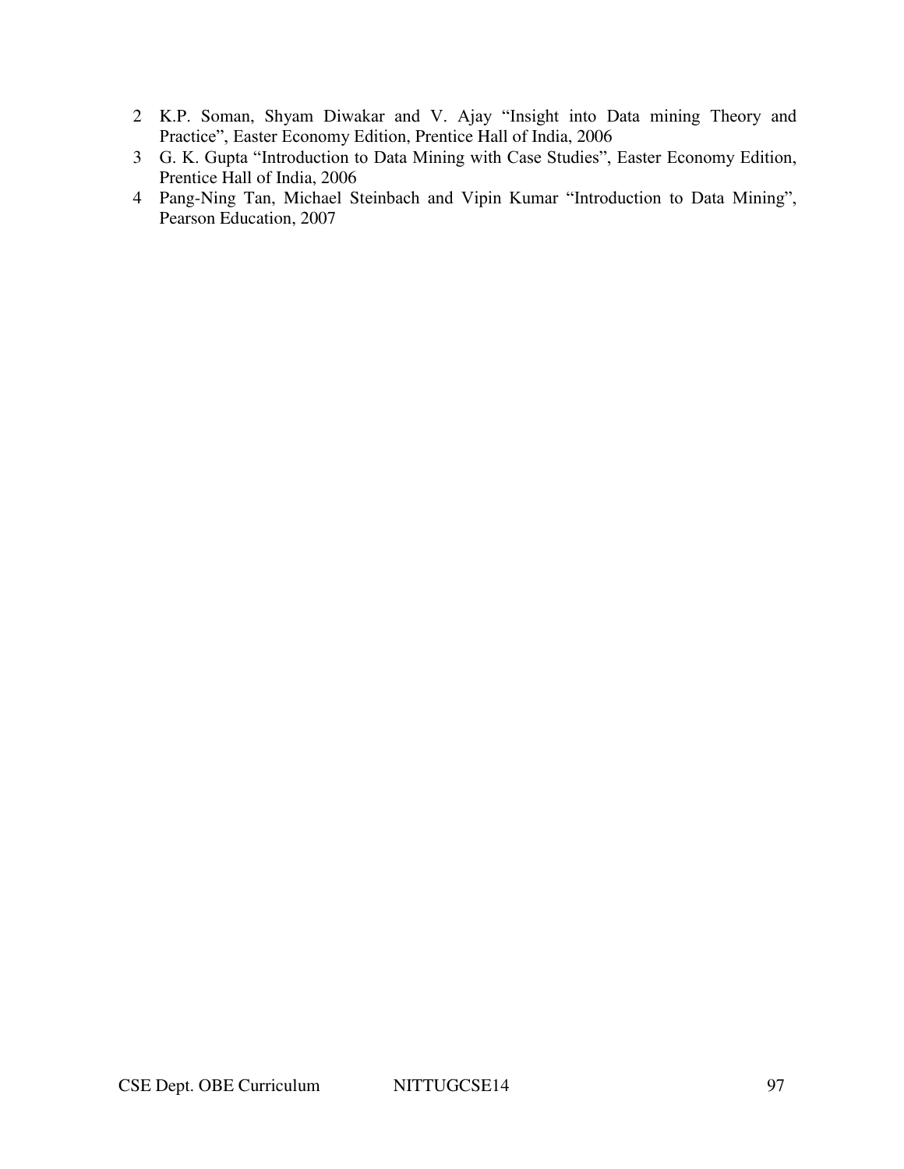- 2 K.P. Soman, Shyam Diwakar and V. Ajay "Insight into Data mining Theory and Practice", Easter Economy Edition, Prentice Hall of India, 2006
- 3 G. K. Gupta "Introduction to Data Mining with Case Studies", Easter Economy Edition, Prentice Hall of India, 2006
- 4 Pang-Ning Tan, Michael Steinbach and Vipin Kumar "Introduction to Data Mining", Pearson Education, 2007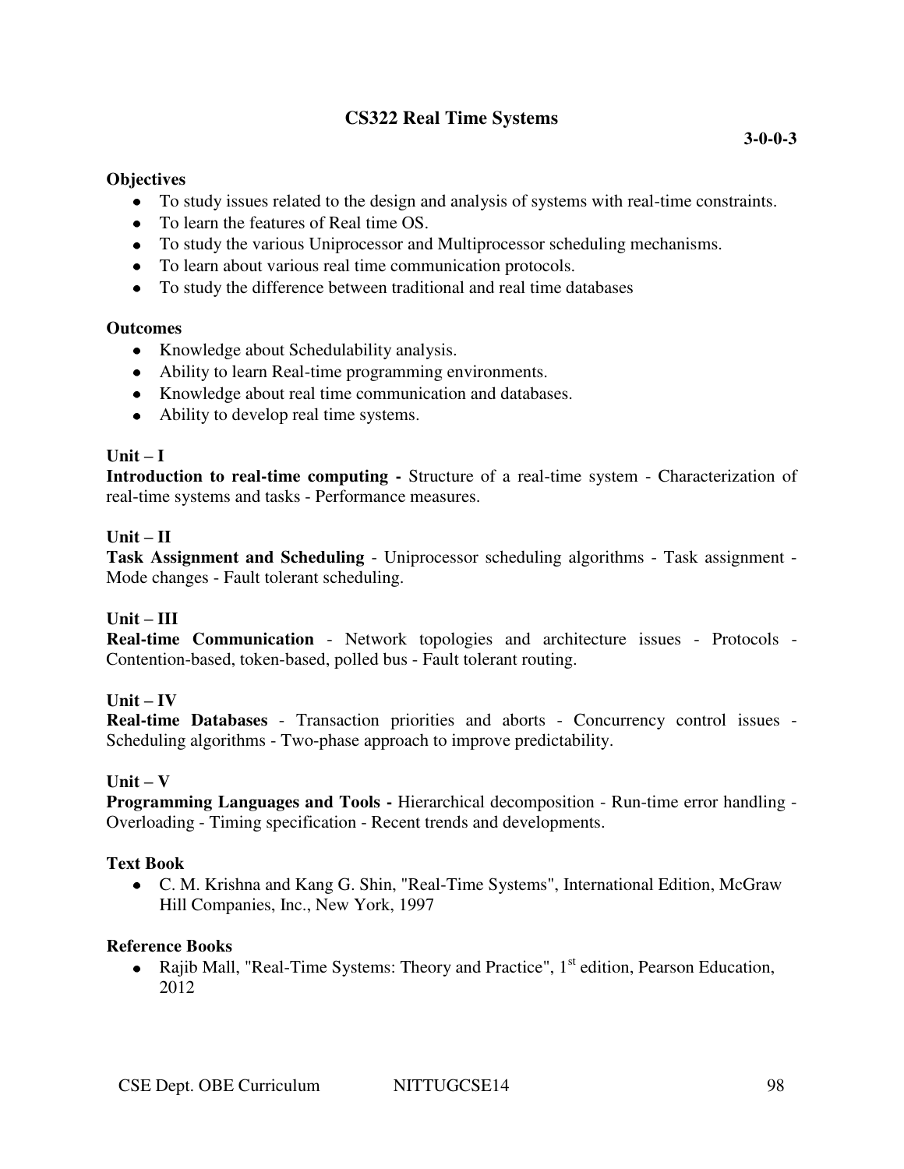# **CS322 Real Time Systems**

#### **Objectives**

- To study issues related to the design and analysis of systems with real-time constraints.
- To learn the features of Real time OS.
- To study the various Uniprocessor and Multiprocessor scheduling mechanisms.
- To learn about various real time communication protocols.
- To study the difference between traditional and real time databases

### **Outcomes**

- Knowledge about Schedulability analysis.
- Ability to learn Real-time programming environments.
- Knowledge about real time communication and databases.
- Ability to develop real time systems.

# $\textbf{Unit} - \textbf{I}$

**Introduction to real-time computing -** Structure of a real-time system - Characterization of real-time systems and tasks - Performance measures.

### $Unit - II$

**Task Assignment and Scheduling** - Uniprocessor scheduling algorithms - Task assignment - Mode changes - Fault tolerant scheduling.

# **Unit – III**

**Real-time Communication** - Network topologies and architecture issues - Protocols - Contention-based, token-based, polled bus - Fault tolerant routing.

# $Unit - IV$

**Real-time Databases** - Transaction priorities and aborts - Concurrency control issues - Scheduling algorithms - Two-phase approach to improve predictability.

# **Unit – V**

**Programming Languages and Tools -** Hierarchical decomposition - Run-time error handling - Overloading - Timing specification - Recent trends and developments.

# **Text Book**

C. M. Krishna and Kang G. Shin, "Real-Time Systems", International Edition, McGraw Hill Companies, Inc., New York, 1997

#### **Reference Books**

• Rajib Mall, "Real-Time Systems: Theory and Practice",  $1<sup>st</sup>$  edition, Pearson Education, 2012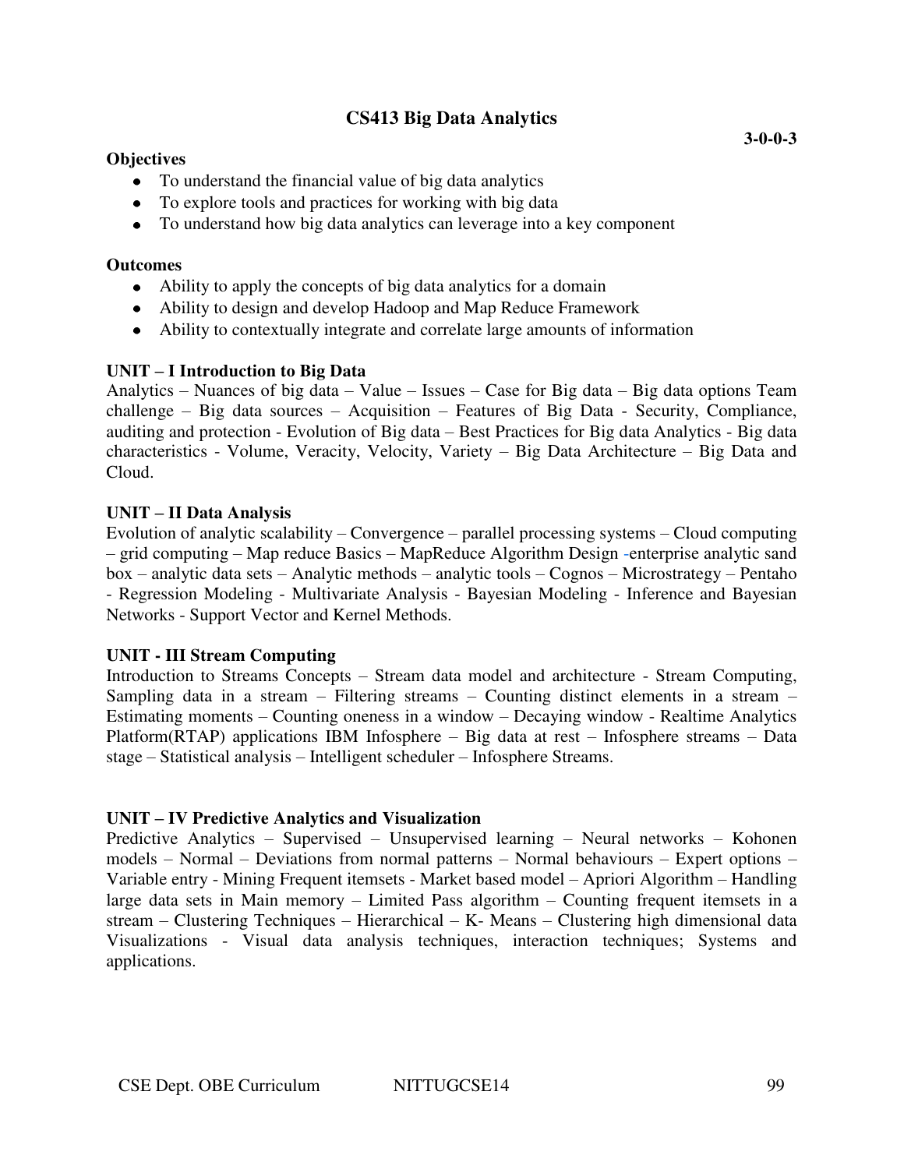# **CS413 Big Data Analytics**

#### **Objectives**

- To understand the financial value of big data analytics
- To explore tools and practices for working with big data
- To understand how big data analytics can leverage into a key component

#### **Outcomes**

- Ability to apply the concepts of big data analytics for a domain
- Ability to design and develop Hadoop and Map Reduce Framework
- Ability to contextually integrate and correlate large amounts of information

### **UNIT – I Introduction to Big Data**

Analytics – Nuances of big data – Value – Issues – Case for Big data – Big data options Team challenge – Big data sources – Acquisition – Features of Big Data - Security, Compliance, auditing and protection - Evolution of Big data – Best Practices for Big data Analytics - Big data characteristics - Volume, Veracity, Velocity, Variety – Big Data Architecture – Big Data and Cloud.

### **UNIT – II Data Analysis**

Evolution of analytic scalability – Convergence – parallel processing systems – Cloud computing – grid computing – Map reduce Basics – MapReduce Algorithm Design -enterprise analytic sand box – analytic data sets – Analytic methods – analytic tools – Cognos – Microstrategy – Pentaho - Regression Modeling - Multivariate Analysis - Bayesian Modeling - Inference and Bayesian Networks - Support Vector and Kernel Methods.

#### **UNIT - III Stream Computing**

Introduction to Streams Concepts – Stream data model and architecture - Stream Computing, Sampling data in a stream – Filtering streams – Counting distinct elements in a stream – Estimating moments – Counting oneness in a window – Decaying window - Realtime Analytics Platform(RTAP) applications IBM Infosphere – Big data at rest – Infosphere streams – Data stage – Statistical analysis – Intelligent scheduler – Infosphere Streams.

#### **UNIT – IV Predictive Analytics and Visualization**

Predictive Analytics – Supervised – Unsupervised learning – Neural networks – Kohonen models – Normal – Deviations from normal patterns – Normal behaviours – Expert options – Variable entry - Mining Frequent itemsets - Market based model – Apriori Algorithm – Handling large data sets in Main memory – Limited Pass algorithm – Counting frequent itemsets in a stream – Clustering Techniques – Hierarchical – K- Means – Clustering high dimensional data Visualizations - Visual data analysis techniques, interaction techniques; Systems and applications.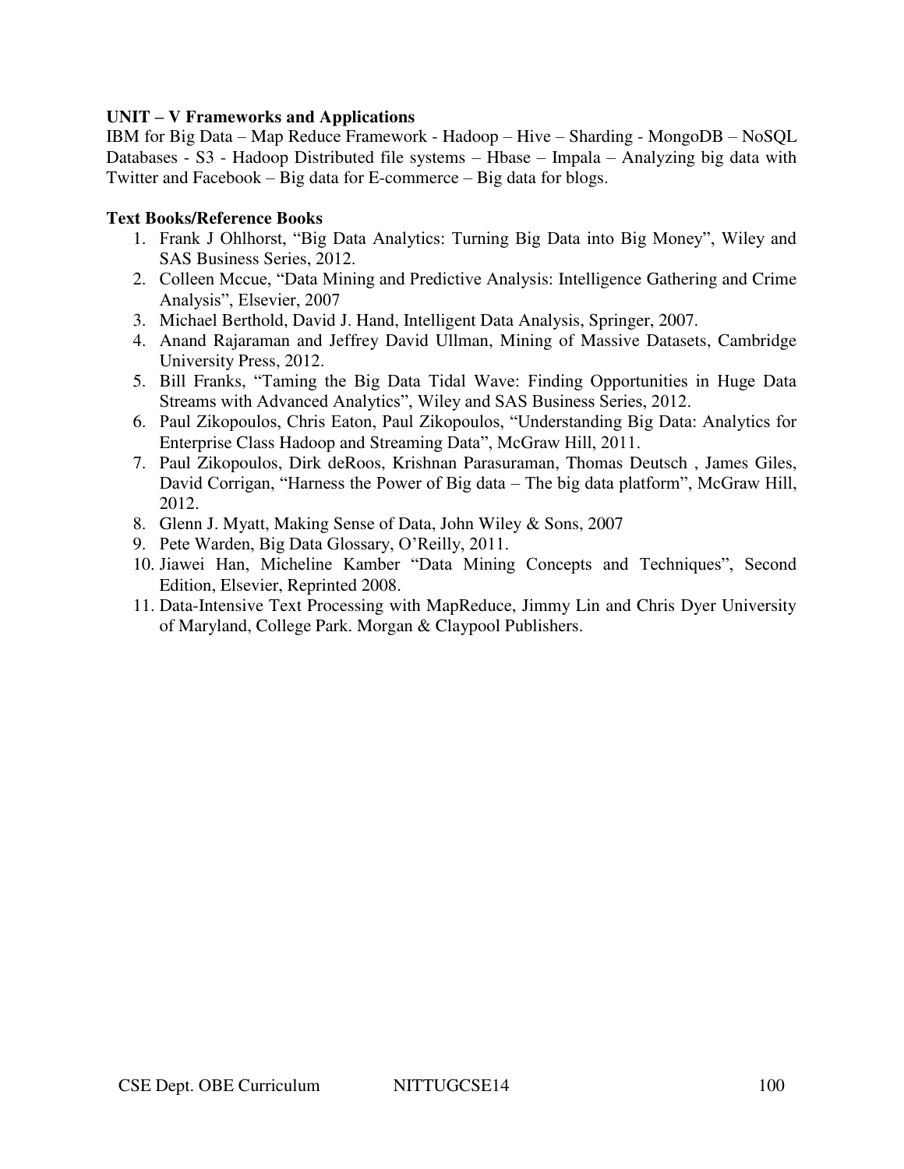#### **UNIT – V Frameworks and Applications**

IBM for Big Data – Map Reduce Framework - Hadoop – Hive – Sharding - MongoDB – NoSQL Databases - S3 - Hadoop Distributed file systems – Hbase – Impala – Analyzing big data with Twitter and Facebook – Big data for E-commerce – Big data for blogs.

### **Text Books/Reference Books**

- 1. Frank J Ohlhorst, "Big Data Analytics: Turning Big Data into Big Money", Wiley and SAS Business Series, 2012.
- 2. Colleen Mccue, "Data Mining and Predictive Analysis: Intelligence Gathering and Crime Analysis", Elsevier, 2007
- 3. Michael Berthold, David J. Hand, Intelligent Data Analysis, Springer, 2007.
- 4. Anand Rajaraman and Jeffrey David Ullman, Mining of Massive Datasets, Cambridge University Press, 2012.
- 5. Bill Franks, "Taming the Big Data Tidal Wave: Finding Opportunities in Huge Data Streams with Advanced Analytics", Wiley and SAS Business Series, 2012.
- 6. Paul Zikopoulos, Chris Eaton, Paul Zikopoulos, "Understanding Big Data: Analytics for Enterprise Class Hadoop and Streaming Data", McGraw Hill, 2011.
- 7. Paul Zikopoulos, Dirk deRoos, Krishnan Parasuraman, Thomas Deutsch , James Giles, David Corrigan, "Harness the Power of Big data – The big data platform", McGraw Hill, 2012.
- 8. Glenn J. Myatt, Making Sense of Data, John Wiley & Sons, 2007
- 9. Pete Warden, Big Data Glossary, O'Reilly, 2011.
- 10. Jiawei Han, Micheline Kamber "Data Mining Concepts and Techniques", Second Edition, Elsevier, Reprinted 2008.
- 11. Data-Intensive Text Processing with MapReduce, Jimmy Lin and Chris Dyer University of Maryland, College Park. Morgan & Claypool Publishers.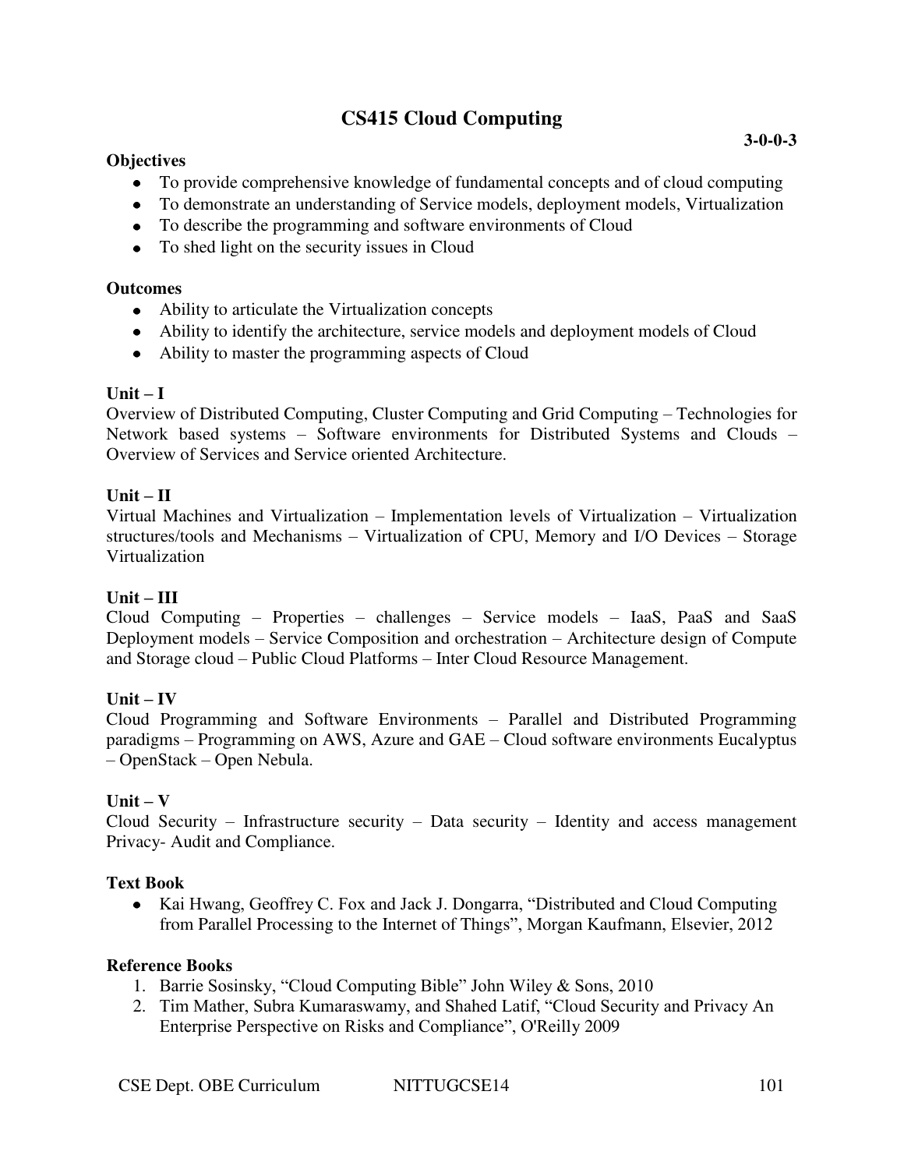# **CS415 Cloud Computing**

### **Objectives**

- To provide comprehensive knowledge of fundamental concepts and of cloud computing
- To demonstrate an understanding of Service models, deployment models, Virtualization
- To describe the programming and software environments of Cloud
- To shed light on the security issues in Cloud

### **Outcomes**

- Ability to articulate the Virtualization concepts
- Ability to identify the architecture, service models and deployment models of Cloud
- Ability to master the programming aspects of Cloud

### $Unit - I$

Overview of Distributed Computing, Cluster Computing and Grid Computing – Technologies for Network based systems – Software environments for Distributed Systems and Clouds – Overview of Services and Service oriented Architecture.

### **Unit – II**

Virtual Machines and Virtualization – Implementation levels of Virtualization – Virtualization structures/tools and Mechanisms – Virtualization of CPU, Memory and I/O Devices – Storage Virtualization

# **Unit – III**

Cloud Computing – Properties – challenges – Service models – IaaS, PaaS and SaaS Deployment models – Service Composition and orchestration – Architecture design of Compute and Storage cloud – Public Cloud Platforms – Inter Cloud Resource Management.

# $Unit - IV$

Cloud Programming and Software Environments – Parallel and Distributed Programming paradigms – Programming on AWS, Azure and GAE – Cloud software environments Eucalyptus – OpenStack – Open Nebula.

# $\textbf{Unit} - \textbf{V}$

Cloud Security – Infrastructure security – Data security – Identity and access management Privacy- Audit and Compliance.

#### **Text Book**

• Kai Hwang, Geoffrey C. Fox and Jack J. Dongarra, "Distributed and Cloud Computing from Parallel Processing to the Internet of Things", Morgan Kaufmann, Elsevier, 2012

- 1. Barrie Sosinsky, "Cloud Computing Bible" John Wiley & Sons, 2010
- 2. Tim Mather, Subra Kumaraswamy, and Shahed Latif, "Cloud Security and Privacy An Enterprise Perspective on Risks and Compliance", O'Reilly 2009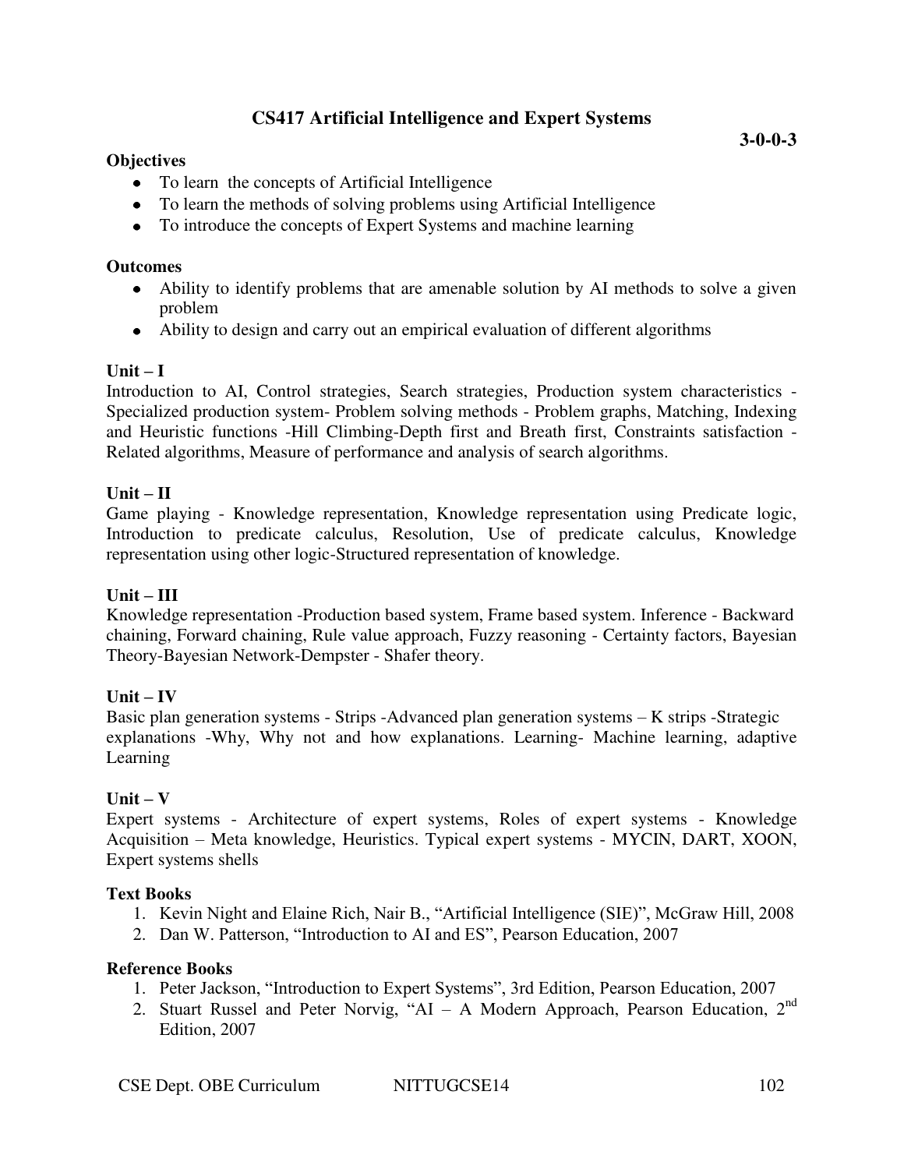# **Objectives**

- To learn the concepts of Artificial Intelligence
- To learn the methods of solving problems using Artificial Intelligence
- To introduce the concepts of Expert Systems and machine learning

### **Outcomes**

- Ability to identify problems that are amenable solution by AI methods to solve a given problem
- Ability to design and carry out an empirical evaluation of different algorithms

# $\mathbf{Unit} - \mathbf{I}$

Introduction to AI, Control strategies, Search strategies, Production system characteristics - Specialized production system- Problem solving methods - Problem graphs, Matching, Indexing and Heuristic functions -Hill Climbing-Depth first and Breath first, Constraints satisfaction - Related algorithms, Measure of performance and analysis of search algorithms.

# $Unit - II$

Game playing - Knowledge representation, Knowledge representation using Predicate logic, Introduction to predicate calculus, Resolution, Use of predicate calculus, Knowledge representation using other logic-Structured representation of knowledge.

# **Unit – III**

Knowledge representation -Production based system, Frame based system. Inference - Backward chaining, Forward chaining, Rule value approach, Fuzzy reasoning - Certainty factors, Bayesian Theory-Bayesian Network-Dempster - Shafer theory.

# $Unit - IV$

Basic plan generation systems - Strips -Advanced plan generation systems – K strips -Strategic explanations -Why, Why not and how explanations. Learning- Machine learning, adaptive Learning

# $Unit - V$

Expert systems - Architecture of expert systems, Roles of expert systems - Knowledge Acquisition – Meta knowledge, Heuristics. Typical expert systems - MYCIN, DART, XOON, Expert systems shells

# **Text Books**

- 1. Kevin Night and Elaine Rich, Nair B., "Artificial Intelligence (SIE)", McGraw Hill, 2008
- 2. Dan W. Patterson, "Introduction to AI and ES", Pearson Education, 2007

- 1. Peter Jackson, "Introduction to Expert Systems", 3rd Edition, Pearson Education, 2007
- 2. Stuart Russel and Peter Norvig, "AI A Modern Approach, Pearson Education,  $2<sup>nd</sup>$ Edition, 2007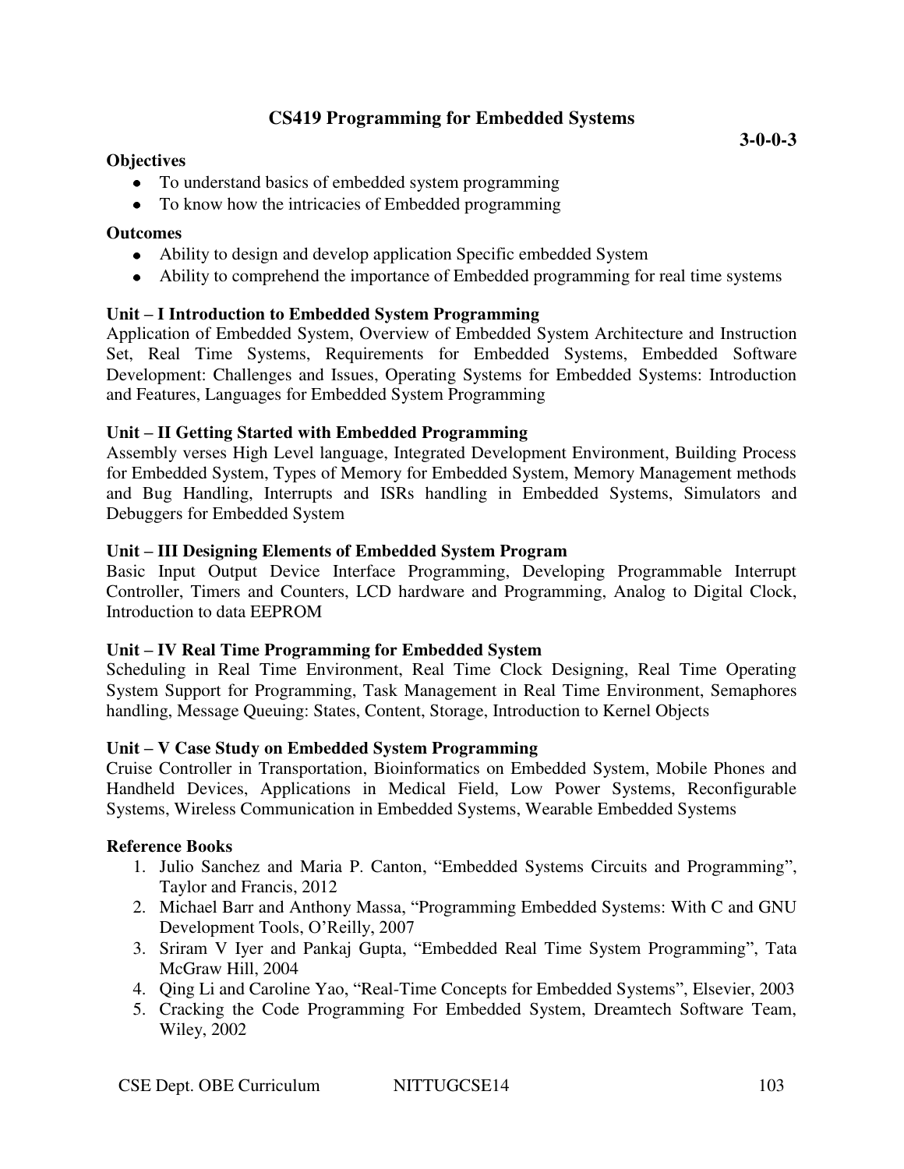# **CS419 Programming for Embedded Systems**

### **Objectives**

- To understand basics of embedded system programming
- To know how the intricacies of Embedded programming

# **Outcomes**

- Ability to design and develop application Specific embedded System
- Ability to comprehend the importance of Embedded programming for real time systems

# **Unit – I Introduction to Embedded System Programming**

Application of Embedded System, Overview of Embedded System Architecture and Instruction Set, Real Time Systems, Requirements for Embedded Systems, Embedded Software Development: Challenges and Issues, Operating Systems for Embedded Systems: Introduction and Features, Languages for Embedded System Programming

# **Unit – II Getting Started with Embedded Programming**

Assembly verses High Level language, Integrated Development Environment, Building Process for Embedded System, Types of Memory for Embedded System, Memory Management methods and Bug Handling, Interrupts and ISRs handling in Embedded Systems, Simulators and Debuggers for Embedded System

# **Unit – III Designing Elements of Embedded System Program**

Basic Input Output Device Interface Programming, Developing Programmable Interrupt Controller, Timers and Counters, LCD hardware and Programming, Analog to Digital Clock, Introduction to data EEPROM

# **Unit – IV Real Time Programming for Embedded System**

Scheduling in Real Time Environment, Real Time Clock Designing, Real Time Operating System Support for Programming, Task Management in Real Time Environment, Semaphores handling, Message Queuing: States, Content, Storage, Introduction to Kernel Objects

# **Unit – V Case Study on Embedded System Programming**

Cruise Controller in Transportation, Bioinformatics on Embedded System, Mobile Phones and Handheld Devices, Applications in Medical Field, Low Power Systems, Reconfigurable Systems, Wireless Communication in Embedded Systems, Wearable Embedded Systems

- 1. Julio Sanchez and Maria P. Canton, "Embedded Systems Circuits and Programming", Taylor and Francis, 2012
- 2. Michael Barr and Anthony Massa, "Programming Embedded Systems: With C and GNU Development Tools, O'Reilly, 2007
- 3. Sriram V Iyer and Pankaj Gupta, "Embedded Real Time System Programming", Tata McGraw Hill, 2004
- 4. Qing Li and Caroline Yao, "Real-Time Concepts for Embedded Systems", Elsevier, 2003
- 5. Cracking the Code Programming For Embedded System, Dreamtech Software Team, Wiley, 2002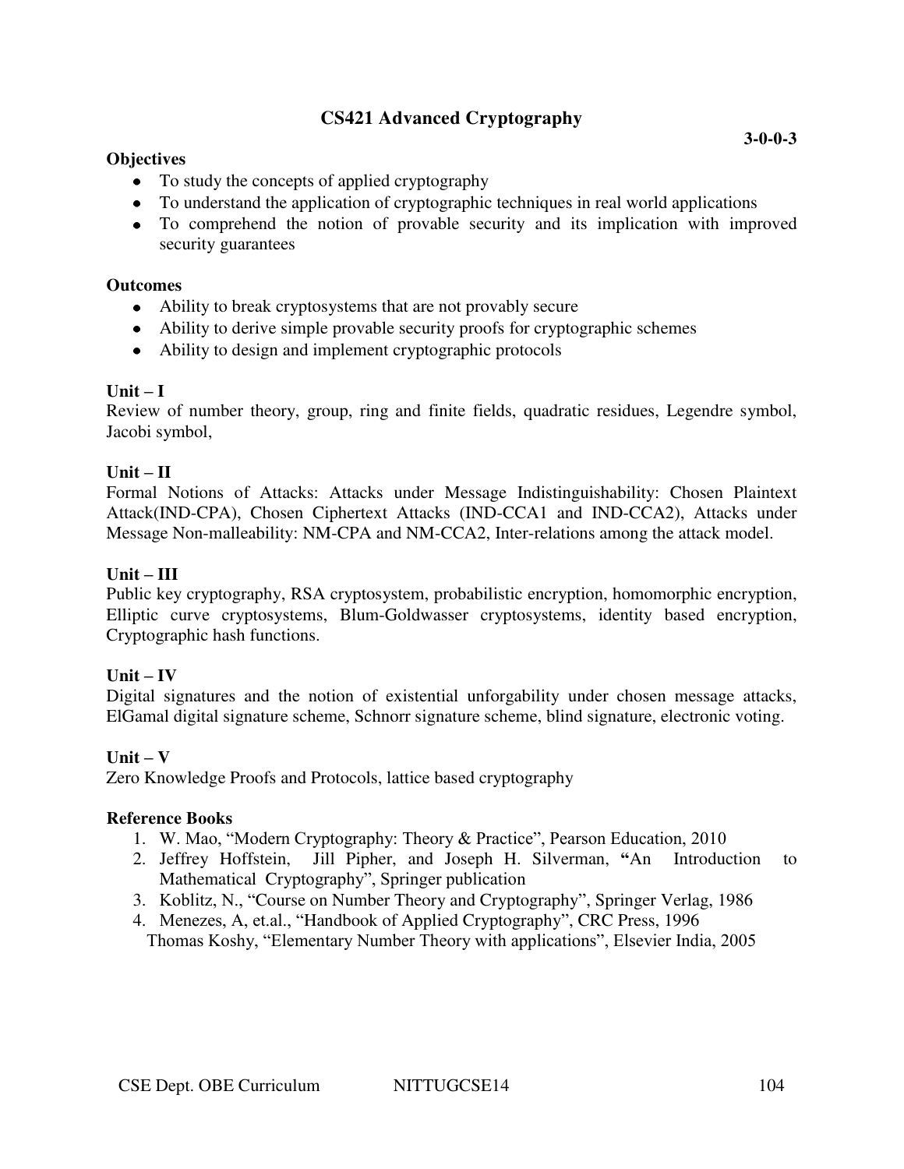# **CS421 Advanced Cryptography**

### **Objectives**

- To study the concepts of applied cryptography
- To understand the application of cryptographic techniques in real world applications
- To comprehend the notion of provable security and its implication with improved security guarantees

#### **Outcomes**

- Ability to break cryptosystems that are not provably secure
- Ability to derive simple provable security proofs for cryptographic schemes
- Ability to design and implement cryptographic protocols

#### **Unit – I**

Review of number theory, group, ring and finite fields, quadratic residues, Legendre symbol, Jacobi symbol,

#### $Unit - II$

Formal Notions of Attacks: Attacks under Message Indistinguishability: Chosen Plaintext Attack(IND-CPA), Chosen Ciphertext Attacks (IND-CCA1 and IND-CCA2), Attacks under Message Non-malleability: NM-CPA and NM-CCA2, Inter-relations among the attack model.

#### **Unit – III**

Public key cryptography, RSA cryptosystem, probabilistic encryption, homomorphic encryption, Elliptic curve cryptosystems, Blum-Goldwasser cryptosystems, identity based encryption, Cryptographic hash functions.

#### $Unit - IV$

Digital signatures and the notion of existential unforgability under chosen message attacks, ElGamal digital signature scheme, Schnorr signature scheme, blind signature, electronic voting.

#### $Unit - V$

Zero Knowledge Proofs and Protocols, lattice based cryptography

- 1. W. Mao, "Modern Cryptography: Theory & Practice", Pearson Education, 2010
- 2. Jeffrey Hoffstein, Jill Pipher, and Joseph H. Silverman, **"**An Introduction to Mathematical Cryptography", Springer publication
- 3. Koblitz, N., "Course on Number Theory and Cryptography", Springer Verlag, 1986
- 4. Menezes, A, et.al., "Handbook of Applied Cryptography", CRC Press, 1996 Thomas Koshy, "Elementary Number Theory with applications", Elsevier India, 2005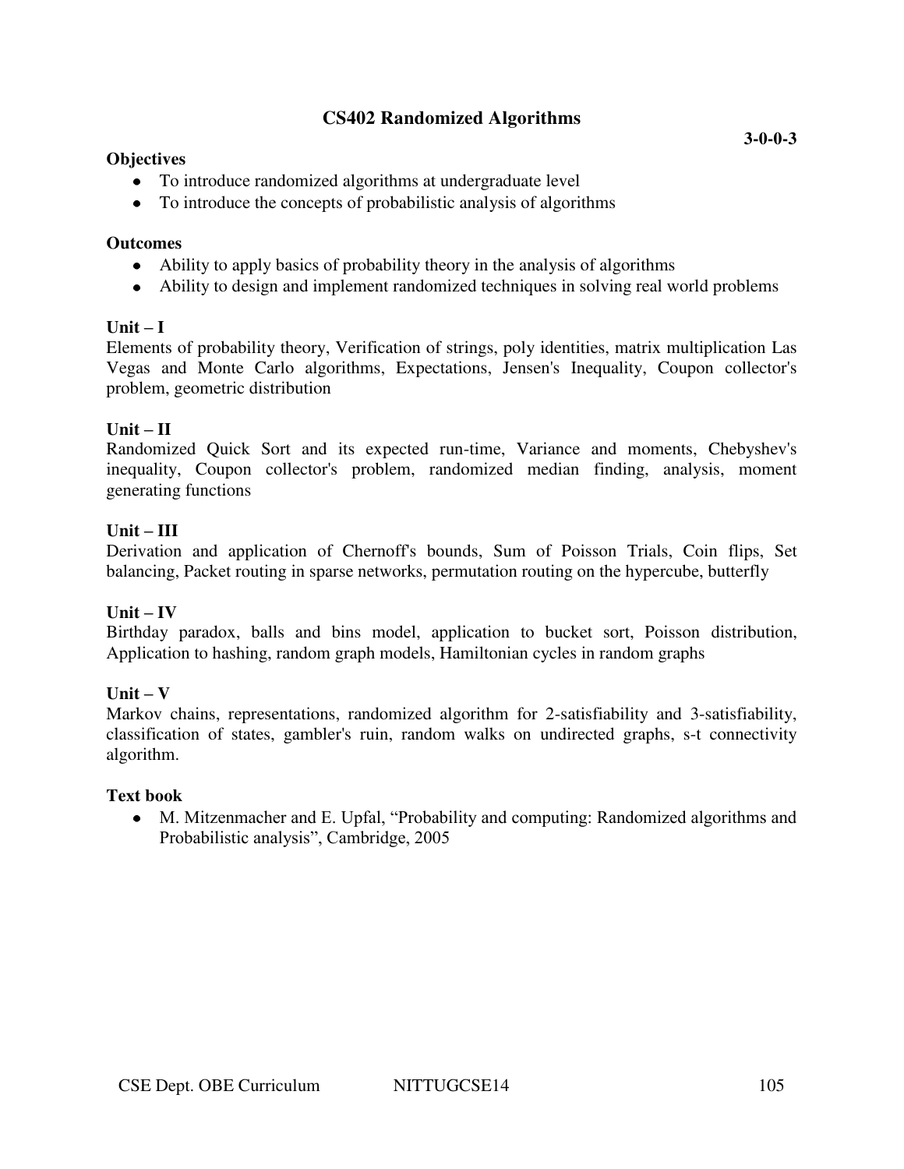# **CS402 Randomized Algorithms**

#### **Objectives**

- To introduce randomized algorithms at undergraduate level
- To introduce the concepts of probabilistic analysis of algorithms

#### **Outcomes**

- Ability to apply basics of probability theory in the analysis of algorithms
- Ability to design and implement randomized techniques in solving real world problems

### $\textbf{Unit} - \textbf{I}$

Elements of probability theory, Verification of strings, poly identities, matrix multiplication Las Vegas and Monte Carlo algorithms, Expectations, Jensen's Inequality, Coupon collector's problem, geometric distribution

#### $Unit - II$

Randomized Quick Sort and its expected run-time, Variance and moments, Chebyshev's inequality, Coupon collector's problem, randomized median finding, analysis, moment generating functions

#### $Unit - III$

Derivation and application of Chernoff's bounds, Sum of Poisson Trials, Coin flips, Set balancing, Packet routing in sparse networks, permutation routing on the hypercube, butterfly

#### $\textbf{Unit} - \textbf{IV}$

Birthday paradox, balls and bins model, application to bucket sort, Poisson distribution, Application to hashing, random graph models, Hamiltonian cycles in random graphs

#### $Unit - V$

Markov chains, representations, randomized algorithm for 2-satisfiability and 3-satisfiability, classification of states, gambler's ruin, random walks on undirected graphs, s-t connectivity algorithm.

#### **Text book**

M. Mitzenmacher and E. Upfal, "Probability and computing: Randomized algorithms and Probabilistic analysis", Cambridge, 2005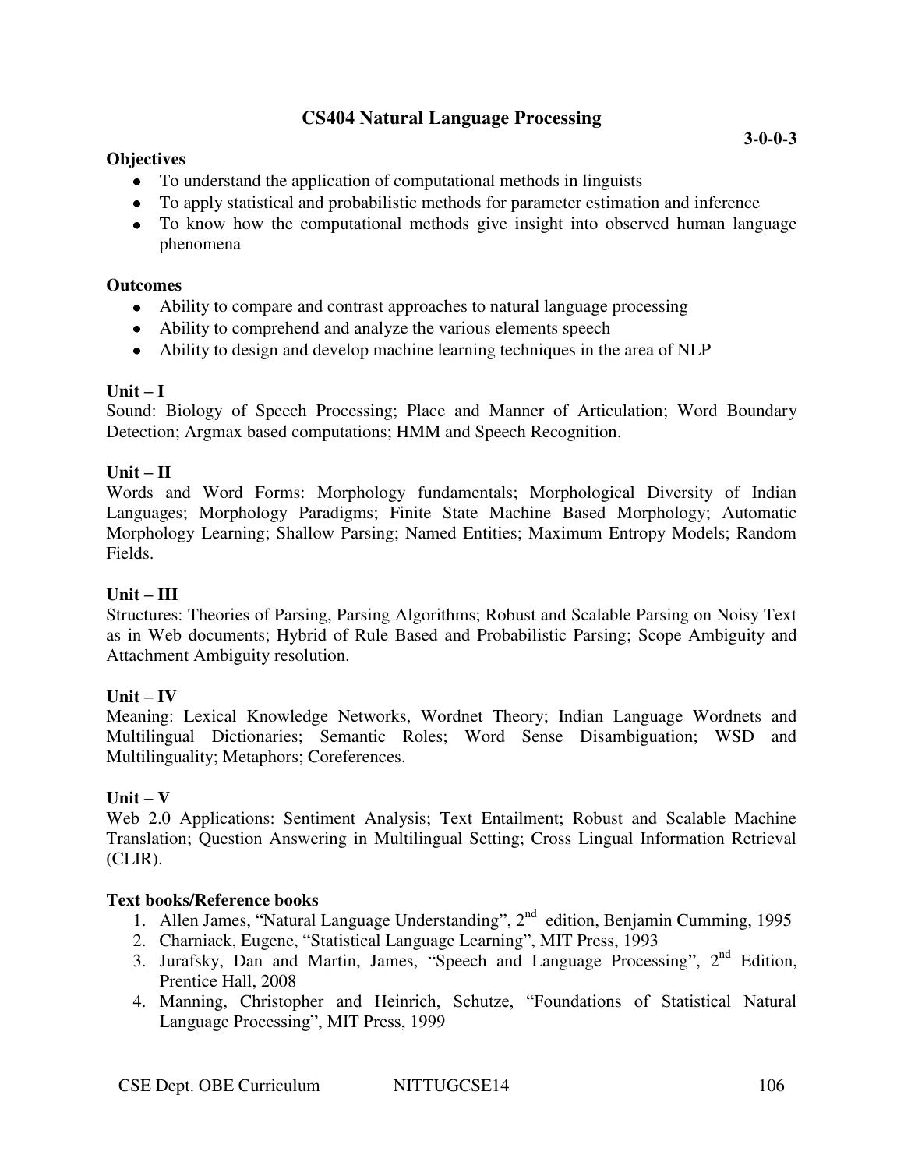# **CS404 Natural Language Processing**

### **Objectives**

- To understand the application of computational methods in linguists
- To apply statistical and probabilistic methods for parameter estimation and inference
- To know how the computational methods give insight into observed human language phenomena

### **Outcomes**

- Ability to compare and contrast approaches to natural language processing
- Ability to comprehend and analyze the various elements speech
- Ability to design and develop machine learning techniques in the area of NLP

# **Unit – I**

Sound: Biology of Speech Processing; Place and Manner of Articulation; Word Boundary Detection; Argmax based computations; HMM and Speech Recognition.

### $Unit - II$

Words and Word Forms: Morphology fundamentals; Morphological Diversity of Indian Languages; Morphology Paradigms; Finite State Machine Based Morphology; Automatic Morphology Learning; Shallow Parsing; Named Entities; Maximum Entropy Models; Random Fields.

### **Unit – III**

Structures: Theories of Parsing, Parsing Algorithms; Robust and Scalable Parsing on Noisy Text as in Web documents; Hybrid of Rule Based and Probabilistic Parsing; Scope Ambiguity and Attachment Ambiguity resolution.

# $\mathbf{Unit} - \mathbf{IV}$

Meaning: Lexical Knowledge Networks, Wordnet Theory; Indian Language Wordnets and Multilingual Dictionaries; Semantic Roles; Word Sense Disambiguation; WSD and Multilinguality; Metaphors; Coreferences.

# **Unit – V**

Web 2.0 Applications: Sentiment Analysis; Text Entailment; Robust and Scalable Machine Translation; Question Answering in Multilingual Setting; Cross Lingual Information Retrieval (CLIR).

# **Text books/Reference books**

- 1. Allen James, "Natural Language Understanding",  $2<sup>nd</sup>$  edition, Benjamin Cumming, 1995
- 2. Charniack, Eugene, "Statistical Language Learning", MIT Press, 1993
- 3. Jurafsky, Dan and Martin, James, "Speech and Language Processing",  $2<sup>nd</sup>$  Edition, Prentice Hall, 2008
- 4. Manning, Christopher and Heinrich, Schutze, "Foundations of Statistical Natural Language Processing", MIT Press, 1999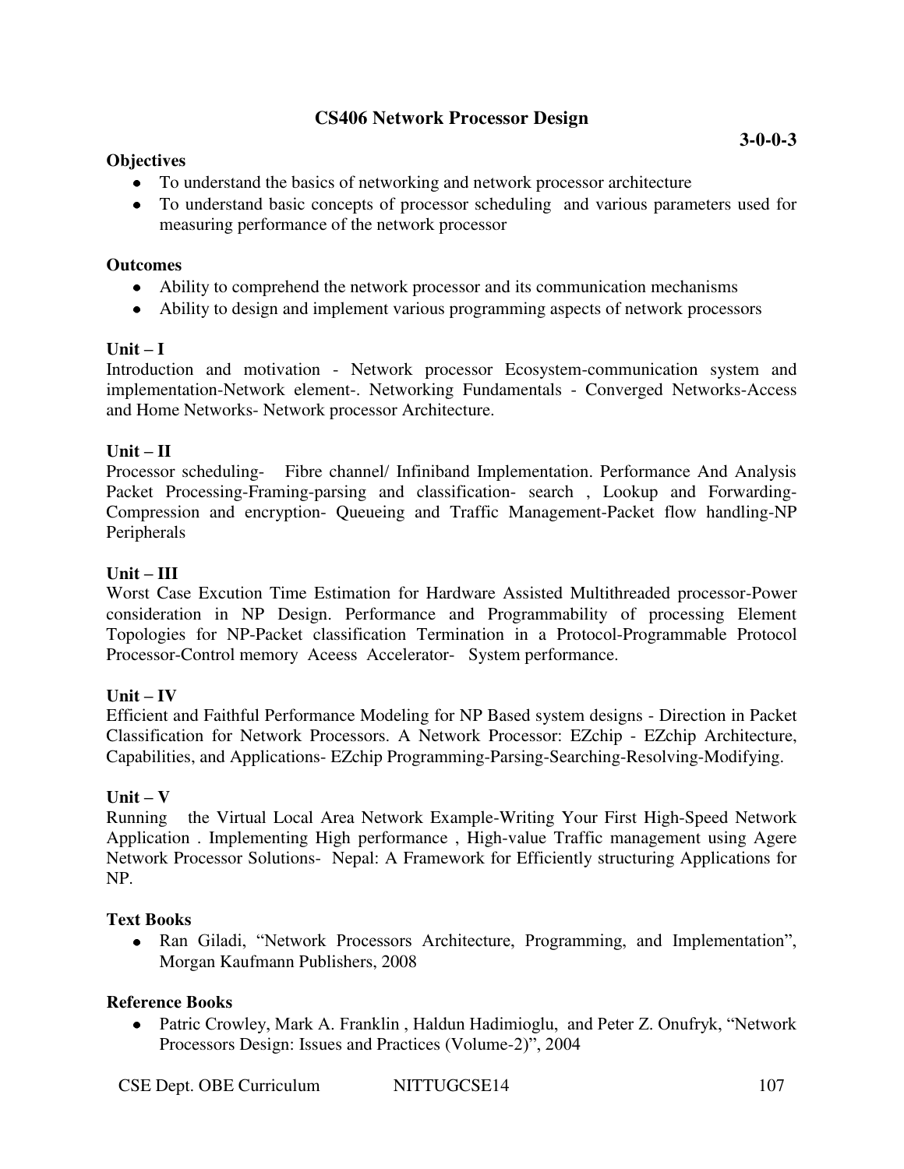# **CS406 Network Processor Design**

# **Objectives**

- To understand the basics of networking and network processor architecture
- To understand basic concepts of processor scheduling and various parameters used for measuring performance of the network processor

### **Outcomes**

- Ability to comprehend the network processor and its communication mechanisms
- Ability to design and implement various programming aspects of network processors

# $\textbf{Unit} - \textbf{I}$

Introduction and motivation - Network processor Ecosystem-communication system and implementation-Network element-. Networking Fundamentals - Converged Networks-Access and Home Networks- Network processor Architecture.

# $Unit - II$

Processor scheduling- Fibre channel/ Infiniband Implementation. Performance And Analysis Packet Processing-Framing-parsing and classification- search , Lookup and Forwarding-Compression and encryption- Queueing and Traffic Management-Packet flow handling-NP Peripherals

# **Unit – III**

Worst Case Excution Time Estimation for Hardware Assisted Multithreaded processor-Power consideration in NP Design. Performance and Programmability of processing Element Topologies for NP-Packet classification Termination in a Protocol-Programmable Protocol Processor-Control memory Aceess Accelerator- System performance.

# $Unit - IV$

Efficient and Faithful Performance Modeling for NP Based system designs - Direction in Packet Classification for Network Processors. A Network Processor: EZchip - EZchip Architecture, Capabilities, and Applications- EZchip Programming-Parsing-Searching-Resolving-Modifying.

# **Unit – V**

Running the Virtual Local Area Network Example-Writing Your First High-Speed Network Application . Implementing High performance , High-value Traffic management using Agere Network Processor Solutions- Nepal: A Framework for Efficiently structuring Applications for NP.

# **Text Books**

Ran Giladi, "Network Processors Architecture, Programming, and Implementation", Morgan Kaufmann Publishers, 2008

# **Reference Books**

Patric Crowley, Mark A. Franklin , Haldun Hadimioglu, and Peter Z. Onufryk, "Network Processors Design: Issues and Practices (Volume-2)", 2004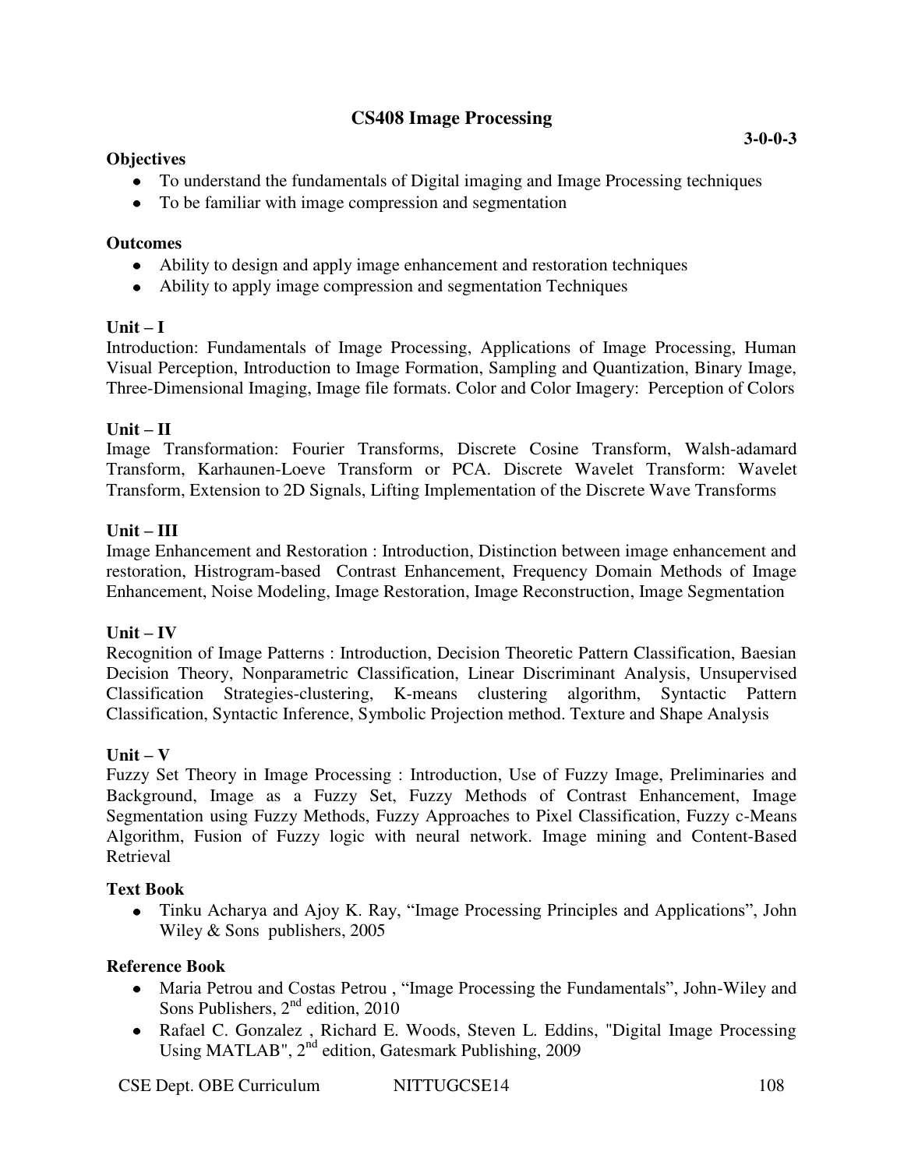# **CS408 Image Processing**

### **Objectives**

- To understand the fundamentals of Digital imaging and Image Processing techniques
- To be familiar with image compression and segmentation

### **Outcomes**

- Ability to design and apply image enhancement and restoration techniques
- Ability to apply image compression and segmentation Techniques

# $Unit - I$

Introduction: Fundamentals of Image Processing, Applications of Image Processing, Human Visual Perception, Introduction to Image Formation, Sampling and Quantization, Binary Image, Three-Dimensional Imaging, Image file formats. Color and Color Imagery: Perception of Colors

# $Unit - II$

Image Transformation: Fourier Transforms, Discrete Cosine Transform, Walsh-adamard Transform, Karhaunen-Loeve Transform or PCA. Discrete Wavelet Transform: Wavelet Transform, Extension to 2D Signals, Lifting Implementation of the Discrete Wave Transforms

### **Unit – III**

Image Enhancement and Restoration : Introduction, Distinction between image enhancement and restoration, Histrogram-based Contrast Enhancement, Frequency Domain Methods of Image Enhancement, Noise Modeling, Image Restoration, Image Reconstruction, Image Segmentation

# $Unit - IV$

Recognition of Image Patterns : Introduction, Decision Theoretic Pattern Classification, Baesian Decision Theory, Nonparametric Classification, Linear Discriminant Analysis, Unsupervised Classification Strategies-clustering, K-means clustering algorithm, Syntactic Pattern Classification, Syntactic Inference, Symbolic Projection method. Texture and Shape Analysis

# $Unit - V$

Fuzzy Set Theory in Image Processing : Introduction, Use of Fuzzy Image, Preliminaries and Background, Image as a Fuzzy Set, Fuzzy Methods of Contrast Enhancement, Image Segmentation using Fuzzy Methods, Fuzzy Approaches to Pixel Classification, Fuzzy c-Means Algorithm, Fusion of Fuzzy logic with neural network. Image mining and Content-Based Retrieval

# **Text Book**

Tinku Acharya and Ajoy K. Ray, "Image Processing Principles and Applications", John Wiley & Sons publishers, 2005

- Maria Petrou and Costas Petrou , "Image Processing the Fundamentals", John-Wiley and Sons Publishers,  $2<sup>nd</sup>$  edition, 2010
- Rafael C. Gonzalez , Richard E. Woods, Steven L. Eddins, "Digital Image Processing Using MATLAB", 2<sup>nd</sup> edition, Gatesmark Publishing, 2009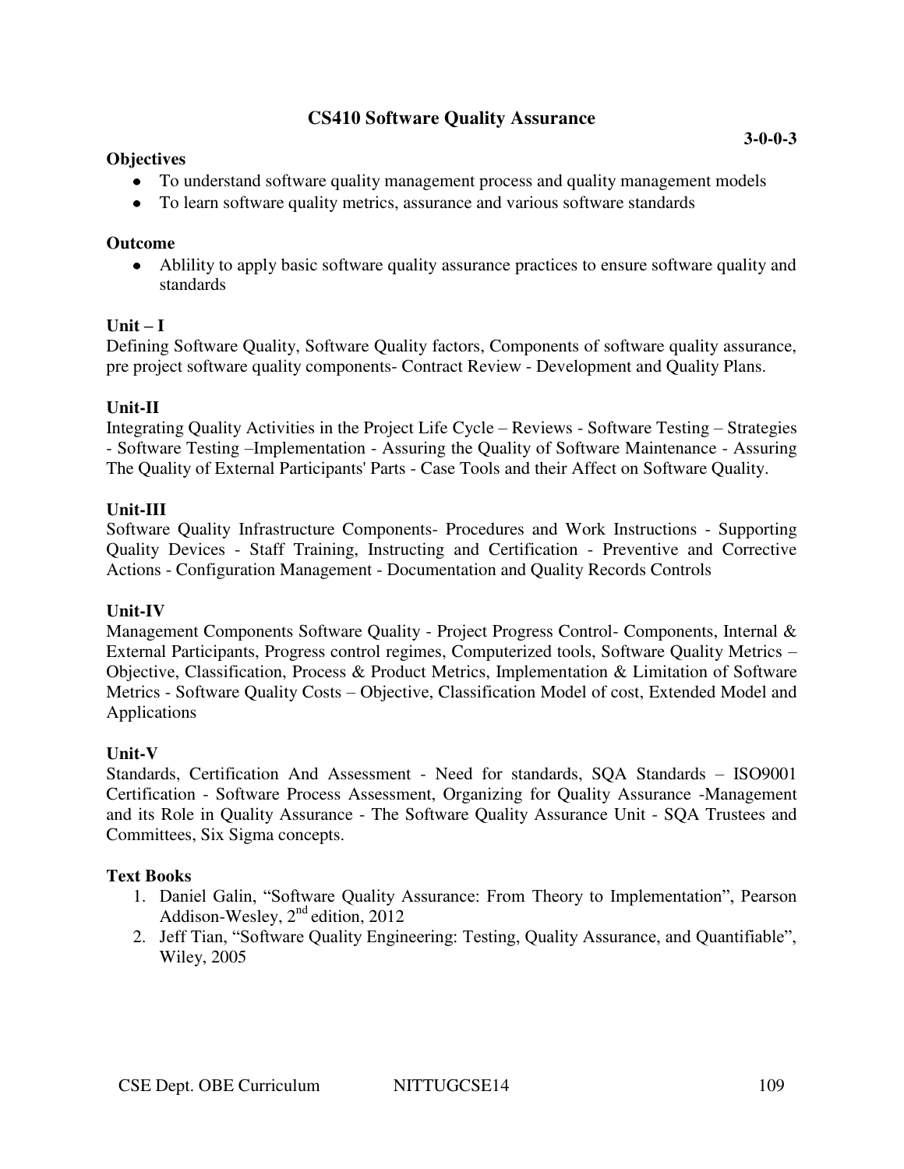# **CS410 Software Quality Assurance**

#### **Objectives**

- To understand software quality management process and quality management models
- To learn software quality metrics, assurance and various software standards

### **Outcome**

Ablility to apply basic software quality assurance practices to ensure software quality and standards

# $Unit - I$

Defining Software Quality, Software Quality factors, Components of software quality assurance, pre project software quality components- Contract Review - Development and Quality Plans.

### **Unit-II**

Integrating Quality Activities in the Project Life Cycle – Reviews - Software Testing – Strategies - Software Testing –Implementation - Assuring the Quality of Software Maintenance - Assuring The Quality of External Participants' Parts - Case Tools and their Affect on Software Quality.

# **Unit-III**

Software Quality Infrastructure Components- Procedures and Work Instructions - Supporting Quality Devices - Staff Training, Instructing and Certification - Preventive and Corrective Actions - Configuration Management - Documentation and Quality Records Controls

#### **Unit-IV**

Management Components Software Quality - Project Progress Control- Components, Internal & External Participants, Progress control regimes, Computerized tools, Software Quality Metrics – Objective, Classification, Process & Product Metrics, Implementation & Limitation of Software Metrics - Software Quality Costs – Objective, Classification Model of cost, Extended Model and Applications

# **Unit-V**

Standards, Certification And Assessment - Need for standards, SQA Standards – ISO9001 Certification - Software Process Assessment, Organizing for Quality Assurance -Management and its Role in Quality Assurance - The Software Quality Assurance Unit - SQA Trustees and Committees, Six Sigma concepts.

# **Text Books**

- 1. Daniel Galin, "Software Quality Assurance: From Theory to Implementation", Pearson Addison-Wesley, 2nd edition, 2012
- 2. Jeff Tian, "Software Quality Engineering: Testing, Quality Assurance, and Quantifiable", Wiley, 2005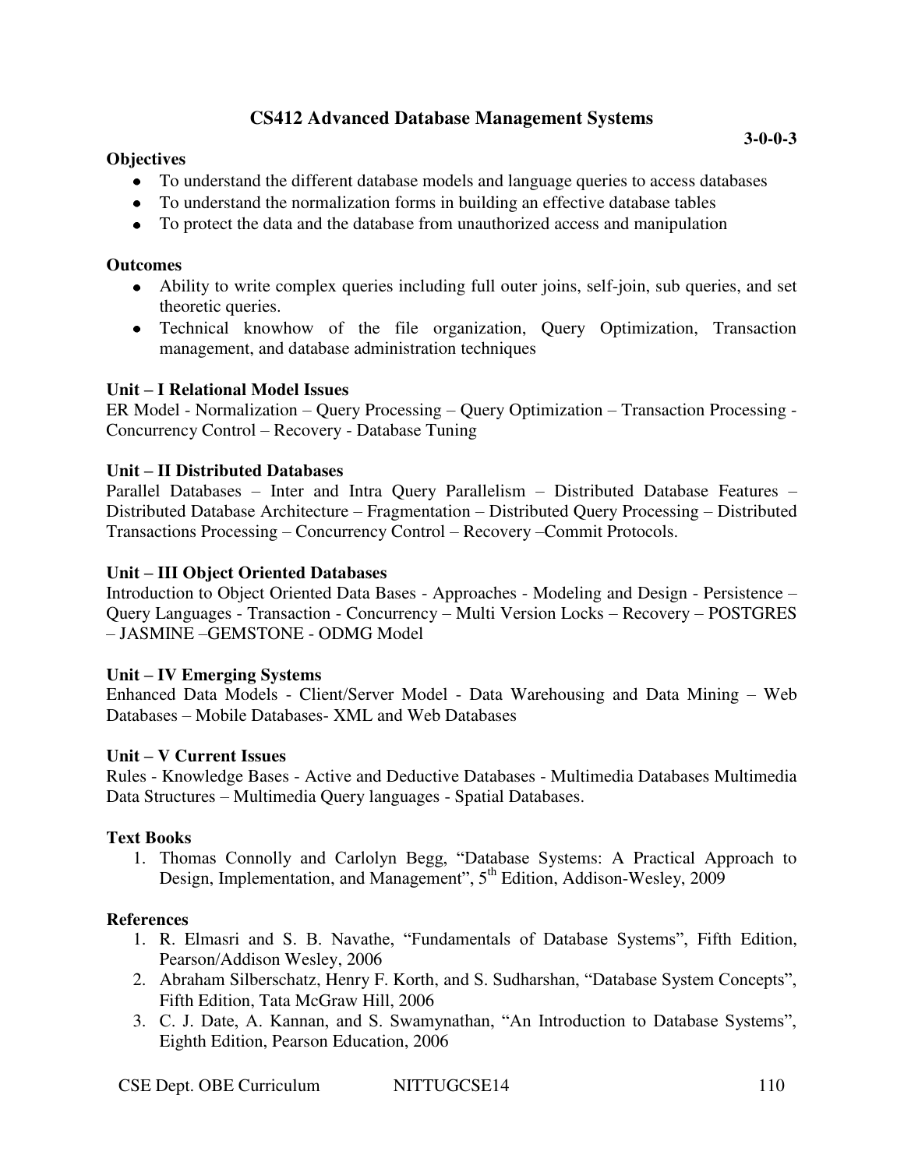# **CS412 Advanced Database Management Systems**

### **Objectives**

- To understand the different database models and language queries to access databases
- To understand the normalization forms in building an effective database tables
- To protect the data and the database from unauthorized access and manipulation

#### **Outcomes**

- Ability to write complex queries including full outer joins, self-join, sub queries, and set theoretic queries.
- Technical knowhow of the file organization, Query Optimization, Transaction management, and database administration techniques

### **Unit – I Relational Model Issues**

ER Model - Normalization – Query Processing – Query Optimization – Transaction Processing - Concurrency Control – Recovery - Database Tuning

### **Unit – II Distributed Databases**

Parallel Databases – Inter and Intra Query Parallelism – Distributed Database Features – Distributed Database Architecture – Fragmentation – Distributed Query Processing – Distributed Transactions Processing – Concurrency Control – Recovery –Commit Protocols.

### **Unit – III Object Oriented Databases**

Introduction to Object Oriented Data Bases - Approaches - Modeling and Design - Persistence – Query Languages - Transaction - Concurrency – Multi Version Locks – Recovery – POSTGRES – JASMINE –GEMSTONE - ODMG Model

#### **Unit – IV Emerging Systems**

Enhanced Data Models - Client/Server Model - Data Warehousing and Data Mining – Web Databases – Mobile Databases- XML and Web Databases

#### **Unit – V Current Issues**

Rules - Knowledge Bases - Active and Deductive Databases - Multimedia Databases Multimedia Data Structures – Multimedia Query languages - Spatial Databases.

# **Text Books**

1. Thomas Connolly and Carlolyn Begg, "Database Systems: A Practical Approach to Design, Implementation, and Management", 5<sup>th</sup> Edition, Addison-Wesley, 2009

# **References**

- 1. R. Elmasri and S. B. Navathe, "Fundamentals of Database Systems", Fifth Edition, Pearson/Addison Wesley, 2006
- 2. Abraham Silberschatz, Henry F. Korth, and S. Sudharshan, "Database System Concepts", Fifth Edition, Tata McGraw Hill, 2006
- 3. C. J. Date, A. Kannan, and S. Swamynathan, "An Introduction to Database Systems", Eighth Edition, Pearson Education, 2006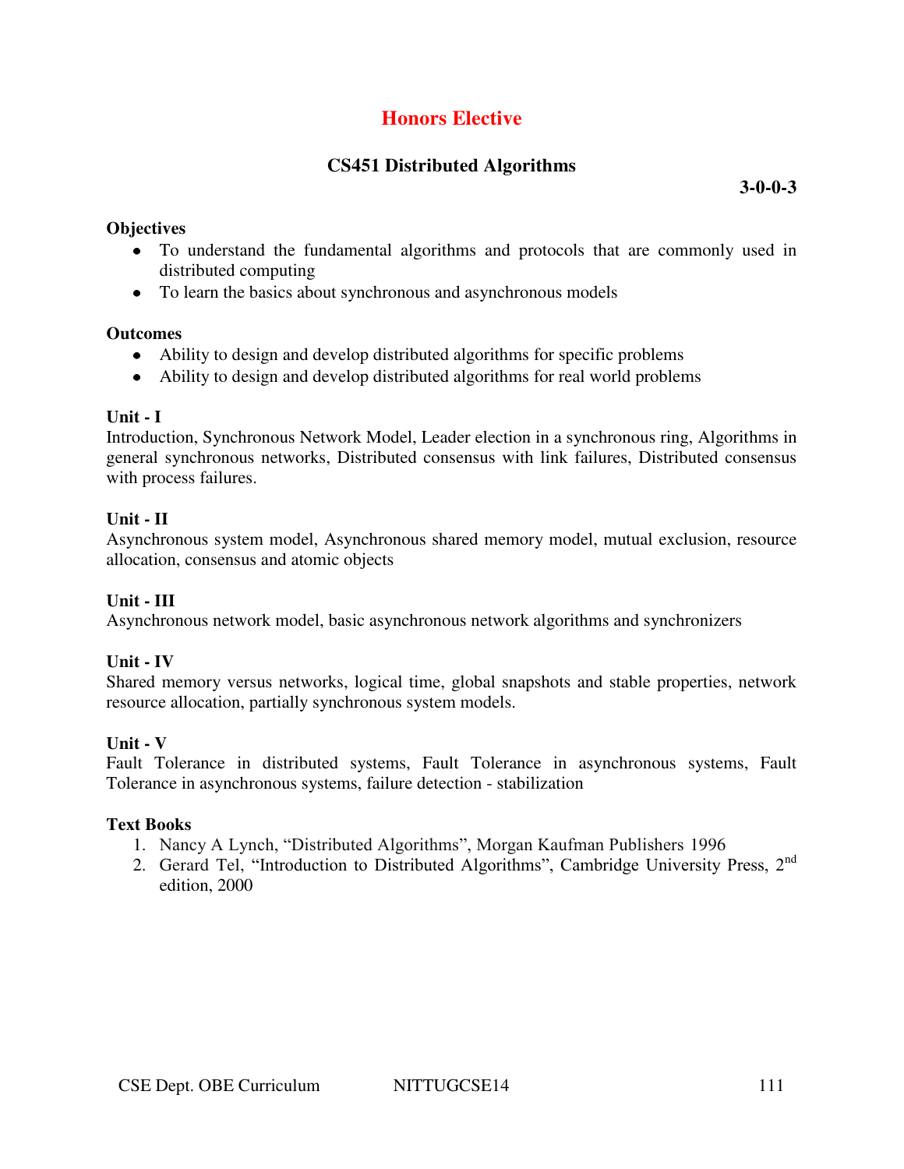# **Honors Elective**

# **CS451 Distributed Algorithms**

**3-0-0-3** 

### **Objectives**

- To understand the fundamental algorithms and protocols that are commonly used in distributed computing
- To learn the basics about synchronous and asynchronous models

### **Outcomes**

- Ability to design and develop distributed algorithms for specific problems
- Ability to design and develop distributed algorithms for real world problems

### **Unit - I**

Introduction, Synchronous Network Model, Leader election in a synchronous ring, Algorithms in general synchronous networks, Distributed consensus with link failures, Distributed consensus with process failures.

### **Unit - II**

Asynchronous system model, Asynchronous shared memory model, mutual exclusion, resource allocation, consensus and atomic objects

# **Unit - III**

Asynchronous network model, basic asynchronous network algorithms and synchronizers

# **Unit - IV**

Shared memory versus networks, logical time, global snapshots and stable properties, network resource allocation, partially synchronous system models.

#### **Unit - V**

Fault Tolerance in distributed systems, Fault Tolerance in asynchronous systems, Fault Tolerance in asynchronous systems, failure detection - stabilization

#### **Text Books**

- 1. Nancy A Lynch, "Distributed Algorithms", Morgan Kaufman Publishers 1996
- 2. Gerard Tel, "Introduction to Distributed Algorithms", Cambridge University Press, 2nd edition, 2000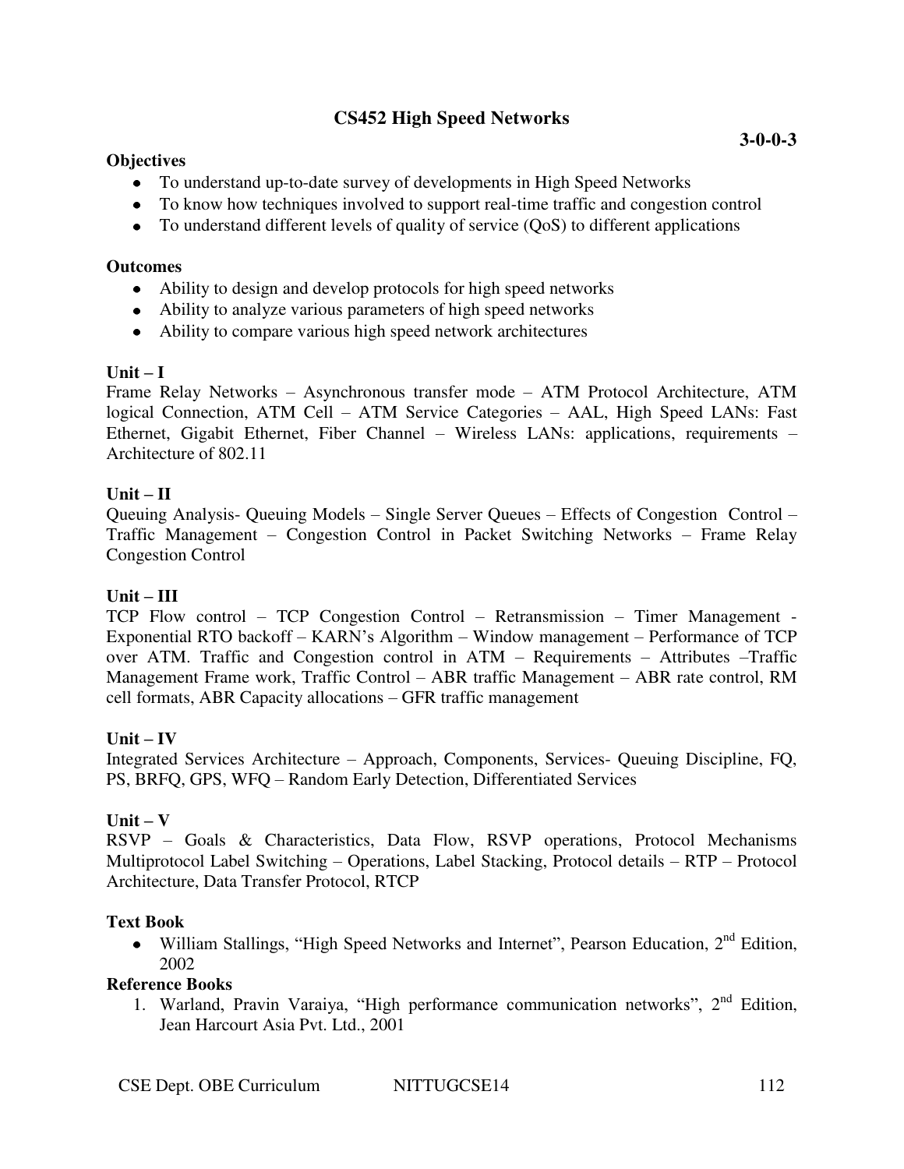# **CS452 High Speed Networks**

### **Objectives**

- To understand up-to-date survey of developments in High Speed Networks
- To know how techniques involved to support real-time traffic and congestion control
- To understand different levels of quality of service (QoS) to different applications

### **Outcomes**

- Ability to design and develop protocols for high speed networks
- Ability to analyze various parameters of high speed networks
- Ability to compare various high speed network architectures

### $Unit - I$

Frame Relay Networks – Asynchronous transfer mode – ATM Protocol Architecture, ATM logical Connection, ATM Cell – ATM Service Categories – AAL, High Speed LANs: Fast Ethernet, Gigabit Ethernet, Fiber Channel – Wireless LANs: applications, requirements – Architecture of 802.11

### **Unit – II**

Queuing Analysis- Queuing Models – Single Server Queues – Effects of Congestion Control – Traffic Management – Congestion Control in Packet Switching Networks – Frame Relay Congestion Control

# $Unit - III$

TCP Flow control – TCP Congestion Control – Retransmission – Timer Management - Exponential RTO backoff – KARN's Algorithm – Window management – Performance of TCP over ATM. Traffic and Congestion control in ATM – Requirements – Attributes –Traffic Management Frame work, Traffic Control – ABR traffic Management – ABR rate control, RM cell formats, ABR Capacity allocations – GFR traffic management

# $Unit - IV$

Integrated Services Architecture – Approach, Components, Services- Queuing Discipline, FQ, PS, BRFQ, GPS, WFQ – Random Early Detection, Differentiated Services

# $Unit - V$

RSVP – Goals & Characteristics, Data Flow, RSVP operations, Protocol Mechanisms Multiprotocol Label Switching – Operations, Label Stacking, Protocol details – RTP – Protocol Architecture, Data Transfer Protocol, RTCP

# **Text Book**

• William Stallings, "High Speed Networks and Internet", Pearson Education, 2<sup>nd</sup> Edition, 2002

#### **Reference Books**

1. Warland, Pravin Varaiya, "High performance communication networks", 2<sup>nd</sup> Edition, Jean Harcourt Asia Pvt. Ltd., 2001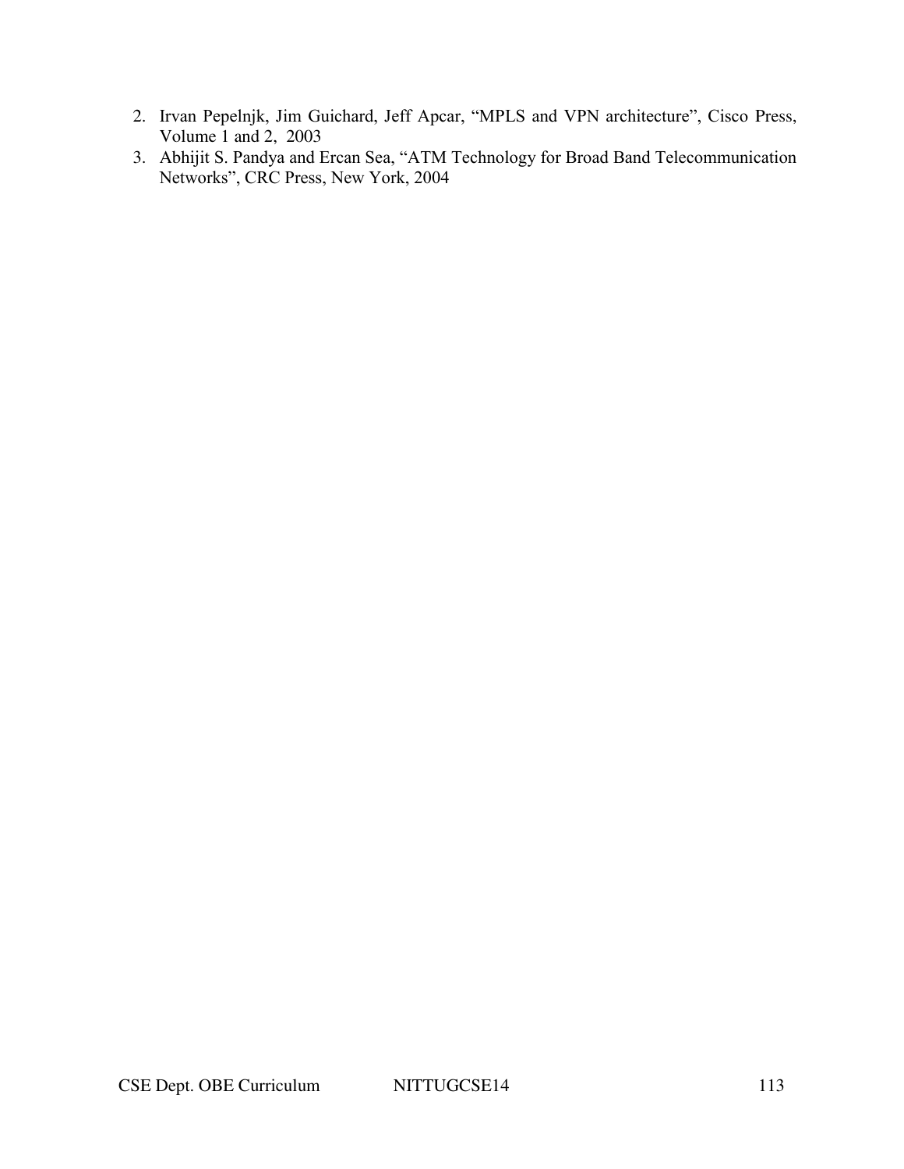- 2. Irvan Pepelnjk, Jim Guichard, Jeff Apcar, "MPLS and VPN architecture", Cisco Press, Volume 1 and 2, 2003
- 3. Abhijit S. Pandya and Ercan Sea, "ATM Technology for Broad Band Telecommunication Networks", CRC Press, New York, 2004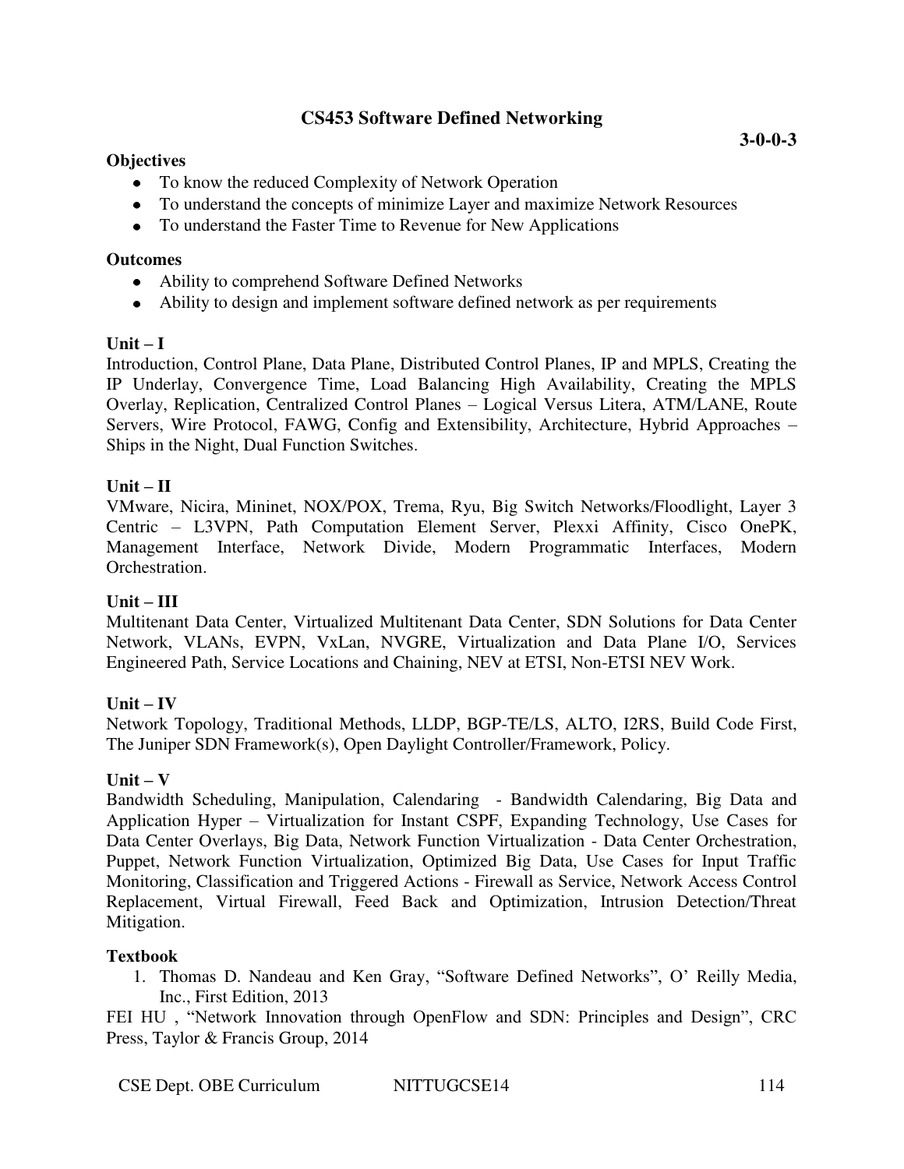# **CS453 Software Defined Networking**

### **Objectives**

- To know the reduced Complexity of Network Operation
- To understand the concepts of minimize Layer and maximize Network Resources
- To understand the Faster Time to Revenue for New Applications

#### **Outcomes**

- Ability to comprehend Software Defined Networks
- Ability to design and implement software defined network as per requirements

### $\textbf{Unit} - \textbf{I}$

Introduction, Control Plane, Data Plane, Distributed Control Planes, IP and MPLS, Creating the IP Underlay, Convergence Time, Load Balancing High Availability, Creating the MPLS Overlay, Replication, Centralized Control Planes – Logical Versus Litera, ATM/LANE, Route Servers, Wire Protocol, FAWG, Config and Extensibility, Architecture, Hybrid Approaches – Ships in the Night, Dual Function Switches.

### **Unit – II**

VMware, Nicira, Mininet, NOX/POX, Trema, Ryu, Big Switch Networks/Floodlight, Layer 3 Centric – L3VPN, Path Computation Element Server, Plexxi Affinity, Cisco OnePK, Management Interface, Network Divide, Modern Programmatic Interfaces, Modern Orchestration.

#### $Unit - III$

Multitenant Data Center, Virtualized Multitenant Data Center, SDN Solutions for Data Center Network, VLANs, EVPN, VxLan, NVGRE, Virtualization and Data Plane I/O, Services Engineered Path, Service Locations and Chaining, NEV at ETSI, Non-ETSI NEV Work.

# $Unit - IV$

Network Topology, Traditional Methods, LLDP, BGP-TE/LS, ALTO, I2RS, Build Code First, The Juniper SDN Framework(s), Open Daylight Controller/Framework, Policy.

#### $Unit - V$

Bandwidth Scheduling, Manipulation, Calendaring - Bandwidth Calendaring, Big Data and Application Hyper – Virtualization for Instant CSPF, Expanding Technology, Use Cases for Data Center Overlays, Big Data, Network Function Virtualization - Data Center Orchestration, Puppet, Network Function Virtualization, Optimized Big Data, Use Cases for Input Traffic Monitoring, Classification and Triggered Actions - Firewall as Service, Network Access Control Replacement, Virtual Firewall, Feed Back and Optimization, Intrusion Detection/Threat Mitigation.

#### **Textbook**

1. Thomas D. Nandeau and Ken Gray, "Software Defined Networks", O' Reilly Media, Inc., First Edition, 2013

FEI HU , "Network Innovation through OpenFlow and SDN: Principles and Design", CRC Press, Taylor & Francis Group, 2014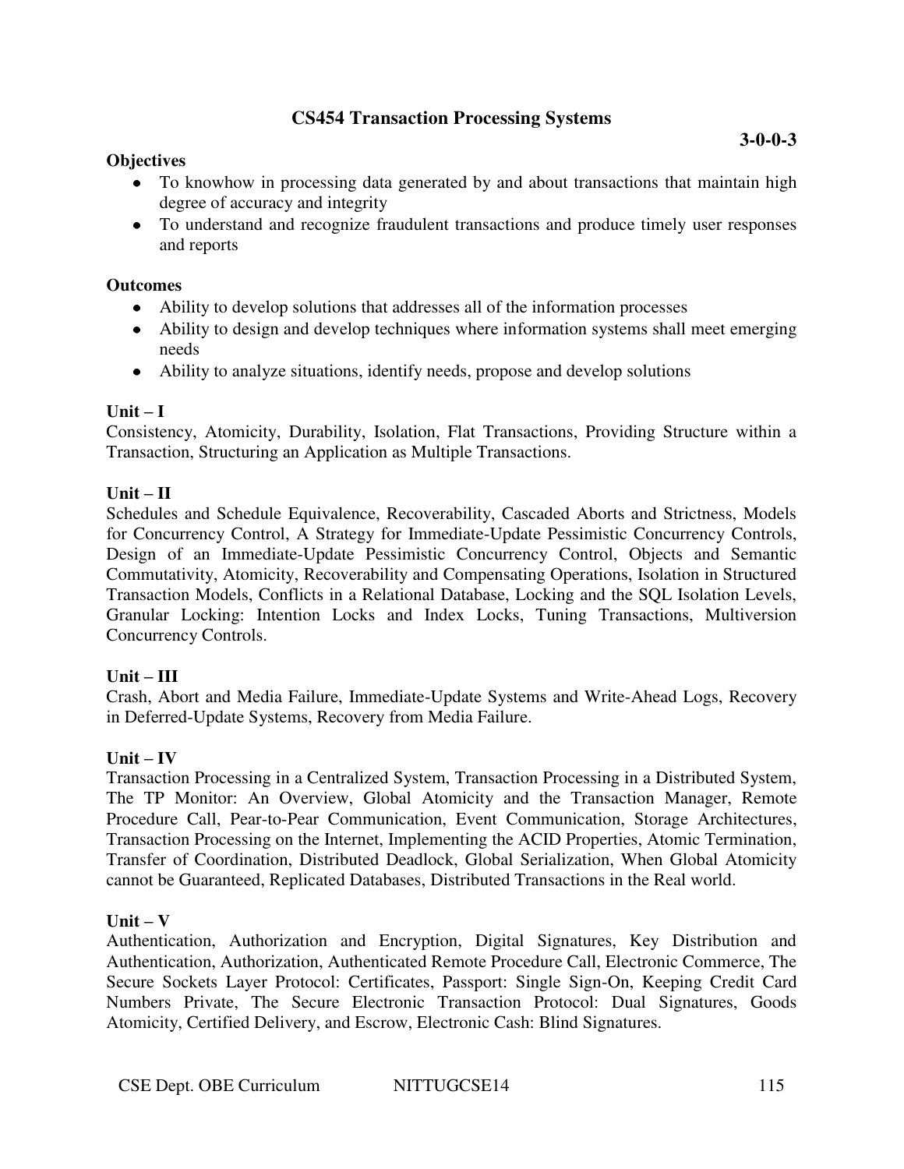# **CS454 Transaction Processing Systems**

### **Objectives**

• To understand and recognize fraudulent transactions and produce timely user responses and reports

### **Outcomes**

- Ability to develop solutions that addresses all of the information processes
- Ability to design and develop techniques where information systems shall meet emerging needs
- Ability to analyze situations, identify needs, propose and develop solutions

### $\textbf{Unit} - \textbf{I}$

Consistency, Atomicity, Durability, Isolation, Flat Transactions, Providing Structure within a Transaction, Structuring an Application as Multiple Transactions.

#### $Unit - II$

Schedules and Schedule Equivalence, Recoverability, Cascaded Aborts and Strictness, Models for Concurrency Control, A Strategy for Immediate-Update Pessimistic Concurrency Controls, Design of an Immediate-Update Pessimistic Concurrency Control, Objects and Semantic Commutativity, Atomicity, Recoverability and Compensating Operations, Isolation in Structured Transaction Models, Conflicts in a Relational Database, Locking and the SQL Isolation Levels, Granular Locking: Intention Locks and Index Locks, Tuning Transactions, Multiversion Concurrency Controls.

#### **Unit – III**

Crash, Abort and Media Failure, Immediate-Update Systems and Write-Ahead Logs, Recovery in Deferred-Update Systems, Recovery from Media Failure.

#### $Unit - IV$

Transaction Processing in a Centralized System, Transaction Processing in a Distributed System, The TP Monitor: An Overview, Global Atomicity and the Transaction Manager, Remote Procedure Call, Pear-to-Pear Communication, Event Communication, Storage Architectures, Transaction Processing on the Internet, Implementing the ACID Properties, Atomic Termination, Transfer of Coordination, Distributed Deadlock, Global Serialization, When Global Atomicity cannot be Guaranteed, Replicated Databases, Distributed Transactions in the Real world.

#### $\textbf{Unit} - \textbf{V}$

Authentication, Authorization and Encryption, Digital Signatures, Key Distribution and Authentication, Authorization, Authenticated Remote Procedure Call, Electronic Commerce, The Secure Sockets Layer Protocol: Certificates, Passport: Single Sign-On, Keeping Credit Card Numbers Private, The Secure Electronic Transaction Protocol: Dual Signatures, Goods Atomicity, Certified Delivery, and Escrow, Electronic Cash: Blind Signatures.

**3-0-0-3**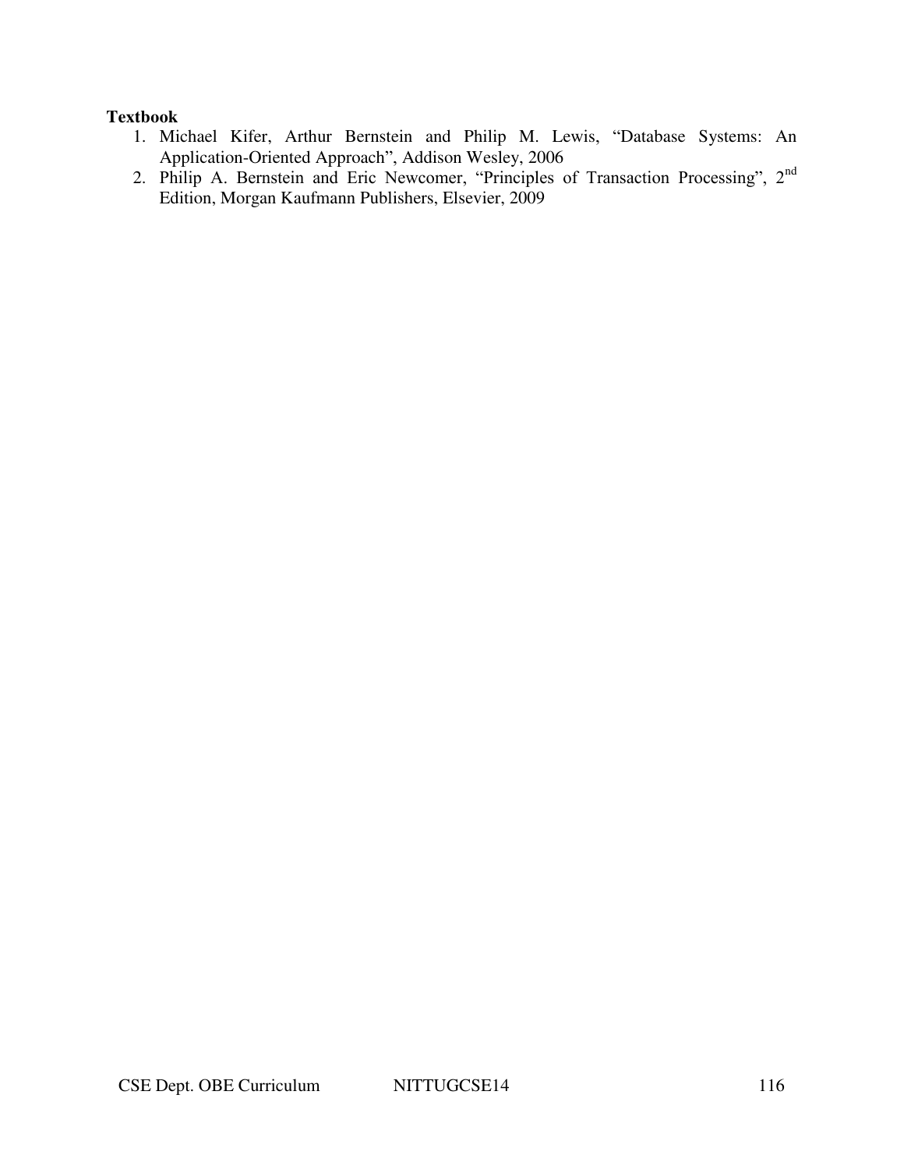#### **Textbook**

- 1. Michael Kifer, Arthur Bernstein and Philip M. Lewis, "Database Systems: An Application-Oriented Approach", Addison Wesley, 2006
- 2. Philip A. Bernstein and Eric Newcomer, "Principles of Transaction Processing", 2nd Edition, Morgan Kaufmann Publishers, Elsevier, 2009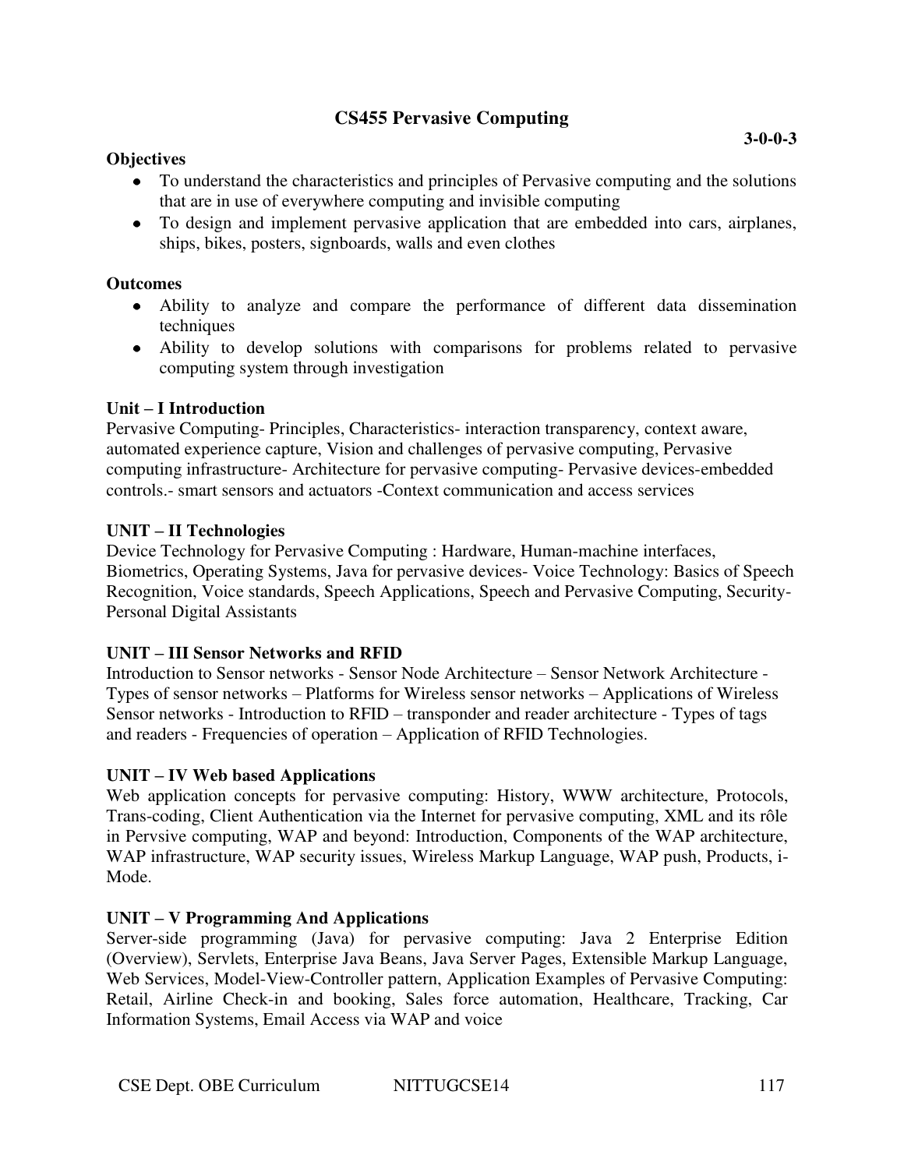# **CS455 Pervasive Computing**

### **Objectives**

• To design and implement pervasive application that are embedded into cars, airplanes, ships, bikes, posters, signboards, walls and even clothes

### **Outcomes**

- Ability to analyze and compare the performance of different data dissemination techniques
- Ability to develop solutions with comparisons for problems related to pervasive computing system through investigation

### **Unit – I Introduction**

Pervasive Computing- Principles, Characteristics- interaction transparency, context aware, automated experience capture, Vision and challenges of pervasive computing, Pervasive computing infrastructure- Architecture for pervasive computing- Pervasive devices-embedded controls.- smart sensors and actuators -Context communication and access services

#### **UNIT – II Technologies**

Device Technology for Pervasive Computing : Hardware, Human-machine interfaces, Biometrics, Operating Systems, Java for pervasive devices- Voice Technology: Basics of Speech Recognition, Voice standards, Speech Applications, Speech and Pervasive Computing, Security-Personal Digital Assistants

# **UNIT – III Sensor Networks and RFID**

Introduction to Sensor networks - Sensor Node Architecture – Sensor Network Architecture - Types of sensor networks – Platforms for Wireless sensor networks – Applications of Wireless Sensor networks - Introduction to RFID – transponder and reader architecture - Types of tags and readers - Frequencies of operation – Application of RFID Technologies.

# **UNIT – IV Web based Applications**

Web application concepts for pervasive computing: History, WWW architecture, Protocols, Trans-coding, Client Authentication via the Internet for pervasive computing, XML and its rôle in Pervsive computing, WAP and beyond: Introduction, Components of the WAP architecture, WAP infrastructure, WAP security issues, Wireless Markup Language, WAP push, Products, i-Mode.

# **UNIT – V Programming And Applications**

Server-side programming (Java) for pervasive computing: Java 2 Enterprise Edition (Overview), Servlets, Enterprise Java Beans, Java Server Pages, Extensible Markup Language, Web Services, Model-View-Controller pattern, Application Examples of Pervasive Computing: Retail, Airline Check-in and booking, Sales force automation, Healthcare, Tracking, Car Information Systems, Email Access via WAP and voice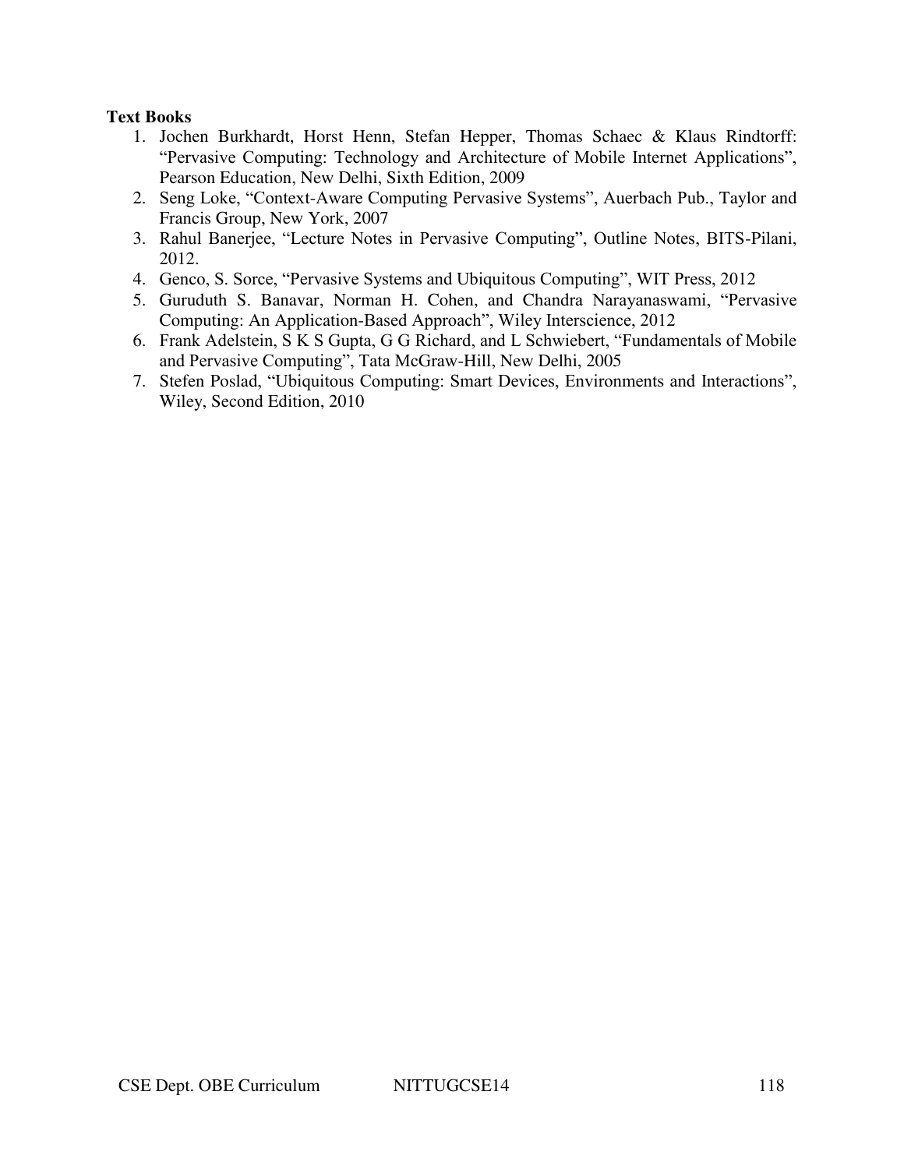# **Text Books**

- 1. Jochen Burkhardt, Horst Henn, Stefan Hepper, Thomas Schaec & Klaus Rindtorff: "Pervasive Computing: Technology and Architecture of Mobile Internet Applications", Pearson Education, New Delhi, Sixth Edition, 2009
- 2. Seng Loke, "Context-Aware Computing Pervasive Systems", Auerbach Pub., Taylor and Francis Group, New York, 2007
- 3. Rahul Banerjee, "Lecture Notes in Pervasive Computing", Outline Notes, BITS-Pilani, 2012.
- 4. Genco, S. Sorce, "Pervasive Systems and Ubiquitous Computing", WIT Press, 2012
- 5. Guruduth S. Banavar, Norman H. Cohen, and Chandra Narayanaswami, "Pervasive Computing: An Application-Based Approach", Wiley Interscience, 2012
- 6. Frank Adelstein, S K S Gupta, G G Richard, and L Schwiebert, "Fundamentals of Mobile and Pervasive Computing", Tata McGraw-Hill, New Delhi, 2005
- 7. Stefen Poslad, "Ubiquitous Computing: Smart Devices, Environments and Interactions", Wiley, Second Edition, 2010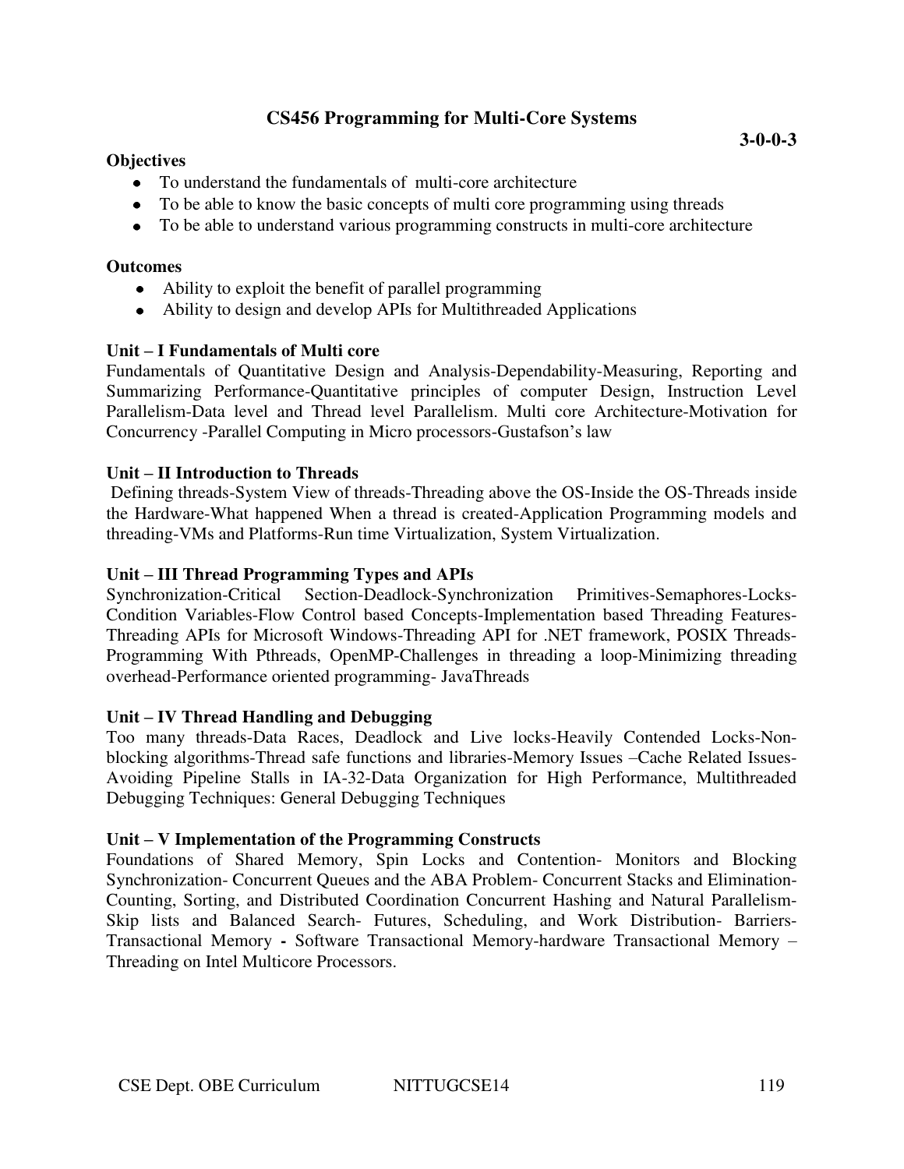# **CS456 Programming for Multi-Core Systems**

### **Objectives**

- To understand the fundamentals of multi-core architecture
- To be able to know the basic concepts of multi core programming using threads
- To be able to understand various programming constructs in multi-core architecture

### **Outcomes**

- Ability to exploit the benefit of parallel programming
- Ability to design and develop APIs for Multithreaded Applications

# **Unit – I Fundamentals of Multi core**

Fundamentals of Quantitative Design and Analysis-Dependability-Measuring, Reporting and Summarizing Performance-Quantitative principles of computer Design, Instruction Level Parallelism-Data level and Thread level Parallelism. Multi core Architecture-Motivation for Concurrency -Parallel Computing in Micro processors-Gustafson's law

### **Unit – II Introduction to Threads**

 Defining threads-System View of threads-Threading above the OS-Inside the OS-Threads inside the Hardware-What happened When a thread is created-Application Programming models and threading-VMs and Platforms-Run time Virtualization, System Virtualization.

### **Unit – III Thread Programming Types and APIs**

Synchronization-Critical Section-Deadlock-Synchronization Primitives-Semaphores-Locks-Condition Variables-Flow Control based Concepts-Implementation based Threading Features-Threading APIs for Microsoft Windows-Threading API for .NET framework, POSIX Threads-Programming With Pthreads, OpenMP-Challenges in threading a loop-Minimizing threading overhead-Performance oriented programming- JavaThreads

#### **Unit – IV Thread Handling and Debugging**

Too many threads-Data Races, Deadlock and Live locks-Heavily Contended Locks-Nonblocking algorithms-Thread safe functions and libraries-Memory Issues –Cache Related Issues-Avoiding Pipeline Stalls in IA-32-Data Organization for High Performance, Multithreaded Debugging Techniques: General Debugging Techniques

#### **Unit – V Implementation of the Programming Constructs**

Foundations of Shared Memory, Spin Locks and Contention- Monitors and Blocking Synchronization- Concurrent Queues and the ABA Problem- Concurrent Stacks and Elimination-Counting, Sorting, and Distributed Coordination Concurrent Hashing and Natural Parallelism-Skip lists and Balanced Search- Futures, Scheduling, and Work Distribution- Barriers-Transactional Memory **-** Software Transactional Memory-hardware Transactional Memory – Threading on Intel Multicore Processors.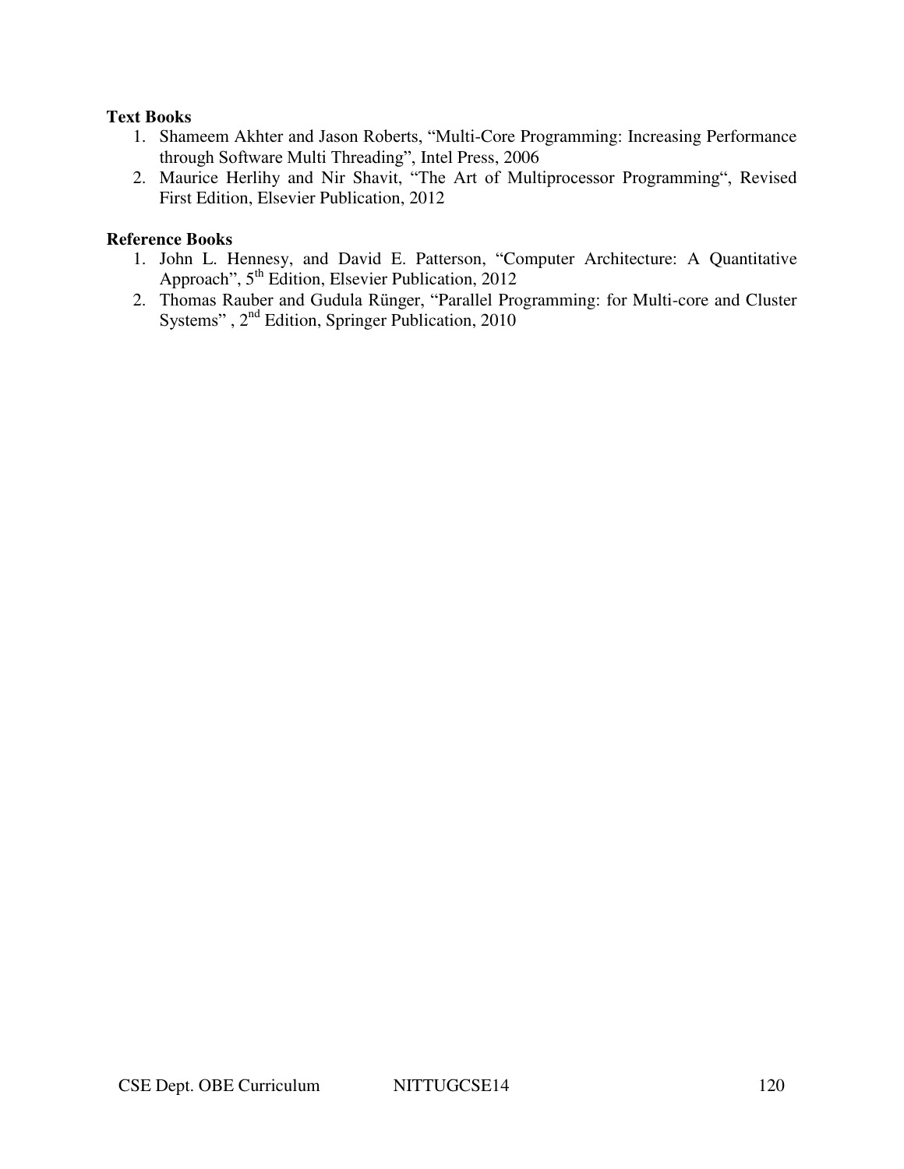#### **Text Books**

- 1. Shameem Akhter and Jason Roberts, "Multi-Core Programming: Increasing Performance through Software Multi Threading", Intel Press, 2006
- 2. Maurice Herlihy and Nir Shavit, "The Art of Multiprocessor Programming", Revised First Edition, Elsevier Publication, 2012

- 1. John L. Hennesy, and David E. Patterson, "Computer Architecture: A Quantitative Approach", 5<sup>th</sup> Edition, Elsevier Publication, 2012
- 2. Thomas Rauber and Gudula Rünger, "Parallel Programming: for Multi-core and Cluster Systems", 2<sup>nd</sup> Edition, Springer Publication, 2010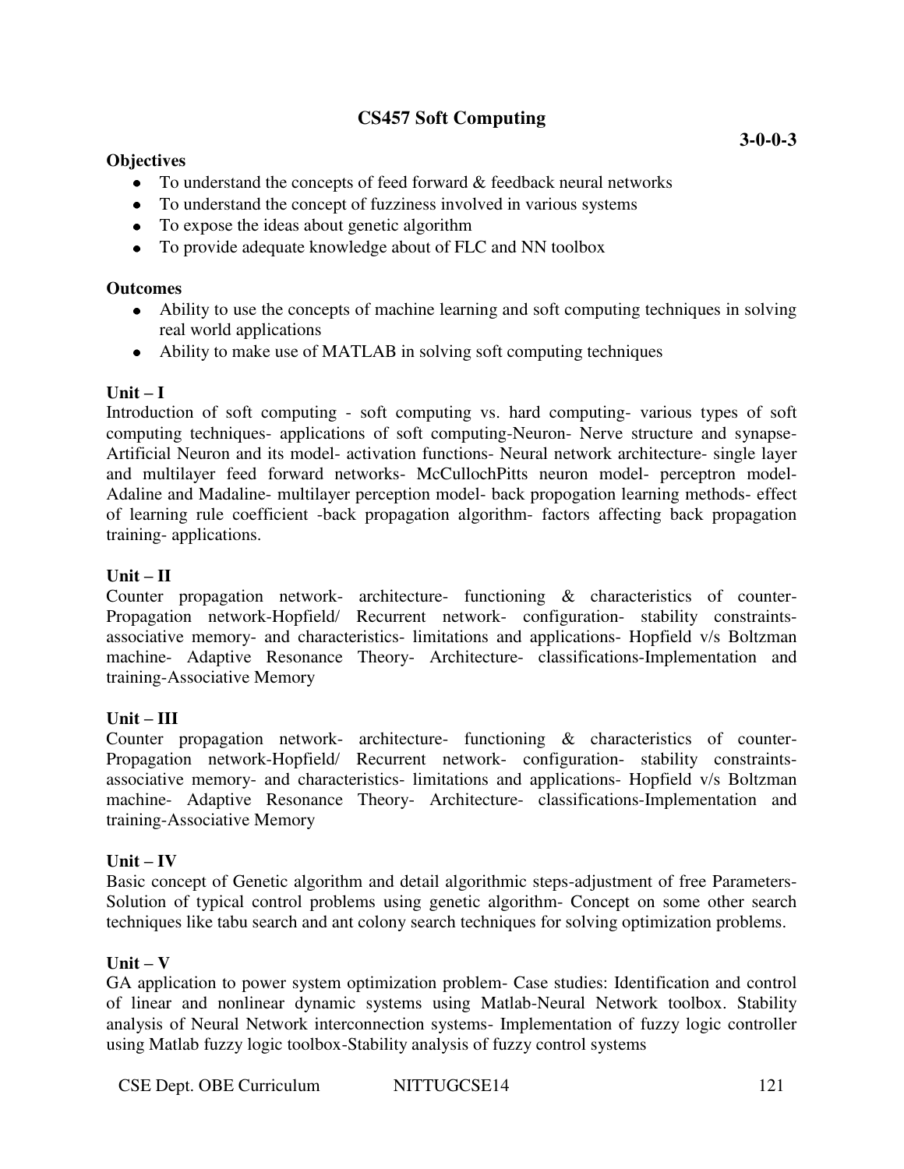# **CS457 Soft Computing**

### **Objectives**

- To understand the concepts of feed forward & feedback neural networks
- To understand the concept of fuzziness involved in various systems
- To expose the ideas about genetic algorithm
- To provide adequate knowledge about of FLC and NN toolbox

### **Outcomes**

- Ability to use the concepts of machine learning and soft computing techniques in solving real world applications
- Ability to make use of MATLAB in solving soft computing techniques

### $\textbf{Unit} - \textbf{I}$

Introduction of soft computing - soft computing vs. hard computing- various types of soft computing techniques- applications of soft computing-Neuron- Nerve structure and synapse-Artificial Neuron and its model- activation functions- Neural network architecture- single layer and multilayer feed forward networks- McCullochPitts neuron model- perceptron model-Adaline and Madaline- multilayer perception model- back propogation learning methods- effect of learning rule coefficient -back propagation algorithm- factors affecting back propagation training- applications.

### $Unit - II$

Counter propagation network- architecture- functioning & characteristics of counter-Propagation network-Hopfield/ Recurrent network- configuration- stability constraintsassociative memory- and characteristics- limitations and applications- Hopfield v/s Boltzman machine- Adaptive Resonance Theory- Architecture- classifications-Implementation and training-Associative Memory

#### **Unit – III**

Counter propagation network- architecture- functioning & characteristics of counter-Propagation network-Hopfield/ Recurrent network- configuration- stability constraintsassociative memory- and characteristics- limitations and applications- Hopfield v/s Boltzman machine- Adaptive Resonance Theory- Architecture- classifications-Implementation and training-Associative Memory

#### $Unit - IV$

Basic concept of Genetic algorithm and detail algorithmic steps-adjustment of free Parameters-Solution of typical control problems using genetic algorithm- Concept on some other search techniques like tabu search and ant colony search techniques for solving optimization problems.

#### $\textbf{Unit} - \textbf{V}$

GA application to power system optimization problem- Case studies: Identification and control of linear and nonlinear dynamic systems using Matlab-Neural Network toolbox. Stability analysis of Neural Network interconnection systems- Implementation of fuzzy logic controller using Matlab fuzzy logic toolbox-Stability analysis of fuzzy control systems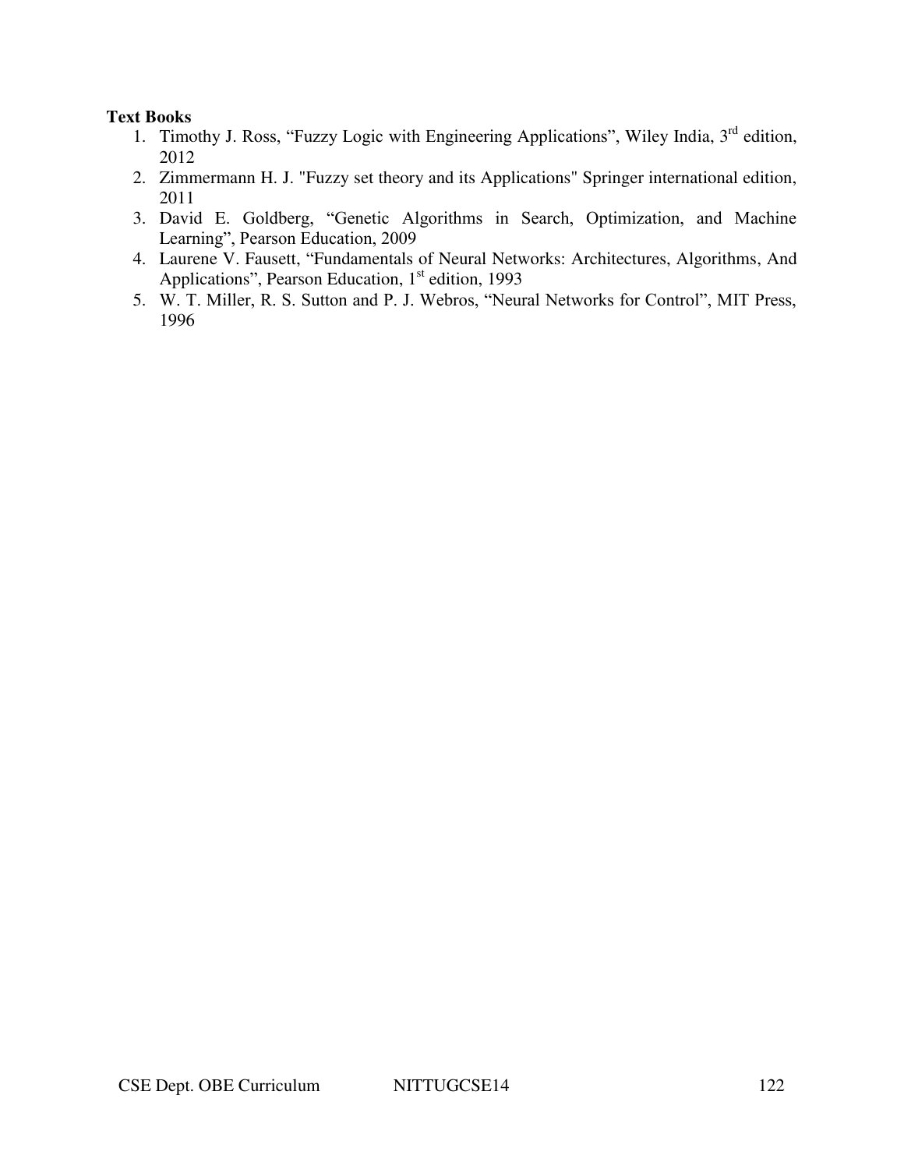#### **Text Books**

- 1. Timothy J. Ross, "Fuzzy Logic with Engineering Applications", Wiley India, 3<sup>rd</sup> edition, 2012
- 2. Zimmermann H. J. "Fuzzy set theory and its Applications" Springer international edition, 2011
- 3. David E. Goldberg, "Genetic Algorithms in Search, Optimization, and Machine Learning", Pearson Education, 2009
- 4. Laurene V. Fausett, "Fundamentals of Neural Networks: Architectures, Algorithms, And Applications", Pearson Education, 1<sup>st</sup> edition, 1993
- 5. W. T. Miller, R. S. Sutton and P. J. Webros, "Neural Networks for Control", MIT Press, 1996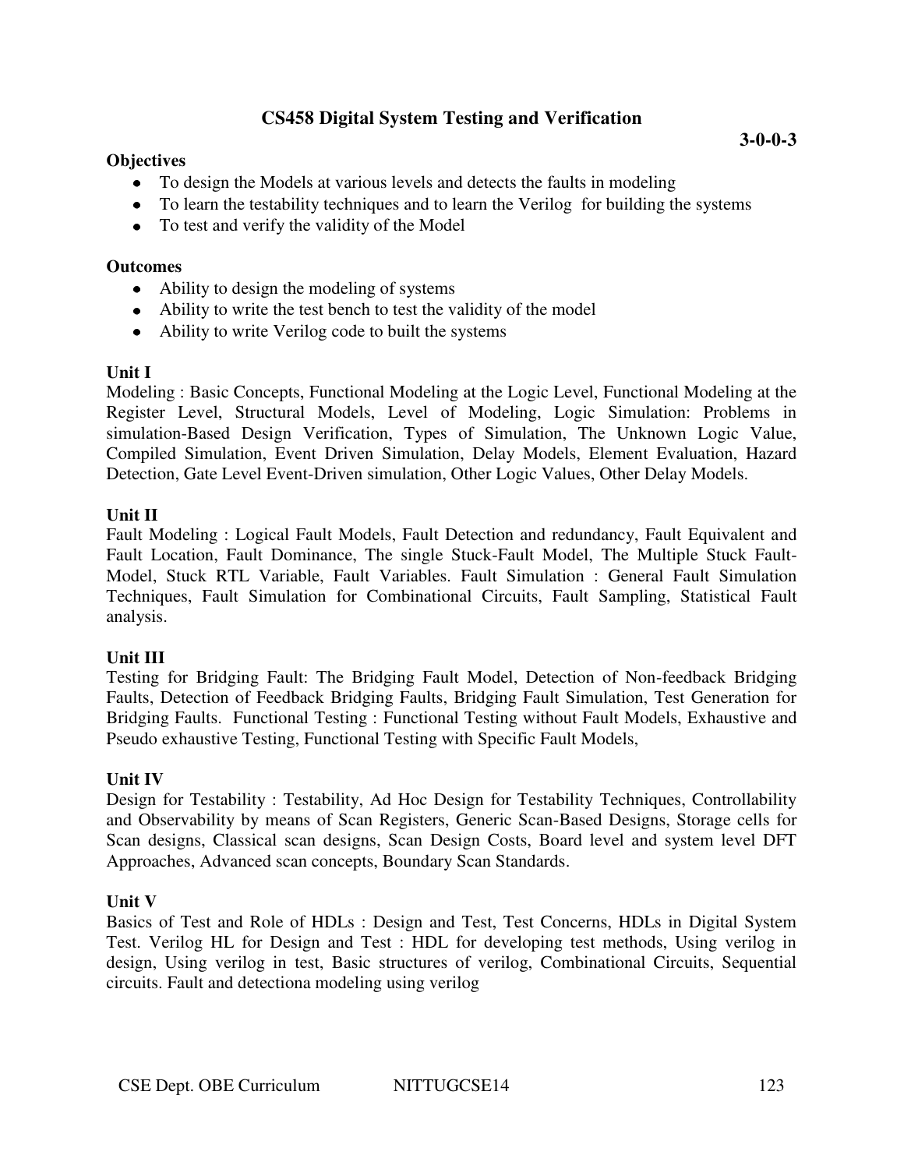# **CS458 Digital System Testing and Verification**

### **Objectives**

- To design the Models at various levels and detects the faults in modeling
- To learn the testability techniques and to learn the Verilog for building the systems
- To test and verify the validity of the Model

#### **Outcomes**

- Ability to design the modeling of systems
- Ability to write the test bench to test the validity of the model
- Ability to write Verilog code to built the systems

### **Unit I**

Modeling : Basic Concepts, Functional Modeling at the Logic Level, Functional Modeling at the Register Level, Structural Models, Level of Modeling, Logic Simulation: Problems in simulation-Based Design Verification, Types of Simulation, The Unknown Logic Value, Compiled Simulation, Event Driven Simulation, Delay Models, Element Evaluation, Hazard Detection, Gate Level Event-Driven simulation, Other Logic Values, Other Delay Models.

### **Unit II**

Fault Modeling : Logical Fault Models, Fault Detection and redundancy, Fault Equivalent and Fault Location, Fault Dominance, The single Stuck-Fault Model, The Multiple Stuck Fault-Model, Stuck RTL Variable, Fault Variables. Fault Simulation : General Fault Simulation Techniques, Fault Simulation for Combinational Circuits, Fault Sampling, Statistical Fault analysis.

# **Unit III**

Testing for Bridging Fault: The Bridging Fault Model, Detection of Non-feedback Bridging Faults, Detection of Feedback Bridging Faults, Bridging Fault Simulation, Test Generation for Bridging Faults. Functional Testing : Functional Testing without Fault Models, Exhaustive and Pseudo exhaustive Testing, Functional Testing with Specific Fault Models,

# **Unit IV**

Design for Testability : Testability, Ad Hoc Design for Testability Techniques, Controllability and Observability by means of Scan Registers, Generic Scan-Based Designs, Storage cells for Scan designs, Classical scan designs, Scan Design Costs, Board level and system level DFT Approaches, Advanced scan concepts, Boundary Scan Standards.

# **Unit V**

Basics of Test and Role of HDLs : Design and Test, Test Concerns, HDLs in Digital System Test. Verilog HL for Design and Test : HDL for developing test methods, Using verilog in design, Using verilog in test, Basic structures of verilog, Combinational Circuits, Sequential circuits. Fault and detectiona modeling using verilog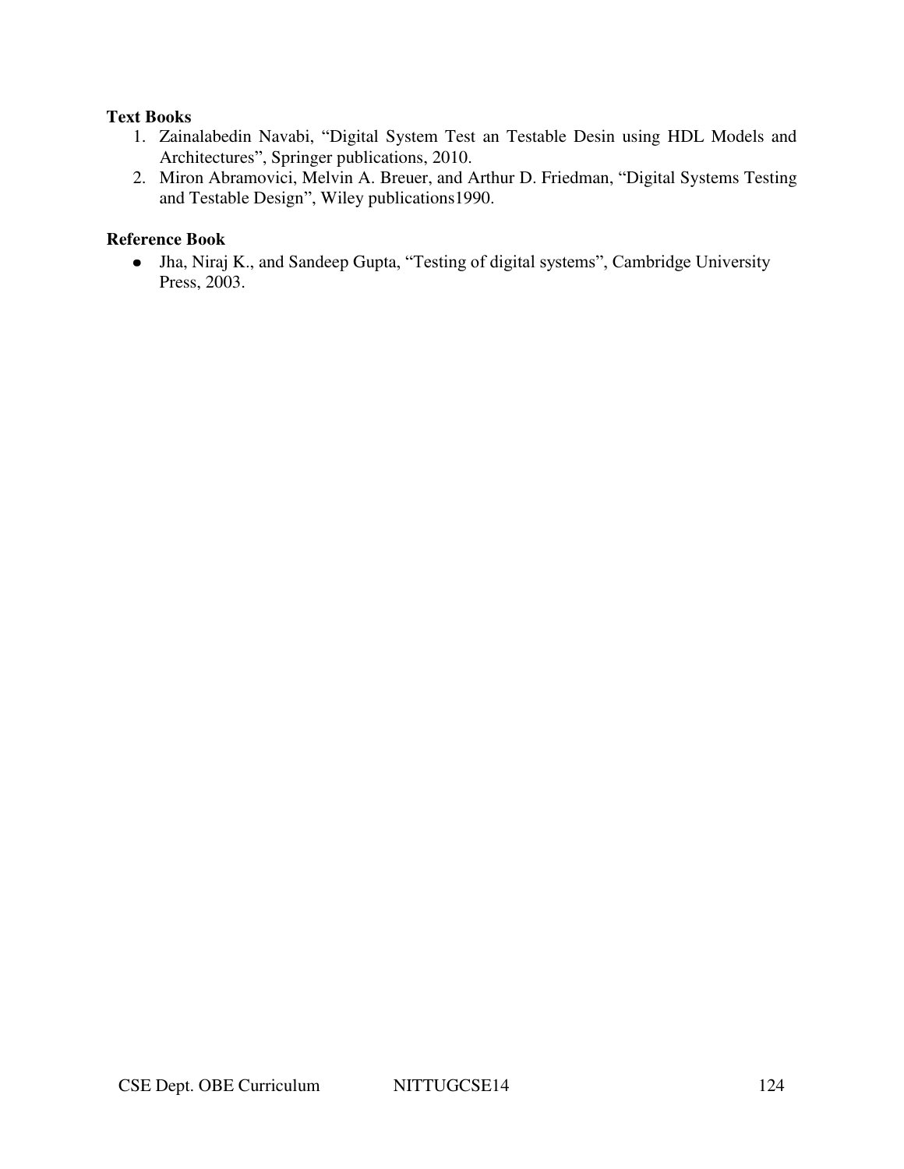### **Text Books**

- 1. Zainalabedin Navabi, "Digital System Test an Testable Desin using HDL Models and Architectures", Springer publications, 2010.
- 2. Miron Abramovici, Melvin A. Breuer, and Arthur D. Friedman, "Digital Systems Testing and Testable Design", Wiley publications1990.

# **Reference Book**

Jha, Niraj K., and Sandeep Gupta, "Testing of digital systems", Cambridge University Press, 2003.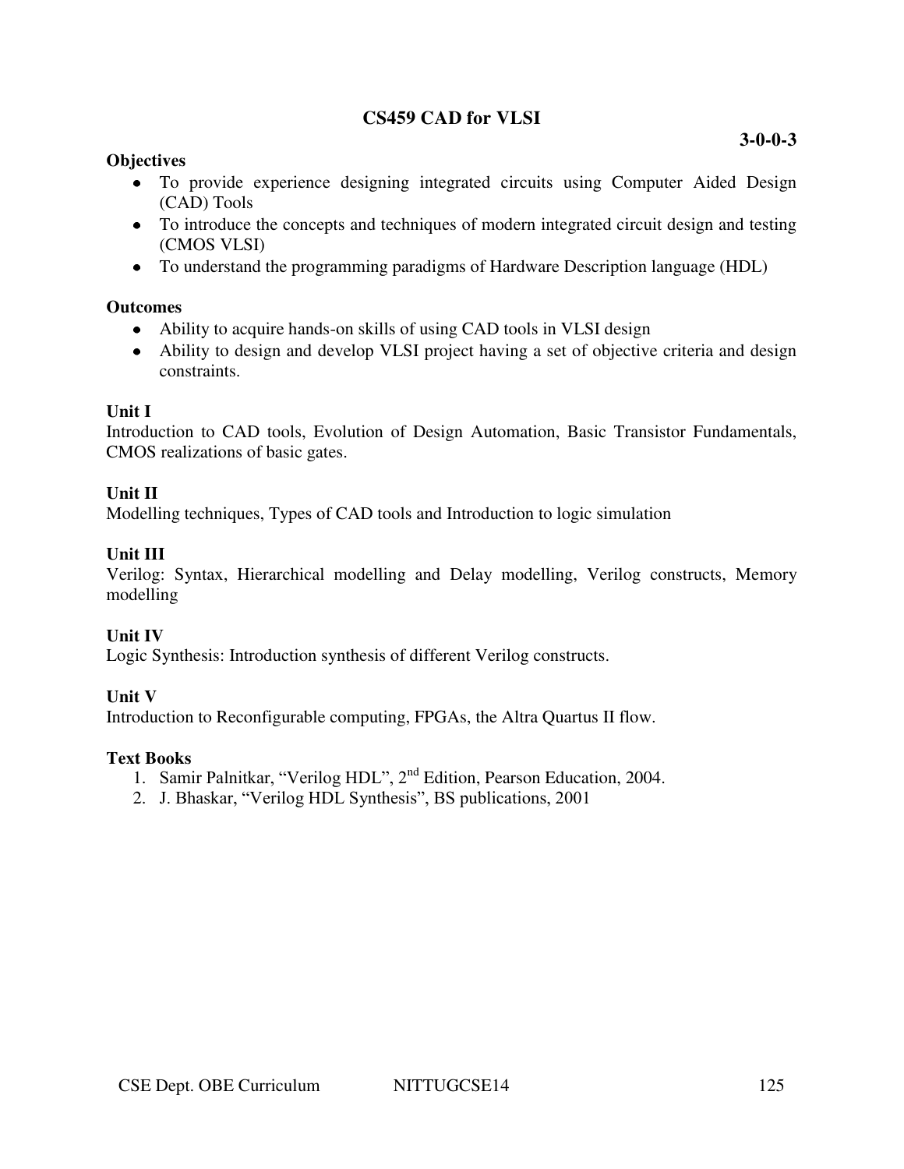# **CS459 CAD for VLSI**

## **Objectives**

- To provide experience designing integrated circuits using Computer Aided Design (CAD) Tools
- To introduce the concepts and techniques of modern integrated circuit design and testing (CMOS VLSI)
- To understand the programming paradigms of Hardware Description language (HDL)

## **Outcomes**

- Ability to acquire hands-on skills of using CAD tools in VLSI design
- Ability to design and develop VLSI project having a set of objective criteria and design constraints.

## **Unit I**

Introduction to CAD tools, Evolution of Design Automation, Basic Transistor Fundamentals, CMOS realizations of basic gates.

## **Unit II**

Modelling techniques, Types of CAD tools and Introduction to logic simulation

## **Unit III**

Verilog: Syntax, Hierarchical modelling and Delay modelling, Verilog constructs, Memory modelling

# **Unit IV**

Logic Synthesis: Introduction synthesis of different Verilog constructs.

# **Unit V**

Introduction to Reconfigurable computing, FPGAs, the Altra Quartus II flow.

#### **Text Books**

- 1. Samir Palnitkar, "Verilog HDL", 2<sup>nd</sup> Edition, Pearson Education, 2004.
- 2. J. Bhaskar, "Verilog HDL Synthesis", BS publications, 2001